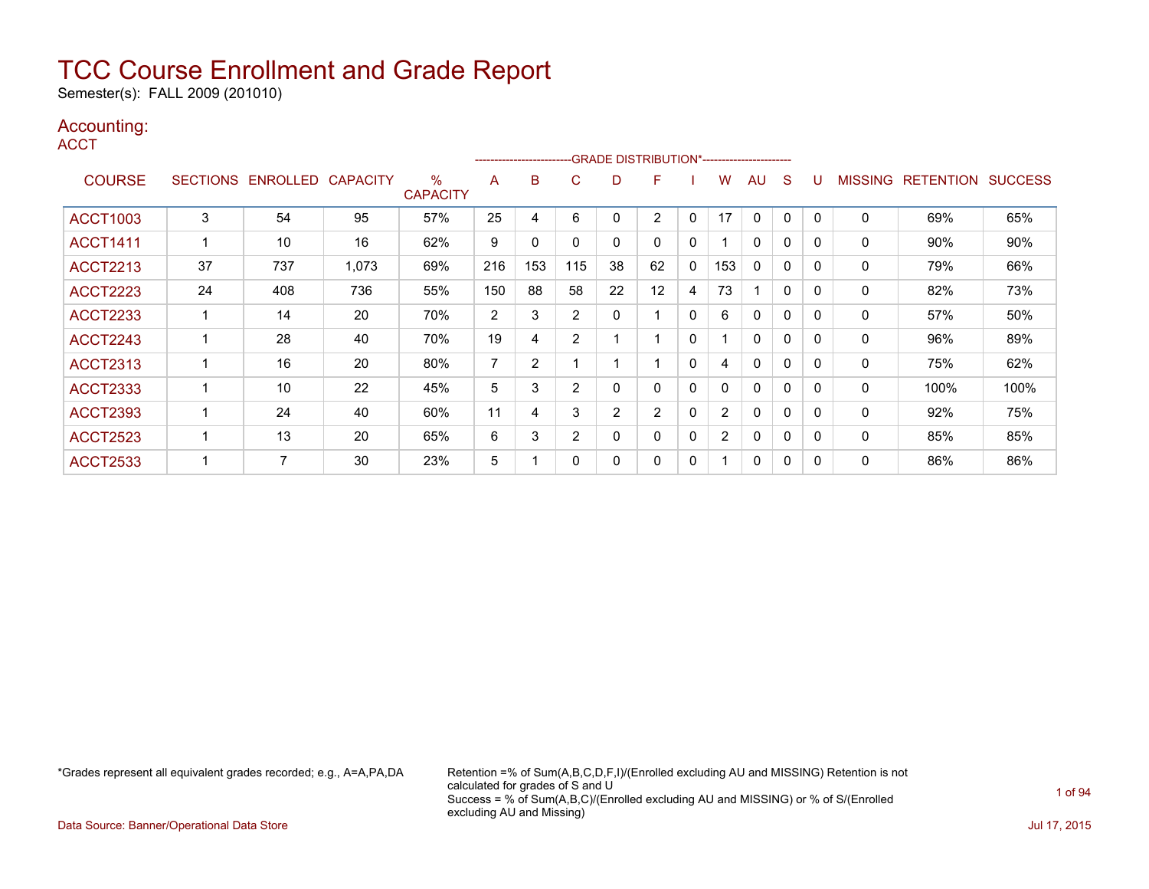Semester(s): FALL 2009 (201010)

### Accounting:

**ACCT** 

|                 |    |                            |       |                         |     | --------------------- |                |              | -GRADE DISTRIBUTION*----------------------- |              |                |              |              |          |                |                  |                |
|-----------------|----|----------------------------|-------|-------------------------|-----|-----------------------|----------------|--------------|---------------------------------------------|--------------|----------------|--------------|--------------|----------|----------------|------------------|----------------|
| <b>COURSE</b>   |    | SECTIONS ENROLLED CAPACITY |       | $\%$<br><b>CAPACITY</b> | A   | B                     | C              | D            | F                                           |              | w              | AU           | <sub>S</sub> |          | <b>MISSING</b> | <b>RETENTION</b> | <b>SUCCESS</b> |
| <b>ACCT1003</b> | 3  | 54                         | 95    | 57%                     | 25  | 4                     | 6              | $\mathbf{0}$ | $\overline{2}$                              | $\mathbf{0}$ | 17             | $\mathbf{0}$ | $\mathbf{0}$ | $\Omega$ | $\mathbf 0$    | 69%              | 65%            |
| <b>ACCT1411</b> |    | 10                         | 16    | 62%                     | 9   | 0                     | $\Omega$       | $\mathbf{0}$ | 0                                           | $\mathbf{0}$ |                | $\Omega$     | 0            |          | 0              | 90%              | 90%            |
| <b>ACCT2213</b> | 37 | 737                        | 1,073 | 69%                     | 216 | 153                   | 115            | 38           | 62                                          | $\mathbf{0}$ | 153            | $\Omega$     | 0            | 0        | 0              | 79%              | 66%            |
| <b>ACCT2223</b> | 24 | 408                        | 736   | 55%                     | 150 | 88                    | 58             | 22           | 12                                          | 4            | 73             |              | $\mathbf{0}$ | 0        | 0              | 82%              | 73%            |
| <b>ACCT2233</b> |    | 14                         | 20    | 70%                     | 2   | 3                     | 2              | $\mathbf{0}$ |                                             | $\mathbf{0}$ | 6              | $\mathbf{0}$ | 0            | 0        | $\mathbf{0}$   | 57%              | 50%            |
| <b>ACCT2243</b> |    | 28                         | 40    | 70%                     | 19  | 4                     | $\overline{2}$ |              |                                             | $\mathbf{0}$ |                | $\mathbf 0$  | $\mathbf{0}$ | 0        | 0              | 96%              | 89%            |
| <b>ACCT2313</b> |    | 16                         | 20    | 80%                     | 7   | 2                     |                |              |                                             | $\mathbf{0}$ | 4              | $\Omega$     | 0            | 0        | 0              | 75%              | 62%            |
| <b>ACCT2333</b> |    | 10                         | 22    | 45%                     | 5   | 3                     | $\overline{2}$ | 0            | 0                                           | $\mathbf{0}$ | 0              | $\mathbf{0}$ | 0            | 0        | 0              | 100%             | 100%           |
| <b>ACCT2393</b> |    | 24                         | 40    | 60%                     | 11  | 4                     | 3              | 2            | 2                                           | 0            | 2              | 0            | 0            | 0        | 0              | 92%              | 75%            |
| <b>ACCT2523</b> |    | 13                         | 20    | 65%                     | 6   | 3                     | $\overline{2}$ | $\Omega$     | $\Omega$                                    | $\mathbf{0}$ | $\overline{2}$ | $\Omega$     | $\mathbf{0}$ | $\Omega$ | $\Omega$       | 85%              | 85%            |
| <b>ACCT2533</b> |    | 7                          | 30    | 23%                     | 5   |                       | $\Omega$       | 0            | 0                                           | 0            |                | 0            | 0            |          | $\mathbf 0$    | 86%              | 86%            |

\*Grades represent all equivalent grades recorded; e.g., A=A,PA,DA Retention =% of Sum(A,B,C,D,F,I)/(Enrolled excluding AU and MISSING) Retention is not calculated for grades of S and U Success = % of Sum(A,B,C)/(Enrolled excluding AU and MISSING) or % of S/(Enrolled excluding AU and Missing)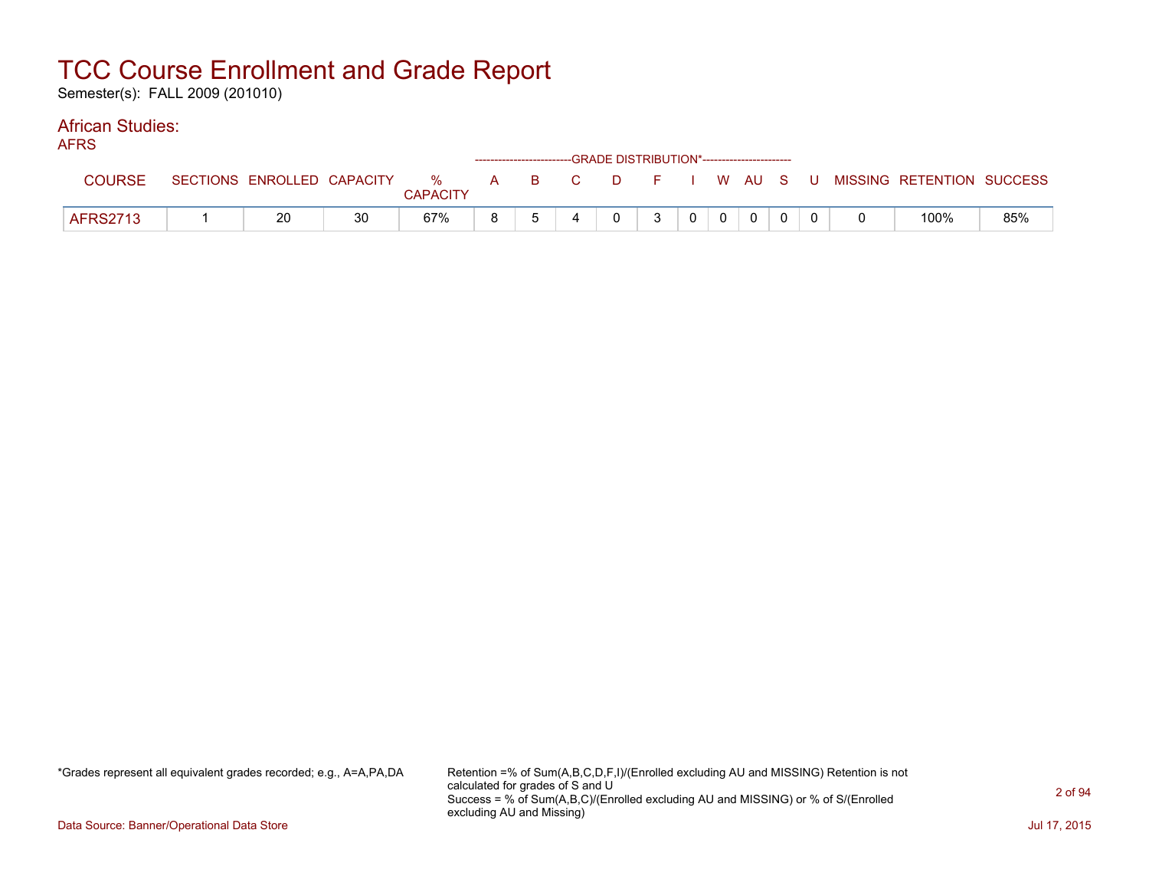Semester(s): FALL 2009 (201010)

#### African Studies: AFRS

| AFNO |                 |                            |    |                 |              | ------------------------GRADE DISTRIBUTION*----------------------- |        |              |                |                |                |  |                                                  |     |
|------|-----------------|----------------------------|----|-----------------|--------------|--------------------------------------------------------------------|--------|--------------|----------------|----------------|----------------|--|--------------------------------------------------|-----|
|      | COURSE          | SECTIONS ENROLLED CAPACITY |    | <b>CAPACITY</b> |              |                                                                    |        |              |                |                |                |  | % A B C D F I W AU S U MISSING—RETENTION SUCCESS |     |
|      | <b>AFRS2713</b> | 20                         | 30 | 67%             | $\mathsf{R}$ |                                                                    | $\cap$ | $\mathbf{3}$ | 0 <sup>1</sup> | $\overline{0}$ | $\overline{0}$ |  | 100%                                             | 85% |

\*Grades represent all equivalent grades recorded; e.g., A=A,PA,DA Retention =% of Sum(A,B,C,D,F,I)/(Enrolled excluding AU and MISSING) Retention is not calculated for grades of S and U Success = % of Sum(A,B,C)/(Enrolled excluding AU and MISSING) or % of S/(Enrolled excluding AU and Missing)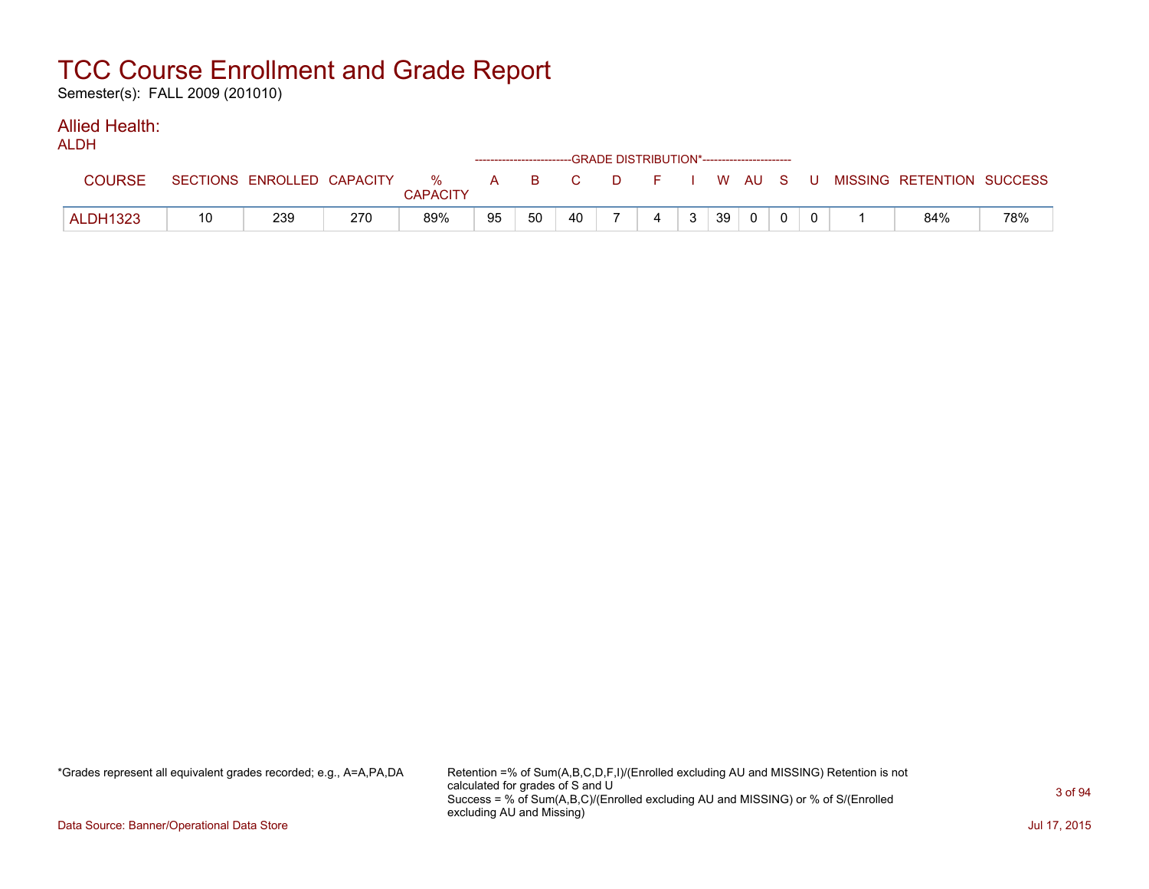Semester(s): FALL 2009 (201010)

#### Allied Health:  $AD$

| ALDN            |    |                            |     |                      |    |                                                              |    |    | ------------------------GRADE DISTRIBUTION*----------------------- |    |          |     |                           |     |
|-----------------|----|----------------------------|-----|----------------------|----|--------------------------------------------------------------|----|----|--------------------------------------------------------------------|----|----------|-----|---------------------------|-----|
| <b>COURSE</b>   |    | SECTIONS ENROLLED CAPACITY |     | %<br><b>CAPACITY</b> | A  | $\overline{\mathbf{B}}$ . The set of $\overline{\mathbf{B}}$ | C. | D. | F I W AU S                                                         |    |          | - U | MISSING RETENTION SUCCESS |     |
| <b>ALDH1323</b> | 10 | 239                        | 270 | 89%                  | 95 | 50                                                           | 40 |    | 4                                                                  | 39 | $\Omega$ |     | 84%                       | 78% |

\*Grades represent all equivalent grades recorded; e.g., A=A,PA,DA Retention =% of Sum(A,B,C,D,F,I)/(Enrolled excluding AU and MISSING) Retention is not calculated for grades of S and U Success = % of Sum(A,B,C)/(Enrolled excluding AU and MISSING) or % of S/(Enrolled excluding AU and Missing)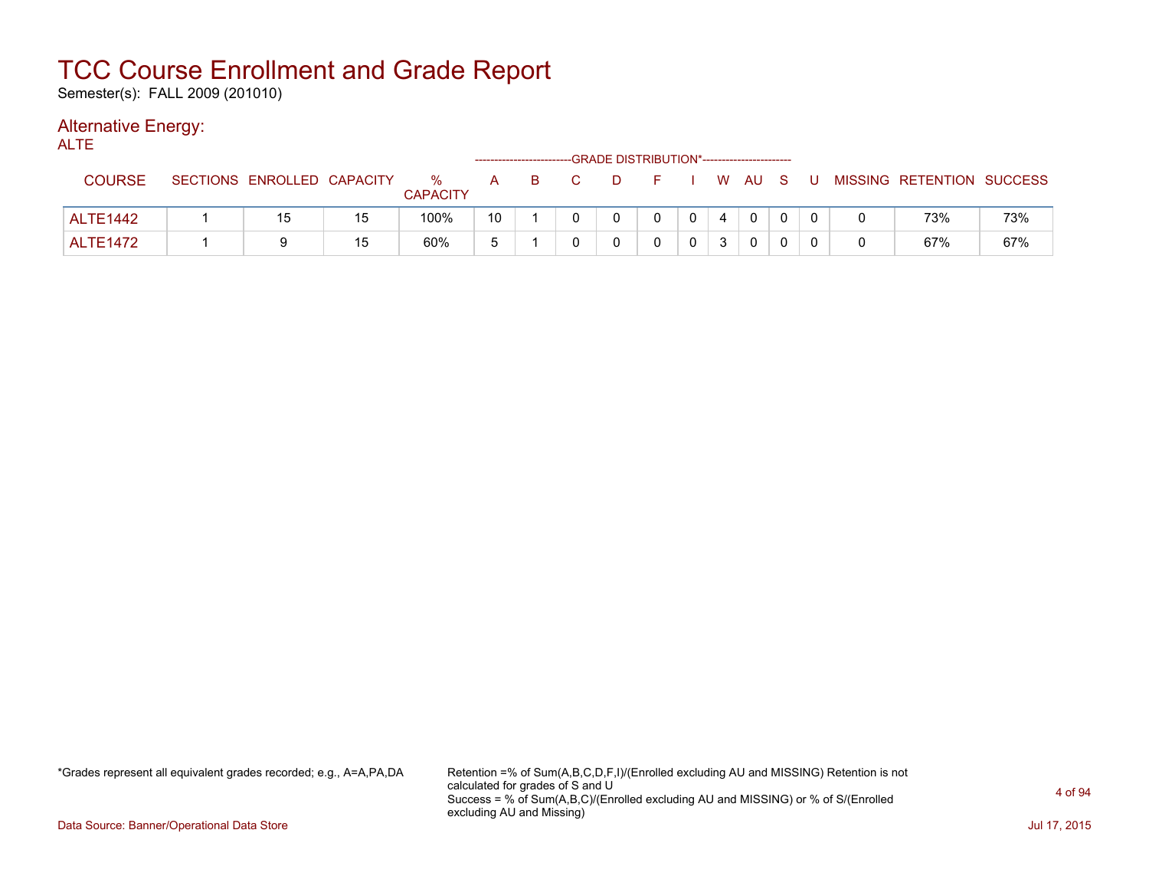Semester(s): FALL 2009 (201010)

### Alternative Energy:

ALTE

|                 |                            |    |                      |    | ------------------------- | -GRADE DISTRIBUTION*----------------------- |              |   |              |  |                           |     |
|-----------------|----------------------------|----|----------------------|----|---------------------------|---------------------------------------------|--------------|---|--------------|--|---------------------------|-----|
| COURSE          | SECTIONS ENROLLED CAPACITY |    | %<br><b>CAPACITY</b> | A  | B                         |                                             |              |   | W AU S       |  | MISSING RETENTION SUCCESS |     |
| <b>ALTE1442</b> | 15                         | 15 | 100%                 | 10 |                           |                                             | $\mathbf{0}$ | 4 | $\mathbf{0}$ |  | 73%                       | 73% |
| <b>ALTE1472</b> |                            | 15 | 60%                  | 片  |                           |                                             |              | 3 |              |  | 67%                       | 67% |

\*Grades represent all equivalent grades recorded; e.g., A=A,PA,DA Retention =% of Sum(A,B,C,D,F,I)/(Enrolled excluding AU and MISSING) Retention is not calculated for grades of S and U Success = % of Sum(A,B,C)/(Enrolled excluding AU and MISSING) or % of S/(Enrolled excluding AU and Missing)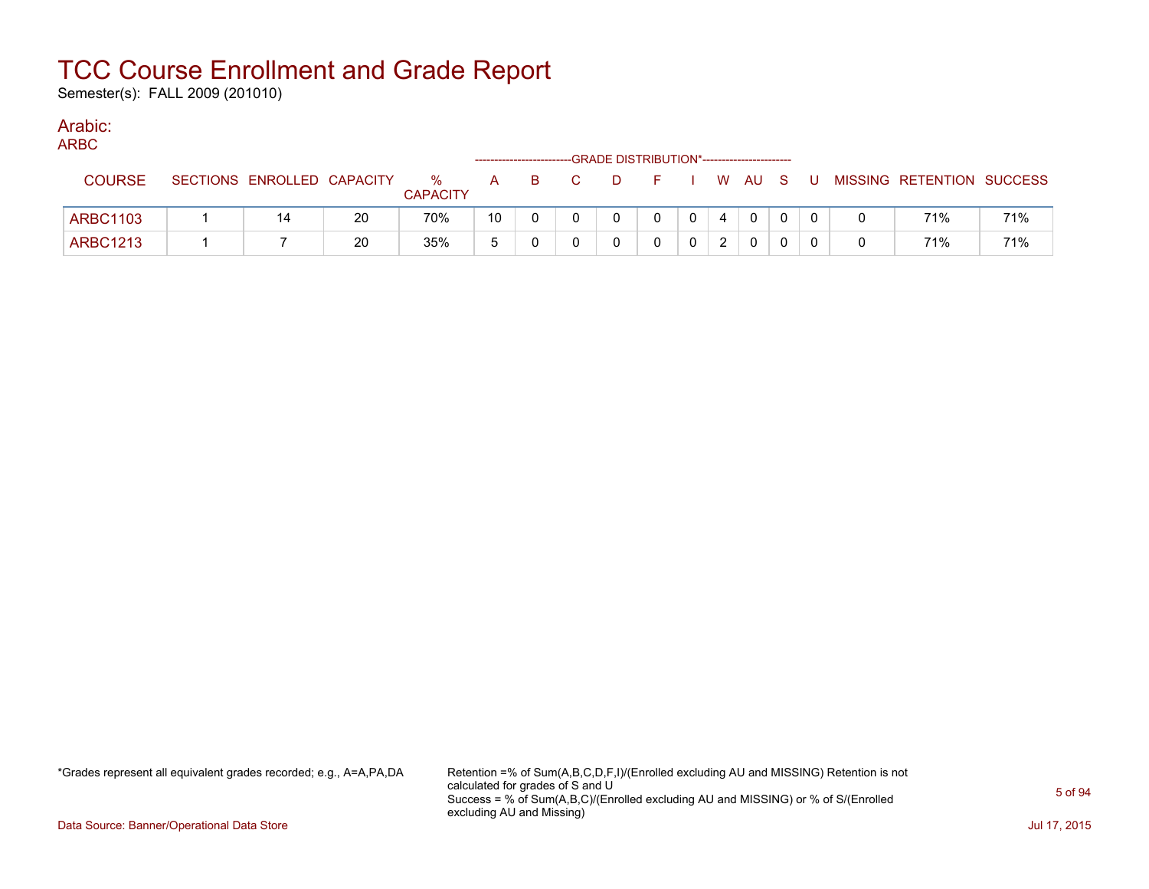Semester(s): FALL 2009 (201010)

### Arabic:

| M.<br>۰. |
|----------|
|----------|

|                 |                            |    |                      |    |  | -GRADE DISTRIBUTION*----------------------- |  |   |          |     |          |                           |     |
|-----------------|----------------------------|----|----------------------|----|--|---------------------------------------------|--|---|----------|-----|----------|---------------------------|-----|
| <b>COURSE</b>   | SECTIONS ENROLLED CAPACITY |    | %<br><b>CAPACITY</b> | A  |  | D.                                          |  |   | W AU     | - S | U        | MISSING RETENTION SUCCESS |     |
| <b>ARBC1103</b> |                            | 20 | 70%                  | 10 |  |                                             |  |   | $\Omega$ | 0   | $\Omega$ | 71%                       | 71% |
| <b>ARBC1213</b> |                            | 20 | 35%                  |    |  |                                             |  | ົ |          | 0   |          | 71%                       | 71% |

\*Grades represent all equivalent grades recorded; e.g., A=A,PA,DA Retention =% of Sum(A,B,C,D,F,I)/(Enrolled excluding AU and MISSING) Retention is not calculated for grades of S and U Success = % of Sum(A,B,C)/(Enrolled excluding AU and MISSING) or % of S/(Enrolled excluding AU and Missing)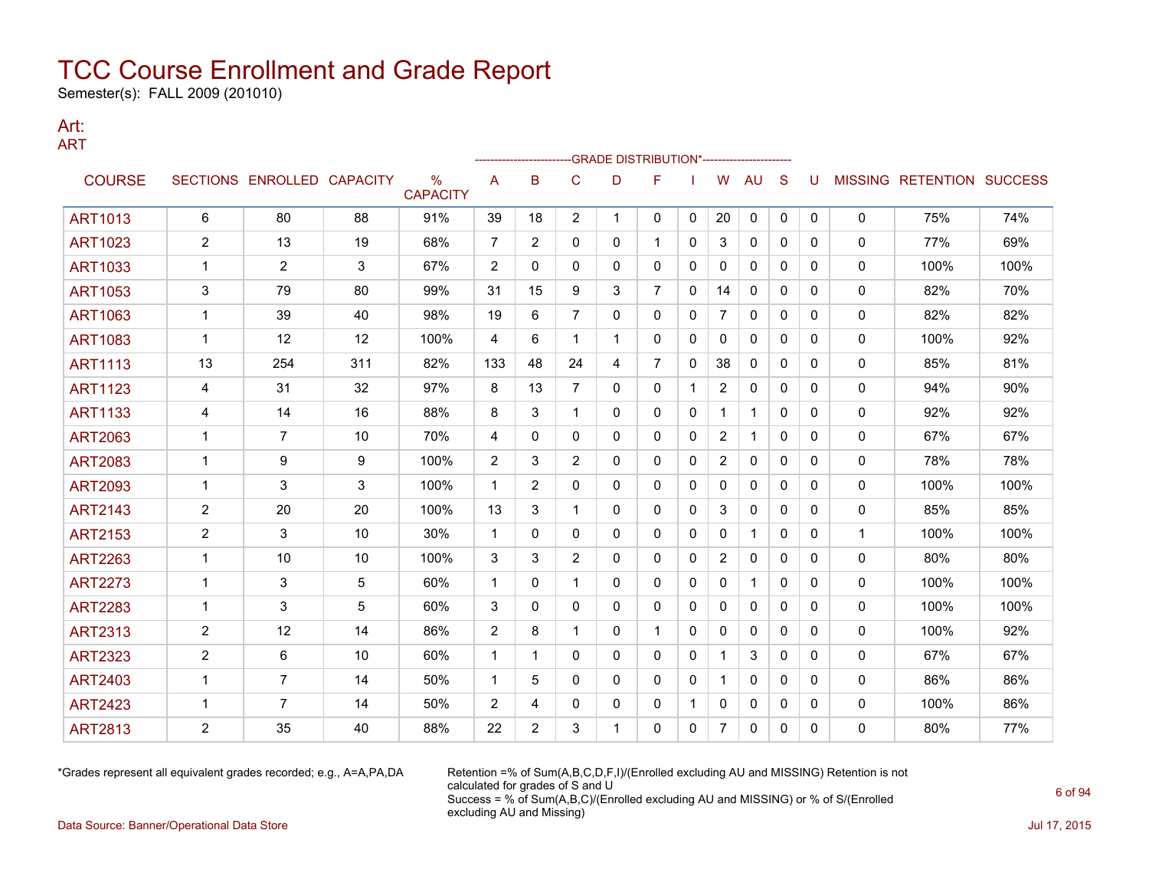Semester(s): FALL 2009 (201010)

#### Art: ART

|                |                |                            |     |                                  |                |                |                | -GRADE DISTRIBUTION*---------------------- |                |              |                |              |              |          |             |                                  |      |
|----------------|----------------|----------------------------|-----|----------------------------------|----------------|----------------|----------------|--------------------------------------------|----------------|--------------|----------------|--------------|--------------|----------|-------------|----------------------------------|------|
| <b>COURSE</b>  |                | SECTIONS ENROLLED CAPACITY |     | $\frac{0}{0}$<br><b>CAPACITY</b> | A              | B              | $\mathsf{C}$   | D                                          | F              |              | W              | AU           | S            | U        |             | <b>MISSING RETENTION SUCCESS</b> |      |
| <b>ART1013</b> | 6              | 80                         | 88  | 91%                              | 39             | 18             | $\overline{c}$ | 1                                          | 0              | 0            | 20             | 0            | 0            | 0        | 0           | 75%                              | 74%  |
| <b>ART1023</b> | $\overline{2}$ | 13                         | 19  | 68%                              | 7              | 2              | 0              | 0                                          | 1              | 0            | 3              | $\mathbf{0}$ | $\mathbf{0}$ | 0        | 0           | 77%                              | 69%  |
| <b>ART1033</b> | 1              | $\overline{2}$             | 3   | 67%                              | $\overline{2}$ | $\mathbf{0}$   | 0              | 0                                          | 0              | 0            | 0              | 0            | $\mathbf{0}$ | 0        | 0           | 100%                             | 100% |
| <b>ART1053</b> | 3              | 79                         | 80  | 99%                              | 31             | 15             | 9              | 3                                          | $\overline{7}$ | $\mathbf{0}$ | 14             | $\mathbf{0}$ | $\mathbf{0}$ | 0        | 0           | 82%                              | 70%  |
| <b>ART1063</b> | 1              | 39                         | 40  | 98%                              | 19             | 6              | $\overline{7}$ | 0                                          | $\mathbf{0}$   | $\mathbf{0}$ | $\overline{7}$ | $\mathbf{0}$ | $\mathbf{0}$ | 0        | 0           | 82%                              | 82%  |
| <b>ART1083</b> | 1              | 12                         | 12  | 100%                             | 4              | 6              | 1              | $\mathbf 1$                                | $\mathbf{0}$   | $\mathbf{0}$ | $\mathbf{0}$   | $\mathbf{0}$ | $\mathbf{0}$ | 0        | 0           | 100%                             | 92%  |
| <b>ART1113</b> | 13             | 254                        | 311 | 82%                              | 133            | 48             | 24             | 4                                          | $\overline{7}$ | 0            | 38             | 0            | $\mathbf{0}$ | 0        | 0           | 85%                              | 81%  |
| <b>ART1123</b> | 4              | 31                         | 32  | 97%                              | 8              | 13             | $\overline{7}$ | 0                                          | $\mathbf{0}$   | $\mathbf 1$  | $\overline{2}$ | $\mathbf{0}$ | $\Omega$     | 0        | 0           | 94%                              | 90%  |
| <b>ART1133</b> | 4              | 14                         | 16  | 88%                              | 8              | 3              | 1              | 0                                          | 0              | 0            | 1              | $\mathbf{1}$ | $\mathbf{0}$ | 0        | 0           | 92%                              | 92%  |
| ART2063        | 1              | 7                          | 10  | 70%                              | 4              | $\mathbf{0}$   | 0              | 0                                          | $\mathbf{0}$   | $\mathbf{0}$ | $\overline{2}$ | $\mathbf 1$  | $\mathbf{0}$ | 0        | 0           | 67%                              | 67%  |
| <b>ART2083</b> | 1              | 9                          | 9   | 100%                             | $\overline{2}$ | 3              | $\overline{2}$ | 0                                          | $\mathbf{0}$   | $\mathbf{0}$ | $\overline{2}$ | $\mathbf{0}$ | $\mathbf{0}$ | 0        | 0           | 78%                              | 78%  |
| <b>ART2093</b> | 1              | 3                          | 3   | 100%                             | 1              | $\overline{2}$ | 0              | 0                                          | 0              | $\mathbf{0}$ | 0              | $\mathbf{0}$ | $\mathbf{0}$ | 0        | 0           | 100%                             | 100% |
| <b>ART2143</b> | $\overline{2}$ | 20                         | 20  | 100%                             | 13             | 3              | 1              | 0                                          | $\mathbf{0}$   | 0            | 3              | 0            | $\Omega$     | 0        | 0           | 85%                              | 85%  |
| <b>ART2153</b> | $\overline{2}$ | 3                          | 10  | 30%                              | 1              | 0              | 0              | 0                                          | $\mathbf{0}$   | 0            | 0              | $\mathbf 1$  | $\mathbf{0}$ | 0        | $\mathbf 1$ | 100%                             | 100% |
| <b>ART2263</b> | 1              | 10                         | 10  | 100%                             | 3              | 3              | $\overline{2}$ | 0                                          | $\mathbf{0}$   | $\mathbf{0}$ | $\overline{2}$ | 0            | $\mathbf{0}$ | 0        | 0           | 80%                              | 80%  |
| <b>ART2273</b> | 1              | 3                          | 5   | 60%                              | 1              | 0              | 1              | 0                                          | 0              | 0            | 0              | $\mathbf{1}$ | $\mathbf{0}$ | 0        | 0           | 100%                             | 100% |
| <b>ART2283</b> | 1              | 3                          | 5   | 60%                              | 3              | $\mathbf{0}$   | 0              | 0                                          | $\mathbf{0}$   | 0            | $\mathbf{0}$   | $\mathbf{0}$ | $\mathbf{0}$ | 0        | 0           | 100%                             | 100% |
| <b>ART2313</b> | 2              | 12                         | 14  | 86%                              | $\overline{c}$ | 8              | 1              | 0                                          | $\mathbf{1}$   | $\mathbf{0}$ | $\mathbf{0}$   | $\mathbf{0}$ | $\mathbf{0}$ | 0        | 0           | 100%                             | 92%  |
| <b>ART2323</b> | $\overline{2}$ | 6                          | 10  | 60%                              | 1              | 1              | 0              | 0                                          | 0              | $\mathbf{0}$ |                | 3            | $\mathbf{0}$ | $\Omega$ | 0           | 67%                              | 67%  |
| <b>ART2403</b> | 1              | 7                          | 14  | 50%                              | 1              | 5              | $\Omega$       | 0                                          | $\mathbf{0}$   | $\mathbf{0}$ |                | $\mathbf{0}$ | $\Omega$     | $\Omega$ | 0           | 86%                              | 86%  |
| <b>ART2423</b> | 1              | 7                          | 14  | 50%                              | $\overline{2}$ | 4              | 0              | 0                                          | 0              | -1           | 0              | 0            | 0            | 0        | 0           | 100%                             | 86%  |
| <b>ART2813</b> | 2              | 35                         | 40  | 88%                              | 22             | $\overline{2}$ | 3              |                                            | 0              | 0            | $\overline{7}$ | 0            | 0            | 0        | 0           | 80%                              | 77%  |

\*Grades represent all equivalent grades recorded; e.g., A=A,PA,DA Retention =% of Sum(A,B,C,D,F,I)/(Enrolled excluding AU and MISSING) Retention is not calculated for grades of S and U Success = % of Sum(A,B,C)/(Enrolled excluding AU and MISSING) or % of S/(Enrolled excluding AU and Missing)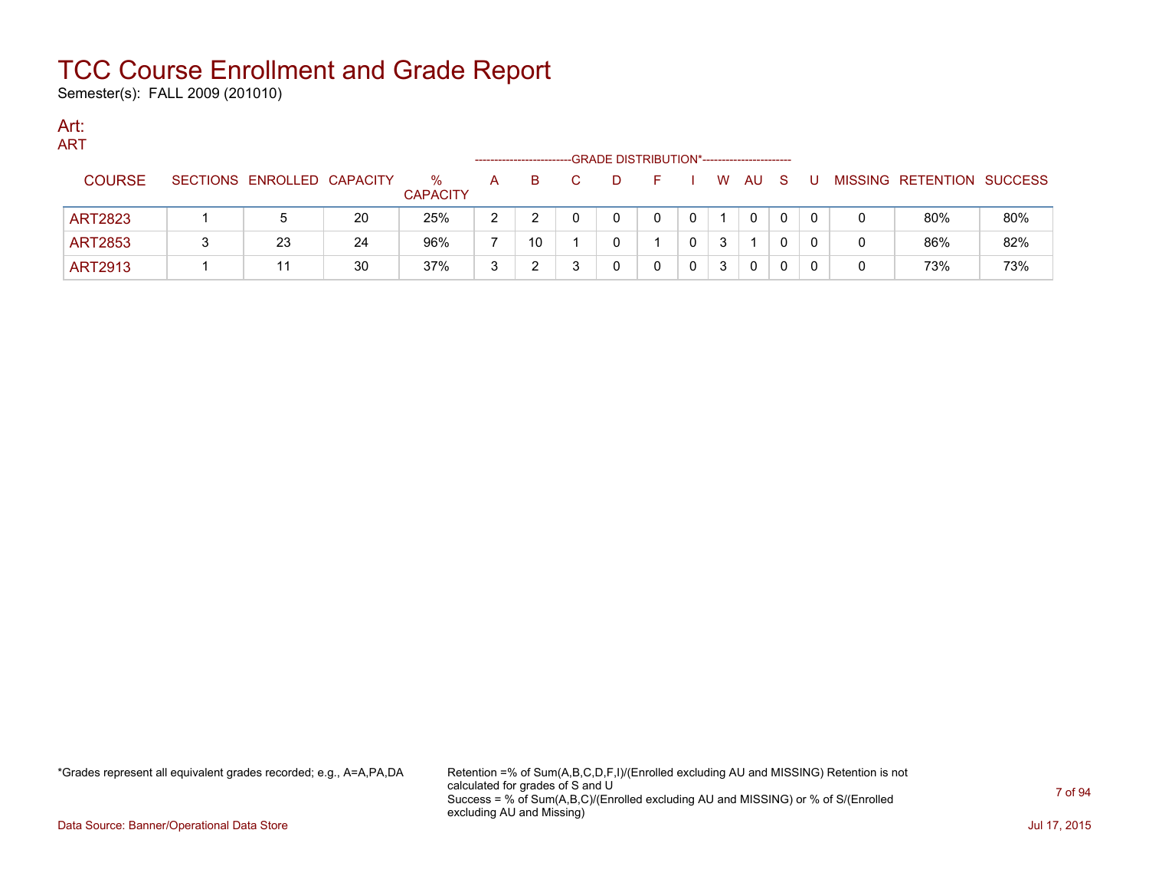Semester(s): FALL 2009 (201010)

#### Art: ART

| .              |  |                            |    |                         |   | ----------------------- | -GRADE DISTRIBUTION*---------------------- |          |   |    |     |   |                           |     |
|----------------|--|----------------------------|----|-------------------------|---|-------------------------|--------------------------------------------|----------|---|----|-----|---|---------------------------|-----|
| <b>COURSE</b>  |  | SECTIONS ENROLLED CAPACITY |    | $\%$<br><b>CAPACITY</b> | A | B.                      | $\Box$                                     | <b>1</b> | W | AU | - S | U | MISSING RETENTION SUCCESS |     |
| <b>ART2823</b> |  |                            | 20 | 25%                     | 2 |                         | <sup>n</sup>                               | 0        |   | 0  |     |   | 80%                       | 80% |
| <b>ART2853</b> |  | 23                         | 24 | 96%                     |   | 10                      |                                            |          | 3 |    |     |   | 86%                       | 82% |
| <b>ART2913</b> |  |                            | 30 | 37%                     | 3 |                         |                                            |          | 3 | 0  | 0   |   | 73%                       | 73% |

\*Grades represent all equivalent grades recorded; e.g., A=A,PA,DA Retention =% of Sum(A,B,C,D,F,I)/(Enrolled excluding AU and MISSING) Retention is not calculated for grades of S and U Success = % of Sum(A,B,C)/(Enrolled excluding AU and MISSING) or % of S/(Enrolled excluding AU and Missing)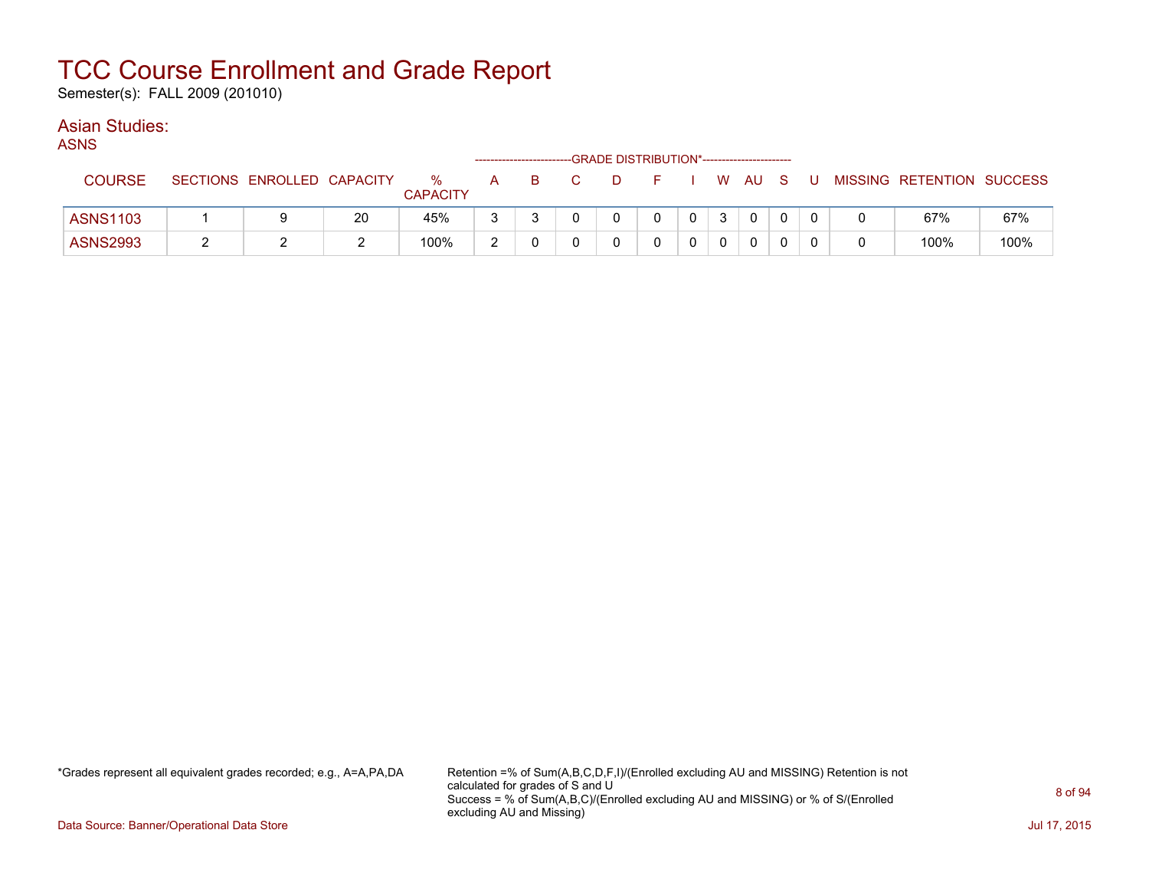Semester(s): FALL 2009 (201010)

### Asian Studies:

ASNS

|                 |                            |    |                      |   | ------------------------- |    | -GRADE DISTRIBUTION*---------------------- |              |      |    |    |                           |      |
|-----------------|----------------------------|----|----------------------|---|---------------------------|----|--------------------------------------------|--------------|------|----|----|---------------------------|------|
| <b>COURSE</b>   | SECTIONS ENROLLED CAPACITY |    | ℅<br><b>CAPACITY</b> | A | в                         | D. |                                            |              | W AU | -S | -U | MISSING RETENTION SUCCESS |      |
| <b>ASNS1103</b> |                            | 20 | 45%                  | 3 |                           |    |                                            | $\mathbf{0}$ |      |    |    | 67%                       | 67%  |
| <b>ASNS2993</b> |                            | ▃  | 100%                 | ົ |                           |    |                                            |              |      |    |    | 100%                      | 100% |

\*Grades represent all equivalent grades recorded; e.g., A=A,PA,DA Retention =% of Sum(A,B,C,D,F,I)/(Enrolled excluding AU and MISSING) Retention is not calculated for grades of S and U Success = % of Sum(A,B,C)/(Enrolled excluding AU and MISSING) or % of S/(Enrolled excluding AU and Missing)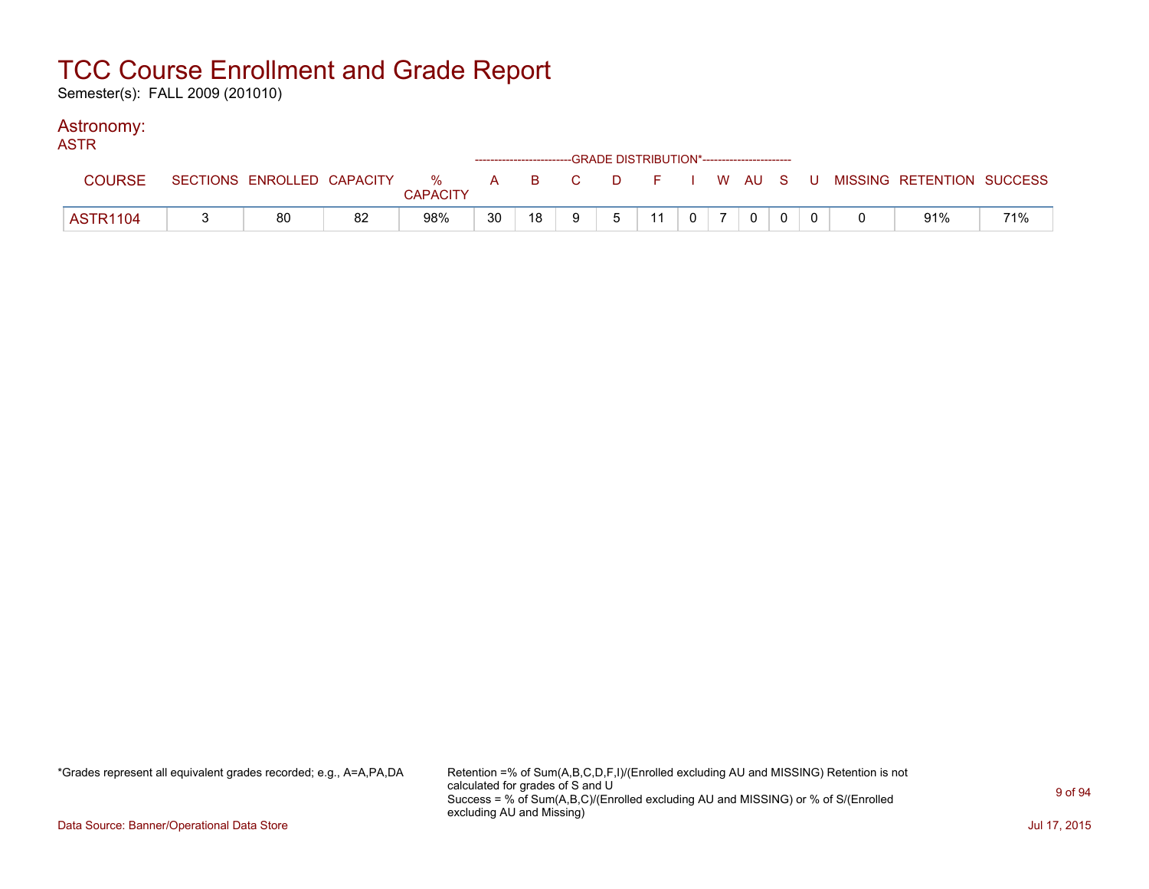Semester(s): FALL 2009 (201010)

### Astronomy:

| <b>ASTR</b>     |    |                 |    |    |   | ------------------------GRADE DISTRIBUTION*----------------------- |    |                                                           |          |  |                                                                             |     |
|-----------------|----|-----------------|----|----|---|--------------------------------------------------------------------|----|-----------------------------------------------------------|----------|--|-----------------------------------------------------------------------------|-----|
| <b>COURSE</b>   |    | <b>CAPACITY</b> |    |    |   |                                                                    |    |                                                           |          |  | SECTIONS ENROLLED CAPACITY % A B C D F I W AU S U MISSING RETENTION SUCCESS |     |
| <b>ASTR1104</b> | 80 | 98%             | 30 | 18 | Q | 5                                                                  | 11 | $\begin{array}{c c c c c c c} \hline 0 & 7 & \end{array}$ | $\Omega$ |  | 91%                                                                         | 71% |

\*Grades represent all equivalent grades recorded; e.g., A=A,PA,DA Retention =% of Sum(A,B,C,D,F,I)/(Enrolled excluding AU and MISSING) Retention is not calculated for grades of S and U Success = % of Sum(A,B,C)/(Enrolled excluding AU and MISSING) or % of S/(Enrolled excluding AU and Missing)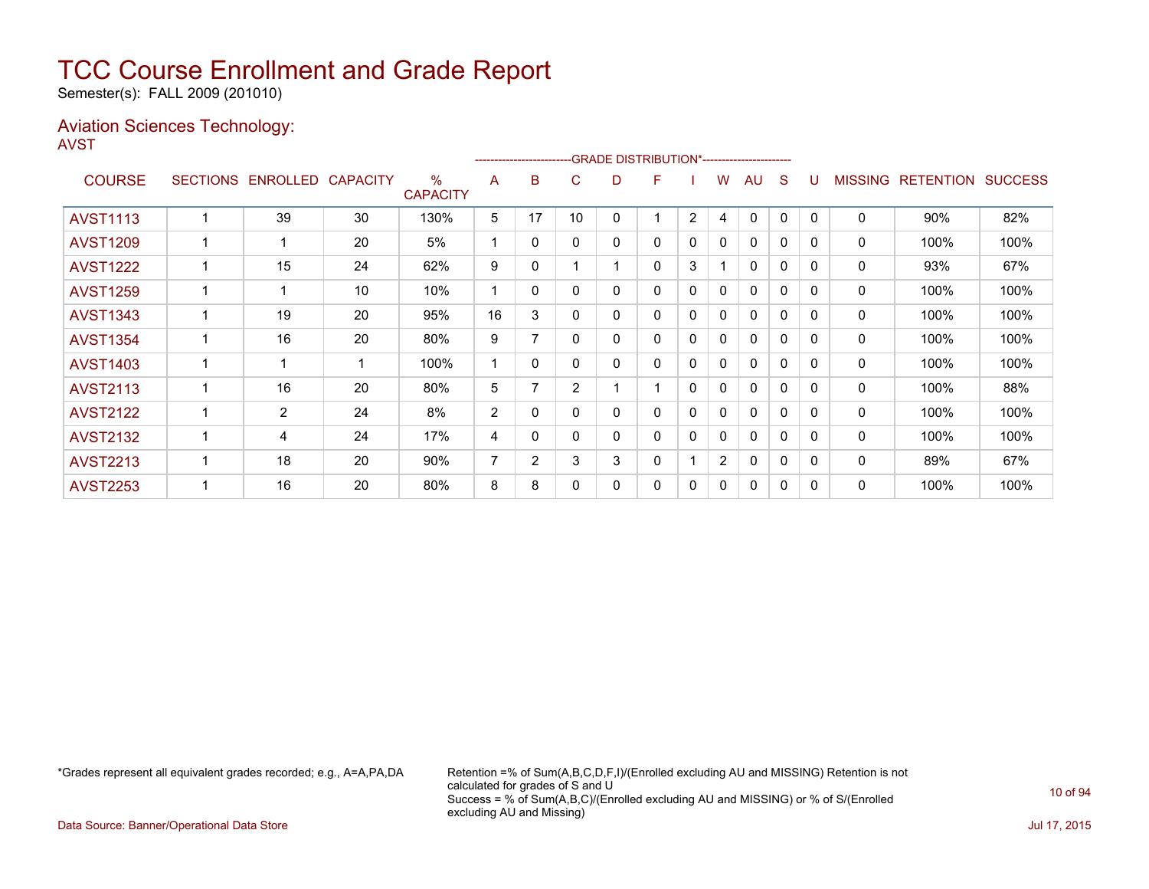Semester(s): FALL 2009 (201010)

### Aviation Sciences Technology: AVST

|                 |                 |                   |             |                         |                |              |                |   | -GRADE DISTRIBUTION*---------------------- |                |                |              |              |              |                |                  |                |
|-----------------|-----------------|-------------------|-------------|-------------------------|----------------|--------------|----------------|---|--------------------------------------------|----------------|----------------|--------------|--------------|--------------|----------------|------------------|----------------|
| <b>COURSE</b>   | <b>SECTIONS</b> | ENROLLED CAPACITY |             | $\%$<br><b>CAPACITY</b> | A              | в            | C              | D | F                                          |                | W              | <b>AU</b>    | S            | U            | <b>MISSING</b> | <b>RETENTION</b> | <b>SUCCESS</b> |
| <b>AVST1113</b> |                 | 39                | 30          | 130%                    | 5              | 17           | 10             | 0 |                                            | $\overline{2}$ | 4              | $\mathbf{0}$ | 0            | $\Omega$     | 0              | 90%              | 82%            |
| <b>AVST1209</b> |                 | 1                 | 20          | 5%                      |                | 0            | $\Omega$       | 0 | 0                                          | 0              | 0              | $\mathbf{0}$ | 0            | 0            | 0              | 100%             | 100%           |
| <b>AVST1222</b> |                 | 15                | 24          | 62%                     | 9              | 0            |                |   | 0                                          | 3              |                | $\Omega$     | 0            | $\Omega$     | 0              | 93%              | 67%            |
| <b>AVST1259</b> |                 | 1                 | 10          | 10%                     |                | 0            | 0              | 0 | 0                                          | 0              | $\mathbf{0}$   | $\mathbf{0}$ | 0            | $\Omega$     | 0              | 100%             | 100%           |
| <b>AVST1343</b> |                 | 19                | 20          | 95%                     | 16             | 3            | 0              | 0 | 0                                          | 0              | 0              | $\mathbf{0}$ | 0            | $\Omega$     | 0              | 100%             | 100%           |
| <b>AVST1354</b> |                 | 16                | 20          | 80%                     | 9              | 7            | $\Omega$       | 0 | 0                                          | 0              | $\mathbf{0}$   | $\mathbf{0}$ | 0            | $\Omega$     | 0              | 100%             | 100%           |
| <b>AVST1403</b> |                 | 1                 | $\mathbf 1$ | 100%                    |                | 0            | $\mathbf{0}$   | 0 | 0                                          | 0              | 0              | 0            | 0            | $\mathbf{0}$ | 0              | 100%             | 100%           |
| <b>AVST2113</b> |                 | 16                | 20          | 80%                     | 5              | 7            | $\overline{2}$ |   |                                            | 0              | $\mathbf{0}$   | $\mathbf{0}$ | 0            | $\Omega$     | 0              | 100%             | 88%            |
| <b>AVST2122</b> |                 | $\overline{2}$    | 24          | 8%                      | 2              | $\mathbf{0}$ | $\Omega$       | 0 | 0                                          | $\mathbf{0}$   | $\mathbf{0}$   | $\mathbf{0}$ | $\mathbf{0}$ | $\Omega$     | 0              | 100%             | 100%           |
| <b>AVST2132</b> |                 | 4                 | 24          | 17%                     | 4              | $\mathbf{0}$ | $\mathbf{0}$   | 0 | 0                                          | $\mathbf{0}$   | 0              | $\mathbf{0}$ | 0            | $\Omega$     | 0              | 100%             | 100%           |
| <b>AVST2213</b> |                 | 18                | 20          | 90%                     | $\overline{7}$ | 2            | 3              | 3 | 0                                          |                | $\overline{2}$ | 0            | 0            | $\Omega$     | 0              | 89%              | 67%            |
| <b>AVST2253</b> |                 | 16                | 20          | 80%                     | 8              | 8            | $\Omega$       | 0 | 0                                          | 0              | 0              | $\mathbf{0}$ | 0            | $\Omega$     | 0              | 100%             | 100%           |

\*Grades represent all equivalent grades recorded; e.g., A=A,PA,DA Retention =% of Sum(A,B,C,D,F,I)/(Enrolled excluding AU and MISSING) Retention is not calculated for grades of S and U Success = % of Sum(A,B,C)/(Enrolled excluding AU and MISSING) or % of S/(Enrolled excluding AU and Missing)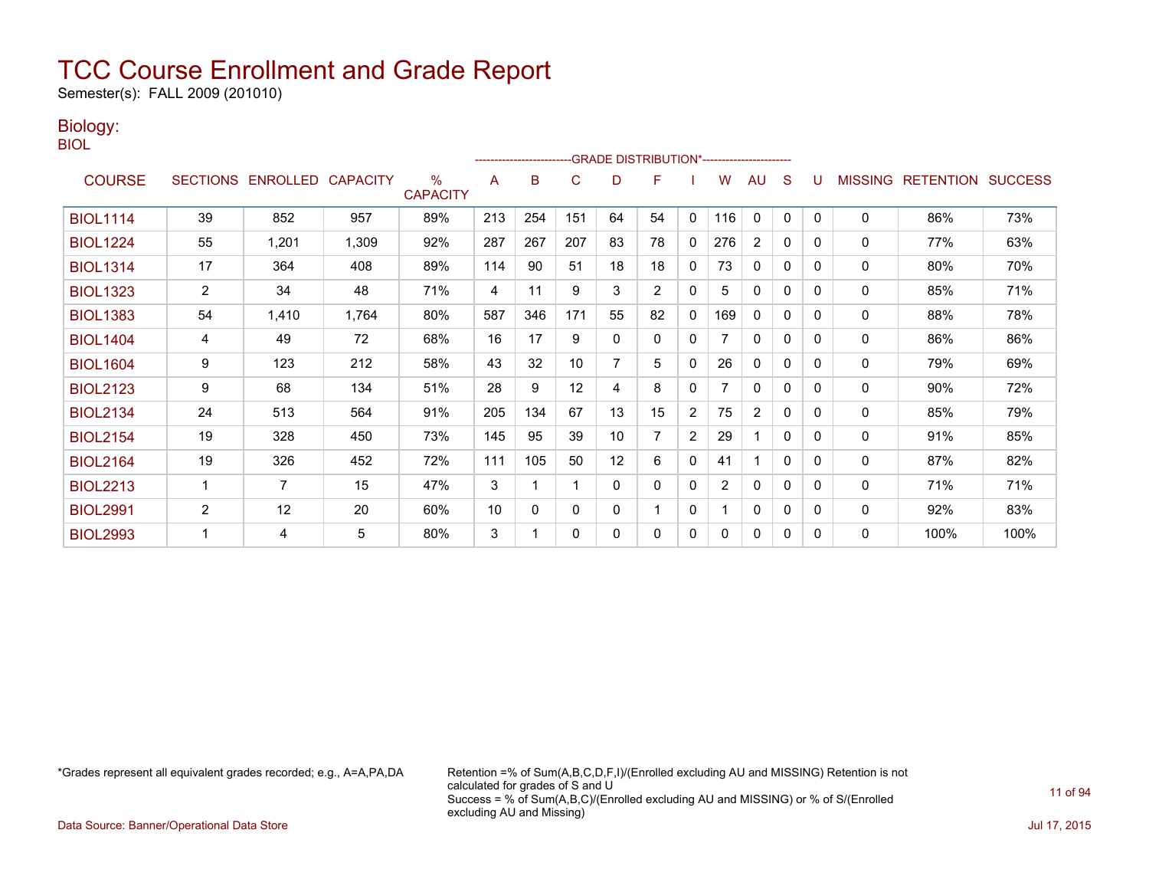Semester(s): FALL 2009 (201010)

### Biology:

BIOL

|                 |                |                            |       |                      |     | ------------------------ |             |          | -GRADE DISTRIBUTION*---------------------- |              |                |                |   |          |                |                          |      |
|-----------------|----------------|----------------------------|-------|----------------------|-----|--------------------------|-------------|----------|--------------------------------------------|--------------|----------------|----------------|---|----------|----------------|--------------------------|------|
| <b>COURSE</b>   |                | SECTIONS ENROLLED CAPACITY |       | %<br><b>CAPACITY</b> | A   | B                        | C           | D        | F                                          |              | W              | AU             | S |          | <b>MISSING</b> | <b>RETENTION SUCCESS</b> |      |
| <b>BIOL1114</b> | 39             | 852                        | 957   | 89%                  | 213 | 254                      | 151         | 64       | 54                                         | 0            | 116            | $\mathbf{0}$   | 0 | $\Omega$ | $\mathbf{0}$   | 86%                      | 73%  |
| <b>BIOL1224</b> | 55             | 1,201                      | 1,309 | 92%                  | 287 | 267                      | 207         | 83       | 78                                         | $\mathbf{0}$ | 276            | $\overline{2}$ | 0 | $\Omega$ | $\mathbf{0}$   | 77%                      | 63%  |
| <b>BIOL1314</b> | 17             | 364                        | 408   | 89%                  | 114 | 90                       | 51          | 18       | 18                                         | $\mathbf{0}$ | 73             | $\mathbf{0}$   | 0 | $\Omega$ | $\mathbf 0$    | 80%                      | 70%  |
| <b>BIOL1323</b> | $\overline{2}$ | 34                         | 48    | 71%                  | 4   | 11                       | 9           | 3        | 2                                          | 0            | 5              | 0              | 0 | $\Omega$ | $\mathbf{0}$   | 85%                      | 71%  |
| <b>BIOL1383</b> | 54             | 1,410                      | 1,764 | 80%                  | 587 | 346                      | 171         | 55       | 82                                         | $\mathbf 0$  | 169            | 0              | 0 | 0        | $\mathbf 0$    | 88%                      | 78%  |
| <b>BIOL1404</b> | 4              | 49                         | 72    | 68%                  | 16  | 17                       | 9           | 0        | $\mathbf{0}$                               | $\mathbf{0}$ |                | $\mathbf{0}$   | 0 | $\Omega$ | $\mathbf{0}$   | 86%                      | 86%  |
| <b>BIOL1604</b> | 9              | 123                        | 212   | 58%                  | 43  | 32                       | 10          |          | 5                                          | $\mathbf{0}$ | 26             | 0              | 0 | 0        | 0              | 79%                      | 69%  |
| <b>BIOL2123</b> | 9              | 68                         | 134   | 51%                  | 28  | 9                        | 12          | 4        | 8                                          | $\mathbf{0}$ |                | $\Omega$       | 0 | 0        | $\mathbf{0}$   | 90%                      | 72%  |
| <b>BIOL2134</b> | 24             | 513                        | 564   | 91%                  | 205 | 134                      | 67          | 13       | 15                                         | 2            | 75             | $\overline{c}$ | 0 | $\Omega$ | 0              | 85%                      | 79%  |
| <b>BIOL2154</b> | 19             | 328                        | 450   | 73%                  | 145 | 95                       | 39          | 10       | 7                                          | 2            | 29             | 1              | 0 | $\Omega$ | $\mathbf{0}$   | 91%                      | 85%  |
| <b>BIOL2164</b> | 19             | 326                        | 452   | 72%                  | 111 | 105                      | 50          | 12       | 6                                          | $\mathbf{0}$ | 41             | 1              | 0 | $\Omega$ | $\mathbf{0}$   | 87%                      | 82%  |
| <b>BIOL2213</b> |                | 7                          | 15    | 47%                  | 3   |                          |             | $\Omega$ | $\Omega$                                   | 0            | $\overline{2}$ | $\mathbf{0}$   | 0 | 0        | $\mathbf 0$    | 71%                      | 71%  |
| <b>BIOL2991</b> | $\overline{2}$ | 12                         | 20    | 60%                  | 10  | $\Omega$                 | $\mathbf 0$ | 0        |                                            | $\mathbf{0}$ |                | $\mathbf{0}$   | 0 | $\Omega$ | $\mathbf{0}$   | 92%                      | 83%  |
| <b>BIOL2993</b> |                | 4                          | 5     | 80%                  | 3   |                          | 0           | 0        | 0                                          | 0            | 0              | 0              | 0 | 0        | 0              | 100%                     | 100% |

\*Grades represent all equivalent grades recorded; e.g., A=A,PA,DA Retention =% of Sum(A,B,C,D,F,I)/(Enrolled excluding AU and MISSING) Retention is not calculated for grades of S and U Success = % of Sum(A,B,C)/(Enrolled excluding AU and MISSING) or % of S/(Enrolled excluding AU and Missing)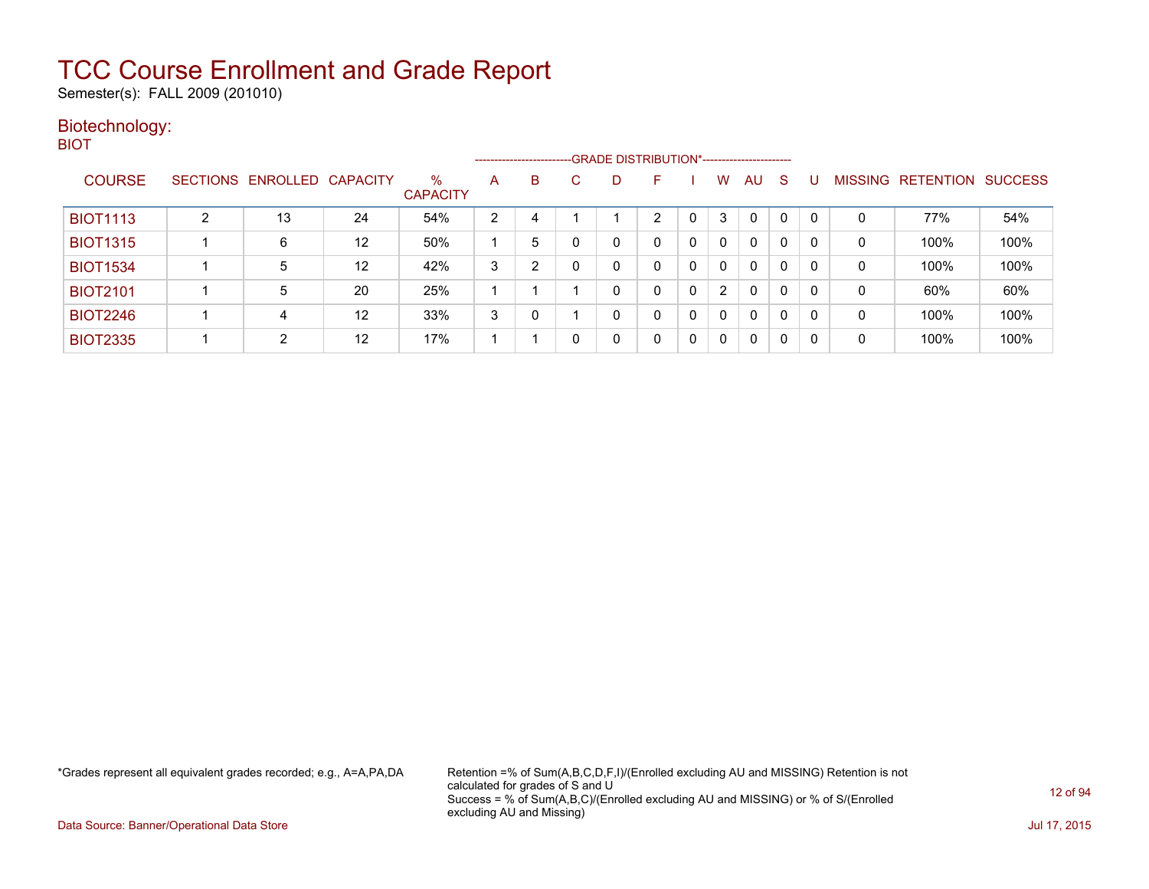Semester(s): FALL 2009 (201010)

### Biotechnology: BIOT

|                 |                            |    |                         |   |   | ------------------------GRADE DISTRIBUTION*----------------------- |    |   |                |              |              |   |   |                   |                |
|-----------------|----------------------------|----|-------------------------|---|---|--------------------------------------------------------------------|----|---|----------------|--------------|--------------|---|---|-------------------|----------------|
| <b>COURSE</b>   | SECTIONS ENROLLED CAPACITY |    | $\%$<br><b>CAPACITY</b> | A | B | D.                                                                 | н. |   | w              | AU           | <sub>S</sub> |   |   | MISSING RETENTION | <b>SUCCESS</b> |
| <b>BIOT1113</b> | 13                         | 24 | 54%                     | 2 | 4 |                                                                    | 2  | 0 | 3              | 0            | 0            | 0 | 0 | 77%               | 54%            |
| <b>BIOT1315</b> | 6                          | 12 | 50%                     |   | 5 | 0                                                                  | 0  | 0 | 0              | 0            | $\mathbf{0}$ | 0 | 0 | 100%              | 100%           |
| <b>BIOT1534</b> | 5                          | 12 | 42%                     | 3 | っ |                                                                    |    | 0 |                | 0            | 0            | 0 | 0 | 100%              | 100%           |
| <b>BIOT2101</b> | 5                          | 20 | 25%                     |   |   | 0                                                                  | 0  | 0 | $\overline{2}$ | 0            | 0            | 0 | 0 | 60%               | 60%            |
| <b>BIOT2246</b> | 4                          | 12 | 33%                     | 3 | 0 | 0                                                                  | 0  | 0 | 0              | $\mathbf{0}$ | $\mathbf{0}$ | 0 | 0 | 100%              | 100%           |
| <b>BIOT2335</b> | 2                          | 12 | 17%                     |   |   | 0                                                                  | 0  | 0 |                | 0            | 0            |   | 0 | 100%              | 100%           |

\*Grades represent all equivalent grades recorded; e.g., A=A,PA,DA Retention =% of Sum(A,B,C,D,F,I)/(Enrolled excluding AU and MISSING) Retention is not calculated for grades of S and U Success = % of Sum(A,B,C)/(Enrolled excluding AU and MISSING) or % of S/(Enrolled excluding AU and Missing)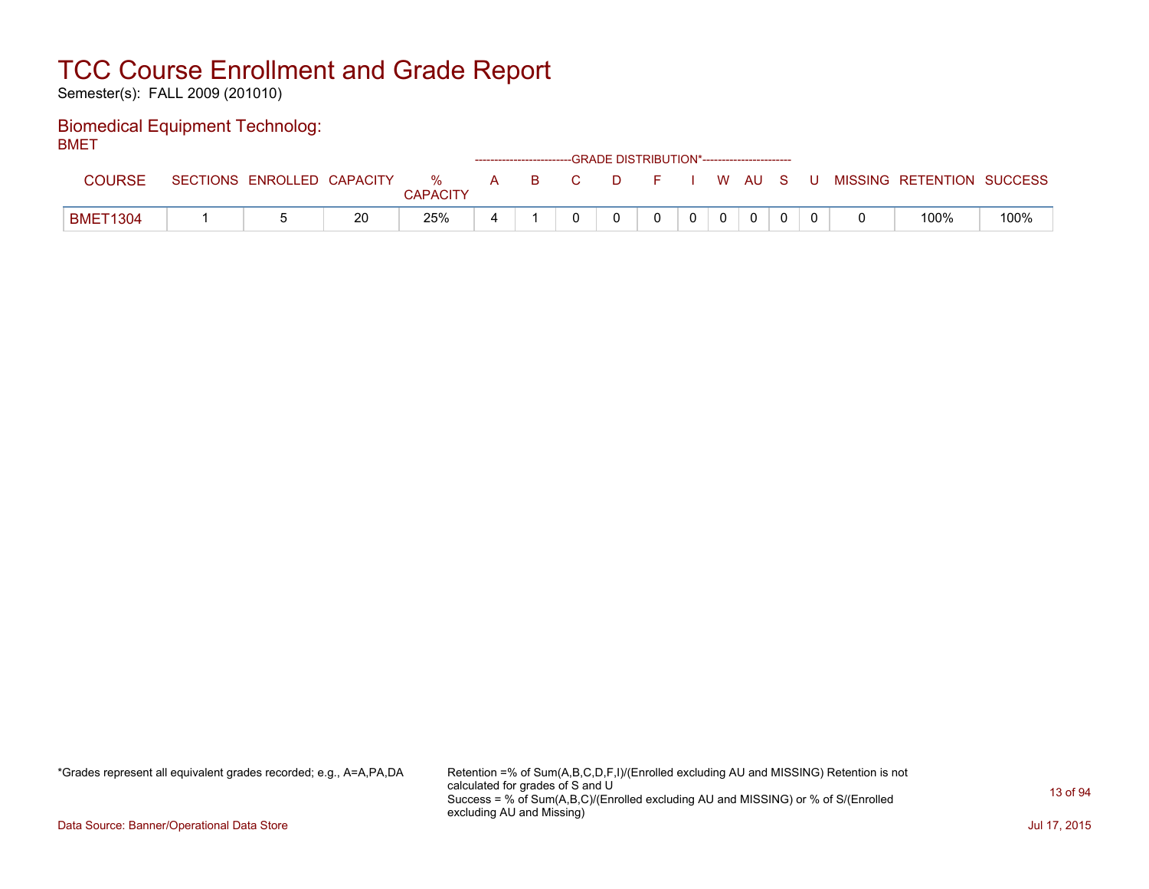Semester(s): FALL 2009 (201010)

#### Biomedical Equipment Technolog: **BMFT**

| ----          |                            |    |                      |   |     |    | ------------------------GRADE DISTRIBUTION*----------------------- |        |              |          |     |                           |      |
|---------------|----------------------------|----|----------------------|---|-----|----|--------------------------------------------------------------------|--------|--------------|----------|-----|---------------------------|------|
| <b>COURSE</b> | SECTIONS ENROLLED CAPACITY |    | %<br><b>CAPACITY</b> |   | A B | C. | . D.                                                               | . P. 3 |              | I W AU S | . U | MISSING RETENTION SUCCESS |      |
| BMET1304      |                            | 20 | 25%                  | 4 |     |    |                                                                    |        | $\mathbf{0}$ | $\Omega$ |     | 100%                      | 100% |

\*Grades represent all equivalent grades recorded; e.g., A=A,PA,DA Retention =% of Sum(A,B,C,D,F,I)/(Enrolled excluding AU and MISSING) Retention is not calculated for grades of S and U Success = % of Sum(A,B,C)/(Enrolled excluding AU and MISSING) or % of S/(Enrolled excluding AU and Missing)

Data Source: Banner/Operational Data Store Jul 17, 2015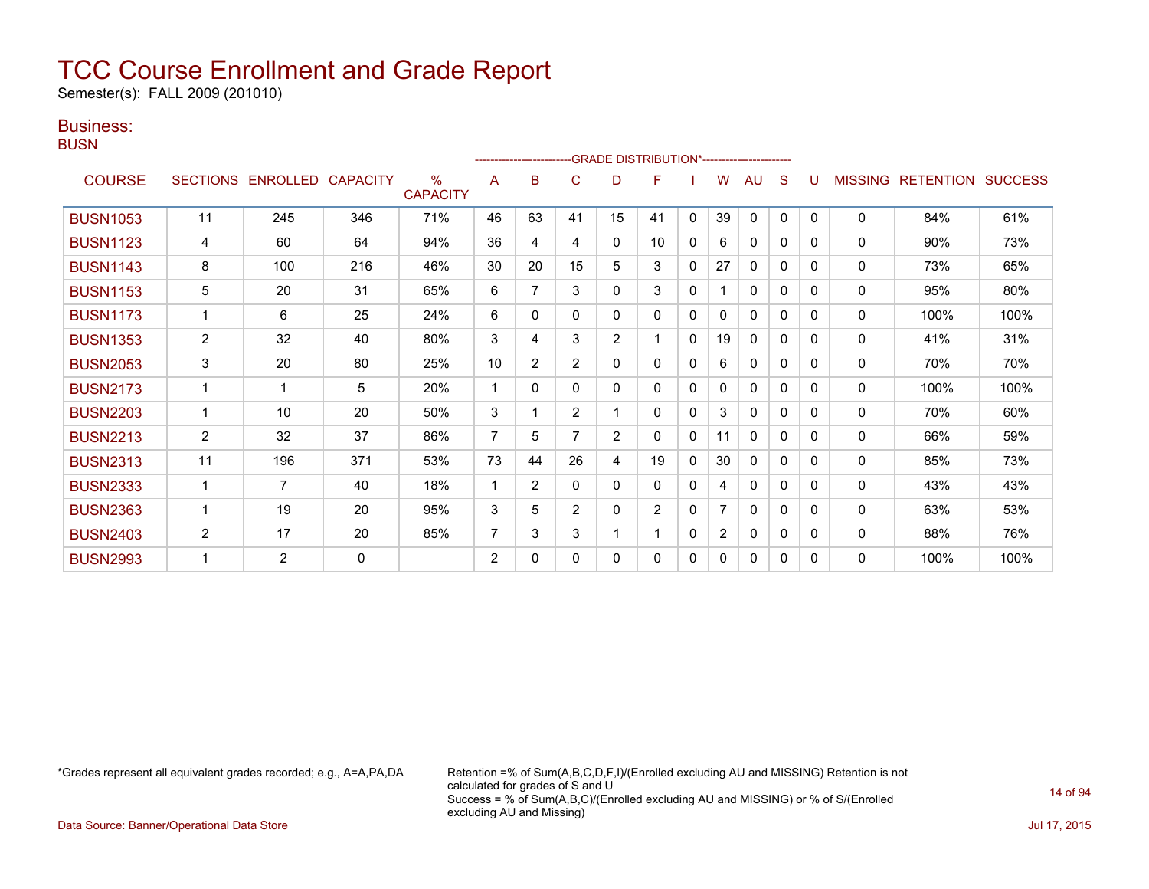Semester(s): FALL 2009 (201010)

### Business:

**BUSN** 

|                 |                |                   |                 |                         |                |                | ------------------------GRADE                DISTRIBUTION*---------------------- |                |                 |              |                |              |              |              |                |                          |      |
|-----------------|----------------|-------------------|-----------------|-------------------------|----------------|----------------|----------------------------------------------------------------------------------|----------------|-----------------|--------------|----------------|--------------|--------------|--------------|----------------|--------------------------|------|
| <b>COURSE</b>   |                | SECTIONS ENROLLED | <b>CAPACITY</b> | $\%$<br><b>CAPACITY</b> | A              | B              | C                                                                                | D              | F               |              | W              | AU           | S            |              | <b>MISSING</b> | <b>RETENTION SUCCESS</b> |      |
| <b>BUSN1053</b> | 11             | 245               | 346             | 71%                     | 46             | 63             | 41                                                                               | 15             | 41              | $\mathbf{0}$ | 39             | $\mathbf{0}$ | $\mathbf{0}$ | $\Omega$     | 0              | 84%                      | 61%  |
| <b>BUSN1123</b> | 4              | 60                | 64              | 94%                     | 36             | 4              | 4                                                                                | 0              | 10 <sup>1</sup> | $\mathbf{0}$ | 6              | $\mathbf{0}$ | $\mathbf{0}$ | $\Omega$     | 0              | 90%                      | 73%  |
| <b>BUSN1143</b> | 8              | 100               | 216             | 46%                     | 30             | 20             | 15                                                                               | 5              | 3               | $\Omega$     | 27             | $\Omega$     | $\Omega$     | $\Omega$     | 0              | 73%                      | 65%  |
| <b>BUSN1153</b> | 5              | 20                | 31              | 65%                     | 6              | 7              | 3                                                                                | 0              | 3               | 0            |                | $\mathbf{0}$ | 0            | 0            | 0              | 95%                      | 80%  |
| <b>BUSN1173</b> |                | 6                 | 25              | 24%                     | 6              | 0              | 0                                                                                | 0              | 0               | 0            | 0              | 0            | 0            | 0            | $\mathbf{0}$   | 100%                     | 100% |
| <b>BUSN1353</b> | $\overline{2}$ | 32                | 40              | 80%                     | 3              | 4              | 3                                                                                | $\overline{2}$ | 1               | $\mathbf{0}$ | 19             | $\mathbf{0}$ | $\Omega$     | $\Omega$     | $\Omega$       | 41%                      | 31%  |
| <b>BUSN2053</b> | 3              | 20                | 80              | 25%                     | 10             | $\overline{2}$ | $\overline{2}$                                                                   | 0              | 0               | $\mathbf{0}$ | 6              | 0            | 0            | $\Omega$     | 0              | 70%                      | 70%  |
| <b>BUSN2173</b> |                | 1                 | 5               | 20%                     | 1              | $\Omega$       | $\Omega$                                                                         | 0              | 0               | $\mathbf{0}$ | 0              | $\mathbf{0}$ | $\Omega$     | $\Omega$     | 0              | 100%                     | 100% |
| <b>BUSN2203</b> |                | 10                | 20              | 50%                     | 3              |                | $\overline{2}$                                                                   |                | 0               | $\Omega$     | 3              | $\mathbf{0}$ | $\Omega$     | $\Omega$     | 0              | 70%                      | 60%  |
| <b>BUSN2213</b> | $\overline{2}$ | 32                | 37              | 86%                     | 7              | 5              |                                                                                  | 2              | 0               | 0            | 11             | $\mathbf{0}$ | 0            | <sup>0</sup> | $\mathbf{0}$   | 66%                      | 59%  |
| <b>BUSN2313</b> | 11             | 196               | 371             | 53%                     | 73             | 44             | 26                                                                               | 4              | 19              | 0            | 30             | $\mathbf{0}$ | $\Omega$     | $\Omega$     | $\Omega$       | 85%                      | 73%  |
| <b>BUSN2333</b> |                | $\overline{7}$    | 40              | 18%                     | 1              | $\overline{2}$ | 0                                                                                | 0              | 0               | 0            | 4              | $\mathbf{0}$ | 0            | $\Omega$     | 0              | 43%                      | 43%  |
| <b>BUSN2363</b> |                | 19                | 20              | 95%                     | 3              | 5              | $\overline{2}$                                                                   | 0              | $\overline{2}$  | $\mathbf{0}$ | 7              | $\mathbf{0}$ | $\Omega$     | $\Omega$     | $\mathbf{0}$   | 63%                      | 53%  |
| <b>BUSN2403</b> | $\overline{2}$ | 17                | 20              | 85%                     | 7              | 3              | 3                                                                                |                |                 | $\Omega$     | $\overline{2}$ | $\mathbf{0}$ | $\Omega$     | $\Omega$     | 0              | 88%                      | 76%  |
| <b>BUSN2993</b> |                | $\overline{2}$    | 0               |                         | $\overline{2}$ | 0              | 0                                                                                | 0              | 0               | 0            | 0              | $\mathbf{0}$ | 0            | $\Omega$     | $\mathbf 0$    | 100%                     | 100% |

\*Grades represent all equivalent grades recorded; e.g., A=A,PA,DA Retention =% of Sum(A,B,C,D,F,I)/(Enrolled excluding AU and MISSING) Retention is not calculated for grades of S and U Success = % of Sum(A,B,C)/(Enrolled excluding AU and MISSING) or % of S/(Enrolled excluding AU and Missing)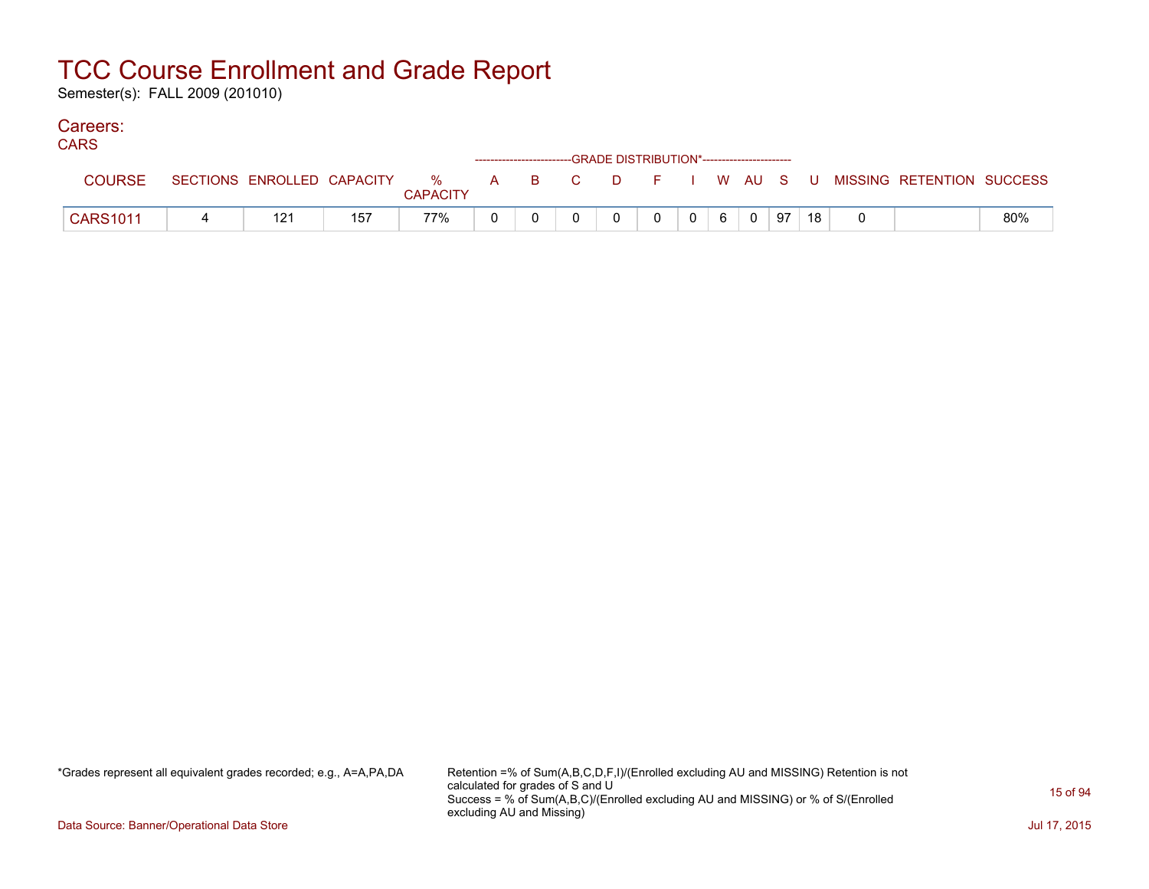Semester(s): FALL 2009 (201010)

#### Careers: CA<sub>D</sub><sub>C</sub>

| <b>CARS</b>     |     |     |                 | ------------------------GRADE DISTRIBUTION*----------------------- |  |                |   |             |    |    |                                                                             |     |
|-----------------|-----|-----|-----------------|--------------------------------------------------------------------|--|----------------|---|-------------|----|----|-----------------------------------------------------------------------------|-----|
| <b>COURSE</b>   |     |     | <b>CAPACITY</b> |                                                                    |  |                |   |             |    |    | SECTIONS ENROLLED CAPACITY % A B C D F I W AU S U MISSING RETENTION SUCCESS |     |
| <b>CARS1011</b> | 121 | 157 | 77%             |                                                                    |  | $\overline{0}$ | 6 | $\mathbf 0$ | 97 | 18 |                                                                             | 80% |

\*Grades represent all equivalent grades recorded; e.g., A=A,PA,DA Retention =% of Sum(A,B,C,D,F,I)/(Enrolled excluding AU and MISSING) Retention is not calculated for grades of S and U Success = % of Sum(A,B,C)/(Enrolled excluding AU and MISSING) or % of S/(Enrolled excluding AU and Missing)

Data Source: Banner/Operational Data Store Jul 17, 2015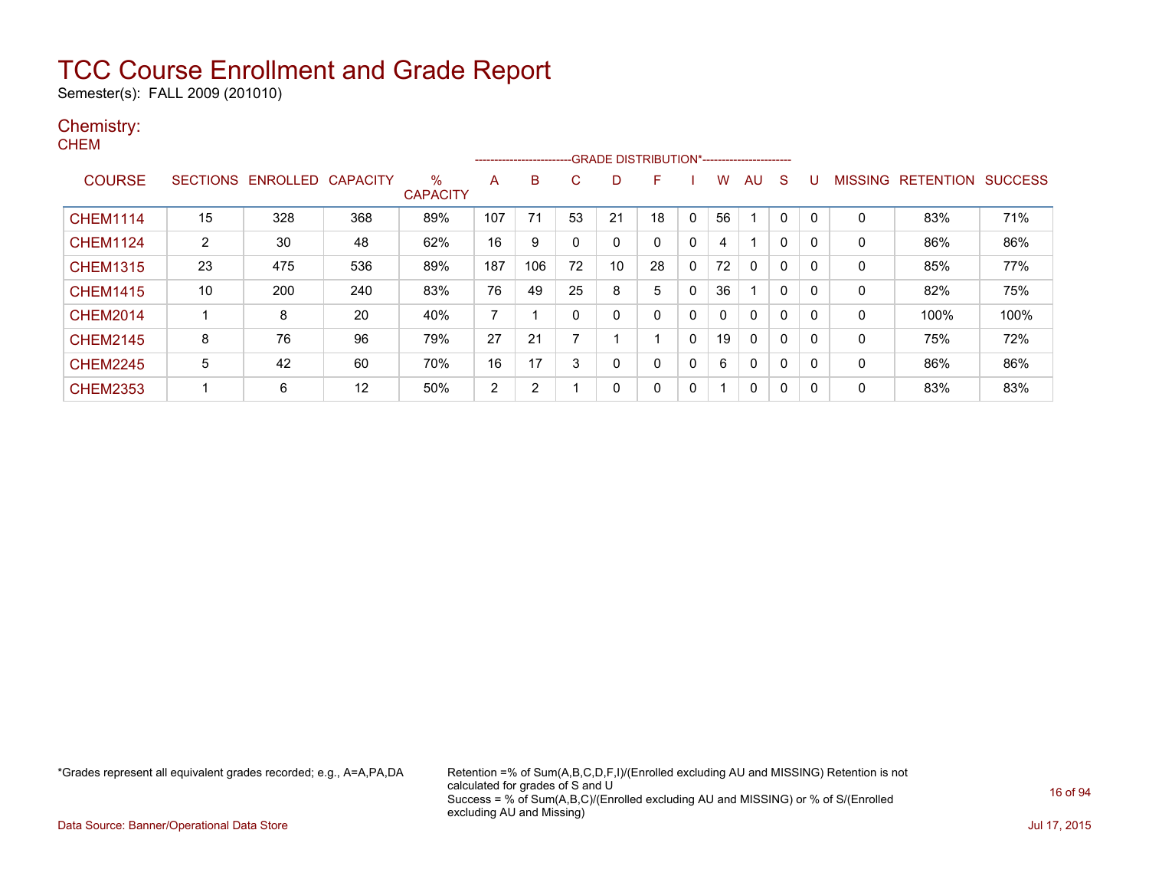Semester(s): FALL 2009 (201010)

### Chemistry:

|                       |     | CAPACITY        | $\%$<br><b>CAPACITY</b> | A              | в              | С  | D                        | F            |   | w            | AU.          | <sub>S</sub> | U                                           |              |      | <b>SUCCESS</b>    |
|-----------------------|-----|-----------------|-------------------------|----------------|----------------|----|--------------------------|--------------|---|--------------|--------------|--------------|---------------------------------------------|--------------|------|-------------------|
| 15                    | 328 | 368             | 89%                     | 107            | 71             | 53 | 21                       | 18           | 0 | 56           |              | $\Omega$     | $\Omega$                                    | 0            | 83%  | 71%               |
| $\mathbf{2}^{\prime}$ | 30  | 48              | 62%                     | 16             | 9              | 0  | 0                        | $\mathbf{0}$ | 0 | 4            |              | 0            | $\mathbf{0}$                                | $\mathbf{0}$ | 86%  | 86%               |
| 23                    | 475 | 536             | 89%                     | 187            | 106            | 72 | 10                       | 28           | 0 | 72           | $\mathbf{0}$ | 0            | $\mathbf{0}$                                | 0            | 85%  | 77%               |
| 10                    | 200 | 240             | 83%                     | 76             | 49             | 25 | 8                        | 5            | 0 | 36           |              | $\mathbf{0}$ | $\mathbf{0}$                                | 0            | 82%  | 75%               |
|                       | 8   | 20              | 40%                     |                |                | 0  | 0                        | 0            | 0 | $\mathbf{0}$ | $\mathbf{0}$ | 0            | $\Omega$                                    | 0            | 100% | 100%              |
| 8                     | 76  | 96              | 79%                     | 27             | 21             | 7  |                          |              | 0 | 19           | $\mathbf{0}$ | $\mathbf{0}$ | $\mathbf{0}$                                | $\mathbf{0}$ | 75%  | 72%               |
| 5                     | 42  | 60              | 70%                     | 16             | 17             | 3  | 0                        | 0            | 0 | 6            | $\mathbf{0}$ | $\mathbf{0}$ | $\Omega$                                    | $\Omega$     | 86%  | 86%               |
|                       | 6   | 12              | 50%                     | $\overline{2}$ | $\overline{2}$ |    | 0                        | 0            | 0 |              | 0            | 0            | $\mathbf{0}$                                | 0            | 83%  | 83%               |
|                       |     | <b>SECTIONS</b> | ENROLLED                |                |                |    | ------------------------ |              |   |              |              |              | -GRADE DISTRIBUTION*----------------------- |              |      | MISSING RETENTION |

\*Grades represent all equivalent grades recorded; e.g., A=A,PA,DA Retention =% of Sum(A,B,C,D,F,I)/(Enrolled excluding AU and MISSING) Retention is not calculated for grades of S and U Success = % of Sum(A,B,C)/(Enrolled excluding AU and MISSING) or % of S/(Enrolled excluding AU and Missing)

Data Source: Banner/Operational Data Store Jul 17, 2015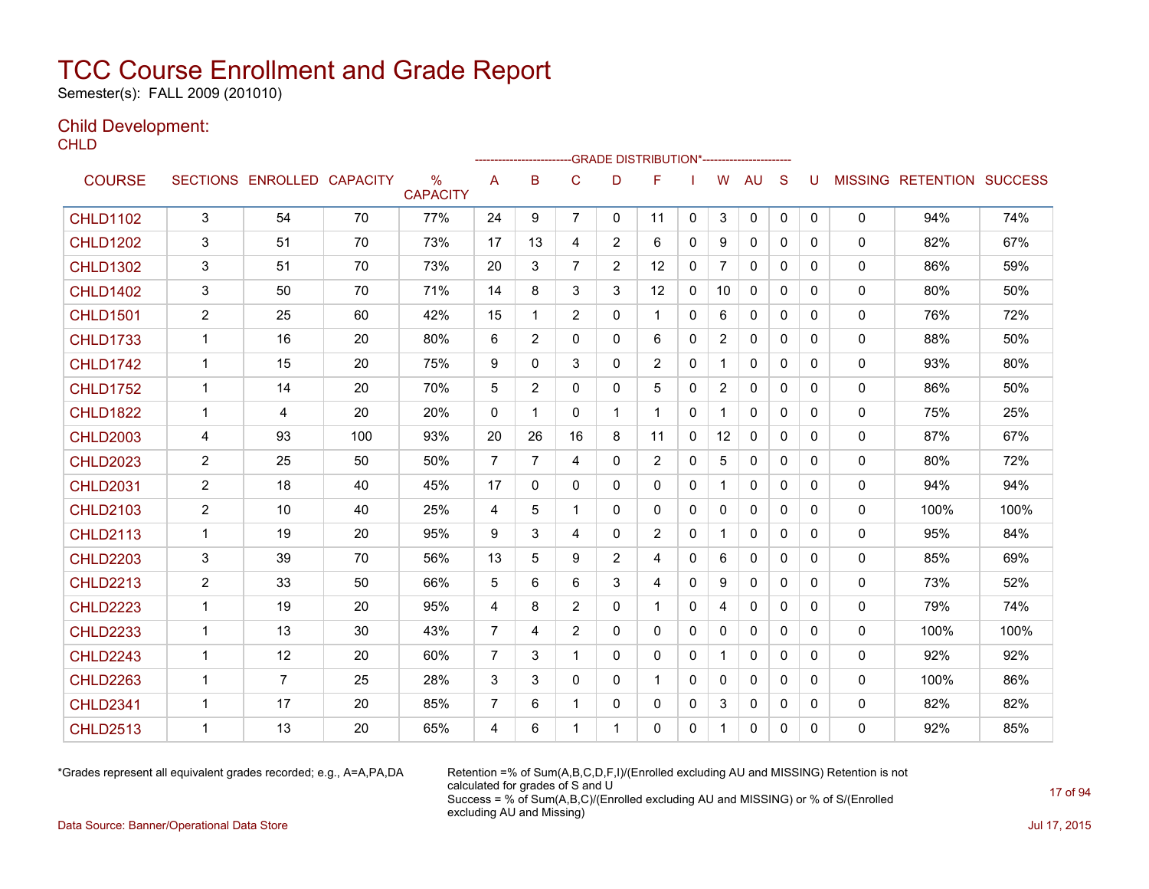Semester(s): FALL 2009 (201010)

### Child Development:

**CHLD** 

|                 |                |                   |                 |                                  |                |                | --------------------GRADE                       DISTRIBUTION*--------------------- |                |                |              |                |              |              |   |              |                                  |      |
|-----------------|----------------|-------------------|-----------------|----------------------------------|----------------|----------------|------------------------------------------------------------------------------------|----------------|----------------|--------------|----------------|--------------|--------------|---|--------------|----------------------------------|------|
| <b>COURSE</b>   |                | SECTIONS ENROLLED | <b>CAPACITY</b> | $\frac{0}{0}$<br><b>CAPACITY</b> | A              | B              | C                                                                                  | D              | F              |              | W              | <b>AU</b>    | S            | U |              | <b>MISSING RETENTION SUCCESS</b> |      |
| <b>CHLD1102</b> | 3              | 54                | 70              | 77%                              | 24             | 9              | $\overline{7}$                                                                     | 0              | 11             | 0            | 3              | 0            | $\mathbf 0$  | 0 | 0            | 94%                              | 74%  |
| <b>CHLD1202</b> | 3              | 51                | 70              | 73%                              | 17             | 13             | 4                                                                                  | $\overline{2}$ | 6              | $\Omega$     | 9              | $\mathbf{0}$ | $\Omega$     | 0 | $\mathbf{0}$ | 82%                              | 67%  |
| <b>CHLD1302</b> | 3              | 51                | 70              | 73%                              | 20             | 3              | $\overline{7}$                                                                     | $\overline{2}$ | 12             | $\mathbf{0}$ | $\overline{7}$ | $\mathbf{0}$ | $\Omega$     | 0 | 0            | 86%                              | 59%  |
| <b>CHLD1402</b> | 3              | 50                | 70              | 71%                              | 14             | 8              | 3                                                                                  | 3              | 12             | 0            | 10             | $\mathbf{0}$ | 0            | 0 | 0            | 80%                              | 50%  |
| <b>CHLD1501</b> | $\overline{2}$ | 25                | 60              | 42%                              | 15             | 1              | $\overline{2}$                                                                     | 0              | 1              | 0            | 6              | 0            | 0            | 0 | 0            | 76%                              | 72%  |
| <b>CHLD1733</b> | $\mathbf{1}$   | 16                | 20              | 80%                              | 6              | $\overline{2}$ | $\Omega$                                                                           | 0              | 6              | $\Omega$     | $\overline{2}$ | $\mathbf{0}$ | $\Omega$     | 0 | 0            | 88%                              | 50%  |
| <b>CHLD1742</b> | $\mathbf{1}$   | 15                | 20              | 75%                              | 9              | 0              | 3                                                                                  | 0              | $\overline{2}$ | 0            | $\mathbf{1}$   | 0            | $\mathbf{0}$ | 0 | 0            | 93%                              | 80%  |
| <b>CHLD1752</b> | 1              | 14                | 20              | 70%                              | 5              | $\overline{2}$ | 0                                                                                  | 0              | 5              | $\Omega$     | $\overline{2}$ | $\mathbf{0}$ | $\mathbf{0}$ | 0 | 0            | 86%                              | 50%  |
| <b>CHLD1822</b> | $\mathbf{1}$   | 4                 | 20              | 20%                              | $\mathbf{0}$   | 1              | 0                                                                                  | $\mathbf{1}$   | 1              | $\mathbf{0}$ | $\mathbf 1$    | $\mathbf{0}$ | $\Omega$     | 0 | 0            | 75%                              | 25%  |
| <b>CHLD2003</b> | 4              | 93                | 100             | 93%                              | 20             | 26             | 16                                                                                 | 8              | 11             | $\mathbf{0}$ | 12             | $\mathbf{0}$ | $\Omega$     | 0 | 0            | 87%                              | 67%  |
| <b>CHLD2023</b> | $\overline{c}$ | 25                | 50              | 50%                              | $\overline{7}$ | $\overline{7}$ | 4                                                                                  | 0              | $\overline{2}$ | $\mathbf{0}$ | 5              | $\mathbf{0}$ | $\Omega$     | 0 | 0            | 80%                              | 72%  |
| <b>CHLD2031</b> | 2              | 18                | 40              | 45%                              | 17             | 0              | 0                                                                                  | 0              | 0              | $\mathbf{0}$ | 1              | $\mathbf{0}$ | $\mathbf{0}$ | 0 | 0            | 94%                              | 94%  |
| <b>CHLD2103</b> | $\overline{2}$ | 10                | 40              | 25%                              | 4              | 5              | 1                                                                                  | 0              | 0              | $\mathbf{0}$ | $\Omega$       | $\mathbf{0}$ | $\Omega$     | 0 | 0            | 100%                             | 100% |
| <b>CHLD2113</b> | $\mathbf{1}$   | 19                | 20              | 95%                              | 9              | 3              | 4                                                                                  | 0              | $\overline{2}$ | $\mathbf{0}$ | $\mathbf{1}$   | $\mathbf{0}$ | $\mathbf{0}$ | 0 | 0            | 95%                              | 84%  |
| <b>CHLD2203</b> | 3              | 39                | 70              | 56%                              | 13             | 5              | 9                                                                                  | $\overline{2}$ | 4              | $\mathbf{0}$ | 6              | $\mathbf{0}$ | $\Omega$     | 0 | 0            | 85%                              | 69%  |
| <b>CHLD2213</b> | $\overline{c}$ | 33                | 50              | 66%                              | 5              | 6              | 6                                                                                  | 3              | 4              | $\mathbf{0}$ | 9              | $\mathbf{0}$ | $\Omega$     | 0 | 0            | 73%                              | 52%  |
| <b>CHLD2223</b> | $\mathbf{1}$   | 19                | 20              | 95%                              | 4              | 8              | $\overline{2}$                                                                     | 0              | $\mathbf 1$    | $\mathbf{0}$ | $\overline{4}$ | $\mathbf{0}$ | $\Omega$     | 0 | 0            | 79%                              | 74%  |
| <b>CHLD2233</b> | -1             | 13                | 30              | 43%                              | $\overline{7}$ | 4              | 2                                                                                  | 0              | 0              | $\mathbf{0}$ | $\mathbf{0}$   | $\mathbf{0}$ | $\mathbf{0}$ | 0 | 0            | 100%                             | 100% |
| <b>CHLD2243</b> | $\mathbf 1$    | 12                | 20              | 60%                              | 7              | 3              | 1                                                                                  | 0              | 0              | $\mathbf{0}$ |                | $\mathbf{0}$ | $\mathbf{0}$ | 0 | 0            | 92%                              | 92%  |
| <b>CHLD2263</b> | 1              | 7                 | 25              | 28%                              | 3              | 3              | 0                                                                                  | 0              | 1              | $\Omega$     | $\mathbf{0}$   | $\mathbf{0}$ | $\Omega$     | 0 | 0            | 100%                             | 86%  |
| <b>CHLD2341</b> | 1              | 17                | 20              | 85%                              | $\overline{7}$ | 6              |                                                                                    | 0              | 0              | 0            | 3              | 0            | 0            | 0 | 0            | 82%                              | 82%  |
| <b>CHLD2513</b> | 1              | 13                | 20              | 65%                              | 4              | 6              |                                                                                    |                | 0              | $\mathbf{0}$ | $\mathbf 1$    | $\mathbf{0}$ | 0            | 0 | 0            | 92%                              | 85%  |

\*Grades represent all equivalent grades recorded; e.g., A=A,PA,DA Retention =% of Sum(A,B,C,D,F,I)/(Enrolled excluding AU and MISSING) Retention is not calculated for grades of S and U Success = % of Sum(A,B,C)/(Enrolled excluding AU and MISSING) or % of S/(Enrolled excluding AU and Missing)

Data Source: Banner/Operational Data Store Jul 17, 2015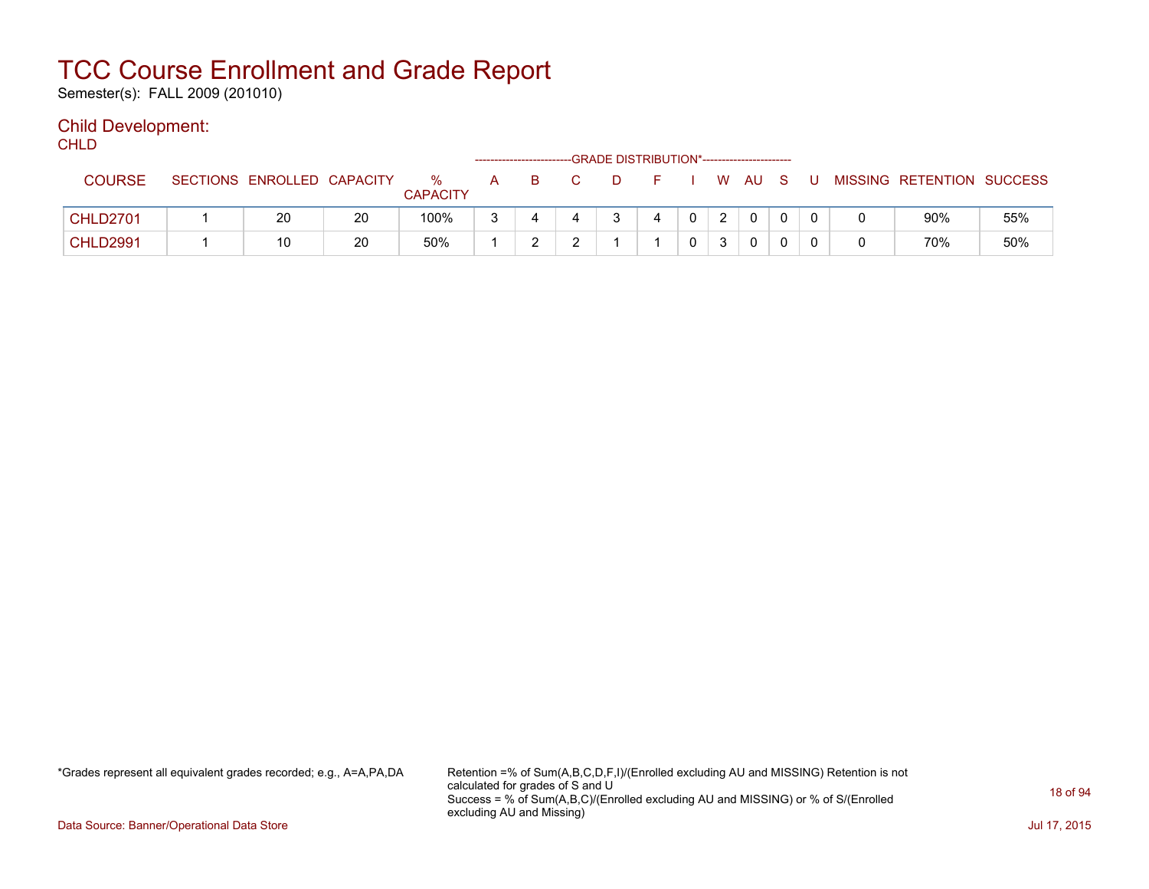Semester(s): FALL 2009 (201010)

### Child Development:

| <b>CHLD</b>     |                            |    |                      |              |    |    |                                               |         |              |   |  |          |                           |     |
|-----------------|----------------------------|----|----------------------|--------------|----|----|-----------------------------------------------|---------|--------------|---|--|----------|---------------------------|-----|
|                 |                            |    |                      |              |    |    | -- GRADE DISTRIBUTION*----------------------- |         |              |   |  |          |                           |     |
| <b>COURSE</b>   | SECTIONS ENROLLED CAPACITY |    | %<br><b>CAPACITY</b> | $\mathsf{A}$ | B. | C. | D.                                            | FIWAUSU |              |   |  |          | MISSING RETENTION SUCCESS |     |
| <b>CHLD2701</b> | 20                         | 20 | 100%                 | ર            |    |    | 3                                             | 4       | $\mathbf{0}$ | 2 |  | $\Omega$ | 90%                       | 55% |
| <b>CHLD2991</b> | 10                         | 20 | 50%                  |              |    | ົ  |                                               |         | $\mathbf{0}$ | 3 |  |          | 70%                       | 50% |

\*Grades represent all equivalent grades recorded; e.g., A=A,PA,DA Retention =% of Sum(A,B,C,D,F,I)/(Enrolled excluding AU and MISSING) Retention is not calculated for grades of S and U Success = % of Sum(A,B,C)/(Enrolled excluding AU and MISSING) or % of S/(Enrolled excluding AU and Missing)

Data Source: Banner/Operational Data Store Jul 17, 2015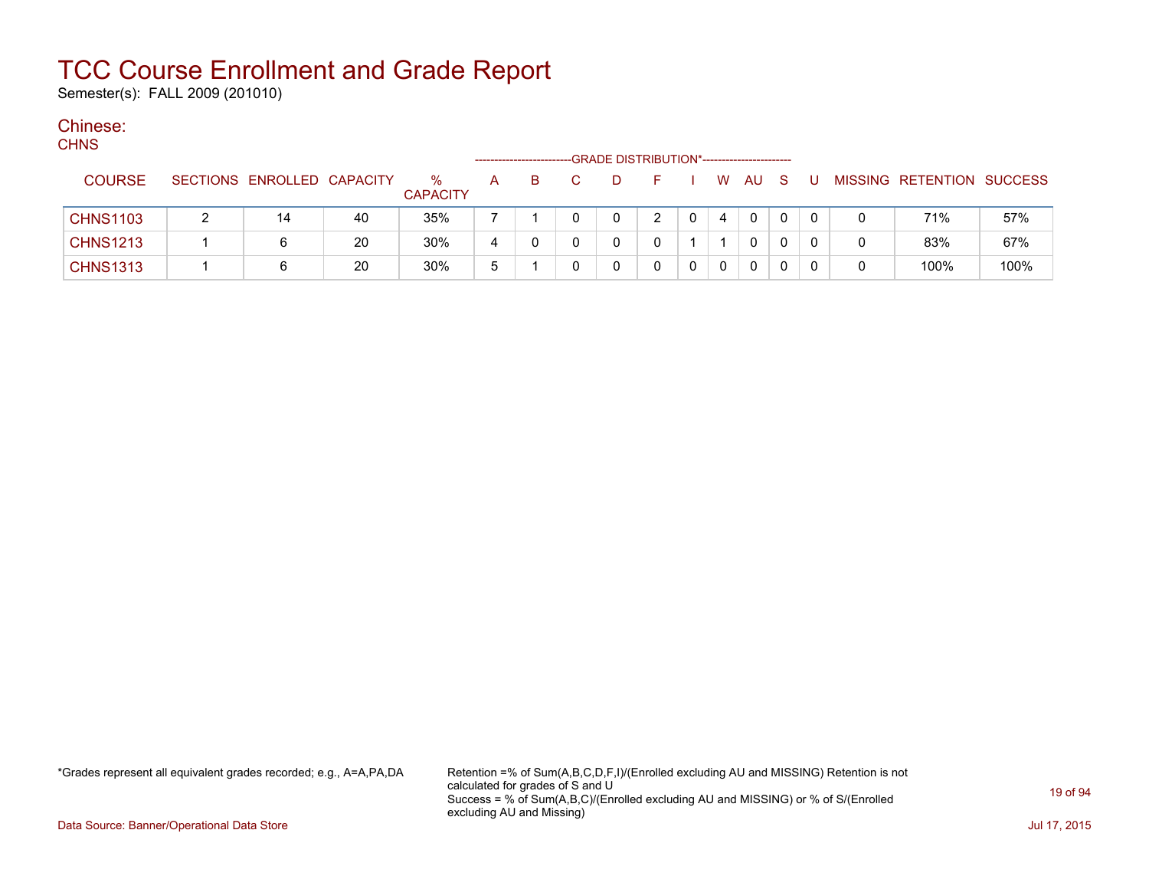Semester(s): FALL 2009 (201010)

#### Chinese:  $C$

| <b>CHNS</b> |                 |                            |    |                         |              |  | -GRADE DISTRIBUTION*----------------------- |   |          |              |  |   |                           |      |
|-------------|-----------------|----------------------------|----|-------------------------|--------------|--|---------------------------------------------|---|----------|--------------|--|---|---------------------------|------|
|             | <b>COURSE</b>   | SECTIONS ENROLLED CAPACITY |    | $\%$<br><b>CAPACITY</b> | A            |  | D                                           |   | W        | AU S         |  |   | MISSING RETENTION SUCCESS |      |
|             | <b>CHNS1103</b> | 14                         | 40 | 35%                     |              |  | 0                                           |   | 4        | $\Omega$     |  | 0 | 71%                       | 57%  |
|             | <b>CHNS1213</b> |                            | 20 | 30%                     | 4            |  |                                             |   |          | $\mathbf{0}$ |  | 0 | 83%                       | 67%  |
|             | <b>CHNS1313</b> |                            | 20 | 30%                     | <sub>5</sub> |  |                                             | 0 | $\Omega$ | $\Omega$     |  |   | 100%                      | 100% |

\*Grades represent all equivalent grades recorded; e.g., A=A,PA,DA Retention =% of Sum(A,B,C,D,F,I)/(Enrolled excluding AU and MISSING) Retention is not calculated for grades of S and U Success = % of Sum(A,B,C)/(Enrolled excluding AU and MISSING) or % of S/(Enrolled excluding AU and Missing)

Data Source: Banner/Operational Data Store Jul 17, 2015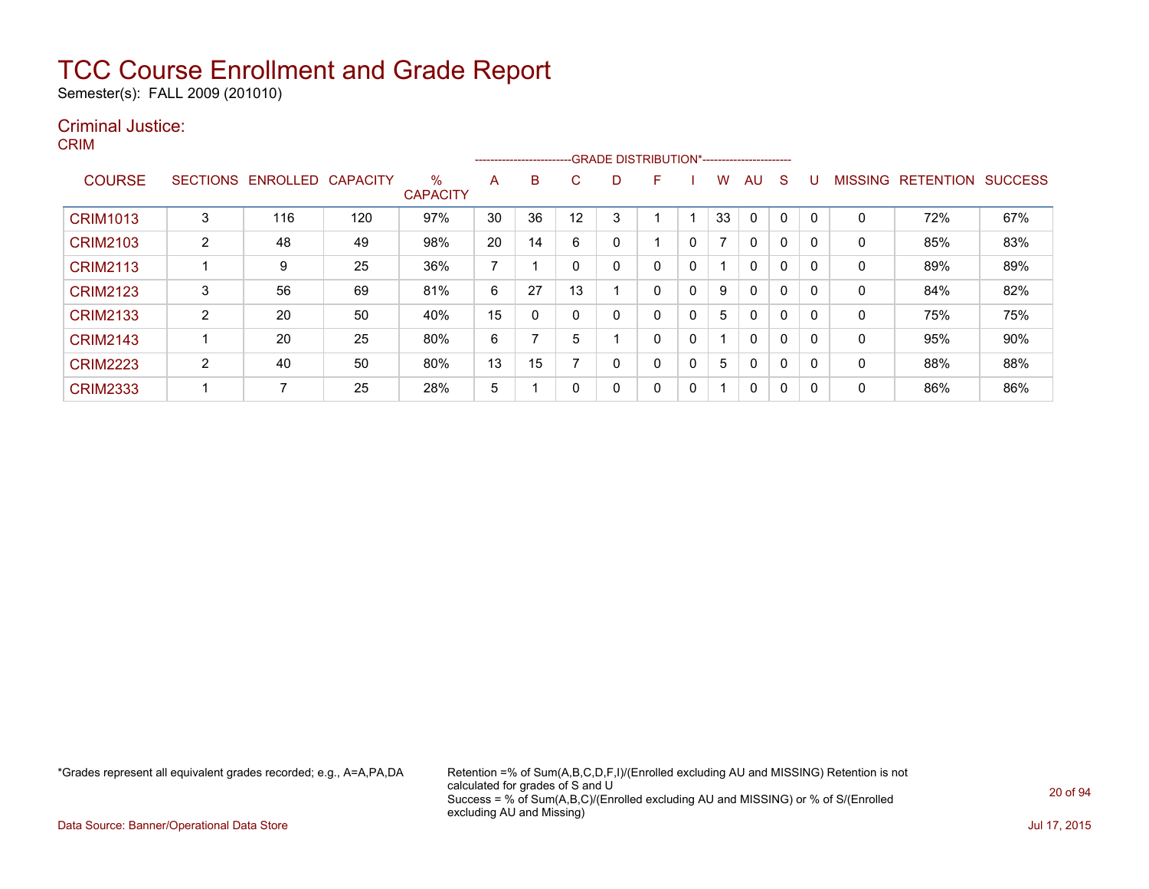Semester(s): FALL 2009 (201010)

### Criminal Justice:

CRIM

|                 |                 |          |                 |                         |    |    |    |   | --------------------------GRADE DISTRIBUTION*----------------------- |   |                |              |             |              |                |                  |                |
|-----------------|-----------------|----------|-----------------|-------------------------|----|----|----|---|----------------------------------------------------------------------|---|----------------|--------------|-------------|--------------|----------------|------------------|----------------|
| <b>COURSE</b>   | <b>SECTIONS</b> | ENROLLED | <b>CAPACITY</b> | $\%$<br><b>CAPACITY</b> | A  | B  | U  | D | F                                                                    |   | w              | AU           | S           |              | <b>MISSING</b> | <b>RETENTION</b> | <b>SUCCESS</b> |
| <b>CRIM1013</b> | 3               | 116      | 120             | 97%                     | 30 | 36 | 12 | 3 |                                                                      |   | 33             | 0            | $\Omega$    |              | 0              | 72%              | 67%            |
| <b>CRIM2103</b> | $\overline{2}$  | 48       | 49              | 98%                     | 20 | 14 | 6  | 0 |                                                                      | 0 | $\overline{ }$ | $\mathbf{0}$ | 0           | <sup>0</sup> | 0              | 85%              | 83%            |
| <b>CRIM2113</b> |                 | 9        | 25              | 36%                     | ⇁  |    |    | 0 | 0                                                                    | 0 |                | 0            | $\mathbf 0$ | - 0          | 0              | 89%              | 89%            |
| <b>CRIM2123</b> | 3               | 56       | 69              | 81%                     | 6  | 27 | 13 |   | 0                                                                    | 0 | 9              | 0            | 0           |              | 0              | 84%              | 82%            |
| <b>CRIM2133</b> | $\overline{2}$  | 20       | 50              | 40%                     | 15 |    |    | 0 | 0                                                                    | 0 | 5              | $\mathbf{0}$ | 0           | <sup>0</sup> | 0              | 75%              | 75%            |
| <b>CRIM2143</b> |                 | 20       | 25              | 80%                     | 6  |    | 5  |   | 0                                                                    | 0 |                | $\mathbf{0}$ | 0           | $\Omega$     | 0              | 95%              | 90%            |
| <b>CRIM2223</b> | າ               | 40       | 50              | 80%                     | 13 | 15 |    | 0 | 0                                                                    | 0 | 5              | 0            | 0           |              | 0              | 88%              | 88%            |
| <b>CRIM2333</b> |                 |          | 25              | 28%                     | 5  |    |    | 0 | 0                                                                    | 0 | -1             | 0            | 0           | -0           | 0              | 86%              | 86%            |

\*Grades represent all equivalent grades recorded; e.g., A=A,PA,DA Retention =% of Sum(A,B,C,D,F,I)/(Enrolled excluding AU and MISSING) Retention is not calculated for grades of S and U Success = % of Sum(A,B,C)/(Enrolled excluding AU and MISSING) or % of S/(Enrolled excluding AU and Missing)

Data Source: Banner/Operational Data Store Jul 17, 2015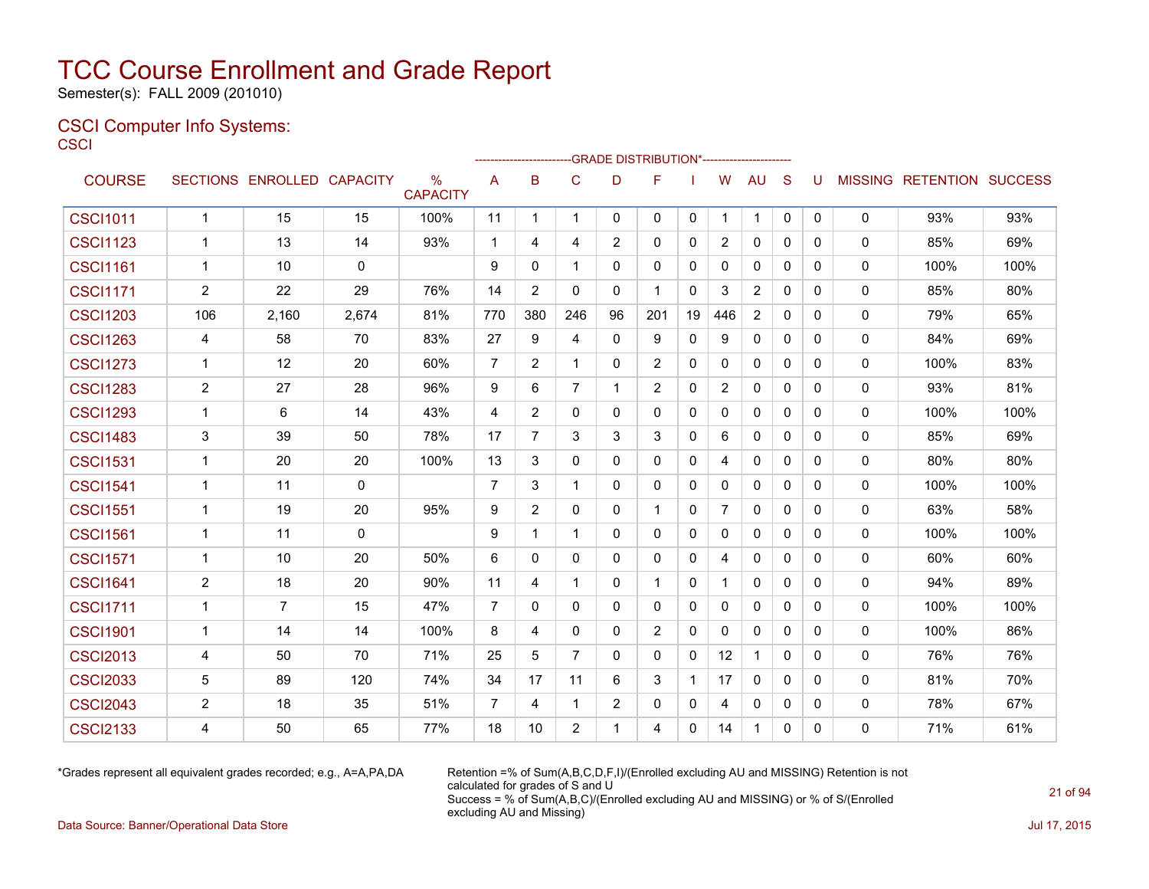Semester(s): FALL 2009 (201010)

### CSCI Computer Info Systems: **CSCI**

|                 |                |                            |       |                      |                | ----------------- |                |                | ---GRADE                                   DISTRIBUTION*------------------------ |              |                |                |              |              |   |                           |      |
|-----------------|----------------|----------------------------|-------|----------------------|----------------|-------------------|----------------|----------------|----------------------------------------------------------------------------------|--------------|----------------|----------------|--------------|--------------|---|---------------------------|------|
| <b>COURSE</b>   |                | SECTIONS ENROLLED CAPACITY |       | %<br><b>CAPACITY</b> | A              | B                 | $\mathbf C$    | D              | F                                                                                |              | W              | <b>AU</b>      | S            | U            |   | MISSING RETENTION SUCCESS |      |
| <b>CSCI1011</b> | $\mathbf{1}$   | 15                         | 15    | 100%                 | 11             | $\mathbf{1}$      | $\mathbf{1}$   | $\mathbf{0}$   | $\mathbf{0}$                                                                     | $\mathbf 0$  | $\mathbf{1}$   | $\mathbf{1}$   | $\mathbf{0}$ | $\mathbf{0}$ | 0 | 93%                       | 93%  |
| <b>CSCI1123</b> | $\mathbf{1}$   | 13                         | 14    | 93%                  | $\mathbf{1}$   | 4                 | 4              | 2              | $\mathbf{0}$                                                                     | $\mathbf{0}$ | $\overline{2}$ | $\Omega$       | $\Omega$     | $\Omega$     | 0 | 85%                       | 69%  |
| <b>CSCI1161</b> | $\mathbf{1}$   | 10                         | 0     |                      | 9              | $\Omega$          | $\mathbf{1}$   | $\Omega$       | $\Omega$                                                                         | $\mathbf{0}$ | 0              | 0              | $\Omega$     | 0            | 0 | 100%                      | 100% |
| <b>CSCI1171</b> | $\overline{2}$ | 22                         | 29    | 76%                  | 14             | $\overline{2}$    | $\mathbf{0}$   | $\mathbf{0}$   | -1                                                                               | $\mathbf{0}$ | 3              | $\overline{2}$ | $\mathbf{0}$ | 0            | 0 | 85%                       | 80%  |
| <b>CSCI1203</b> | 106            | 2,160                      | 2,674 | 81%                  | 770            | 380               | 246            | 96             | 201                                                                              | 19           | 446            | 2              | $\mathbf{0}$ | 0            | 0 | 79%                       | 65%  |
| <b>CSCI1263</b> | 4              | 58                         | 70    | 83%                  | 27             | 9                 | 4              | $\mathbf{0}$   | 9                                                                                | 0            | 9              | 0              | $\mathbf{0}$ | 0            | 0 | 84%                       | 69%  |
| <b>CSCI1273</b> | $\mathbf{1}$   | 12                         | 20    | 60%                  | $\overline{7}$ | $\overline{2}$    | $\mathbf{1}$   | $\Omega$       | 2                                                                                | 0            | $\mathbf{0}$   | 0              | $\mathbf{0}$ | $\mathbf{0}$ | 0 | 100%                      | 83%  |
| <b>CSCI1283</b> | $\overline{2}$ | 27                         | 28    | 96%                  | 9              | 6                 | $\overline{7}$ | $\mathbf 1$    | 2                                                                                | $\mathbf{0}$ | $\overline{2}$ | $\Omega$       | $\Omega$     | $\Omega$     | 0 | 93%                       | 81%  |
| <b>CSCI1293</b> | $\mathbf 1$    | 6                          | 14    | 43%                  | 4              | 2                 | 0              | $\mathbf{0}$   | $\mathbf{0}$                                                                     | 0            | $\mathbf{0}$   | 0              | $\mathbf{0}$ | 0            | 0 | 100%                      | 100% |
| <b>CSCI1483</b> | 3              | 39                         | 50    | 78%                  | 17             | $\overline{7}$    | 3              | 3              | 3                                                                                | 0            | 6              | $\Omega$       | $\Omega$     | 0            | 0 | 85%                       | 69%  |
| <b>CSCI1531</b> | 1              | 20                         | 20    | 100%                 | 13             | 3                 | 0              | 0              | $\mathbf{0}$                                                                     | 0            | 4              | 0              | $\mathbf{0}$ | $\Omega$     | 0 | 80%                       | 80%  |
| <b>CSCI1541</b> | $\mathbf 1$    | 11                         | 0     |                      | $\overline{7}$ | 3                 | $\mathbf{1}$   | $\mathbf{0}$   | $\mathbf{0}$                                                                     | 0            | $\mathbf{0}$   | $\mathbf{0}$   | $\mathbf{0}$ | $\mathbf{0}$ | 0 | 100%                      | 100% |
| <b>CSCI1551</b> | 1              | 19                         | 20    | 95%                  | 9              | 2                 | 0              | 0              | -1                                                                               | 0            | 7              | 0              | $\mathbf{0}$ | 0            | 0 | 63%                       | 58%  |
| <b>CSCI1561</b> | 1              | 11                         | 0     |                      | 9              | 1                 | $\mathbf{1}$   | $\mathbf{0}$   | 0                                                                                | 0            | 0              | 0              | 0            | 0            | 0 | 100%                      | 100% |
| <b>CSCI1571</b> | 1              | 10                         | 20    | 50%                  | 6              | $\Omega$          | 0              | $\mathbf{0}$   | $\mathbf{0}$                                                                     | 0            | 4              | 0              | $\mathbf{0}$ | 0            | 0 | 60%                       | 60%  |
| <b>CSCI1641</b> | $\overline{2}$ | 18                         | 20    | 90%                  | 11             | 4                 | $\mathbf{1}$   | $\Omega$       | $\mathbf 1$                                                                      | $\mathbf{0}$ | 1              | $\Omega$       | $\mathbf{0}$ | 0            | 0 | 94%                       | 89%  |
| <b>CSCI1711</b> | $\mathbf{1}$   | $\overline{7}$             | 15    | 47%                  | $\overline{7}$ | $\Omega$          | $\Omega$       | $\Omega$       | $\Omega$                                                                         | $\mathbf{0}$ | 0              | $\Omega$       | $\mathbf{0}$ | $\Omega$     | 0 | 100%                      | 100% |
| <b>CSCI1901</b> | $\mathbf 1$    | 14                         | 14    | 100%                 | 8              | 4                 | $\mathbf{0}$   | $\Omega$       | 2                                                                                | $\mathbf{0}$ | $\mathbf{0}$   | $\Omega$       | $\mathbf{0}$ | $\Omega$     | 0 | 100%                      | 86%  |
| <b>CSCI2013</b> | 4              | 50                         | 70    | 71%                  | 25             | 5                 | $\overline{7}$ | $\Omega$       | $\mathbf{0}$                                                                     | $\mathbf{0}$ | 12             | $\mathbf{1}$   | $\Omega$     | 0            | 0 | 76%                       | 76%  |
| <b>CSCI2033</b> | 5              | 89                         | 120   | 74%                  | 34             | 17                | 11             | 6              | 3                                                                                | $\mathbf{1}$ | 17             | $\Omega$       | $\Omega$     | $\Omega$     | 0 | 81%                       | 70%  |
| <b>CSCI2043</b> | $\overline{2}$ | 18                         | 35    | 51%                  | $\overline{7}$ | 4                 | $\mathbf{1}$   | $\overline{2}$ | $\mathbf{0}$                                                                     | 0            | 4              | $\mathbf{0}$   | $\mathbf{0}$ | $\Omega$     | 0 | 78%                       | 67%  |
| <b>CSCI2133</b> | 4              | 50                         | 65    | 77%                  | 18             | 10                | $\overline{2}$ | 1              | 4                                                                                | $\mathbf{0}$ | 14             | $\mathbf{1}$   | $\mathbf{0}$ | 0            | 0 | 71%                       | 61%  |

\*Grades represent all equivalent grades recorded; e.g., A=A,PA,DA Retention =% of Sum(A,B,C,D,F,I)/(Enrolled excluding AU and MISSING) Retention is not calculated for grades of S and U Success = % of Sum(A,B,C)/(Enrolled excluding AU and MISSING) or % of S/(Enrolled excluding AU and Missing)

Data Source: Banner/Operational Data Store Jul 17, 2015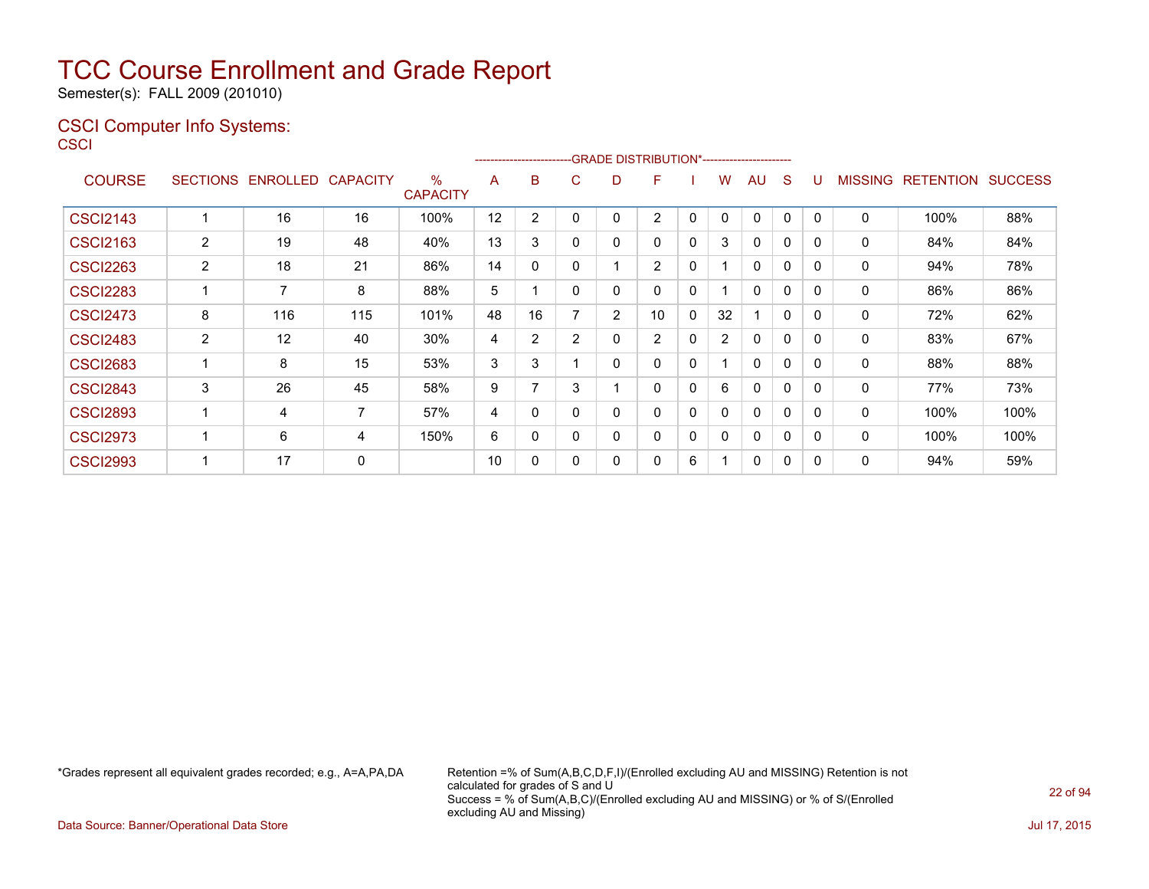Semester(s): FALL 2009 (201010)

### CSCI Computer Info Systems: **CSCI**

|                 |                       |                            |     |                      |    | ----------------------- |          |   | -GRADE DISTRIBUTION*----------------------- |              |                |              |              |              |                |                          |      |
|-----------------|-----------------------|----------------------------|-----|----------------------|----|-------------------------|----------|---|---------------------------------------------|--------------|----------------|--------------|--------------|--------------|----------------|--------------------------|------|
| <b>COURSE</b>   |                       | SECTIONS ENROLLED CAPACITY |     | %<br><b>CAPACITY</b> | A  | B                       | C        | D | F                                           |              | w              | AU           | S            | U            | <b>MISSING</b> | <b>RETENTION SUCCESS</b> |      |
| <b>CSCI2143</b> |                       | 16                         | 16  | 100%                 | 12 | 2                       | 0        | 0 | 2                                           | 0            | 0              | $\mathbf{0}$ | 0            | 0            | $\Omega$       | 100%                     | 88%  |
| <b>CSCI2163</b> | $\mathbf{2}^{\prime}$ | 19                         | 48  | 40%                  | 13 | 3                       | $\Omega$ | 0 | $\mathbf{0}$                                | $\mathbf 0$  | 3              | 0            | 0            | 0            | 0              | 84%                      | 84%  |
| <b>CSCI2263</b> | $\mathbf{2}^{\prime}$ | 18                         | 21  | 86%                  | 14 | $\Omega$                | $\Omega$ |   | 2                                           | 0            |                | $\mathbf 0$  | $\mathbf{0}$ | $\mathbf{0}$ | 0              | 94%                      | 78%  |
| <b>CSCI2283</b> |                       | $\overline{7}$             | 8   | 88%                  | 5  | ٠                       | $\Omega$ | 0 | $\mathbf{0}$                                | 0            |                | $\mathbf{0}$ | $\mathbf{0}$ | 0            | 0              | 86%                      | 86%  |
| <b>CSCI2473</b> | 8                     | 116                        | 115 | 101%                 | 48 | 16                      | 7        | 2 | 10                                          | 0            | 32             |              | 0            |              | 0              | 72%                      | 62%  |
| <b>CSCI2483</b> | $\overline{2}$        | 12                         | 40  | 30%                  | 4  | 2                       | 2        | 0 | 2                                           | 0            | $\overline{2}$ | $\mathbf{0}$ | 0            | 0            | 0              | 83%                      | 67%  |
| <b>CSCI2683</b> |                       | 8                          | 15  | 53%                  | 3  | 3                       |          | 0 | 0                                           | 0            |                | 0            | 0            | 0            | 0              | 88%                      | 88%  |
| <b>CSCI2843</b> | 3                     | 26                         | 45  | 58%                  | 9  | 7                       | 3        |   | $\Omega$                                    | 0            | 6              | 0            | $\mathbf{0}$ | 0            | 0              | 77%                      | 73%  |
| <b>CSCI2893</b> |                       | 4                          | 7   | 57%                  | 4  | 0                       | 0        | 0 | $\Omega$                                    | $\mathbf{0}$ | $\Omega$       | $\mathbf{0}$ | 0            | 0            | $\mathbf{0}$   | 100%                     | 100% |
| <b>CSCI2973</b> |                       | 6                          | 4   | 150%                 | 6  | 0                       | $\Omega$ | 0 | 0                                           | $\mathbf{0}$ | $\Omega$       | 0            | $\mathbf{0}$ | 0            | 0              | 100%                     | 100% |
| <b>CSCI2993</b> |                       | 17                         | 0   |                      | 10 | 0                       | 0        | 0 | 0                                           | 6            |                | 0            | 0            |              | 0              | 94%                      | 59%  |

\*Grades represent all equivalent grades recorded; e.g., A=A,PA,DA Retention =% of Sum(A,B,C,D,F,I)/(Enrolled excluding AU and MISSING) Retention is not calculated for grades of S and U Success = % of Sum(A,B,C)/(Enrolled excluding AU and MISSING) or % of S/(Enrolled excluding AU and Missing)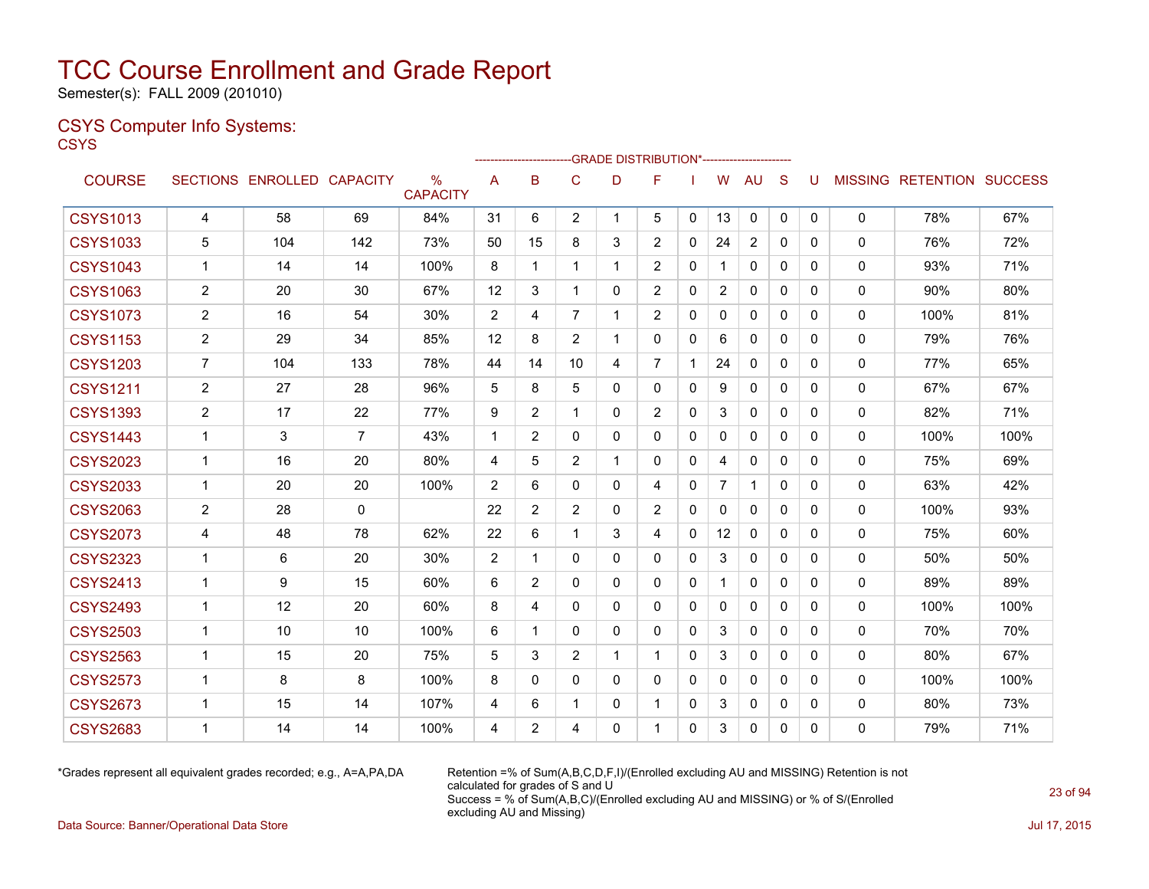Semester(s): FALL 2009 (201010)

### CSYS Computer Info Systems:

**CSYS** 

|                 |                |                   |                 |                                  |              |                |                | ------------------------GRADE                DISTRIBUTION*---------------------- |                |              |                |                |              |              |              |                                  |      |
|-----------------|----------------|-------------------|-----------------|----------------------------------|--------------|----------------|----------------|----------------------------------------------------------------------------------|----------------|--------------|----------------|----------------|--------------|--------------|--------------|----------------------------------|------|
| <b>COURSE</b>   |                | SECTIONS ENROLLED | <b>CAPACITY</b> | $\frac{0}{0}$<br><b>CAPACITY</b> | A            | B              | C              | D                                                                                | F              |              | W              | AU             | S            | U            |              | <b>MISSING RETENTION SUCCESS</b> |      |
| <b>CSYS1013</b> | 4              | 58                | 69              | 84%                              | 31           | 6              | $\overline{2}$ | $\mathbf{1}$                                                                     | 5              | $\mathbf{0}$ | 13             | $\mathbf 0$    | $\mathbf{0}$ | $\mathbf{0}$ | 0            | 78%                              | 67%  |
| <b>CSYS1033</b> | 5              | 104               | 142             | 73%                              | 50           | 15             | 8              | 3                                                                                | $\overline{2}$ | $\Omega$     | 24             | $\overline{2}$ | $\Omega$     | 0            | $\mathbf{0}$ | 76%                              | 72%  |
| <b>CSYS1043</b> | 1              | 14                | 14              | 100%                             | 8            | 1              | 1              |                                                                                  | $\overline{2}$ | 0            |                | 0              | $\mathbf{0}$ | 0            | 0            | 93%                              | 71%  |
| <b>CSYS1063</b> | 2              | 20                | 30              | 67%                              | 12           | 3              |                | 0                                                                                | $\overline{2}$ | $\mathbf{0}$ | $\overline{2}$ | $\mathbf{0}$   | $\mathbf{0}$ | 0            | 0            | 90%                              | 80%  |
| <b>CSYS1073</b> | $\overline{2}$ | 16                | 54              | 30%                              | 2            | 4              | $\overline{7}$ | $\mathbf 1$                                                                      | $\overline{2}$ | $\mathbf{0}$ | $\Omega$       | $\mathbf{0}$   | $\mathbf{0}$ | 0            | 0            | 100%                             | 81%  |
| <b>CSYS1153</b> | $\overline{2}$ | 29                | 34              | 85%                              | 12           | 8              | $\overline{2}$ | $\mathbf{1}$                                                                     | 0              | $\mathbf{0}$ | 6              | $\mathbf{0}$   | $\mathbf{0}$ | 0            | 0            | 79%                              | 76%  |
| <b>CSYS1203</b> | $\overline{7}$ | 104               | 133             | 78%                              | 44           | 14             | 10             | 4                                                                                | $\overline{7}$ |              | 24             | $\mathbf{0}$   | $\mathbf{0}$ | 0            | 0            | 77%                              | 65%  |
| <b>CSYS1211</b> | $\overline{c}$ | 27                | 28              | 96%                              | 5            | 8              | 5              | 0                                                                                | 0              | $\Omega$     | 9              | $\Omega$       | $\Omega$     | 0            | $\mathbf{0}$ | 67%                              | 67%  |
| <b>CSYS1393</b> | $\overline{2}$ | 17                | 22              | 77%                              | 9            | $\overline{2}$ | 1              | 0                                                                                | $\overline{2}$ | $\mathbf{0}$ | 3              | $\mathbf{0}$   | $\mathbf{0}$ | 0            | 0            | 82%                              | 71%  |
| <b>CSYS1443</b> | $\mathbf 1$    | 3                 | 7               | 43%                              | $\mathbf{1}$ | $\overline{2}$ | $\mathbf{0}$   | 0                                                                                | 0              | $\mathbf{0}$ | 0              | $\mathbf{0}$   | $\mathbf{0}$ | 0            | $\mathbf{0}$ | 100%                             | 100% |
| <b>CSYS2023</b> | 1              | 16                | 20              | 80%                              | 4            | 5              | $\overline{2}$ |                                                                                  | 0              | $\mathbf{0}$ | 4              | $\mathbf{0}$   | $\Omega$     | 0            | 0            | 75%                              | 69%  |
| <b>CSYS2033</b> | $\mathbf{1}$   | 20                | 20              | 100%                             | 2            | 6              | 0              | 0                                                                                | 4              | 0            | $\overline{7}$ | -1             | $\mathbf{0}$ | 0            | 0            | 63%                              | 42%  |
| <b>CSYS2063</b> | $\overline{c}$ | 28                | $\mathbf{0}$    |                                  | 22           | $\overline{2}$ | $\overline{2}$ | 0                                                                                | $\overline{2}$ | $\mathbf{0}$ | $\Omega$       | $\mathbf{0}$   | $\mathbf{0}$ | 0            | 0            | 100%                             | 93%  |
| <b>CSYS2073</b> | 4              | 48                | 78              | 62%                              | 22           | 6              | 1              | 3                                                                                | 4              | $\mathbf{0}$ | 12             | $\mathbf{0}$   | $\mathbf{0}$ | 0            | 0            | 75%                              | 60%  |
| <b>CSYS2323</b> | $\mathbf 1$    | 6                 | 20              | 30%                              | 2            | 1              | 0              | $\Omega$                                                                         | $\Omega$       | $\Omega$     | 3              | $\mathbf{0}$   | $\Omega$     | 0            | 0            | 50%                              | 50%  |
| <b>CSYS2413</b> | $\overline{1}$ | 9                 | 15              | 60%                              | 6            | $\overline{2}$ | 0              | 0                                                                                | 0              | $\mathbf{0}$ | $\mathbf{1}$   | $\mathbf{0}$   | $\mathbf{0}$ | 0            | 0            | 89%                              | 89%  |
| <b>CSYS2493</b> | $\mathbf{1}$   | 12                | 20              | 60%                              | 8            | 4              | 0              | 0                                                                                | 0              | $\Omega$     | $\Omega$       | $\mathbf{0}$   | $\Omega$     | 0            | 0            | 100%                             | 100% |
| <b>CSYS2503</b> | $\mathbf 1$    | 10                | 10              | 100%                             | 6            | 1              | $\mathbf{0}$   | $\mathbf{0}$                                                                     | 0              | $\mathbf{0}$ | 3              | $\mathbf{0}$   | $\Omega$     | 0            | 0            | 70%                              | 70%  |
| <b>CSYS2563</b> | $\mathbf 1$    | 15                | 20              | 75%                              | 5            | 3              | $\overline{2}$ | 1                                                                                | 1              | $\mathbf{0}$ | 3              | $\mathbf{0}$   | $\mathbf{0}$ | 0            | 0            | 80%                              | 67%  |
| <b>CSYS2573</b> | 1              | 8                 | 8               | 100%                             | 8            | 0              | 0              | $\Omega$                                                                         | 0              | $\mathbf{0}$ | $\mathbf{0}$   | $\Omega$       | $\Omega$     | 0            | $\mathbf{0}$ | 100%                             | 100% |
| <b>CSYS2673</b> | $\mathbf 1$    | 15                | 14              | 107%                             | 4            | 6              | 1              | 0                                                                                | 1              | $\mathbf{0}$ | 3              | 0              | 0            | 0            | 0            | 80%                              | 73%  |
| <b>CSYS2683</b> | 1              | 14                | 14              | 100%                             | 4            | $\overline{2}$ | 4              | 0                                                                                | 1              | $\Omega$     | 3              | $\Omega$       | 0            | 0            | 0            | 79%                              | 71%  |

\*Grades represent all equivalent grades recorded; e.g., A=A,PA,DA Retention =% of Sum(A,B,C,D,F,I)/(Enrolled excluding AU and MISSING) Retention is not calculated for grades of S and U Success = % of Sum(A,B,C)/(Enrolled excluding AU and MISSING) or % of S/(Enrolled excluding AU and Missing)

Data Source: Banner/Operational Data Store Jul 17, 2015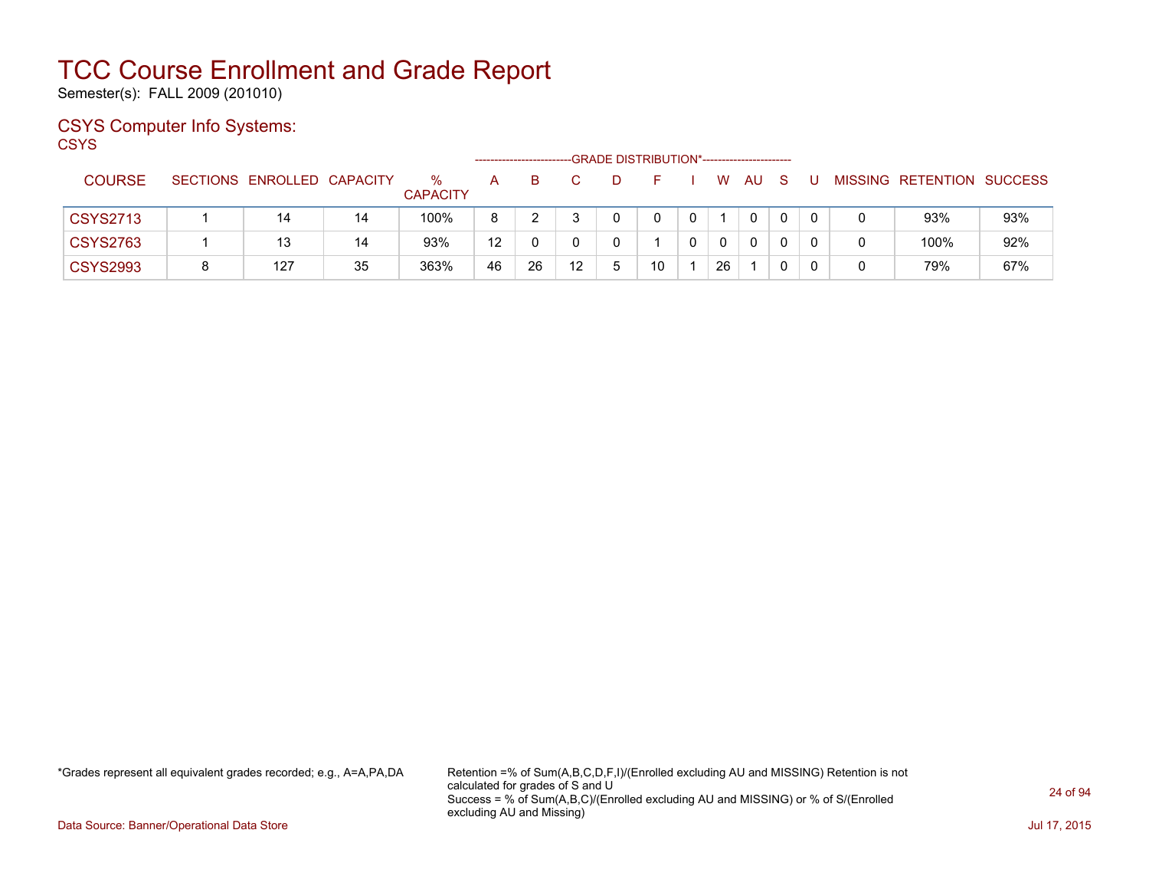Semester(s): FALL 2009 (201010)

### CSYS Computer Info Systems:

**CSYS** 

|                 |                            |    |                      |                   |    |    |    | -GRADE DISTRIBUTION*----------------------- |              |            |              |   |  |                   |                |
|-----------------|----------------------------|----|----------------------|-------------------|----|----|----|---------------------------------------------|--------------|------------|--------------|---|--|-------------------|----------------|
| <b>COURSE</b>   | SECTIONS ENROLLED CAPACITY |    | %<br><b>CAPACITY</b> | A                 | B. |    |    |                                             |              | W          | AU           | S |  | MISSING RETENTION | <b>SUCCESS</b> |
| <b>CSYS2713</b> | 14                         | 14 | 100%                 | 8                 |    |    |    | 0                                           | $\mathbf{0}$ |            | 0            |   |  | 93%               | 93%            |
| <b>CSYS2763</b> | 13                         | 14 | 93%                  | $12 \overline{ }$ |    |    |    |                                             |              | $^{\circ}$ | $\mathbf{0}$ |   |  | 100%              | 92%            |
| <b>CSYS2993</b> | 127                        | 35 | 363%                 | 46                | 26 | 12 | Б. | 10                                          |              | 26         |              |   |  | 79%               | 67%            |

\*Grades represent all equivalent grades recorded; e.g., A=A,PA,DA Retention =% of Sum(A,B,C,D,F,I)/(Enrolled excluding AU and MISSING) Retention is not calculated for grades of S and U Success = % of Sum(A,B,C)/(Enrolled excluding AU and MISSING) or % of S/(Enrolled excluding AU and Missing)

Data Source: Banner/Operational Data Store Jul 17, 2015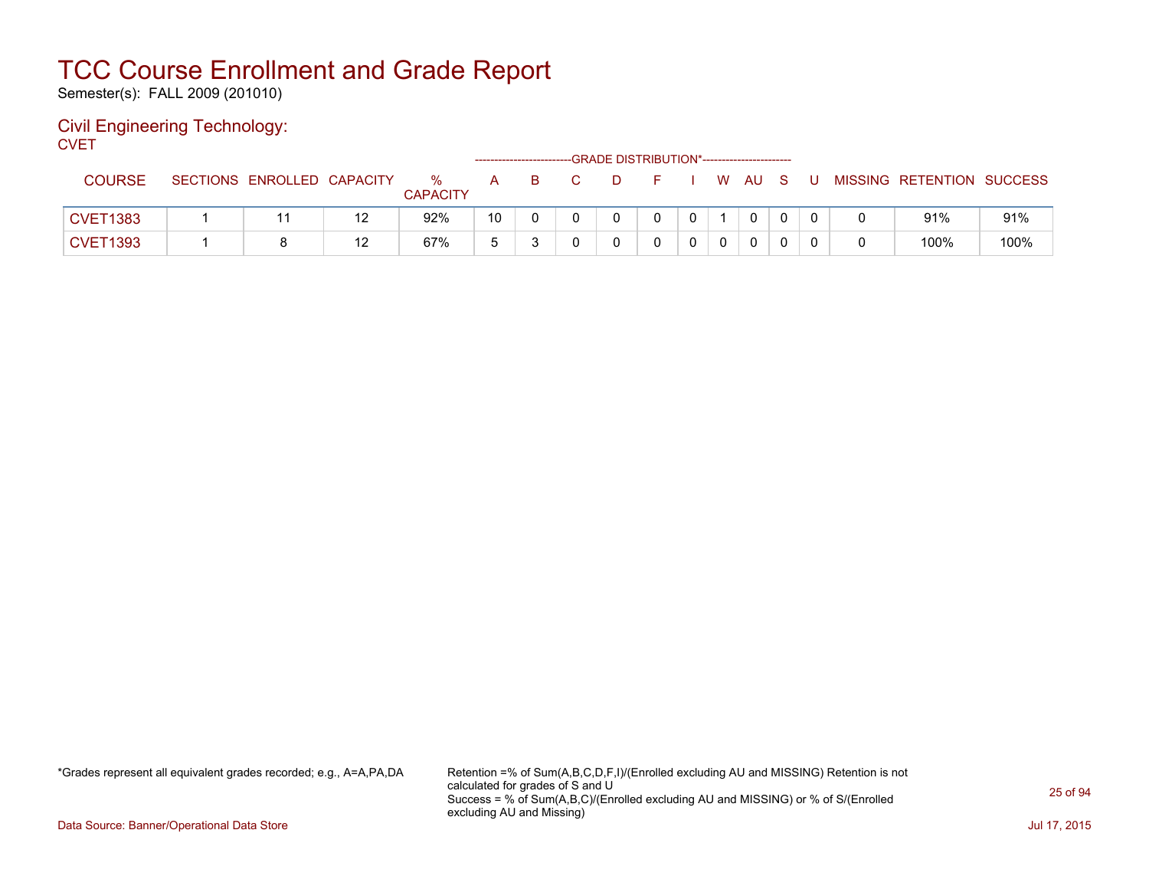Semester(s): FALL 2009 (201010)

#### Civil Engineering Technology: **CVET**

| - - - - -       |                            |    |                      |    |    |              |    | -GRADE DISTRIBUTION*----------------------- |  |      |          |  |                           |      |
|-----------------|----------------------------|----|----------------------|----|----|--------------|----|---------------------------------------------|--|------|----------|--|---------------------------|------|
| <b>COURSE</b>   | SECTIONS ENROLLED CAPACITY |    | %<br><b>CAPACITY</b> | A  | B. | $\mathbf{C}$ | D. |                                             |  | W AU |          |  | MISSING RETENTION SUCCESS |      |
| <b>CVET1383</b> |                            |    | 92%                  | 10 |    |              |    |                                             |  |      | $\Omega$ |  | 91%                       | 91%  |
| <b>CVET1393</b> |                            | 12 | 67%                  |    |    |              |    |                                             |  |      |          |  | 100%                      | 100% |

\*Grades represent all equivalent grades recorded; e.g., A=A,PA,DA Retention =% of Sum(A,B,C,D,F,I)/(Enrolled excluding AU and MISSING) Retention is not calculated for grades of S and U Success = % of Sum(A,B,C)/(Enrolled excluding AU and MISSING) or % of S/(Enrolled excluding AU and Missing)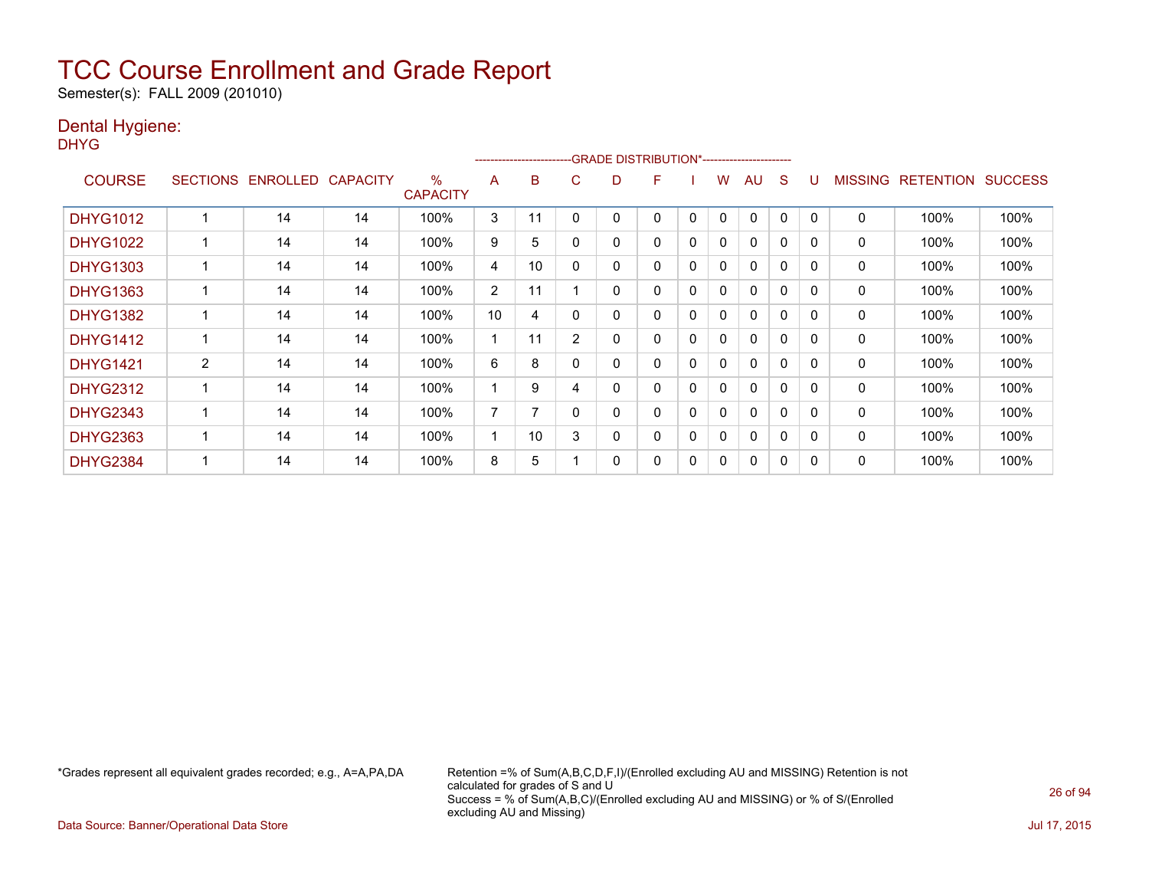Semester(s): FALL 2009 (201010)

### Dental Hygiene:

DHYG

|                 |                 |                 |                 |                      |                | --------------------- |                | -GRADE DISTRIBUTION*----------------------- |          |              |   |              |          |              |                |                  |                |
|-----------------|-----------------|-----------------|-----------------|----------------------|----------------|-----------------------|----------------|---------------------------------------------|----------|--------------|---|--------------|----------|--------------|----------------|------------------|----------------|
| <b>COURSE</b>   | <b>SECTIONS</b> | <b>ENROLLED</b> | <b>CAPACITY</b> | %<br><b>CAPACITY</b> | A              | B                     | С              | D                                           | F        |              | w | AU           | S        |              | <b>MISSING</b> | <b>RETENTION</b> | <b>SUCCESS</b> |
| <b>DHYG1012</b> |                 | 14              | 14              | 100%                 | 3              | 11                    |                | 0                                           | 0        | 0            | 0 | 0            | 0        | 0            | 0              | 100%             | 100%           |
| <b>DHYG1022</b> |                 | 14              | 14              | 100%                 | 9              | 5                     |                | 0                                           | $\Omega$ | 0            | 0 | $\Omega$     | $\Omega$ | 0            | 0              | 100%             | 100%           |
| <b>DHYG1303</b> |                 | 14              | 14              | 100%                 | 4              | 10                    | 0              | 0                                           | 0        | 0            | 0 | $\mathbf{0}$ | 0        | 0            | 0              | 100%             | 100%           |
| <b>DHYG1363</b> |                 | 14              | 14              | 100%                 | $\overline{2}$ | 11                    |                | 0                                           | 0        | 0            | 0 | $\mathbf{0}$ | 0        | $\mathbf{0}$ | 0              | 100%             | 100%           |
| <b>DHYG1382</b> |                 | 14              | 14              | 100%                 | 10             | 4                     | 0              | 0                                           | 0        | 0            | 0 | $\mathbf{0}$ | 0        | $\Omega$     | $\mathbf{0}$   | 100%             | 100%           |
| <b>DHYG1412</b> |                 | 14              | 14              | 100%                 |                | 11                    | $\overline{2}$ | 0                                           | 0        | 0            | 0 | $\Omega$     | $\Omega$ | 0            | $\mathbf 0$    | 100%             | 100%           |
| <b>DHYG1421</b> | 2               | 14              | 14              | 100%                 | 6              | 8                     |                | 0                                           | 0        | $\mathbf{0}$ | 0 | 0            | 0        | 0            | 0              | 100%             | 100%           |
| <b>DHYG2312</b> |                 | 14              | 14              | 100%                 |                | 9                     | 4              | 0                                           | 0        | 0            | 0 | $\mathbf{0}$ | 0        | 0            | 0              | 100%             | 100%           |
| <b>DHYG2343</b> |                 | 14              | 14              | 100%                 | 7              | 7                     |                | 0                                           | 0        | 0            | 0 | $\mathbf{0}$ | 0        | 0            | 0              | 100%             | 100%           |
| <b>DHYG2363</b> |                 | 14              | 14              | 100%                 |                | 10                    | 3              | 0                                           | 0        | 0            | 0 | $\mathbf{0}$ | $\Omega$ | 0            | 0              | 100%             | 100%           |
| <b>DHYG2384</b> |                 | 14              | 14              | 100%                 | 8              | 5                     |                | 0                                           | 0        | 0            | 0 | $\mathbf{0}$ | 0        | 0            | 0              | 100%             | 100%           |

\*Grades represent all equivalent grades recorded; e.g., A=A,PA,DA Retention =% of Sum(A,B,C,D,F,I)/(Enrolled excluding AU and MISSING) Retention is not calculated for grades of S and U Success = % of Sum(A,B,C)/(Enrolled excluding AU and MISSING) or % of S/(Enrolled excluding AU and Missing)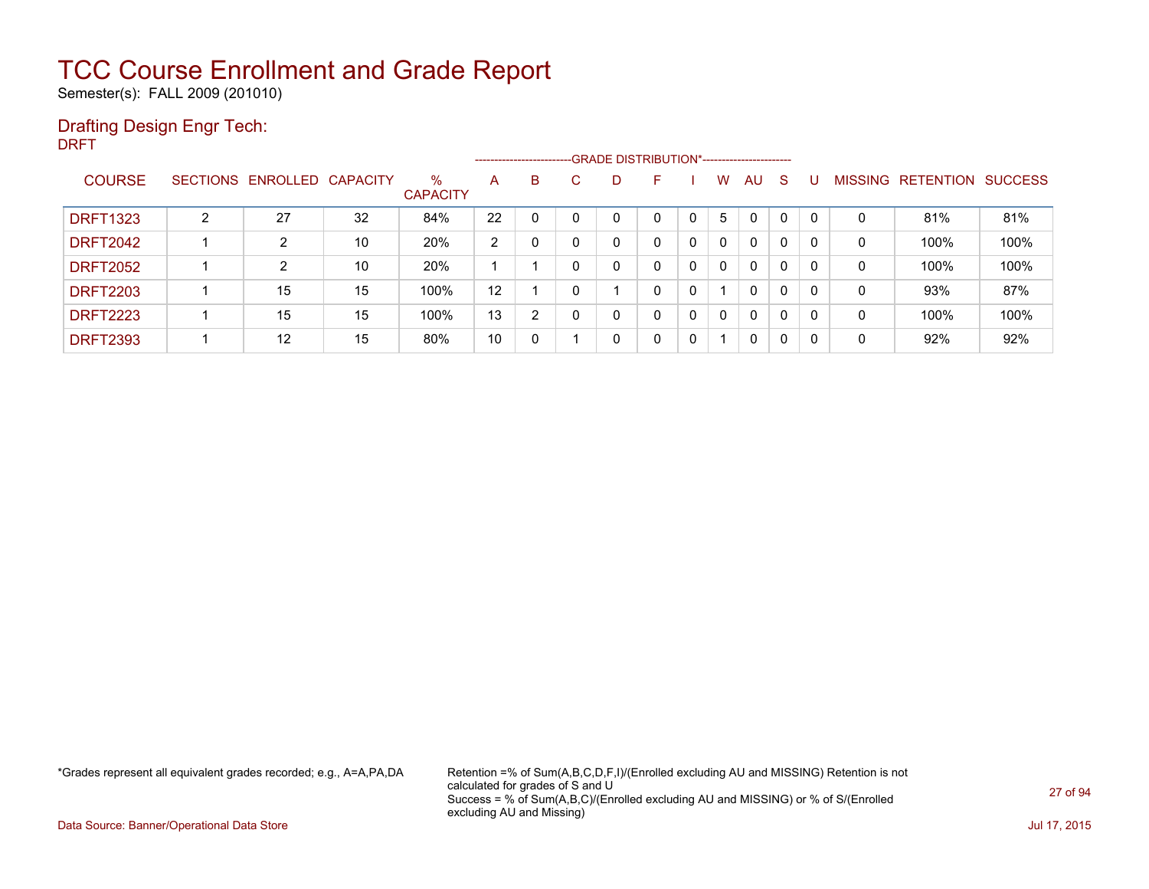Semester(s): FALL 2009 (201010)

### Drafting Design Engr Tech:

DRFT

|                 |   |                            |    |                         |                | ------------------------- |   |   | --GRADE DISTRIBUTION*----------------------- |              |              |              |              |              |                |                  |                |
|-----------------|---|----------------------------|----|-------------------------|----------------|---------------------------|---|---|----------------------------------------------|--------------|--------------|--------------|--------------|--------------|----------------|------------------|----------------|
| <b>COURSE</b>   |   | SECTIONS ENROLLED CAPACITY |    | $\%$<br><b>CAPACITY</b> | A              | B                         | С | D |                                              |              | W.           | AU.          | S.           |              | <b>MISSING</b> | <b>RETENTION</b> | <b>SUCCESS</b> |
| <b>DRFT1323</b> | C | 27                         | 32 | 84%                     | 22             |                           |   | 0 | $\Omega$                                     |              | 5            | $\mathbf{0}$ | $\Omega$     | $\mathbf{0}$ | 0              | 81%              | 81%            |
| <b>DRFT2042</b> |   | $\overline{2}$             | 10 | 20%                     | $\overline{2}$ |                           |   | 0 | 0                                            | $\Omega$     | 0            | 0            | $\Omega$     | 0            | 0              | 100%             | 100%           |
| <b>DRFT2052</b> |   | ົ                          | 10 | 20%                     |                |                           |   | 0 | 0                                            | $\mathbf{0}$ | $\mathbf{0}$ | $\mathbf{0}$ | $\mathbf{0}$ | 0            | 0              | 100%             | 100%           |
| <b>DRFT2203</b> |   | 15                         | 15 | 100%                    | 12             |                           |   |   | 0                                            | 0            |              | $\Omega$     | $\Omega$     | 0            | 0              | 93%              | 87%            |
| <b>DRFT2223</b> |   | 15                         | 15 | 100%                    | 13             | 2                         |   | 0 | 0                                            | 0            | 0            | $\Omega$     | $\mathbf{0}$ | 0            | 0              | 100%             | 100%           |
| <b>DRFT2393</b> |   | 12                         | 15 | 80%                     | 10             | 0                         |   | 0 | 0                                            | 0            |              | 0            | 0            | 0            | 0              | 92%              | 92%            |

\*Grades represent all equivalent grades recorded; e.g., A=A,PA,DA Retention =% of Sum(A,B,C,D,F,I)/(Enrolled excluding AU and MISSING) Retention is not calculated for grades of S and U Success = % of Sum(A,B,C)/(Enrolled excluding AU and MISSING) or % of S/(Enrolled excluding AU and Missing)

Data Source: Banner/Operational Data Store Jul 17, 2015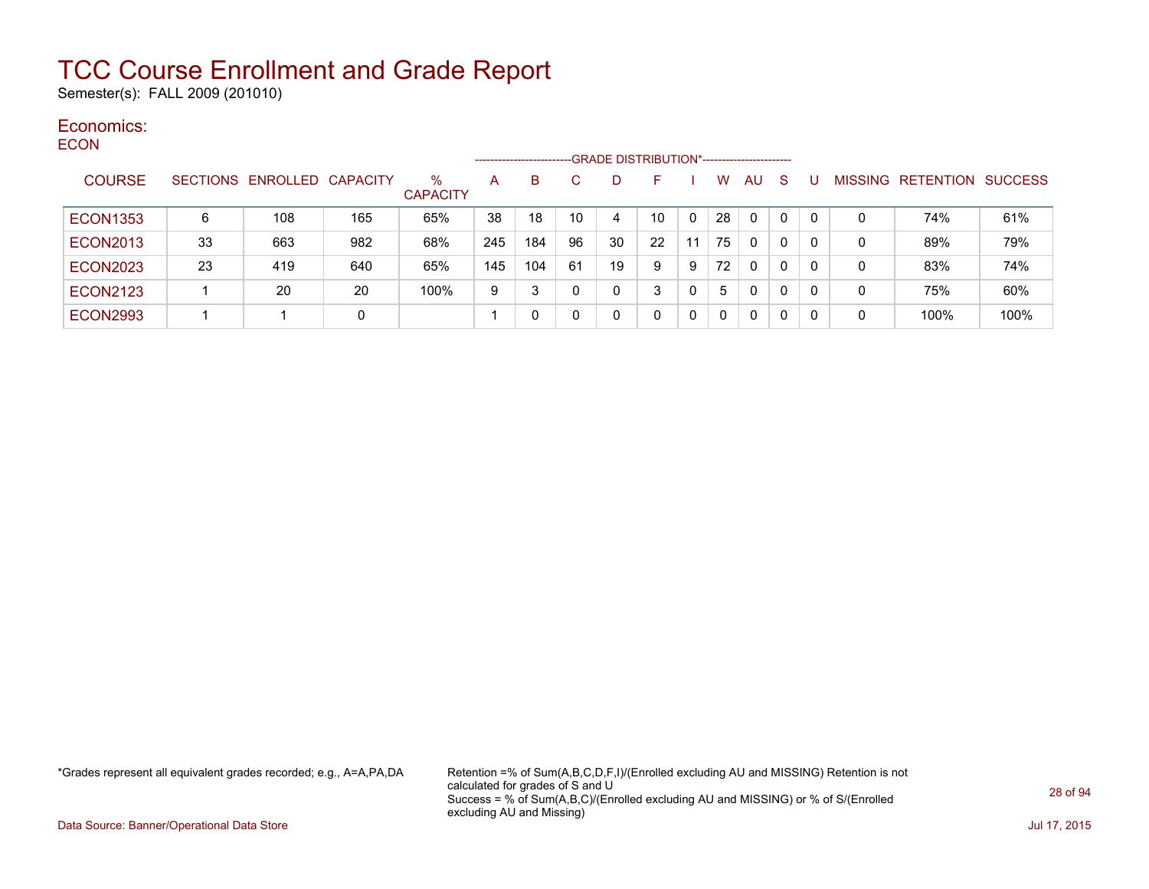Semester(s): FALL 2009 (201010)

#### Economics: **ECON**

| ----            |                 |                   |     |                         |     | ------------------------- |    |    | -GRADE DISTRIBUTION*----------------------- |    |          |    |              |         |                  |                |
|-----------------|-----------------|-------------------|-----|-------------------------|-----|---------------------------|----|----|---------------------------------------------|----|----------|----|--------------|---------|------------------|----------------|
| <b>COURSE</b>   | <b>SECTIONS</b> | ENROLLED CAPACITY |     | $\%$<br><b>CAPACITY</b> | A   | B                         | C  | D  |                                             |    | w        | AU | <sub>S</sub> | MISSING | <b>RETENTION</b> | <b>SUCCESS</b> |
| <b>ECON1353</b> | 6               | 108               | 165 | 65%                     | 38  | 18                        | 10 | 4  | 10                                          |    | 28       | 0  | 0            | 0       | 74%              | 61%            |
| <b>ECON2013</b> | 33              | 663               | 982 | 68%                     | 245 | 184                       | 96 | 30 | 22                                          | 11 | 75       | 0  | 0            | 0       | 89%              | 79%            |
| <b>ECON2023</b> | 23              | 419               | 640 | 65%                     | 145 | 104                       | 61 | 19 | 9                                           | 9  | 72       | 0  | 0            | 0       | 83%              | 74%            |
| <b>ECON2123</b> |                 | 20                | 20  | 100%                    | 9   | 3                         |    |    | 3                                           |    | 5        | 0  | 0            | 0       | 75%              | 60%            |
| <b>ECON2993</b> |                 |                   | 0   |                         |     |                           |    |    |                                             |    | $\Omega$ | 0  | 0            | 0       | 100%             | 100%           |

\*Grades represent all equivalent grades recorded; e.g., A=A,PA,DA Retention =% of Sum(A,B,C,D,F,I)/(Enrolled excluding AU and MISSING) Retention is not calculated for grades of S and U Success = % of Sum(A,B,C)/(Enrolled excluding AU and MISSING) or % of S/(Enrolled excluding AU and Missing)

Data Source: Banner/Operational Data Store Jul 17, 2015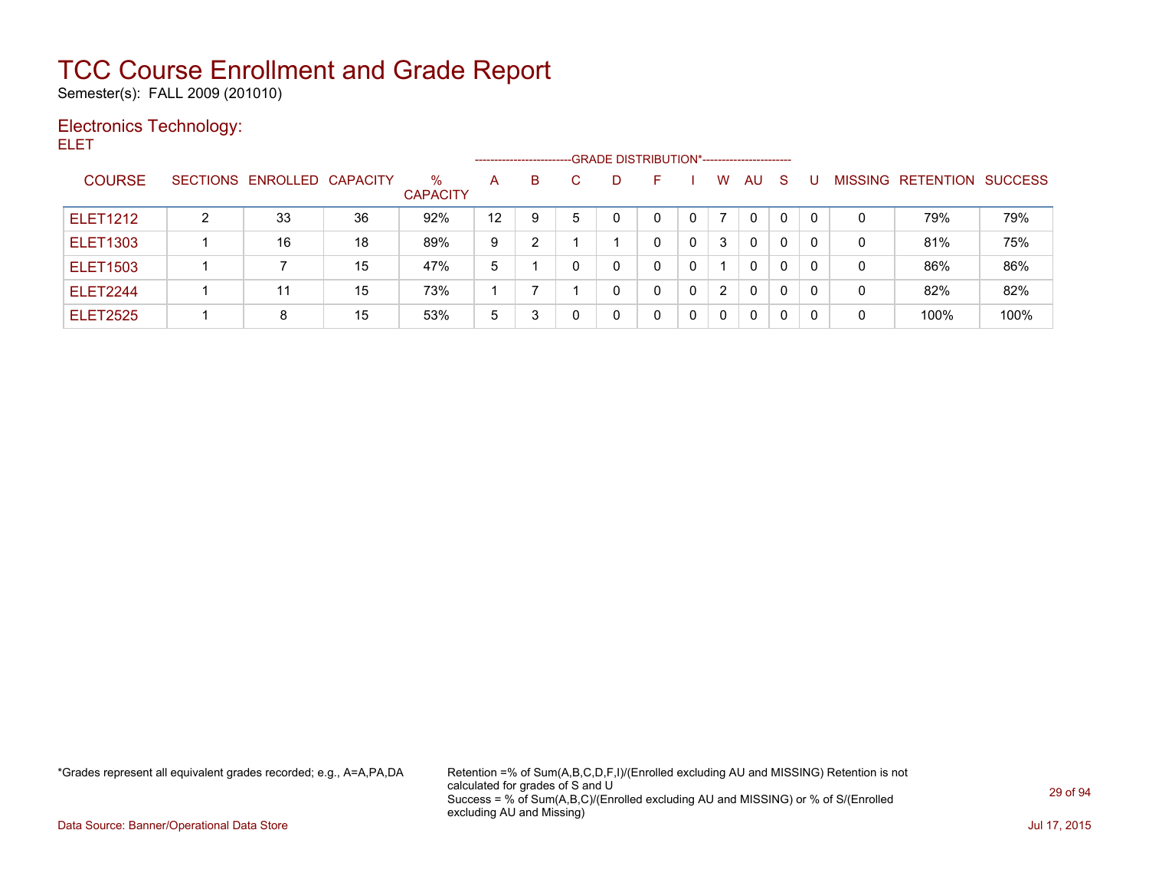Semester(s): FALL 2009 (201010)

### Electronics Technology: ELET

|                 |   |                            |    |                         | -------------------- |   |              | -GRADE DISTRIBUTION*----------------------- |    |   |   |    |          |   |         |           |                |
|-----------------|---|----------------------------|----|-------------------------|----------------------|---|--------------|---------------------------------------------|----|---|---|----|----------|---|---------|-----------|----------------|
| <b>COURSE</b>   |   | SECTIONS ENROLLED CAPACITY |    | $\%$<br><b>CAPACITY</b> | A                    | B |              | D.                                          | н. |   | W | AU | S        |   | MISSING | RETENTION | <b>SUCCESS</b> |
| <b>ELET1212</b> | 2 | 33                         | 36 | 92%                     | $12 \,$              | 9 | 5            |                                             | 0  | 0 |   | 0  | 0        | 0 | 0       | 79%       | 79%            |
| <b>ELET1303</b> |   | 16                         | 18 | 89%                     | 9                    | 2 |              |                                             | 0  | 0 | 3 | 0  | $\Omega$ | 0 | 0       | 81%       | 75%            |
| <b>ELET1503</b> |   |                            | 15 | 47%                     | 5                    |   | $\mathbf{0}$ |                                             | 0  | 0 |   | 0  | $\Omega$ |   | 0       | 86%       | 86%            |
| <b>ELET2244</b> |   | 11                         | 15 | 73%                     |                      |   |              |                                             | 0  | 0 | 2 | 0  | $\Omega$ | 0 | 0       | 82%       | 82%            |
| <b>ELET2525</b> |   | 8                          | 15 | 53%                     | 5                    | 3 |              |                                             | 0  | 0 | 0 | 0  | 0        |   | 0       | 100%      | 100%           |

\*Grades represent all equivalent grades recorded; e.g., A=A,PA,DA Retention =% of Sum(A,B,C,D,F,I)/(Enrolled excluding AU and MISSING) Retention is not calculated for grades of S and U Success = % of Sum(A,B,C)/(Enrolled excluding AU and MISSING) or % of S/(Enrolled excluding AU and Missing)

Data Source: Banner/Operational Data Store Jul 17, 2015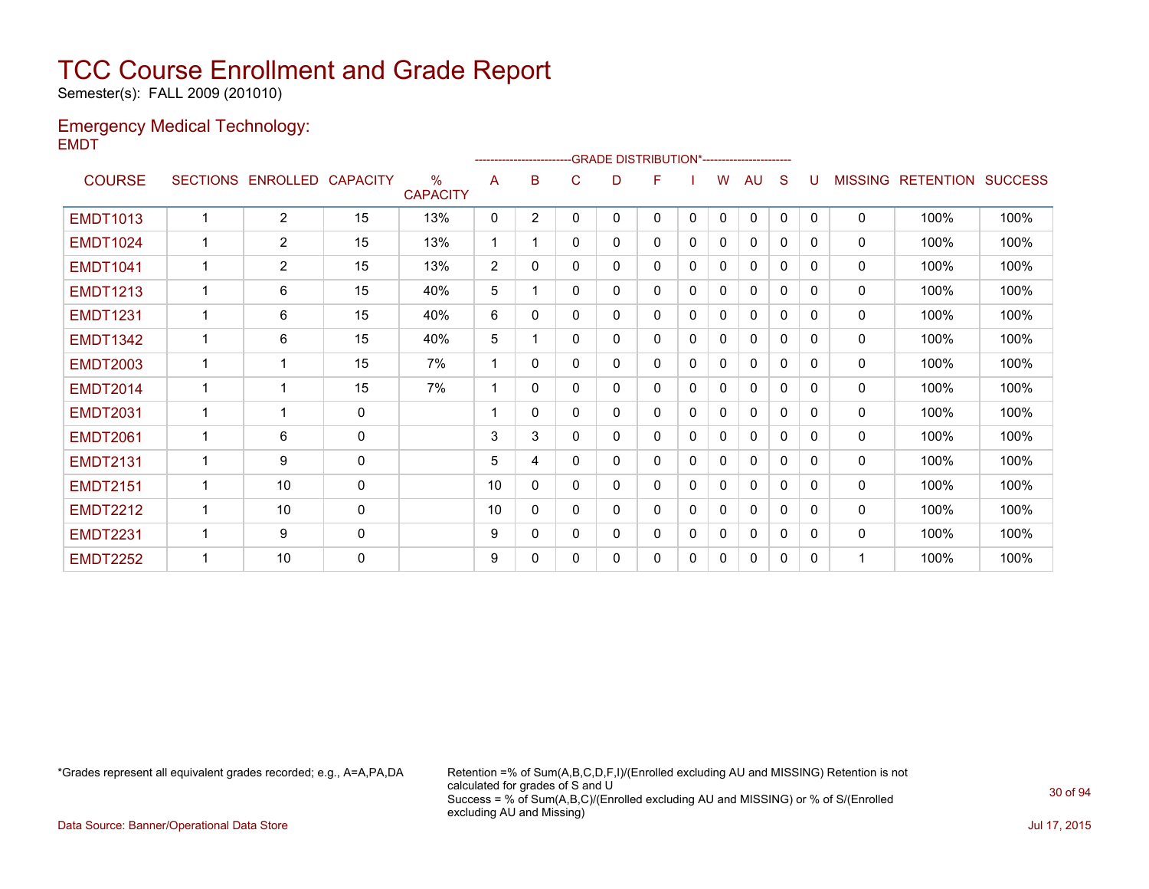Semester(s): FALL 2009 (201010)

### Emergency Medical Technology: EMDT

|                 |   |                            |              |                         |                         |                | ------------------------GRADE                DISTRIBUTION*---------------------- |   |   |              |              |              |              |          |                |                  |                |
|-----------------|---|----------------------------|--------------|-------------------------|-------------------------|----------------|----------------------------------------------------------------------------------|---|---|--------------|--------------|--------------|--------------|----------|----------------|------------------|----------------|
| <b>COURSE</b>   |   | SECTIONS ENROLLED CAPACITY |              | $\%$<br><b>CAPACITY</b> | A                       | B              | C                                                                                | D | F |              | w            | AU           | <sub>S</sub> |          | <b>MISSING</b> | <b>RETENTION</b> | <b>SUCCESS</b> |
| <b>EMDT1013</b> | 1 | $\overline{2}$             | 15           | 13%                     | 0                       | $\overline{2}$ | 0                                                                                | 0 | 0 | $\mathbf{0}$ | $\mathbf{0}$ | 0            | $\Omega$     | $\Omega$ | 0              | 100%             | 100%           |
| <b>EMDT1024</b> |   | $\overline{2}$             | 15           | 13%                     | -1                      |                | 0                                                                                | 0 | 0 | 0            | $\Omega$     | 0            | $\mathbf{0}$ | 0        | 0              | 100%             | 100%           |
| <b>EMDT1041</b> | 1 | $\overline{2}$             | 15           | 13%                     | 2                       | $\mathbf{0}$   | 0                                                                                | 0 | 0 | 0            | 0            | $\mathbf{0}$ | 0            | 0        | 0              | 100%             | 100%           |
| <b>EMDT1213</b> | 1 | 6                          | 15           | 40%                     | 5                       |                | $\Omega$                                                                         | 0 | 0 | $\Omega$     | 0            | $\mathbf{0}$ | $\Omega$     | 0        | 0              | 100%             | 100%           |
| <b>EMDT1231</b> | 1 | 6                          | 15           | 40%                     | 6                       | 0              | 0                                                                                | 0 | 0 | 0            | 0            | 0            | 0            | 0        | 0              | 100%             | 100%           |
| <b>EMDT1342</b> | 1 | 6                          | 15           | 40%                     | 5                       |                | 0                                                                                | 0 | 0 | 0            | $\Omega$     | $\mathbf{0}$ | $\Omega$     | 0        | $\mathbf{0}$   | 100%             | 100%           |
| <b>EMDT2003</b> |   | 1                          | 15           | 7%                      | $\overline{\mathbf{1}}$ | $\Omega$       | $\Omega$                                                                         | 0 | 0 | 0            | 0            | $\mathbf{0}$ | $\Omega$     | 0        | 0              | 100%             | 100%           |
| <b>EMDT2014</b> | 1 | $\overline{1}$             | 15           | 7%                      | 1                       | 0              | 0                                                                                | 0 | 0 | 0            | $\Omega$     | 0            | 0            | 0        | 0              | 100%             | 100%           |
| <b>EMDT2031</b> | 1 | 1                          | $\mathbf 0$  |                         |                         | $\Omega$       | 0                                                                                | 0 | 0 | $\Omega$     | $\Omega$     | $\mathbf{0}$ | $\Omega$     | 0        | 0              | 100%             | 100%           |
| <b>EMDT2061</b> |   | 6                          | 0            |                         | 3                       | 3              | 0                                                                                | 0 | 0 | 0            | 0            | $\mathbf{0}$ | 0            | 0        | 0              | 100%             | 100%           |
| <b>EMDT2131</b> | 1 | 9                          | $\mathbf{0}$ |                         | 5                       | 4              | 0                                                                                | 0 | 0 | 0            | 0            | 0            | $\Omega$     | 0        | 0              | 100%             | 100%           |
| <b>EMDT2151</b> | 1 | 10                         | 0            |                         | 10                      | $\mathbf{0}$   | 0                                                                                | 0 | 0 | $\Omega$     | $\Omega$     | 0            | $\Omega$     | 0        | 0              | 100%             | 100%           |
| <b>EMDT2212</b> | 1 | 10                         | 0            |                         | 10                      | 0              | 0                                                                                | 0 | 0 | 0            | $\Omega$     | $\mathbf{0}$ | $\Omega$     | 0        | 0              | 100%             | 100%           |
| <b>EMDT2231</b> | 1 | 9                          | $\mathbf 0$  |                         | 9                       | $\mathbf{0}$   | 0                                                                                | 0 | 0 | 0            | 0            | 0            | 0            | 0        | 0              | 100%             | 100%           |
| <b>EMDT2252</b> | 1 | 10                         | 0            |                         | 9                       | 0              | 0                                                                                | 0 | 0 | 0            | 0            | 0            | 0            | $\Omega$ |                | 100%             | 100%           |
|                 |   |                            |              |                         |                         |                |                                                                                  |   |   |              |              |              |              |          |                |                  |                |

\*Grades represent all equivalent grades recorded; e.g., A=A,PA,DA Retention =% of Sum(A,B,C,D,F,I)/(Enrolled excluding AU and MISSING) Retention is not calculated for grades of S and U Success = % of Sum(A,B,C)/(Enrolled excluding AU and MISSING) or % of S/(Enrolled excluding AU and Missing)

Data Source: Banner/Operational Data Store Jul 17, 2015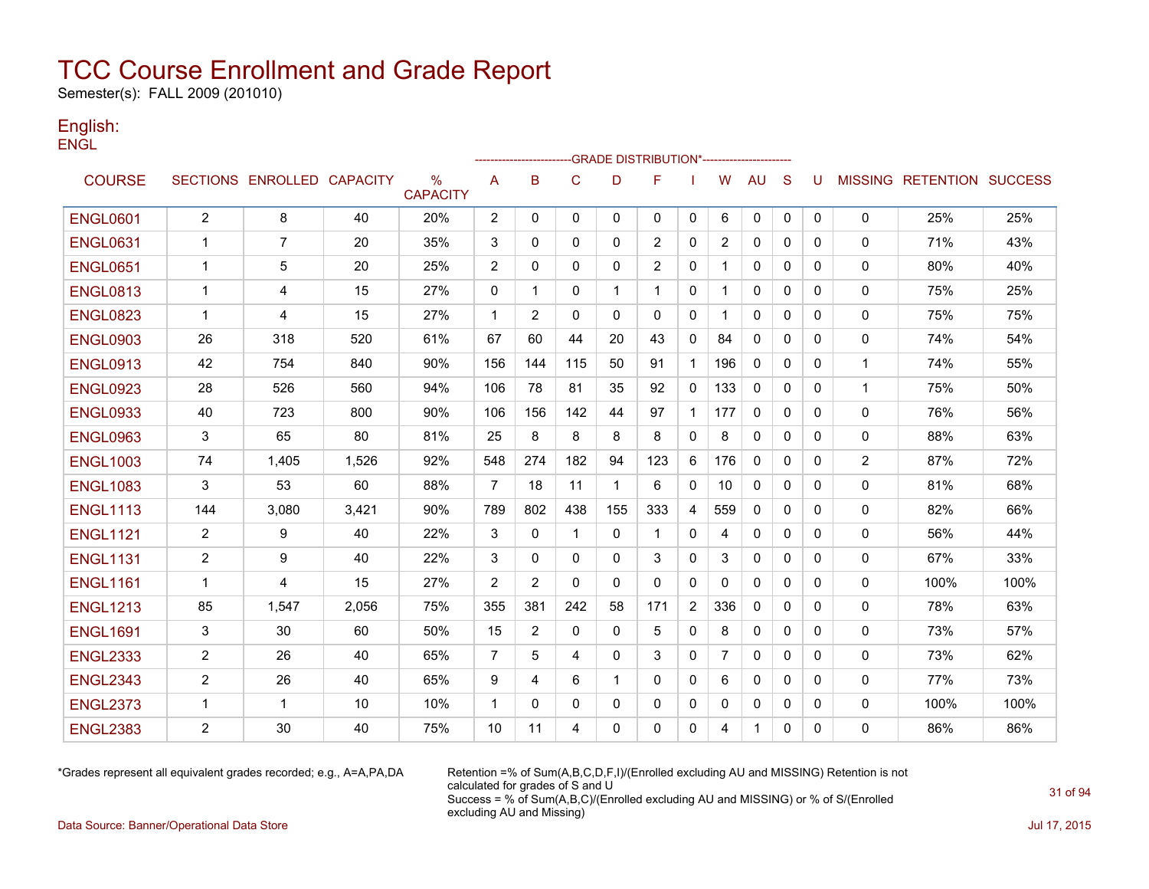Semester(s): FALL 2009 (201010)

### English: **ENGL**

|                 |                |                            |       |                      |                |                |              |              | -------------------GRADE                        DISTRIBUTION*--------------------- |                |                |              |              |              |                |                                  |      |
|-----------------|----------------|----------------------------|-------|----------------------|----------------|----------------|--------------|--------------|------------------------------------------------------------------------------------|----------------|----------------|--------------|--------------|--------------|----------------|----------------------------------|------|
| <b>COURSE</b>   |                | SECTIONS ENROLLED CAPACITY |       | %<br><b>CAPACITY</b> | A              | B              | $\mathsf{C}$ | D            | F                                                                                  |                | W              | <b>AU</b>    | S            | U            |                | <b>MISSING RETENTION SUCCESS</b> |      |
| <b>ENGL0601</b> | $\overline{2}$ | 8                          | 40    | 20%                  | $\overline{2}$ | 0              | 0            | $\mathbf{0}$ | $\mathbf{0}$                                                                       | 0              | 6              | 0            | $\mathbf 0$  | $\mathbf{0}$ | $\mathbf 0$    | 25%                              | 25%  |
| <b>ENGL0631</b> | -1             | 7                          | 20    | 35%                  | 3              | 0              | 0            | 0            | 2                                                                                  | 0              | 2              | 0            | 0            | 0            | 0              | 71%                              | 43%  |
| <b>ENGL0651</b> | $\mathbf 1$    | 5                          | 20    | 25%                  | $\overline{2}$ | 0              | 0            | $\mathbf{0}$ | 2                                                                                  | 0              | 1              | 0            | $\mathbf{0}$ | 0            | 0              | 80%                              | 40%  |
| <b>ENGL0813</b> | -1             | 4                          | 15    | 27%                  | 0              | 1              | $\mathbf{0}$ | 1            | -1                                                                                 | $\mathbf{0}$   |                | $\mathbf{0}$ | $\Omega$     | 0            | 0              | 75%                              | 25%  |
| <b>ENGL0823</b> | -1             | 4                          | 15    | 27%                  | $\mathbf{1}$   | 2              | $\mathbf{0}$ | $\mathbf{0}$ | $\mathbf{0}$                                                                       | $\mathbf{0}$   | 1              | $\mathbf{0}$ | 0            | 0            | 0              | 75%                              | 75%  |
| <b>ENGL0903</b> | 26             | 318                        | 520   | 61%                  | 67             | 60             | 44           | 20           | 43                                                                                 | 0              | 84             | 0            | $\mathbf{0}$ | 0            | 0              | 74%                              | 54%  |
| <b>ENGL0913</b> | 42             | 754                        | 840   | 90%                  | 156            | 144            | 115          | 50           | 91                                                                                 | $\mathbf{1}$   | 196            | 0            | $\mathbf{0}$ | 0            | $\mathbf{1}$   | 74%                              | 55%  |
| <b>ENGL0923</b> | 28             | 526                        | 560   | 94%                  | 106            | 78             | 81           | 35           | 92                                                                                 | 0              | 133            | 0            | $\mathbf{0}$ | $\Omega$     | 1              | 75%                              | 50%  |
| <b>ENGL0933</b> | 40             | 723                        | 800   | 90%                  | 106            | 156            | 142          | 44           | 97                                                                                 | $\mathbf{1}$   | 177            | $\Omega$     | $\Omega$     | 0            | $\mathbf{0}$   | 76%                              | 56%  |
| <b>ENGL0963</b> | 3              | 65                         | 80    | 81%                  | 25             | 8              | 8            | 8            | 8                                                                                  | $\mathbf{0}$   | 8              | $\mathbf{0}$ | $\Omega$     | 0            | 0              | 88%                              | 63%  |
| <b>ENGL1003</b> | 74             | 1,405                      | 1,526 | 92%                  | 548            | 274            | 182          | 94           | 123                                                                                | 6              | 176            | 0            | $\Omega$     | 0            | $\overline{2}$ | 87%                              | 72%  |
| <b>ENGL1083</b> | 3              | 53                         | 60    | 88%                  | $\overline{7}$ | 18             | 11           | 1            | 6                                                                                  | 0              | 10             | 0            | $\mathbf{0}$ | 0            | 0              | 81%                              | 68%  |
| <b>ENGL1113</b> | 144            | 3.080                      | 3,421 | 90%                  | 789            | 802            | 438          | 155          | 333                                                                                | 4              | 559            | 0            | 0            | 0            | 0              | 82%                              | 66%  |
| <b>ENGL1121</b> | $\overline{2}$ | 9                          | 40    | 22%                  | 3              | $\mathbf{0}$   | $\mathbf 1$  | $\mathbf{0}$ | -1                                                                                 | 0              | 4              | 0            | $\mathbf{0}$ | 0            | 0              | 56%                              | 44%  |
| <b>ENGL1131</b> | 2              | 9                          | 40    | 22%                  | 3              | $\mathbf{0}$   | $\Omega$     | $\Omega$     | 3                                                                                  | $\mathbf{0}$   | 3              | $\mathbf{0}$ | $\Omega$     | $\mathbf{0}$ | 0              | 67%                              | 33%  |
| <b>ENGL1161</b> | $\mathbf{1}$   | 4                          | 15    | 27%                  | $\overline{2}$ | $\overline{2}$ | $\Omega$     | $\mathbf{0}$ | $\mathbf{0}$                                                                       | 0              | $\mathbf{0}$   | 0            | $\mathbf{0}$ | 0            | $\mathbf 0$    | 100%                             | 100% |
| <b>ENGL1213</b> | 85             | 1,547                      | 2,056 | 75%                  | 355            | 381            | 242          | 58           | 171                                                                                | $\overline{2}$ | 336            | $\Omega$     | $\Omega$     | 0            | 0              | 78%                              | 63%  |
| <b>ENGL1691</b> | 3              | 30                         | 60    | 50%                  | 15             | 2              | 0            | 0            | 5                                                                                  | 0              | 8              | $\mathbf{0}$ | $\mathbf{0}$ | 0            | 0              | 73%                              | 57%  |
| <b>ENGL2333</b> | $\overline{2}$ | 26                         | 40    | 65%                  | $\overline{7}$ | 5              | 4            | $\Omega$     | 3                                                                                  | $\mathbf{0}$   | $\overline{7}$ | $\Omega$     | $\Omega$     | 0            | $\mathbf{0}$   | 73%                              | 62%  |
| <b>ENGL2343</b> | $\overline{2}$ | 26                         | 40    | 65%                  | 9              | 4              | 6            | 1            | $\mathbf{0}$                                                                       | $\mathbf{0}$   | 6              | $\mathbf{0}$ | $\Omega$     | $\Omega$     | 0              | 77%                              | 73%  |
| <b>ENGL2373</b> | -1             | 1                          | 10    | 10%                  | $\mathbf{1}$   | 0              | 0            | 0            | 0                                                                                  | 0              | 0              | 0            | 0            | 0            | 0              | 100%                             | 100% |
| <b>ENGL2383</b> | $\overline{c}$ | 30                         | 40    | 75%                  | 10             | 11             | 4            | $\Omega$     | $\mathbf{0}$                                                                       | 0              | 4              | 1            | $\mathbf{0}$ | 0            | 0              | 86%                              | 86%  |

\*Grades represent all equivalent grades recorded; e.g., A=A,PA,DA Retention =% of Sum(A,B,C,D,F,I)/(Enrolled excluding AU and MISSING) Retention is not calculated for grades of S and U Success = % of Sum(A,B,C)/(Enrolled excluding AU and MISSING) or % of S/(Enrolled excluding AU and Missing)

Data Source: Banner/Operational Data Store Jul 17, 2015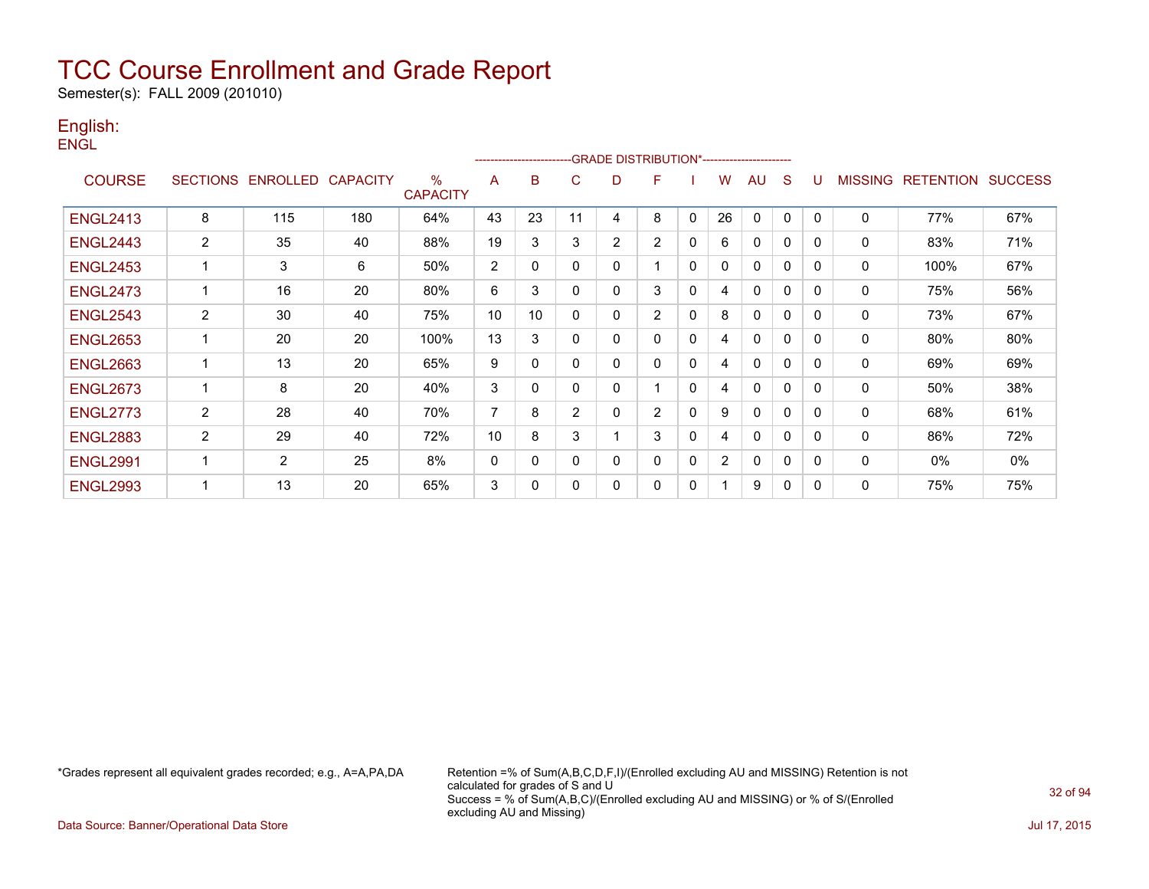Semester(s): FALL 2009 (201010)

### English: **ENGL**

|                 |                       |                            |     |                      |    | ---------------------- |                | -GRADE DISTRIBUTION*----------------------- |              |              |                |              |              |              |              |                  |                |
|-----------------|-----------------------|----------------------------|-----|----------------------|----|------------------------|----------------|---------------------------------------------|--------------|--------------|----------------|--------------|--------------|--------------|--------------|------------------|----------------|
| <b>COURSE</b>   |                       | SECTIONS ENROLLED CAPACITY |     | %<br><b>CAPACITY</b> | A  | B                      | C              | D                                           | F            |              | W              | AU           | S            | υ            | MISSING      | <b>RETENTION</b> | <b>SUCCESS</b> |
| <b>ENGL2413</b> | 8                     | 115                        | 180 | 64%                  | 43 | 23                     | 11             | 4                                           | 8            | $\mathbf 0$  | 26             | $\mathbf 0$  | 0            | $\mathbf{0}$ | 0            | 77%              | 67%            |
| <b>ENGL2443</b> | $\mathbf{2}^{\prime}$ | 35                         | 40  | 88%                  | 19 | 3                      | 3              | 2                                           | 2            | 0            | 6              | 0            | $\mathbf{0}$ | 0            | 0            | 83%              | 71%            |
| <b>ENGL2453</b> |                       | 3                          | 6   | 50%                  | 2  | 0                      | $\mathbf 0$    | 0                                           |              | 0            | 0              | 0            | 0            | $\Omega$     | 0            | 100%             | 67%            |
| <b>ENGL2473</b> | 1                     | 16                         | 20  | 80%                  | 6  | 3                      | $\mathbf 0$    | $\mathbf 0$                                 | 3            | $\mathbf{0}$ | 4              | $\mathbf{0}$ | $\mathbf{0}$ | $\Omega$     | 0            | 75%              | 56%            |
| <b>ENGL2543</b> | $\overline{2}$        | 30                         | 40  | 75%                  | 10 | 10 <sup>°</sup>        | $\mathbf 0$    | $\mathbf 0$                                 | 2            | $\mathbf{0}$ | 8              | $\mathbf 0$  | $\mathbf{0}$ | 0            | $\mathbf{0}$ | 73%              | 67%            |
| <b>ENGL2653</b> | 1                     | 20                         | 20  | 100%                 | 13 | 3                      | $\Omega$       | $\mathbf 0$                                 | $\mathbf{0}$ | $\mathbf{0}$ | 4              | $\mathbf{0}$ | $\mathbf{0}$ | $\Omega$     | 0            | 80%              | 80%            |
| <b>ENGL2663</b> | 1                     | 13                         | 20  | 65%                  | 9  | $\mathbf{0}$           | $\mathbf 0$    | $\mathbf 0$                                 | $\mathbf{0}$ | $\mathbf{0}$ | 4              | $\mathbf{0}$ | $\mathbf{0}$ | $\Omega$     | $\mathbf 0$  | 69%              | 69%            |
| <b>ENGL2673</b> | ٠                     | 8                          | 20  | 40%                  | 3  | 0                      | 0              | 0                                           |              | $\mathbf{0}$ | 4              | $\mathbf{0}$ | $\mathbf{0}$ | 0            | 0            | 50%              | 38%            |
| <b>ENGL2773</b> | $\overline{2}$        | 28                         | 40  | 70%                  | 7  | 8                      | $\overline{2}$ | 0                                           | 2            | $\mathbf{0}$ | 9              | $\mathbf{0}$ | $\mathbf{0}$ | $\Omega$     | $\mathbf{0}$ | 68%              | 61%            |
| <b>ENGL2883</b> | $\overline{2}$        | 29                         | 40  | 72%                  | 10 | 8                      | 3              |                                             | 3            | 0            | 4              | 0            | 0            | 0            | 0            | 86%              | 72%            |
| <b>ENGL2991</b> |                       | 2                          | 25  | 8%                   | 0  | 0                      | 0              | 0                                           | 0            | $\mathbf{0}$ | $\overline{2}$ | $\mathbf{0}$ | $\mathbf{0}$ | $\Omega$     | 0            | $0\%$            | $0\%$          |
| <b>ENGL2993</b> | ٠                     | 13                         | 20  | 65%                  | 3  | 0                      | 0              | 0                                           | $\mathbf{0}$ | $\mathbf{0}$ |                | 9            | $\mathbf{0}$ | $\Omega$     | 0            | 75%              | 75%            |

\*Grades represent all equivalent grades recorded; e.g., A=A,PA,DA Retention =% of Sum(A,B,C,D,F,I)/(Enrolled excluding AU and MISSING) Retention is not calculated for grades of S and U Success = % of Sum(A,B,C)/(Enrolled excluding AU and MISSING) or % of S/(Enrolled excluding AU and Missing)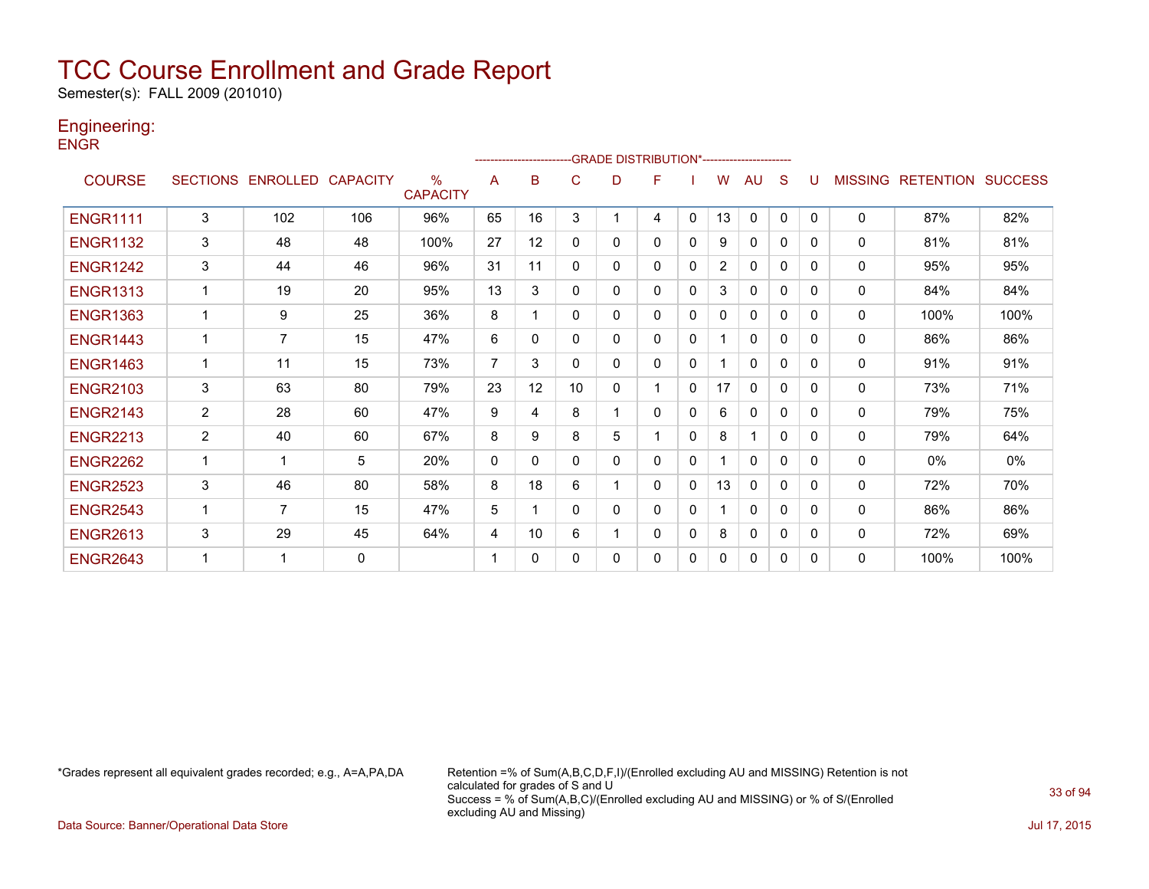Semester(s): FALL 2009 (201010)

### Engineering:

**ENGR** 

|                 |                 |                   |     |                      |                | ---------------------- |              |              | -GRADE DISTRIBUTION*----------------------- |              |                |              |              |          |                |                  |                |
|-----------------|-----------------|-------------------|-----|----------------------|----------------|------------------------|--------------|--------------|---------------------------------------------|--------------|----------------|--------------|--------------|----------|----------------|------------------|----------------|
| <b>COURSE</b>   | <b>SECTIONS</b> | ENROLLED CAPACITY |     | %<br><b>CAPACITY</b> | A              | B                      | C            | D            | F                                           |              | W              | AU           | S            |          | <b>MISSING</b> | <b>RETENTION</b> | <b>SUCCESS</b> |
| <b>ENGR1111</b> | 3               | 102               | 106 | 96%                  | 65             | 16                     | 3            |              | 4                                           | $\mathbf{0}$ | 13             | $\mathbf{0}$ | $\mathbf{0}$ | $\Omega$ | $\Omega$       | 87%              | 82%            |
| <b>ENGR1132</b> | 3               | 48                | 48  | 100%                 | 27             | 12                     | $\Omega$     | 0            | 0                                           | $\mathbf 0$  | 9              | $\mathbf{0}$ | 0            | $\Omega$ | 0              | 81%              | 81%            |
| <b>ENGR1242</b> | 3               | 44                | 46  | 96%                  | 31             | 11                     | $\mathbf{0}$ | 0            | 0                                           | 0            | $\overline{2}$ | 0            | 0            | 0        | 0              | 95%              | 95%            |
| <b>ENGR1313</b> | $\mathbf{1}$    | 19                | 20  | 95%                  | 13             | 3                      | $\Omega$     | 0            | 0                                           | $\Omega$     | 3              | $\Omega$     | $\Omega$     | 0        | $\mathbf{0}$   | 84%              | 84%            |
| <b>ENGR1363</b> |                 | 9                 | 25  | 36%                  | 8              |                        | $\mathbf{0}$ | 0            | 0                                           | 0            | 0              | $\mathbf{0}$ | $\Omega$     | $\Omega$ | 0              | 100%             | 100%           |
| <b>ENGR1443</b> | 1               | $\overline{7}$    | 15  | 47%                  | 6              | 0                      | $\mathbf{0}$ | 0            | 0                                           | $\mathbf{0}$ |                | 0            | 0            | $\Omega$ | 0              | 86%              | 86%            |
| <b>ENGR1463</b> | $\mathbf 1$     | 11                | 15  | 73%                  | $\overline{7}$ | 3                      | $\Omega$     | 0            | 0                                           | $\mathbf 0$  |                | $\mathbf{0}$ | $\Omega$     | 0        | 0              | 91%              | 91%            |
| <b>ENGR2103</b> | 3               | 63                | 80  | 79%                  | 23             | 12                     | 10           | 0            |                                             | 0            | 17             | $\mathbf{0}$ | 0            | $\Omega$ | 0              | 73%              | 71%            |
| <b>ENGR2143</b> | $\overline{2}$  | 28                | 60  | 47%                  | 9              | 4                      | 8            |              | 0                                           | $\mathbf 0$  | 6              | 0            | 0            | 0        | 0              | 79%              | 75%            |
| <b>ENGR2213</b> | $\overline{2}$  | 40                | 60  | 67%                  | 8              | 9                      | 8            | 5            |                                             | $\Omega$     | 8              | 1            | $\Omega$     | 0        | $\mathbf{0}$   | 79%              | 64%            |
| <b>ENGR2262</b> |                 | 1                 | 5   | 20%                  | 0              | $\Omega$               | $\mathbf{0}$ | $\mathbf{0}$ | 0                                           | $\mathbf 0$  |                | $\mathbf{0}$ | 0            | $\Omega$ | 0              | $0\%$            | 0%             |
| <b>ENGR2523</b> | 3               | 46                | 80  | 58%                  | 8              | 18                     | 6            |              | 0                                           | 0            | 13             | 0            | 0            | $\Omega$ | 0              | 72%              | 70%            |
| <b>ENGR2543</b> | $\mathbf 1$     | $\overline{7}$    | 15  | 47%                  | 5              |                        | $\Omega$     | 0            | 0                                           | 0            |                | $\mathbf{0}$ | $\Omega$     | $\Omega$ | 0              | 86%              | 86%            |
| <b>ENGR2613</b> | 3               | 29                | 45  | 64%                  | 4              | 10                     | 6            |              | 0                                           | 0            | 8              | $\Omega$     | 0            | $\Omega$ | 0              | 72%              | 69%            |
| <b>ENGR2643</b> |                 | 1                 | 0   |                      |                | 0                      | $\Omega$     | 0            | 0                                           | 0            | 0              | 0            | 0            | 0        | 0              | 100%             | 100%           |

\*Grades represent all equivalent grades recorded; e.g., A=A,PA,DA Retention =% of Sum(A,B,C,D,F,I)/(Enrolled excluding AU and MISSING) Retention is not calculated for grades of S and U Success = % of Sum(A,B,C)/(Enrolled excluding AU and MISSING) or % of S/(Enrolled excluding AU and Missing)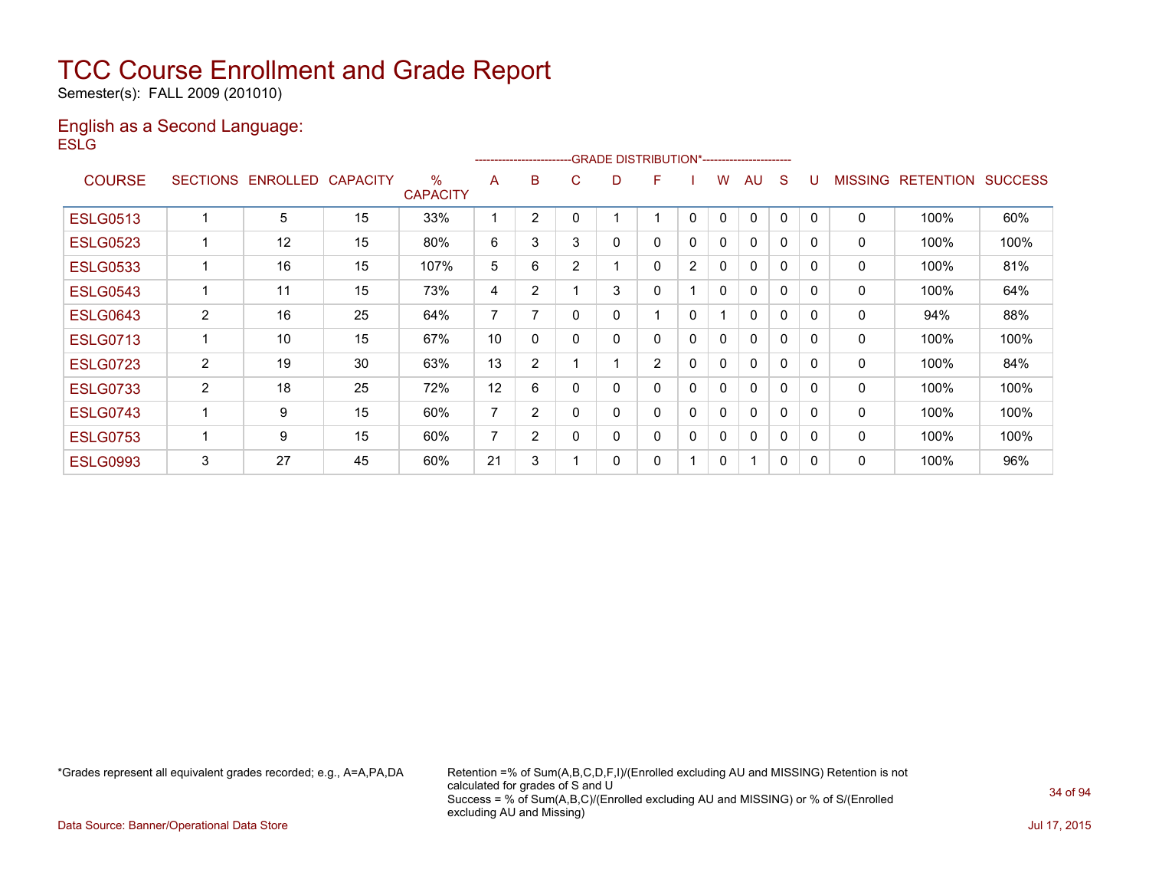Semester(s): FALL 2009 (201010)

#### English as a Second Language: **ESLG**

|                 |                 |                   |    |                         | ------------------------ |                |                |   | -GRADE DISTRIBUTION*----------------------- |              |              |              |   |          |                |                  |                |
|-----------------|-----------------|-------------------|----|-------------------------|--------------------------|----------------|----------------|---|---------------------------------------------|--------------|--------------|--------------|---|----------|----------------|------------------|----------------|
| <b>COURSE</b>   | <b>SECTIONS</b> | ENROLLED CAPACITY |    | $\%$<br><b>CAPACITY</b> | A                        | B              | C.             | D | F                                           |              | w            | AU           | S |          | <b>MISSING</b> | <b>RETENTION</b> | <b>SUCCESS</b> |
| <b>ESLG0513</b> |                 | 5                 | 15 | 33%                     |                          | 2              |                |   |                                             | 0            | 0            | $\mathbf{0}$ | 0 | $\Omega$ | 0              | 100%             | 60%            |
| <b>ESLG0523</b> |                 | 12                | 15 | 80%                     | 6                        | 3              | 3              | 0 | 0                                           | 0            | 0            | $\mathbf{0}$ | 0 | $\Omega$ | 0              | 100%             | 100%           |
| <b>ESLG0533</b> |                 | 16                | 15 | 107%                    | 5                        | 6              | $\overline{2}$ |   | 0                                           | 2            | $\mathbf{0}$ | $\mathbf{0}$ | 0 | $\Omega$ | 0              | 100%             | 81%            |
| <b>ESLG0543</b> |                 | 11                | 15 | 73%                     | 4                        | 2              |                | 3 | 0                                           |              | $\mathbf{0}$ | $\mathbf{0}$ | 0 | $\Omega$ | 0              | 100%             | 64%            |
| <b>ESLG0643</b> | $\overline{2}$  | 16                | 25 | 64%                     | $\overline{7}$           | ⇁              | 0              | 0 |                                             | 0            |              | 0            | 0 | 0        | 0              | 94%              | 88%            |
| <b>ESLG0713</b> |                 | 10                | 15 | 67%                     | 10                       | 0              | $\Omega$       | 0 | 0                                           | 0            | 0            | $\mathbf{0}$ | 0 | 0        | 0              | 100%             | 100%           |
| <b>ESLG0723</b> | $\overline{2}$  | 19                | 30 | 63%                     | 13                       | $\overline{2}$ |                |   | $\overline{2}$                              | 0            | 0            | $\mathbf{0}$ | 0 | 0        | 0              | 100%             | 84%            |
| <b>ESLG0733</b> | $\overline{2}$  | 18                | 25 | 72%                     | 12                       | 6              | 0              |   | 0                                           | 0            | 0            | $\mathbf{0}$ | 0 | $\Omega$ | 0              | 100%             | 100%           |
| <b>ESLG0743</b> |                 | 9                 | 15 | 60%                     | $\overline{7}$           | 2              | $\Omega$       | 0 | 0                                           | $\mathbf{0}$ | $\mathbf{0}$ | $\mathbf{0}$ | 0 | $\Omega$ | $\mathbf{0}$   | 100%             | 100%           |
| <b>ESLG0753</b> |                 | 9                 | 15 | 60%                     | $\overline{ }$           | $\overline{2}$ | $\Omega$       | ი | 0                                           | 0            | $\mathbf{0}$ | $\mathbf{0}$ | 0 | $\Omega$ | 0              | 100%             | 100%           |
| <b>ESLG0993</b> | 3               | 27                | 45 | 60%                     | 21                       | 3              |                | 0 | 0                                           |              | 0            |              | 0 | 0        | 0              | 100%             | 96%            |

\*Grades represent all equivalent grades recorded; e.g., A=A,PA,DA Retention =% of Sum(A,B,C,D,F,I)/(Enrolled excluding AU and MISSING) Retention is not calculated for grades of S and U Success = % of Sum(A,B,C)/(Enrolled excluding AU and MISSING) or % of S/(Enrolled excluding AU and Missing)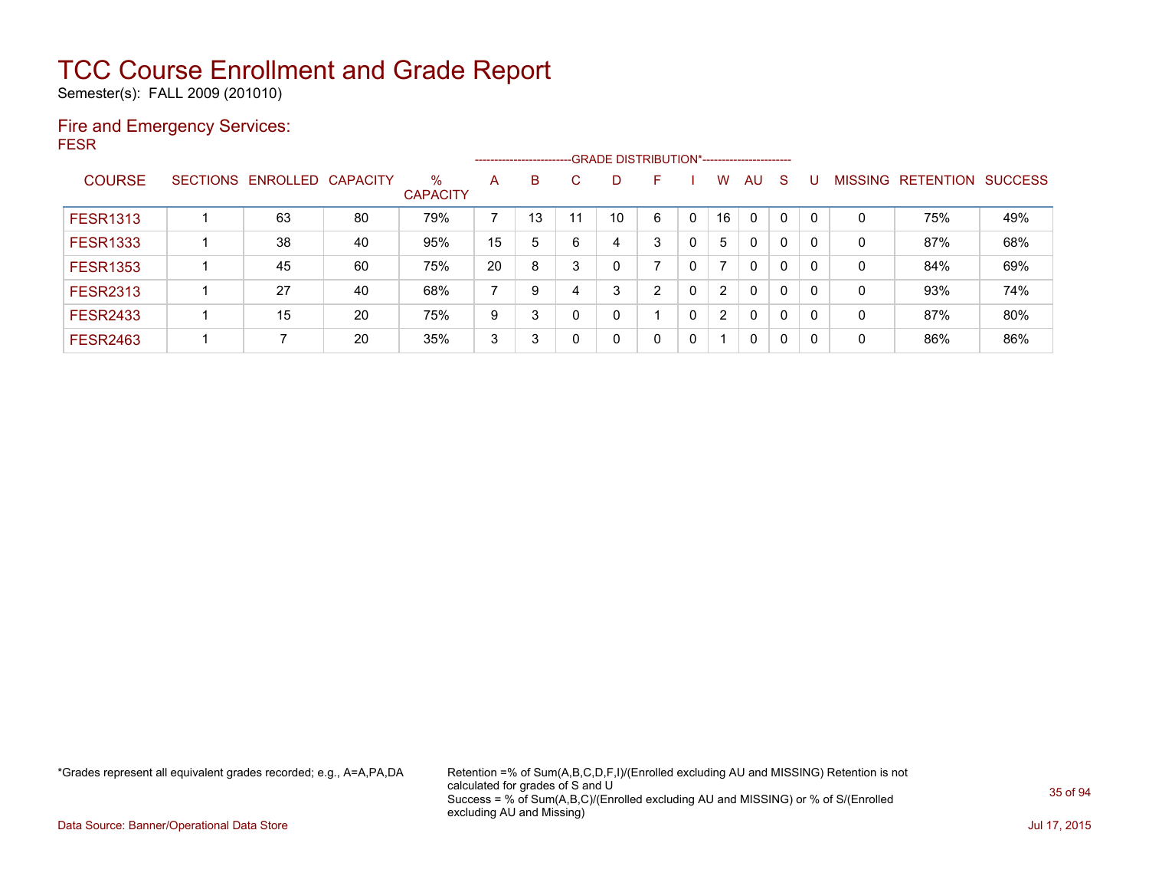Semester(s): FALL 2009 (201010)

### Fire and Emergency Services: FESR

|                 |                            |    |                         |    |    |     | ------------------------GRADE DISTRIBUTION*----------------------- |    |   |                      |              |              |          |                |                  |                |
|-----------------|----------------------------|----|-------------------------|----|----|-----|--------------------------------------------------------------------|----|---|----------------------|--------------|--------------|----------|----------------|------------------|----------------|
| <b>COURSE</b>   | SECTIONS ENROLLED CAPACITY |    | $\%$<br><b>CAPACITY</b> | А  | B  | C.  | D                                                                  | F  |   | W                    | AU           | <sub>S</sub> |          | <b>MISSING</b> | <b>RETENTION</b> | <b>SUCCESS</b> |
| <b>FESR1313</b> | 63                         | 80 | 79%                     |    | 13 | -11 | 10                                                                 | 6  | 0 | 16                   | $\Omega$     | 0            | - 0      | 0              | 75%              | 49%            |
| <b>FESR1333</b> | 38                         | 40 | 95%                     | 15 | 5  | 6   |                                                                    | 3  |   | 5                    | 0            | 0            | $\Omega$ | 0              | 87%              | 68%            |
| <b>FESR1353</b> | 45                         | 60 | 75%                     | 20 | 8  |     |                                                                    |    |   |                      | $\mathbf{0}$ | 0            | $\Omega$ | 0              | 84%              | 69%            |
| <b>FESR2313</b> | 27                         | 40 | 68%                     | ⇁  | 9  |     | 3                                                                  | C. |   | $\mathbf{2}$         | $\mathbf{0}$ | 0            | $\Omega$ | 0              | 93%              | 74%            |
| <b>FESR2433</b> | 15                         | 20 | 75%                     | 9  | 3  |     |                                                                    |    |   | $\mathbf{2}^{\circ}$ | $\mathbf{0}$ | 0            |          | 0              | 87%              | 80%            |
| <b>FESR2463</b> |                            | 20 | 35%                     | 3  | 3  |     |                                                                    | 0  |   |                      | $\mathbf{0}$ | 0            | 0        | 0              | 86%              | 86%            |

\*Grades represent all equivalent grades recorded; e.g., A=A,PA,DA Retention =% of Sum(A,B,C,D,F,I)/(Enrolled excluding AU and MISSING) Retention is not calculated for grades of S and U Success = % of Sum(A,B,C)/(Enrolled excluding AU and MISSING) or % of S/(Enrolled excluding AU and Missing)

Data Source: Banner/Operational Data Store Jul 17, 2015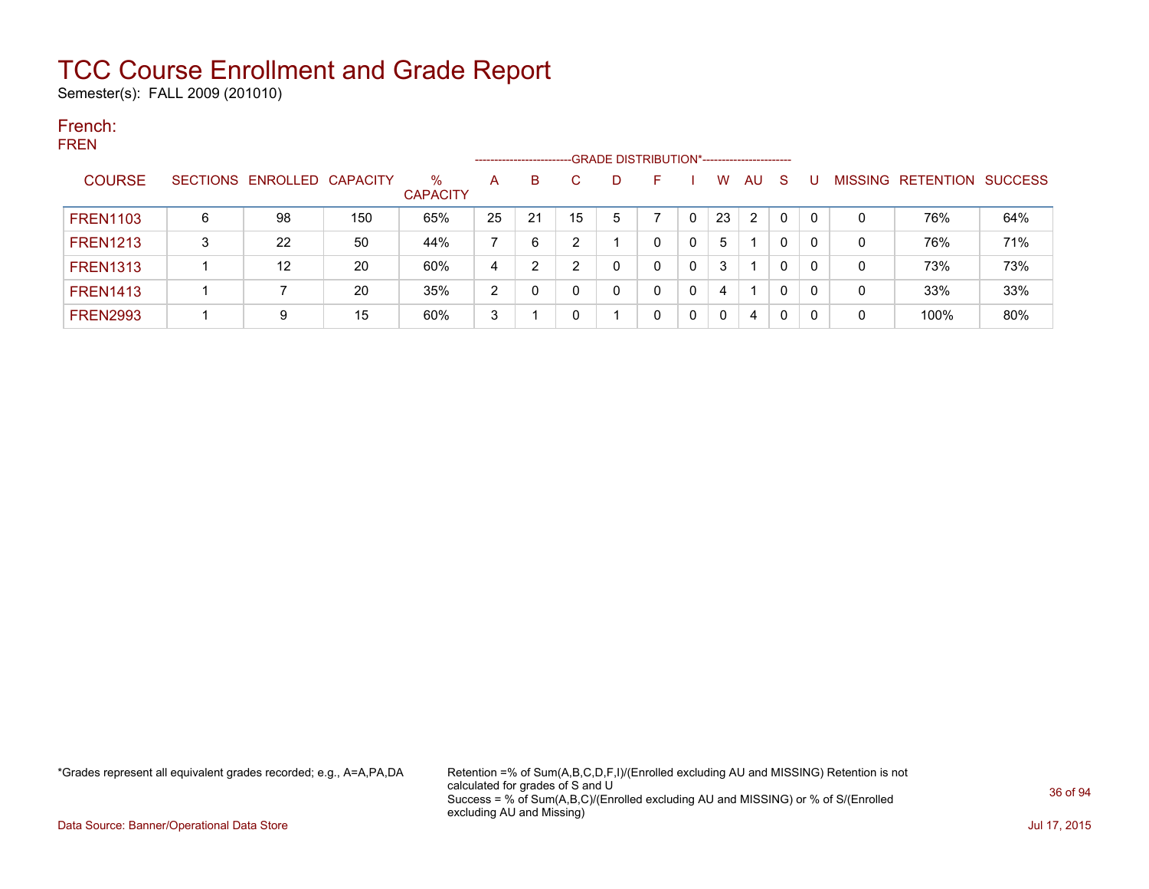Semester(s): FALL 2009 (201010)

#### French: FREN

|                 |   |                            |     | -GRADE DISTRIBUTION*-----------------------<br>--------------------- |    |    |    |   |    |  |          |    |          |  |                |                  |                |  |
|-----------------|---|----------------------------|-----|----------------------------------------------------------------------|----|----|----|---|----|--|----------|----|----------|--|----------------|------------------|----------------|--|
| <b>COURSE</b>   |   | SECTIONS ENROLLED CAPACITY |     | $\%$<br><b>CAPACITY</b>                                              | A  | B  | C  | D | н. |  | W        | AU | -S       |  | <b>MISSING</b> | <b>RETENTION</b> | <b>SUCCESS</b> |  |
| <b>FREN1103</b> | 6 | 98                         | 150 | 65%                                                                  | 25 | 21 | 15 | 5 |    |  | 23       | 2  | $\Omega$ |  | 0              | 76%              | 64%            |  |
| <b>FREN1213</b> | 3 | 22                         | 50  | 44%                                                                  |    | 6  |    |   | 0  |  | 5        |    | 0        |  | 0              | 76%              | 71%            |  |
| <b>FREN1313</b> |   | 12                         | 20  | 60%                                                                  | 4  | 2  |    |   | 0  |  | 3        |    | 0        |  | 0              | 73%              | 73%            |  |
| <b>FREN1413</b> |   |                            | 20  | 35%                                                                  | っ  |    |    |   |    |  | 4        |    | 0        |  | 0              | 33%              | 33%            |  |
| <b>FREN2993</b> |   | 9                          | 15  | 60%                                                                  | 3  |    |    |   |    |  | $\Omega$ | 4  | 0        |  | 0              | 100%             | 80%            |  |

\*Grades represent all equivalent grades recorded; e.g., A=A,PA,DA Retention =% of Sum(A,B,C,D,F,I)/(Enrolled excluding AU and MISSING) Retention is not calculated for grades of S and U Success = % of Sum(A,B,C)/(Enrolled excluding AU and MISSING) or % of S/(Enrolled excluding AU and Missing)

Data Source: Banner/Operational Data Store Jul 17, 2015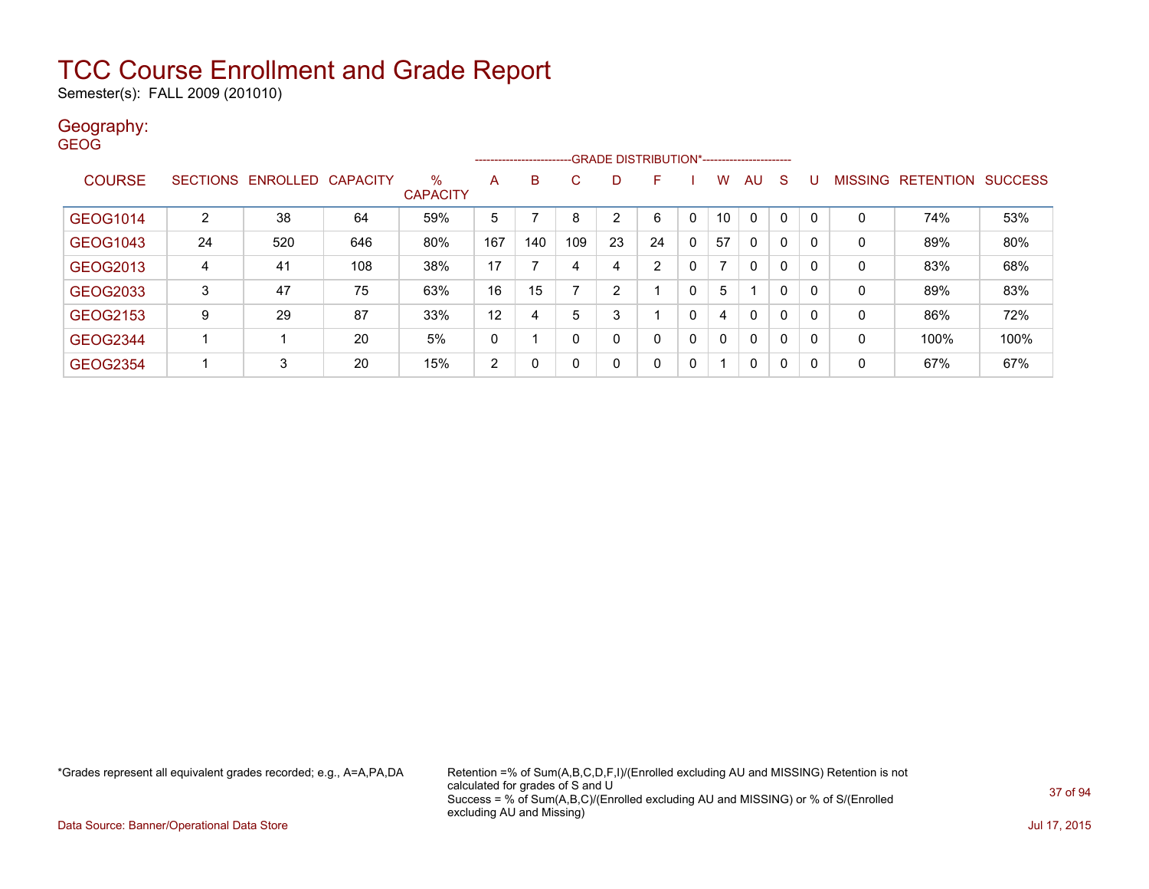Semester(s): FALL 2009 (201010)

### Geography:

| <b>GEOG</b>     |                 |                   |     |                         | -------------------- |     |          |                | -GRADE DISTRIBUTION*---------------------- |              |                |              |              |              |                |                  |                |
|-----------------|-----------------|-------------------|-----|-------------------------|----------------------|-----|----------|----------------|--------------------------------------------|--------------|----------------|--------------|--------------|--------------|----------------|------------------|----------------|
| <b>COURSE</b>   | <b>SECTIONS</b> | ENROLLED CAPACITY |     | $\%$<br><b>CAPACITY</b> | A                    | B   | C.       | D              | F                                          |              | w              | AU           | S            |              | <b>MISSING</b> | <b>RETENTION</b> | <b>SUCCESS</b> |
| GEOG1014        | $\overline{2}$  | 38                | 64  | 59%                     | 5                    |     | 8        | $\overline{2}$ | 6                                          | $\mathbf{0}$ | 10             | $\mathbf{0}$ | $\mathbf{0}$ | $\Omega$     | 0              | 74%              | 53%            |
| <b>GEOG1043</b> | 24              | 520               | 646 | 80%                     | 167                  | 140 | 109      | 23             | 24                                         | $\mathbf{0}$ | 57             | $\mathbf{0}$ | $\mathbf{0}$ | $\mathbf{0}$ | $\mathbf{0}$   | 89%              | 80%            |
| GEOG2013        | 4               | 41                | 108 | 38%                     | 17                   |     | 4        | 4              | 2                                          | 0            | $\overline{ }$ | $\mathbf{0}$ | $\mathbf{0}$ | 0            | 0              | 83%              | 68%            |
| GEOG2033        | 3               | 47                | 75  | 63%                     | 16                   | 15  | ⇁        | 2              |                                            | 0            | 5              |              | $\mathbf{0}$ | 0            | 0              | 89%              | 83%            |
| GEOG2153        | 9               | 29                | 87  | 33%                     | 12                   | 4   | 5        | 3              |                                            | $\mathbf 0$  | 4              | $\mathbf{0}$ | $\mathbf{0}$ | 0            | $\mathbf{0}$   | 86%              | 72%            |
| <b>GEOG2344</b> |                 |                   | 20  | 5%                      | 0                    |     | $\Omega$ | Ω              | 0                                          | $\mathbf{0}$ | 0              | 0            | 0            | 0            | 0              | 100%             | 100%           |
| <b>GEOG2354</b> |                 | 3                 | 20  | 15%                     | $\overline{2}$       | 0   |          | 0              | 0                                          | 0            |                | $\mathbf 0$  | 0            | 0            | 0              | 67%              | 67%            |

\*Grades represent all equivalent grades recorded; e.g., A=A,PA,DA Retention =% of Sum(A,B,C,D,F,I)/(Enrolled excluding AU and MISSING) Retention is not calculated for grades of S and U Success = % of Sum(A,B,C)/(Enrolled excluding AU and MISSING) or % of S/(Enrolled excluding AU and Missing)

Data Source: Banner/Operational Data Store Jul 17, 2015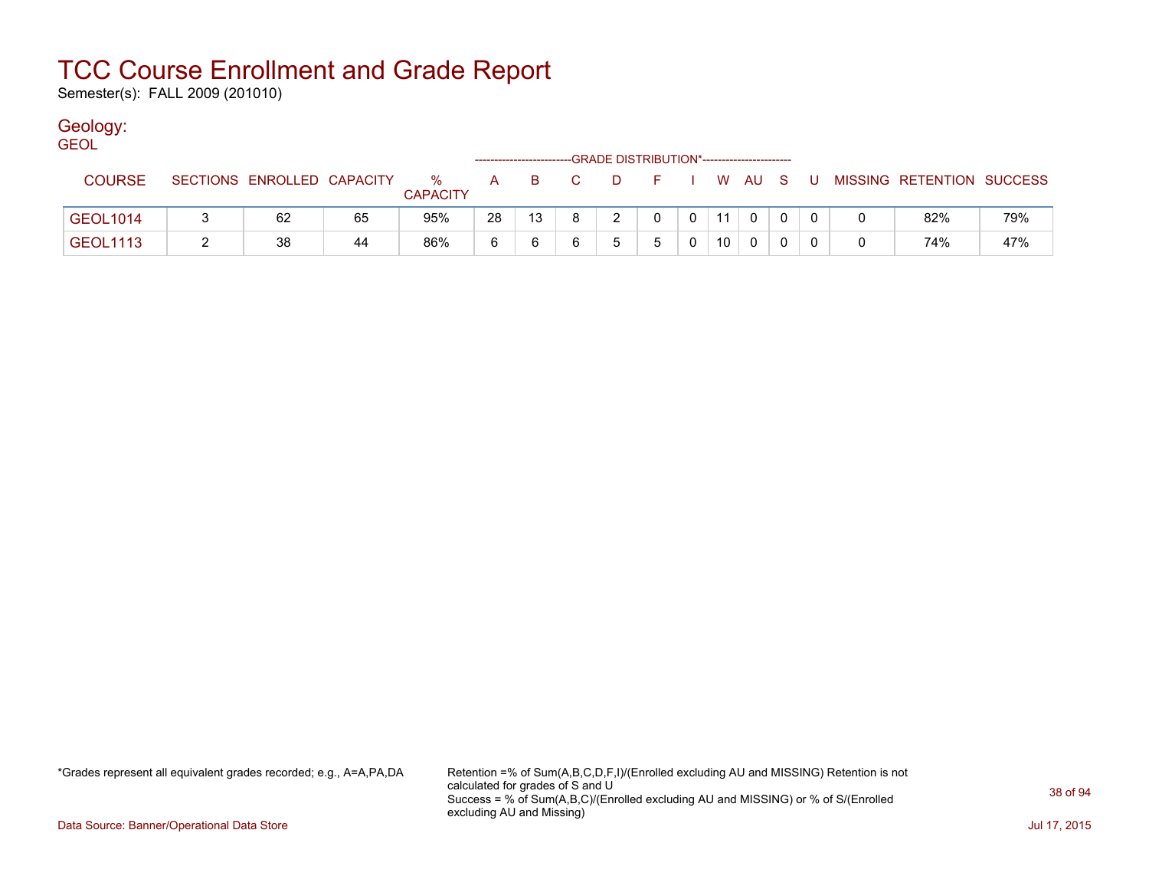Semester(s): FALL 2009 (201010)

### Geology:

| <b>GEOL</b>     |                            |    |                      |    |    |                | -GRADE DISTRIBUTION*----------------------- |          |    |              |       |                           |     |
|-----------------|----------------------------|----|----------------------|----|----|----------------|---------------------------------------------|----------|----|--------------|-------|---------------------------|-----|
| <b>COURSE</b>   | SECTIONS ENROLLED CAPACITY |    | %<br><b>CAPACITY</b> | A. | B. | $\overline{C}$ | D.                                          |          |    | WAUS         | - U - | MISSING RETENTION SUCCESS |     |
| <b>GEOL1014</b> | 62                         | 65 | 95%                  | 28 | 13 | -8             |                                             | $\Omega$ | 11 | $\mathbf{0}$ |       | 82%                       | 79% |
| <b>GEOL1113</b> | 38                         | 44 | 86%                  |    |    |                |                                             |          | 10 |              |       | 74%                       | 47% |

\*Grades represent all equivalent grades recorded; e.g., A=A,PA,DA Retention =% of Sum(A,B,C,D,F,I)/(Enrolled excluding AU and MISSING) Retention is not calculated for grades of S and U Success = % of Sum(A,B,C)/(Enrolled excluding AU and MISSING) or % of S/(Enrolled excluding AU and Missing)

Data Source: Banner/Operational Data Store Jul 17, 2015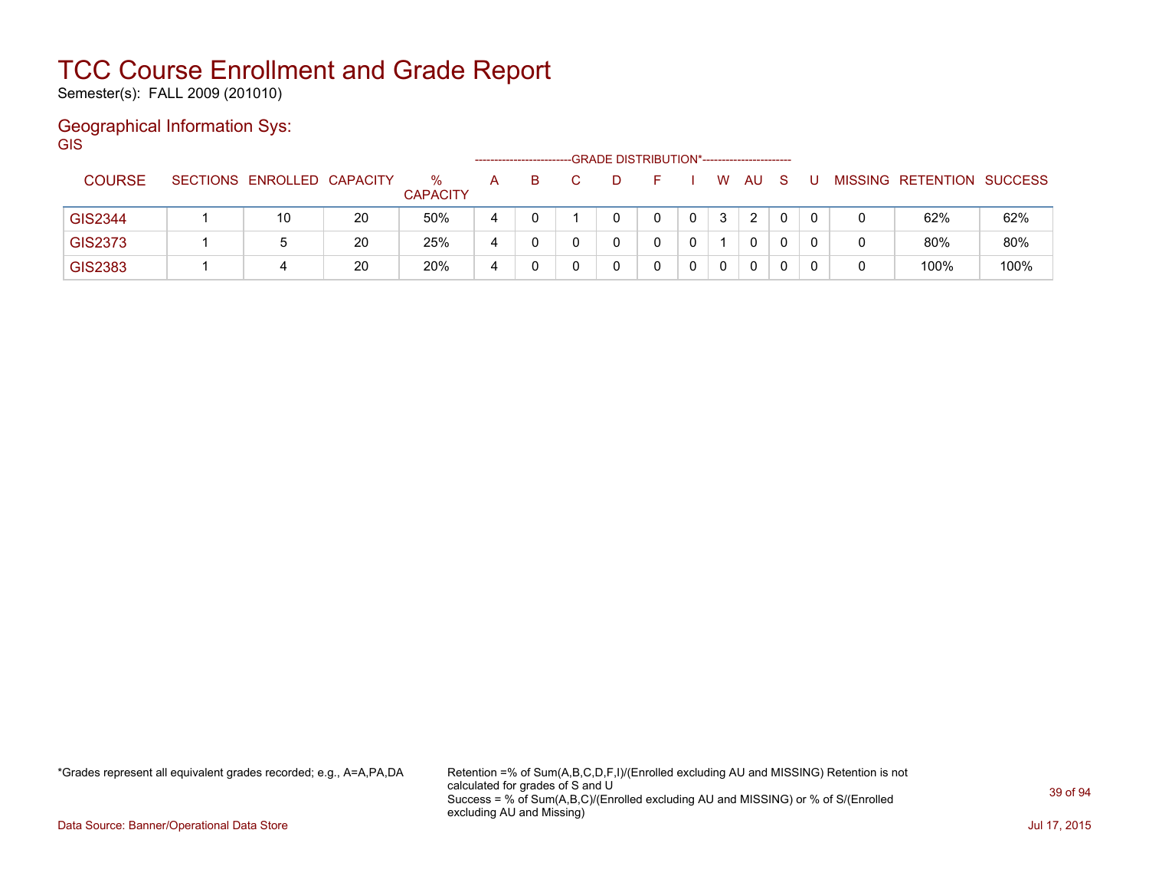Semester(s): FALL 2009 (201010)

### Geographical Information Sys:

**GIS** 

|                |                            |    |                         |   |    | -GRADE DISTRIBUTION*----------------------- |  |              |              |  |   |                                  |      |
|----------------|----------------------------|----|-------------------------|---|----|---------------------------------------------|--|--------------|--------------|--|---|----------------------------------|------|
| <b>COURSE</b>  | SECTIONS ENROLLED CAPACITY |    | $\%$<br><b>CAPACITY</b> | A | B. |                                             |  | W            | AU           |  |   | <b>MISSING RETENTION SUCCESS</b> |      |
| <b>GIS2344</b> | 10                         | 20 | 50%                     | 4 |    |                                             |  | 3            | 2            |  |   | 62%                              | 62%  |
| <b>GIS2373</b> |                            | 20 | 25%                     | 4 |    |                                             |  |              | $\mathbf{0}$ |  | 0 | 80%                              | 80%  |
| <b>GIS2383</b> | 4                          | 20 | 20%                     | 4 |    |                                             |  | $\mathbf{0}$ | 0            |  |   | 100%                             | 100% |

\*Grades represent all equivalent grades recorded; e.g., A=A,PA,DA Retention =% of Sum(A,B,C,D,F,I)/(Enrolled excluding AU and MISSING) Retention is not calculated for grades of S and U Success = % of Sum(A,B,C)/(Enrolled excluding AU and MISSING) or % of S/(Enrolled excluding AU and Missing)

Data Source: Banner/Operational Data Store Jul 17, 2015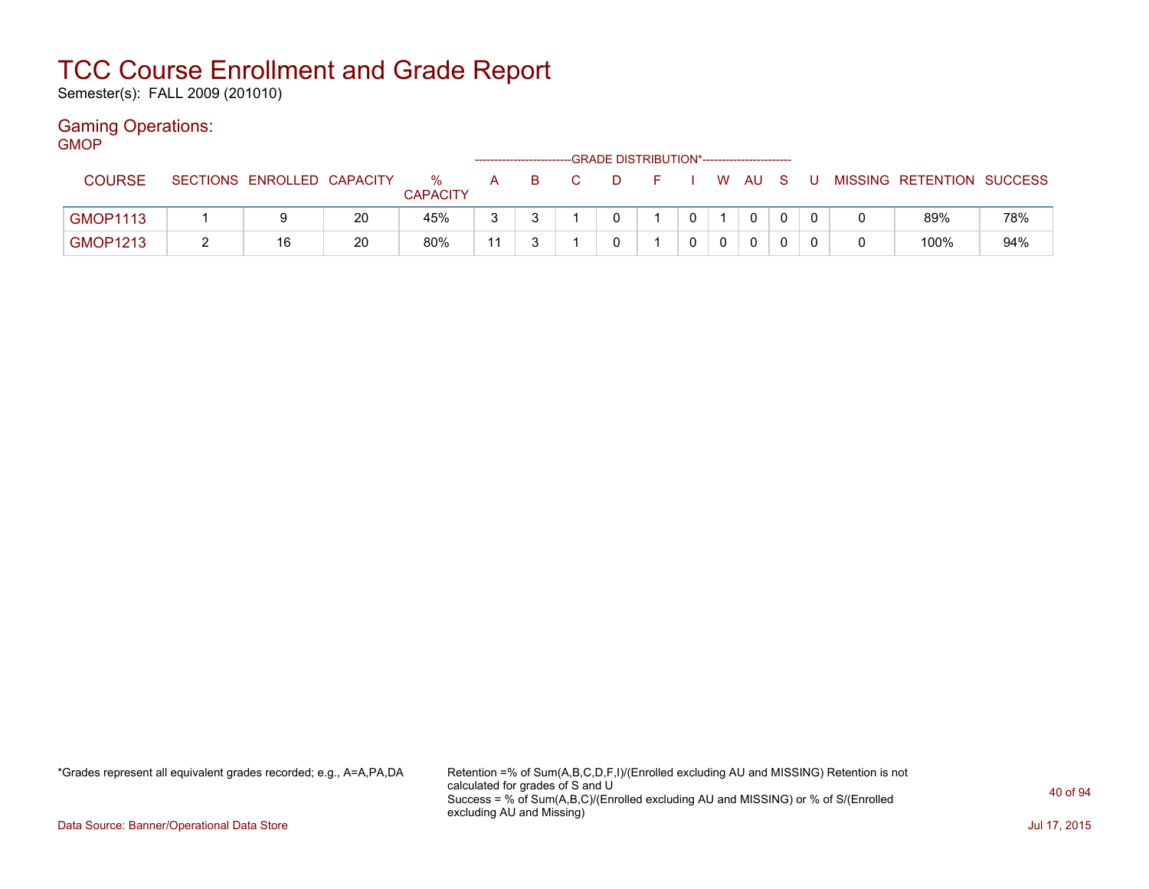Semester(s): FALL 2009 (201010)

### Gaming Operations:

| <b>GMOP</b>     |                            |    |                         |   |          | -GRADE DISTRIBUTION*----------------------- |         |  |              |     |                           |     |
|-----------------|----------------------------|----|-------------------------|---|----------|---------------------------------------------|---------|--|--------------|-----|---------------------------|-----|
| <b>COURSE</b>   | SECTIONS ENROLLED CAPACITY |    | $\%$<br><b>CAPACITY</b> | A | <b>B</b> | D.                                          | $F = 1$ |  | i WAUS       | - U | MISSING RETENTION SUCCESS |     |
| <b>GMOP1113</b> |                            | 20 | 45%                     |   |          |                                             |         |  | $\mathbf{0}$ |     | 89%                       | 78% |
| <b>GMOP1213</b> | 16                         | 20 | 80%                     |   |          |                                             |         |  | 0            |     | 100%                      | 94% |

\*Grades represent all equivalent grades recorded; e.g., A=A,PA,DA Retention =% of Sum(A,B,C,D,F,I)/(Enrolled excluding AU and MISSING) Retention is not calculated for grades of S and U Success = % of Sum(A,B,C)/(Enrolled excluding AU and MISSING) or % of S/(Enrolled excluding AU and Missing)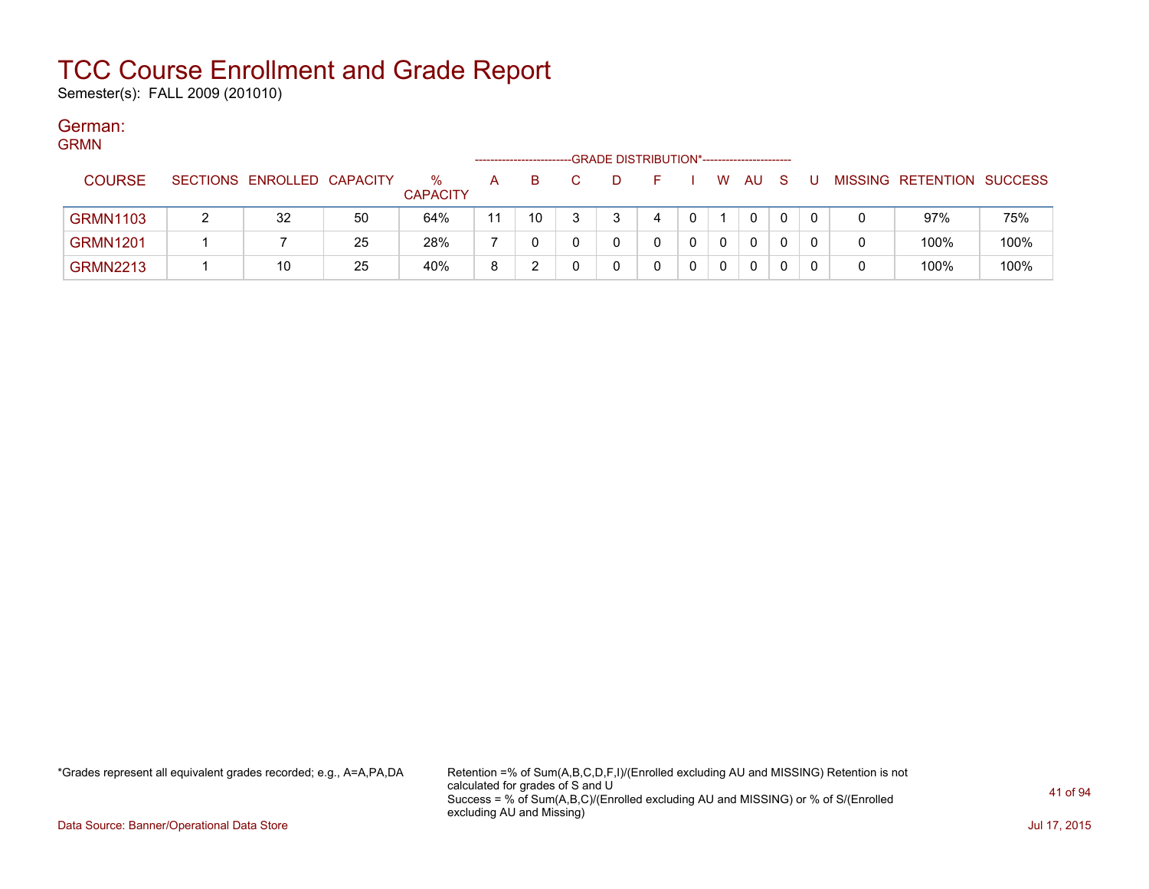Semester(s): FALL 2009 (201010)

#### German: COM<sup>M</sup>

| URIVIIN |                 |                            |    |                         | -------------------- |    | -GRADE DISTRIBUTION*----------------------- |   |   |     |     |    |   |                           |      |
|---------|-----------------|----------------------------|----|-------------------------|----------------------|----|---------------------------------------------|---|---|-----|-----|----|---|---------------------------|------|
|         | <b>COURSE</b>   | SECTIONS ENROLLED CAPACITY |    | $\%$<br><b>CAPACITY</b> | A                    | B. |                                             | ⊢ | W | AU. | - S | -U |   | MISSING RETENTION SUCCESS |      |
|         | <b>GRMN1103</b> | 32                         | 50 | 64%                     | 11                   | 10 |                                             | 4 |   | 0   |     |    |   | 97%                       | 75%  |
|         | <b>GRMN1201</b> |                            | 25 | 28%                     |                      |    |                                             |   |   | 0   |     |    | 0 | 100%                      | 100% |
|         | <b>GRMN2213</b> | 10                         | 25 | 40%                     | 8                    |    |                                             |   |   | 0   |     |    | 0 | 100%                      | 100% |

\*Grades represent all equivalent grades recorded; e.g., A=A,PA,DA Retention =% of Sum(A,B,C,D,F,I)/(Enrolled excluding AU and MISSING) Retention is not calculated for grades of S and U Success = % of Sum(A,B,C)/(Enrolled excluding AU and MISSING) or % of S/(Enrolled excluding AU and Missing)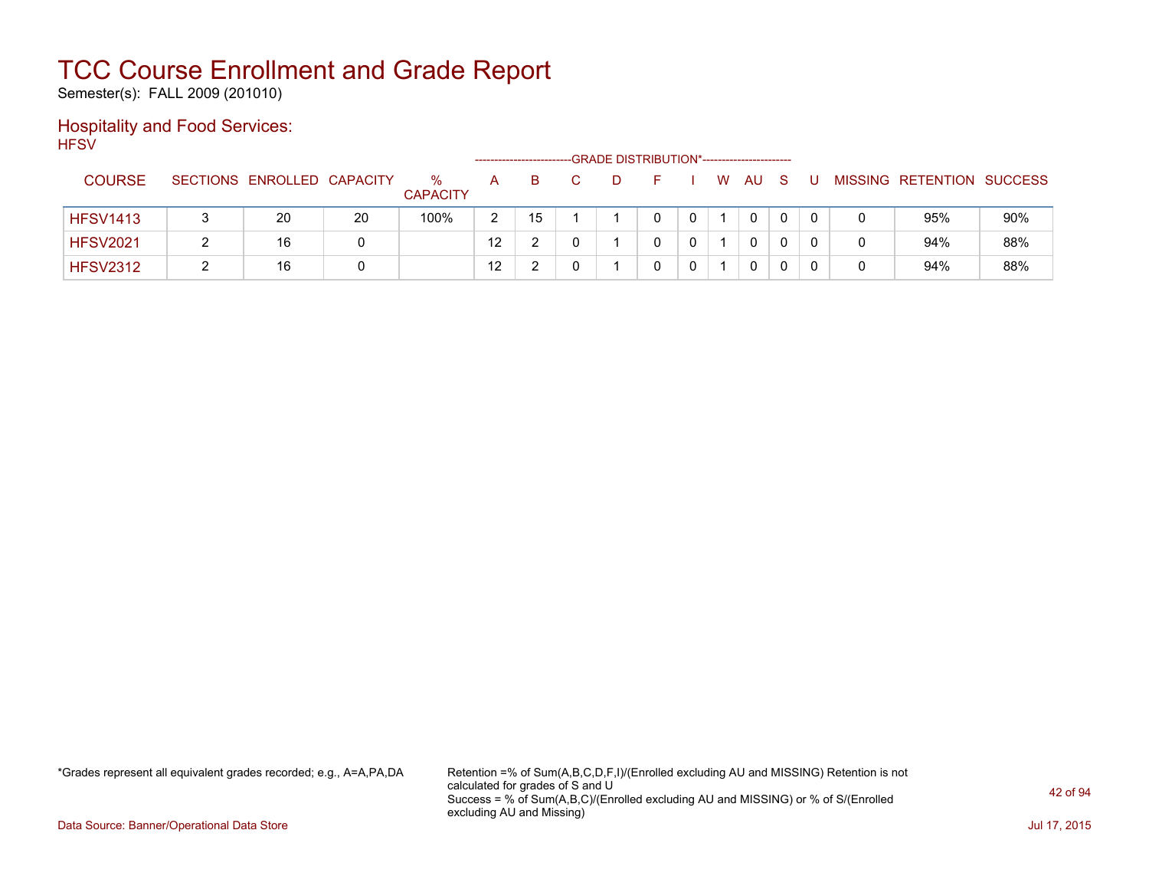Semester(s): FALL 2009 (201010)

### Hospitality and Food Services: **HFSV**

|                 |                            |    |                         | --------------------- |    | -GRADE DISTRIBUTION*---------------------- |  |   |          |   |  |                           |     |
|-----------------|----------------------------|----|-------------------------|-----------------------|----|--------------------------------------------|--|---|----------|---|--|---------------------------|-----|
| <b>COURSE</b>   | SECTIONS ENROLLED CAPACITY |    | $\%$<br><b>CAPACITY</b> | A                     | B  |                                            |  | W | AU.      | S |  | MISSING RETENTION SUCCESS |     |
| <b>HFSV1413</b> | 20                         | 20 | 100%                    | 2                     | 15 |                                            |  |   | $\Omega$ | 0 |  | 95%                       | 90% |
| <b>HFSV2021</b> | 16                         |    |                         | $12 \overline{ }$     |    |                                            |  |   | 0        |   |  | 94%                       | 88% |
| <b>HFSV2312</b> | 16                         |    |                         | 12                    |    |                                            |  |   | 0        |   |  | 94%                       | 88% |

\*Grades represent all equivalent grades recorded; e.g., A=A,PA,DA Retention =% of Sum(A,B,C,D,F,I)/(Enrolled excluding AU and MISSING) Retention is not calculated for grades of S and U Success = % of Sum(A,B,C)/(Enrolled excluding AU and MISSING) or % of S/(Enrolled excluding AU and Missing)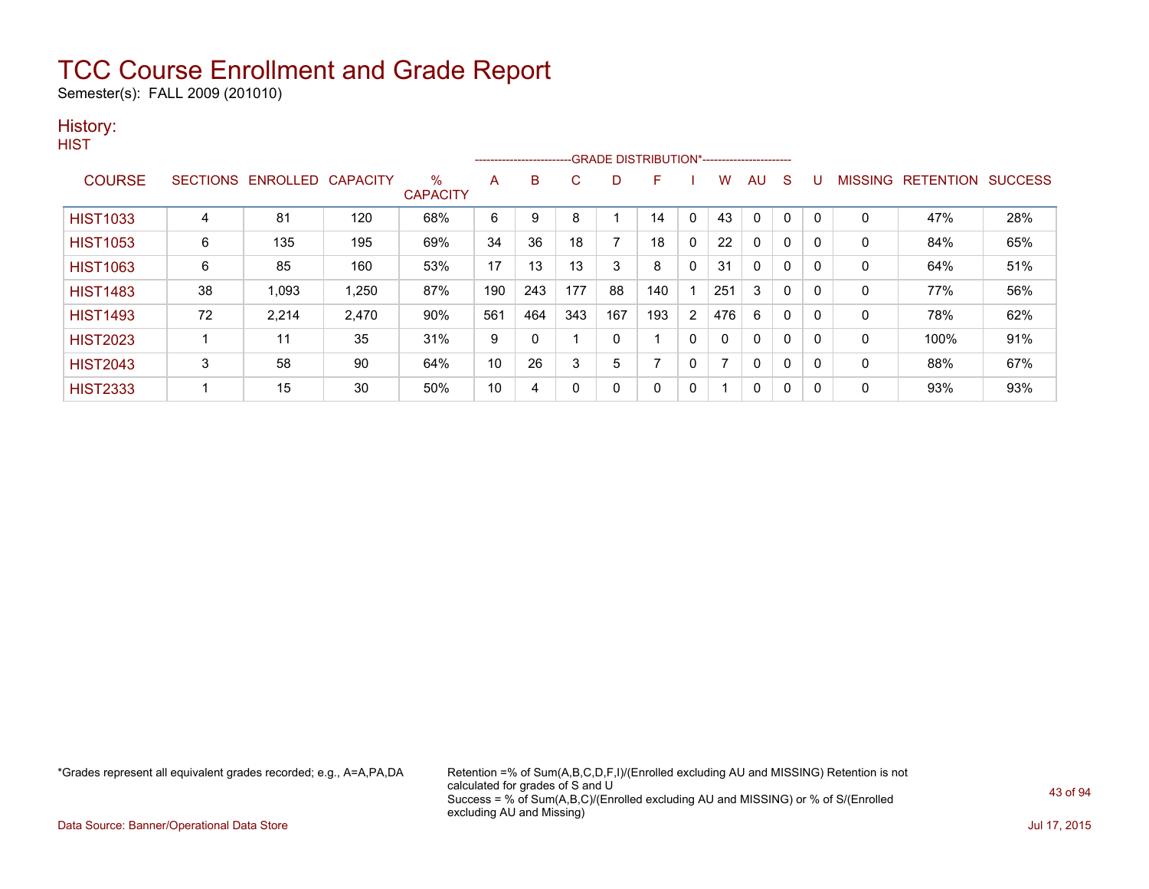Semester(s): FALL 2009 (201010)

### History:

| v.<br>۰. |
|----------|
|----------|

|                 |    |                   |                 |                      |     | --------------------------GRADE DISTRIBUTION*----------------------- |     |     |     |          |     |              |              |          |              |                  |                |
|-----------------|----|-------------------|-----------------|----------------------|-----|----------------------------------------------------------------------|-----|-----|-----|----------|-----|--------------|--------------|----------|--------------|------------------|----------------|
| <b>COURSE</b>   |    | SECTIONS ENROLLED | <b>CAPACITY</b> | %<br><b>CAPACITY</b> | A   | B                                                                    | C   | D   | F   |          | w   | AU           | S            |          | MISSING      | <b>RETENTION</b> | <b>SUCCESS</b> |
| <b>HIST1033</b> | 4  | 81                | 120             | 68%                  | 6   | 9                                                                    | 8   |     | 14  | C        | 43  | $\mathbf{0}$ | 0            | 0        | 0            | 47%              | 28%            |
| <b>HIST1053</b> | 6  | 135               | 195             | 69%                  | 34  | 36                                                                   | 18  |     | 18  | 0        | 22  | 0            | 0            | $\Omega$ | 0            | 84%              | 65%            |
| <b>HIST1063</b> | 6  | 85                | 160             | 53%                  | 17  | 13                                                                   | 13  | 3   | 8   | 0        | 31  | $\mathbf{0}$ | 0            | 0        | 0            | 64%              | 51%            |
| <b>HIST1483</b> | 38 | 1,093             | 1,250           | 87%                  | 190 | 243                                                                  | 177 | 88  | 140 |          | 251 | 3            | 0            | 0        | 0            | 77%              | 56%            |
| <b>HIST1493</b> | 72 | 2,214             | 2,470           | 90%                  | 561 | 464                                                                  | 343 | 167 | 193 | 2        | 476 | 6            | $\mathbf{0}$ | $\Omega$ | 0            | 78%              | 62%            |
| <b>HIST2023</b> |    | 11                | 35              | 31%                  | 9   | 0                                                                    |     | 0   |     | $\Omega$ |     | $\mathbf{0}$ | $\Omega$     | $\Omega$ | $\mathbf{0}$ | 100%             | 91%            |
| <b>HIST2043</b> | 3  | 58                | 90              | 64%                  | 10  | 26                                                                   | 3   | 5   |     | 0        |     | 0            | 0            | 0        | 0            | 88%              | 67%            |
| <b>HIST2333</b> |    | 15                | 30              | 50%                  | 10  | 4                                                                    | 0   | 0   | 0   | 0        |     | 0            | $\mathbf{0}$ | 0        | 0            | 93%              | 93%            |

\*Grades represent all equivalent grades recorded; e.g., A=A,PA,DA Retention =% of Sum(A,B,C,D,F,I)/(Enrolled excluding AU and MISSING) Retention is not calculated for grades of S and U Success = % of Sum(A,B,C)/(Enrolled excluding AU and MISSING) or % of S/(Enrolled excluding AU and Missing)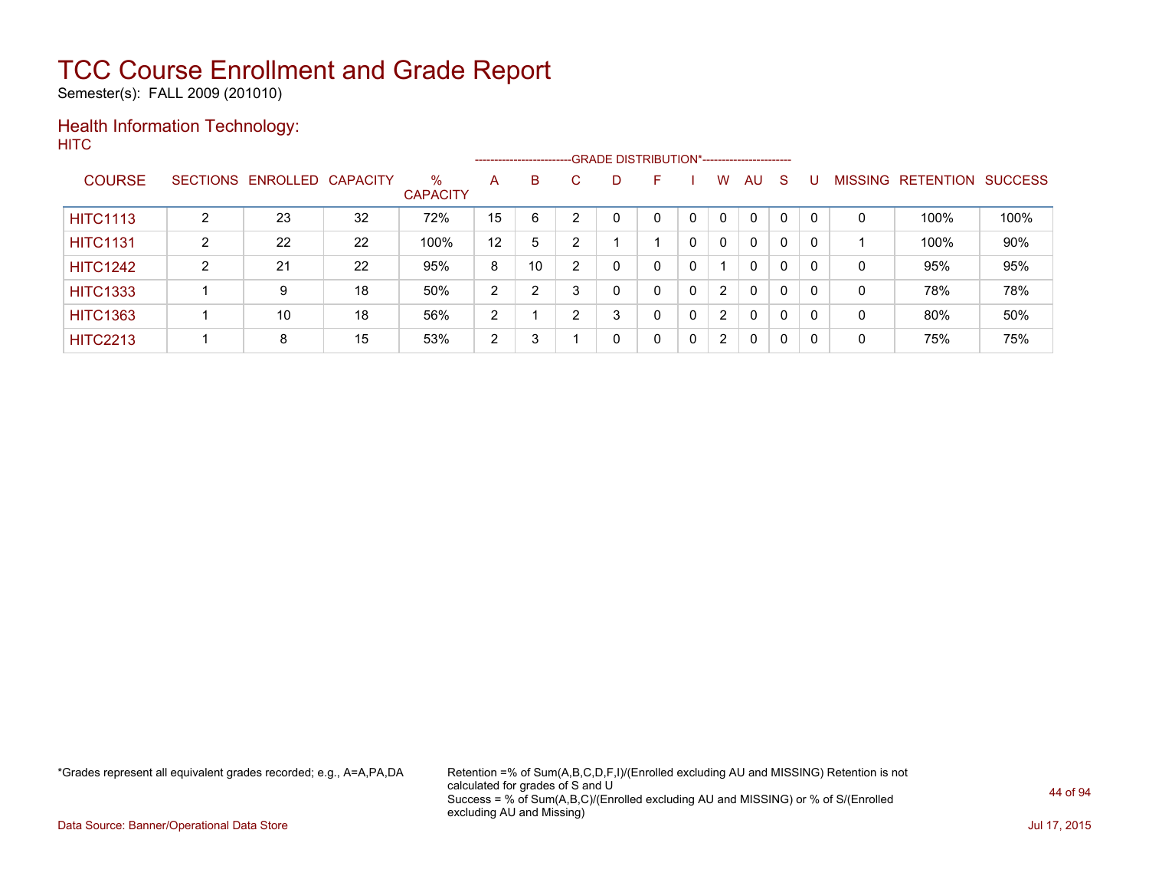Semester(s): FALL 2009 (201010)

### Health Information Technology: **HITC**

|                 |                 |          |                 |                         |    | ------------------------ |    | -GRADE DISTRIBUTION*----------------------- |   |   |                      |              |          |          |                |                  |                |
|-----------------|-----------------|----------|-----------------|-------------------------|----|--------------------------|----|---------------------------------------------|---|---|----------------------|--------------|----------|----------|----------------|------------------|----------------|
| <b>COURSE</b>   | <b>SECTIONS</b> | ENROLLED | <b>CAPACITY</b> | $\%$<br><b>CAPACITY</b> | A  | B                        | C. | D                                           | F |   | w                    | <b>AU</b>    | <b>S</b> |          | <b>MISSING</b> | <b>RETENTION</b> | <b>SUCCESS</b> |
| <b>HITC1113</b> | າ               | 23       | 32              | 72%                     | 15 | 6                        | ົ  |                                             | 0 |   | 0                    | 0            | 0        |          | 0              | 100%             | 100%           |
| <b>HITC1131</b> | ົ               | 22       | 22              | 100%                    | 12 | 5                        | ົ  |                                             |   |   | $\Omega$             | 0            | 0        | 0        |                | 100%             | 90%            |
| <b>HITC1242</b> | 2               | 21       | 22              | 95%                     | 8  | 10                       | ົ  | 0                                           | 0 | 0 |                      | $\mathbf{0}$ | 0        | -0       | 0              | 95%              | 95%            |
| <b>HITC1333</b> |                 | 9        | 18              | 50%                     | 2  | 2                        |    | 0                                           | 0 | 0 | 2                    | $\mathbf{0}$ | 0        | $\Omega$ | 0              | 78%              | 78%            |
| <b>HITC1363</b> |                 | 10       | 18              | 56%                     | 2  |                          | ົ  | 3                                           | 0 | 0 | 2                    | $\mathbf{0}$ | 0        | - C      | 0              | 80%              | 50%            |
| <b>HITC2213</b> |                 | 8        | 15              | 53%                     | 2  | 3                        |    | 0                                           | 0 | 0 | $\mathbf{2}^{\circ}$ | 0            | 0        | -0       | 0              | 75%              | 75%            |

\*Grades represent all equivalent grades recorded; e.g., A=A,PA,DA Retention =% of Sum(A,B,C,D,F,I)/(Enrolled excluding AU and MISSING) Retention is not calculated for grades of S and U Success = % of Sum(A,B,C)/(Enrolled excluding AU and MISSING) or % of S/(Enrolled excluding AU and Missing)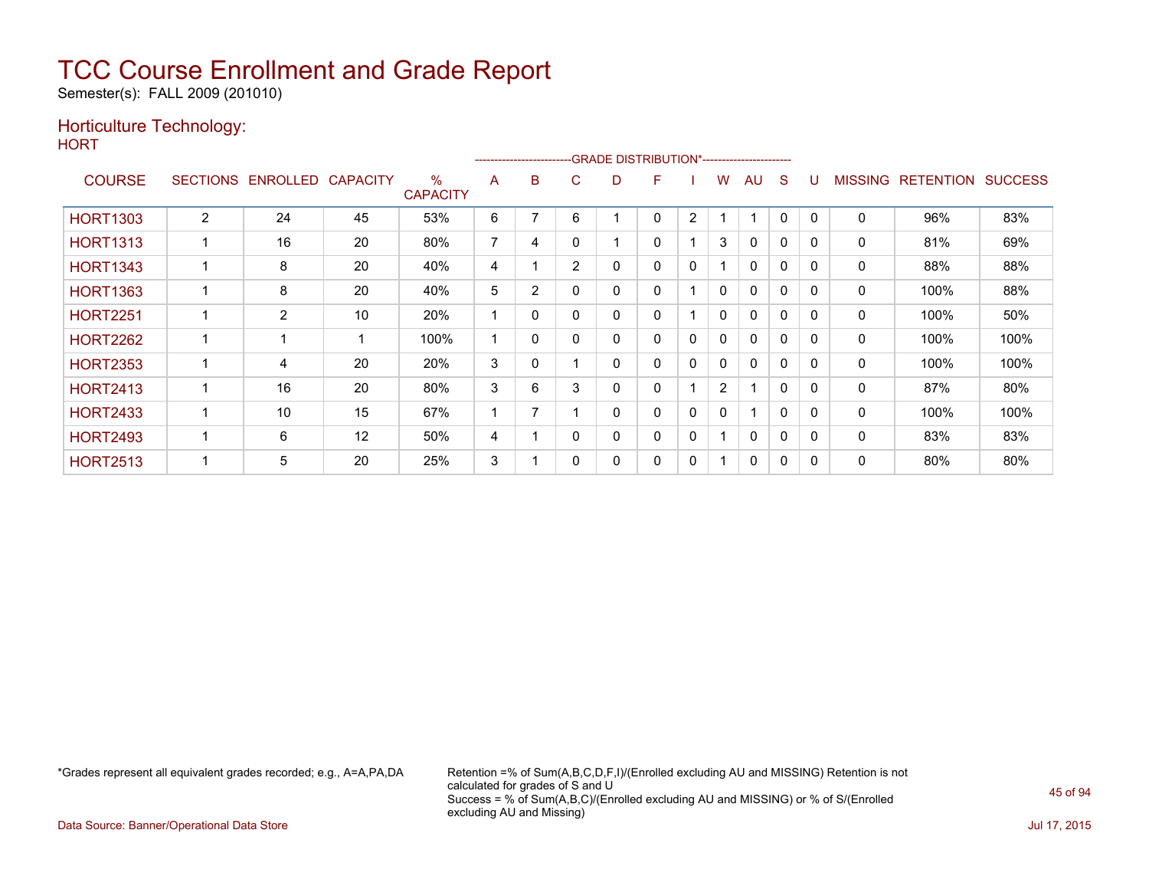Semester(s): FALL 2009 (201010)

### Horticulture Technology:

**HORT** 

|                 |                 |          |                 |                         |                | ---------------------- |                | -GRADE DISTRIBUTION*---------------------- |   |              |                |              |              |          |                |                  |                |
|-----------------|-----------------|----------|-----------------|-------------------------|----------------|------------------------|----------------|--------------------------------------------|---|--------------|----------------|--------------|--------------|----------|----------------|------------------|----------------|
| <b>COURSE</b>   | <b>SECTIONS</b> | ENROLLED | <b>CAPACITY</b> | $\%$<br><b>CAPACITY</b> | A              | B                      | C              | D                                          | F |              | w              | AU           | S            |          | <b>MISSING</b> | <b>RETENTION</b> | <b>SUCCESS</b> |
| <b>HORT1303</b> | $\overline{2}$  | 24       | 45              | 53%                     | 6              |                        | 6              |                                            | 0 | 2            |                | 1            | 0            | 0        | 0              | 96%              | 83%            |
| <b>HORT1313</b> |                 | 16       | 20              | 80%                     | $\overline{7}$ | 4                      | 0              |                                            | 0 |              | 3              | $\Omega$     | $\mathbf 0$  | $\Omega$ | $\mathbf 0$    | 81%              | 69%            |
| <b>HORT1343</b> |                 | 8        | 20              | 40%                     | 4              |                        | $\overline{2}$ | 0                                          | 0 | 0            |                | 0            | 0            | $\Omega$ | 0              | 88%              | 88%            |
| <b>HORT1363</b> |                 | 8        | 20              | 40%                     | 5              | $\overline{2}$         | 0              | 0                                          | 0 |              | 0              | 0            | $\mathbf{0}$ | $\Omega$ | 0              | 100%             | 88%            |
| <b>HORT2251</b> |                 | 2        | 10              | 20%                     |                | 0                      | 0              | 0                                          | 0 |              | 0              | $\mathbf{0}$ | 0            | $\Omega$ | 0              | 100%             | 50%            |
| <b>HORT2262</b> |                 |          |                 | 100%                    |                | 0                      | 0              | 0                                          | 0 | $\Omega$     | 0              | $\mathbf{0}$ | $\mathbf 0$  | $\Omega$ | 0              | 100%             | 100%           |
| <b>HORT2353</b> | 1               | 4        | 20              | 20%                     | 3              | 0                      |                | 0                                          | 0 | 0            | 0              | 0            | $\mathbf 0$  | $\Omega$ | 0              | 100%             | 100%           |
| <b>HORT2413</b> |                 | 16       | 20              | 80%                     | 3              | 6                      | 3              | 0                                          | 0 |              | $\overline{2}$ | 1            | 0            |          | 0              | 87%              | 80%            |
| <b>HORT2433</b> |                 | 10       | 15              | 67%                     |                | 7                      |                | 0                                          | 0 | $\Omega$     | 0              | 1            | $\mathbf{0}$ | $\Omega$ | $\mathbf 0$    | 100%             | 100%           |
| <b>HORT2493</b> |                 | 6        | 12              | 50%                     | 4              |                        | 0              | 0                                          | 0 | $\mathbf{0}$ |                | $\mathbf{0}$ | $\mathbf{0}$ | $\Omega$ | $\mathbf{0}$   | 83%              | 83%            |
| <b>HORT2513</b> |                 | 5        | 20              | 25%                     | 3              |                        |                | 0                                          | 0 | 0            |                | 0            | 0            | 0        | 0              | 80%              | 80%            |

\*Grades represent all equivalent grades recorded; e.g., A=A,PA,DA Retention =% of Sum(A,B,C,D,F,I)/(Enrolled excluding AU and MISSING) Retention is not calculated for grades of S and U Success = % of Sum(A,B,C)/(Enrolled excluding AU and MISSING) or % of S/(Enrolled excluding AU and Missing)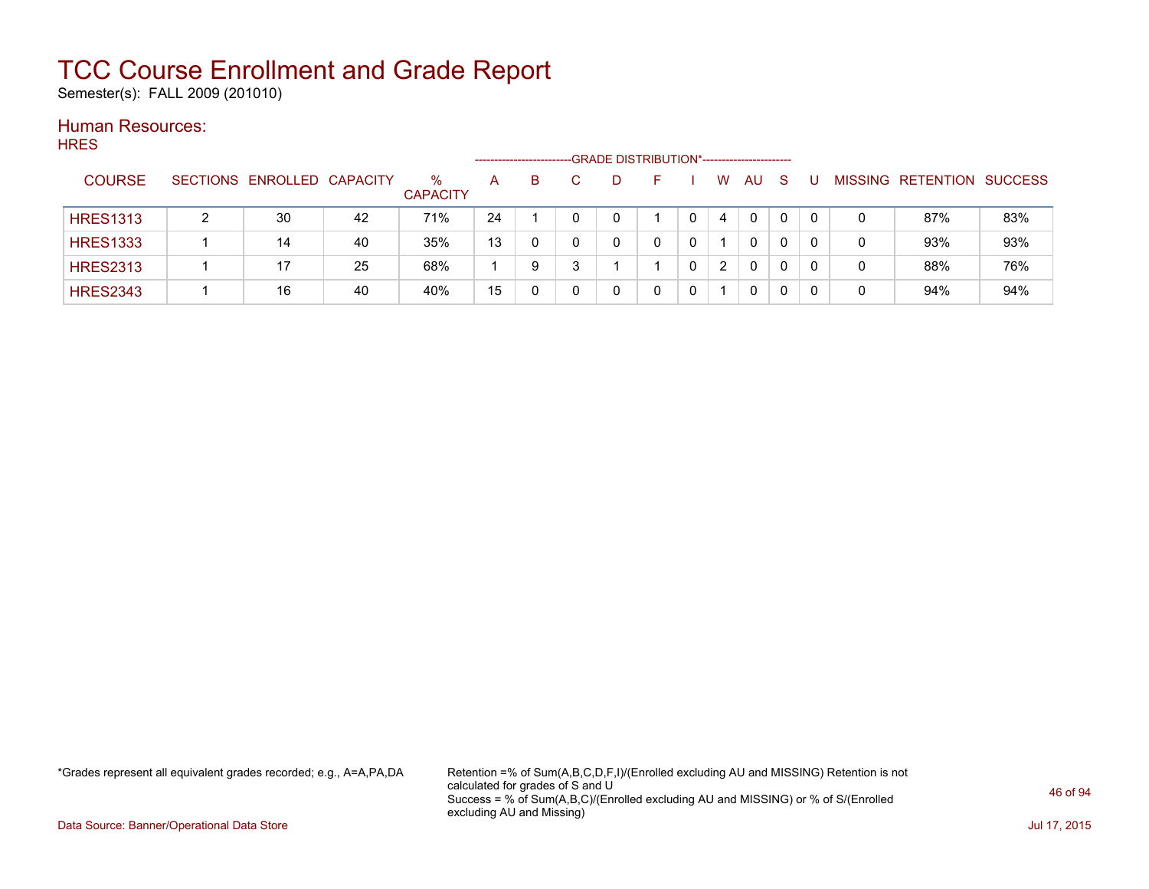Semester(s): FALL 2009 (201010)

#### Human Resources: HRES

| .  .__          |                            |    |                      | --------------------- |    |    | -GRADE DISTRIBUTION*----------------------- |                |          |              |   |                           |     |
|-----------------|----------------------------|----|----------------------|-----------------------|----|----|---------------------------------------------|----------------|----------|--------------|---|---------------------------|-----|
| <b>COURSE</b>   | SECTIONS ENROLLED CAPACITY |    | %<br><b>CAPACITY</b> | A                     | B. | D. | н.                                          | W              | AU       | <sub>S</sub> |   | MISSING RETENTION SUCCESS |     |
| <b>HRES1313</b> | 30                         | 42 | 71%                  | 24                    |    |    |                                             | 4              | $\Omega$ | 0            |   | 87%                       | 83% |
| <b>HRES1333</b> | 14                         | 40 | 35%                  | 13                    | 0  |    |                                             |                | 0        | 0            | 0 | 93%                       | 93% |
| <b>HRES2313</b> | 17                         | 25 | 68%                  |                       | 9  |    |                                             | $\overline{2}$ | 0        | 0            |   | 88%                       | 76% |
| <b>HRES2343</b> | 16                         | 40 | 40%                  | 15                    |    |    |                                             |                | 0        |              |   | 94%                       | 94% |

\*Grades represent all equivalent grades recorded; e.g., A=A,PA,DA Retention =% of Sum(A,B,C,D,F,I)/(Enrolled excluding AU and MISSING) Retention is not calculated for grades of S and U Success = % of Sum(A,B,C)/(Enrolled excluding AU and MISSING) or % of S/(Enrolled excluding AU and Missing)

Data Source: Banner/Operational Data Store Jul 17, 2015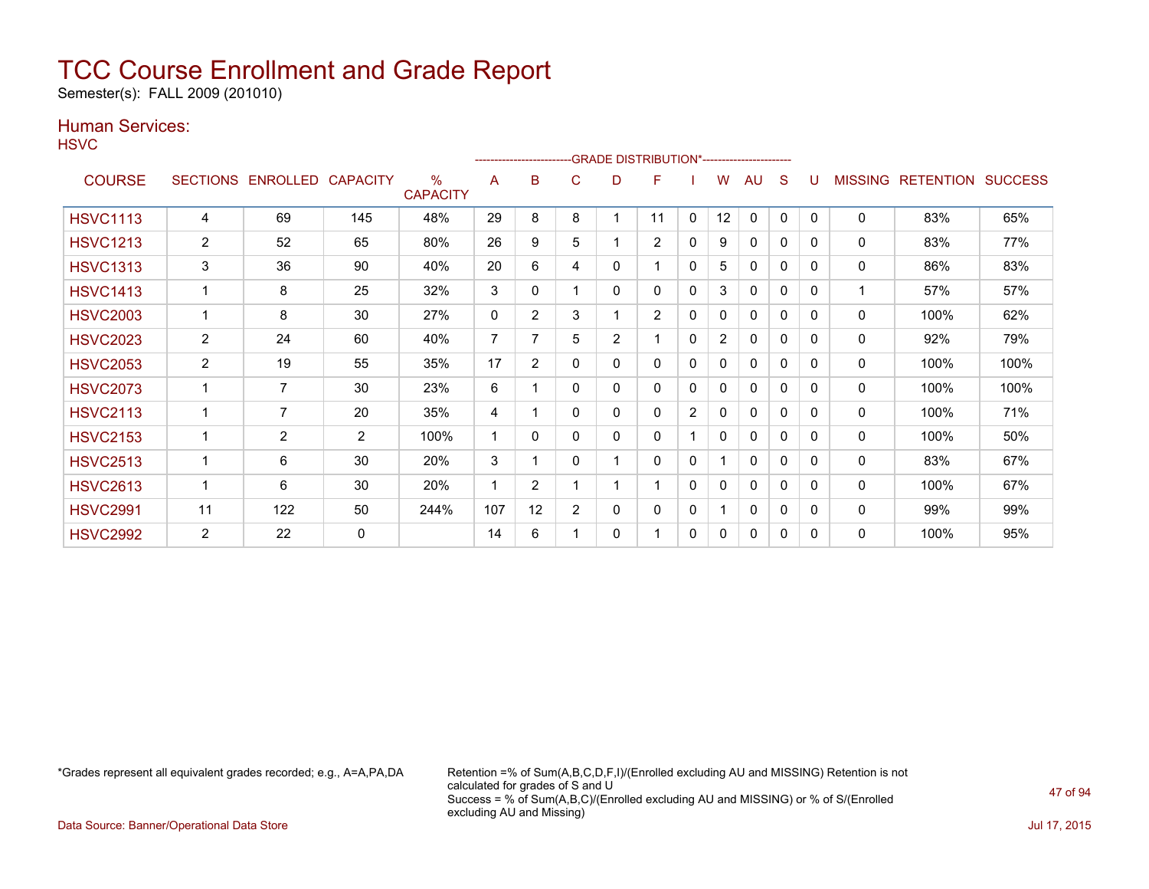Semester(s): FALL 2009 (201010)

### Human Services:

**HSVC** 

|                 |                 |                   |                |                                  |              | -------------------------GRADE DISTRIBUTION*---------------------- |                |                |                |                |                |              |              |          |                |                  |                |
|-----------------|-----------------|-------------------|----------------|----------------------------------|--------------|--------------------------------------------------------------------|----------------|----------------|----------------|----------------|----------------|--------------|--------------|----------|----------------|------------------|----------------|
| <b>COURSE</b>   | <b>SECTIONS</b> | ENROLLED CAPACITY |                | $\frac{0}{0}$<br><b>CAPACITY</b> | A            | B                                                                  | C              | D              | F              |                | W              | AU           | S            | U        | <b>MISSING</b> | <b>RETENTION</b> | <b>SUCCESS</b> |
| <b>HSVC1113</b> | 4               | 69                | 145            | 48%                              | 29           | 8                                                                  | 8              | 1              | 11             | 0              | 12             | 0            | $\Omega$     | $\Omega$ | 0              | 83%              | 65%            |
| <b>HSVC1213</b> | $\overline{2}$  | 52                | 65             | 80%                              | 26           | 9                                                                  | 5              | 1              | 2              | 0              | 9              | $\Omega$     | 0            | 0        | $\mathbf{0}$   | 83%              | 77%            |
| <b>HSVC1313</b> | 3               | 36                | 90             | 40%                              | 20           | 6                                                                  | 4              | 0              |                | 0              | 5              | $\mathbf{0}$ | 0            | 0        | $\mathbf{0}$   | 86%              | 83%            |
| <b>HSVC1413</b> |                 | 8                 | 25             | 32%                              | 3            | 0                                                                  |                | 0              | 0              | 0              | 3              | 0            | 0            | 0        | 1              | 57%              | 57%            |
| <b>HSVC2003</b> |                 | 8                 | 30             | 27%                              | $\mathbf{0}$ | $\overline{2}$                                                     | 3              | 1              | $\overline{2}$ | 0              | 0              | $\mathbf{0}$ | 0            | 0        | $\mathbf{0}$   | 100%             | 62%            |
| <b>HSVC2023</b> | $\overline{2}$  | 24                | 60             | 40%                              | 7            | 7                                                                  | 5              | $\overline{2}$ |                | 0              | $\overline{2}$ | 0            | 0            | 0        | 0              | 92%              | 79%            |
| <b>HSVC2053</b> | $\overline{2}$  | 19                | 55             | 35%                              | 17           | $\overline{2}$                                                     | 0              | 0              | 0              | 0              | 0              | $\Omega$     | 0            | 0        | $\mathbf{0}$   | 100%             | 100%           |
| <b>HSVC2073</b> |                 | $\overline{7}$    | 30             | 23%                              | 6            |                                                                    | 0              | 0              | 0              | 0              | 0              | $\Omega$     | 0            | 0        | $\mathbf{0}$   | 100%             | 100%           |
| <b>HSVC2113</b> |                 | $\overline{7}$    | 20             | 35%                              | 4            |                                                                    | 0              | 0              | 0              | $\overline{2}$ | 0              | 0            | 0            | 0        | 0              | 100%             | 71%            |
| <b>HSVC2153</b> |                 | $\overline{2}$    | $\overline{2}$ | 100%                             | 1            | 0                                                                  | 0              | 0              | 0              |                | 0              | $\mathbf{0}$ | 0            | $\Omega$ | $\mathbf{0}$   | 100%             | 50%            |
| <b>HSVC2513</b> |                 | 6                 | 30             | 20%                              | 3            |                                                                    | 0              | 1              | 0              | 0              |                | $\mathbf{0}$ | 0            | 0        | $\mathbf{0}$   | 83%              | 67%            |
| <b>HSVC2613</b> |                 | 6                 | 30             | 20%                              | 1            | $\overline{2}$                                                     |                | 1              |                | 0              | 0              | $\mathbf{0}$ | $\mathbf{0}$ | 0        | $\mathbf{0}$   | 100%             | 67%            |
| <b>HSVC2991</b> | 11              | 122               | 50             | 244%                             | 107          | 12                                                                 | $\overline{2}$ | 0              | $\mathbf{0}$   | 0              |                | $\mathbf{0}$ | $\mathbf{0}$ | $\Omega$ | $\mathbf{0}$   | 99%              | 99%            |
| <b>HSVC2992</b> | 2               | 22                | $\mathbf{0}$   |                                  | 14           | 6                                                                  |                | 0              |                | 0              | 0              | $\Omega$     | 0            | 0        | $\mathbf{0}$   | 100%             | 95%            |

\*Grades represent all equivalent grades recorded; e.g., A=A,PA,DA Retention =% of Sum(A,B,C,D,F,I)/(Enrolled excluding AU and MISSING) Retention is not calculated for grades of S and U Success = % of Sum(A,B,C)/(Enrolled excluding AU and MISSING) or % of S/(Enrolled excluding AU and Missing)

Data Source: Banner/Operational Data Store Jul 17, 2015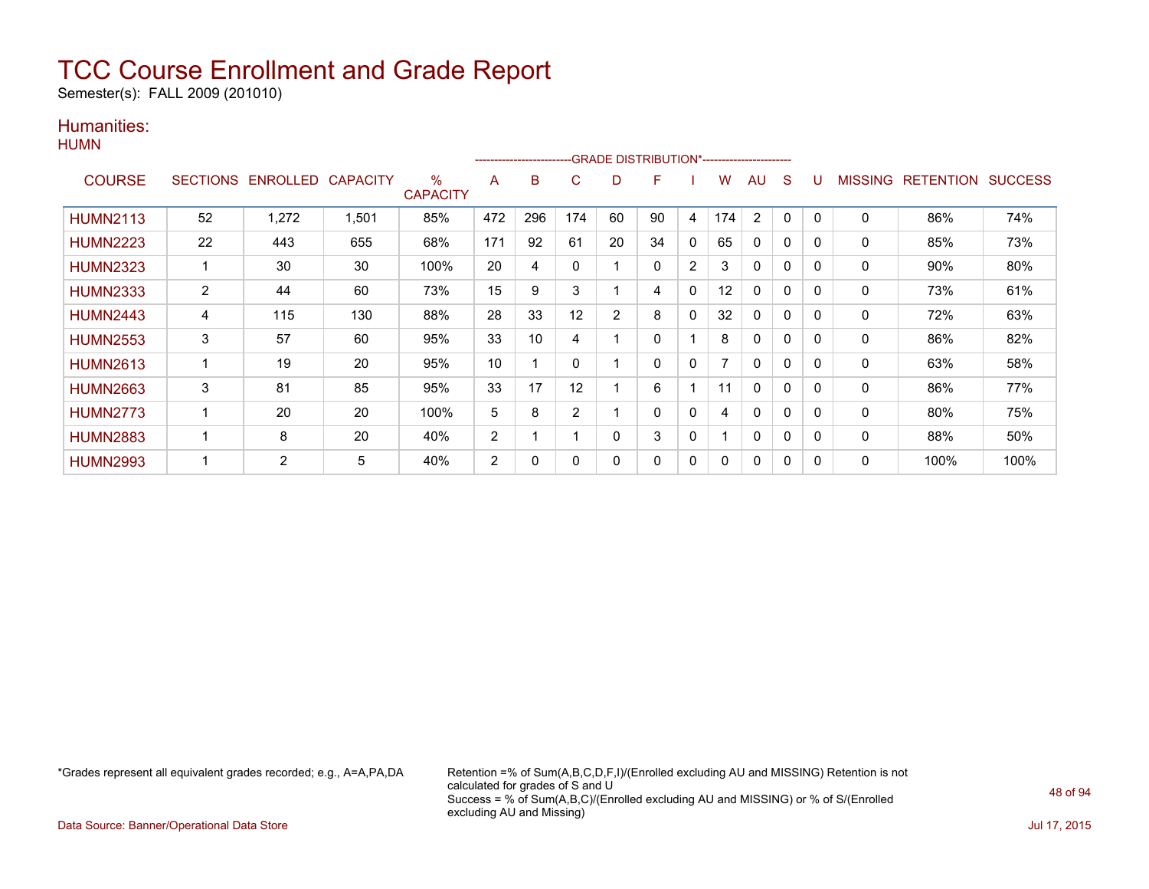Semester(s): FALL 2009 (201010)

### Humanities:

|                 |                |                            |       |                      |     | ---------------------- |                |                | ---GRADE DISTRIBUTION*------------------------ |                |     |              |              |          |                |                  |                |
|-----------------|----------------|----------------------------|-------|----------------------|-----|------------------------|----------------|----------------|------------------------------------------------|----------------|-----|--------------|--------------|----------|----------------|------------------|----------------|
| <b>COURSE</b>   |                | SECTIONS ENROLLED CAPACITY |       | ℅<br><b>CAPACITY</b> | A   | в                      | C              | D              | F                                              |                | w   | AU           | S            |          | <b>MISSING</b> | <b>RETENTION</b> | <b>SUCCESS</b> |
| <b>HUMN2113</b> | 52             | 1,272                      | 1,501 | 85%                  | 472 | 296                    | 174            | 60             | 90                                             | 4              | 174 | 2            | 0            | 0        | $\Omega$       | 86%              | 74%            |
| <b>HUMN2223</b> | 22             | 443                        | 655   | 68%                  | 171 | 92                     | 61             | 20             | 34                                             | $\mathbf 0$    | 65  | 0            | 0            | 0        | 0              | 85%              | 73%            |
| <b>HUMN2323</b> | 1              | 30                         | 30    | 100%                 | 20  | 4                      | $\mathbf 0$    |                | $\Omega$                                       | $\overline{2}$ | 3   | $\Omega$     | $\Omega$     | $\Omega$ | $\mathbf{0}$   | 90%              | 80%            |
| <b>HUMN2333</b> | $\overline{2}$ | 44                         | 60    | 73%                  | 15  | 9                      | 3              |                | 4                                              | 0              | 12  | $\mathbf{0}$ | 0            | 0        | 0              | 73%              | 61%            |
| <b>HUMN2443</b> | 4              | 115                        | 130   | 88%                  | 28  | 33                     | 12             | $\overline{2}$ | 8                                              | 0              | 32  | 0            | 0            | 0        | 0              | 72%              | 63%            |
| <b>HUMN2553</b> | 3              | 57                         | 60    | 95%                  | 33  | 10                     | 4              |                | 0                                              |                | 8   | 0            | 0            |          | 0              | 86%              | 82%            |
| <b>HUMN2613</b> | 1              | 19                         | 20    | 95%                  | 10  |                        | $\Omega$       |                | 0                                              | 0              |     | $\mathbf{0}$ | 0            | 0        | 0              | 63%              | 58%            |
| <b>HUMN2663</b> | 3              | 81                         | 85    | 95%                  | 33  | 17                     | 12             |                | 6                                              |                | 11  | $\Omega$     | $\mathbf{0}$ | 0        | 0              | 86%              | 77%            |
| <b>HUMN2773</b> | 1              | 20                         | 20    | 100%                 | 5   | 8                      | $\overline{2}$ |                | 0                                              | 0              | 4   | 0            | 0            | 0        | 0              | 80%              | 75%            |
| <b>HUMN2883</b> | 1              | 8                          | 20    | 40%                  | 2   |                        |                | $\Omega$       | 3                                              | 0              |     | $\mathbf{0}$ | $\Omega$     | $\Omega$ | $\mathbf{0}$   | 88%              | 50%            |
| <b>HUMN2993</b> | 1              | 2                          | 5     | 40%                  | 2   | 0                      | 0              | 0              | 0                                              | 0              | 0   | $\mathbf{0}$ | 0            | 0        | $\mathbf{0}$   | 100%             | 100%           |

\*Grades represent all equivalent grades recorded; e.g., A=A,PA,DA Retention =% of Sum(A,B,C,D,F,I)/(Enrolled excluding AU and MISSING) Retention is not calculated for grades of S and U Success = % of Sum(A,B,C)/(Enrolled excluding AU and MISSING) or % of S/(Enrolled excluding AU and Missing)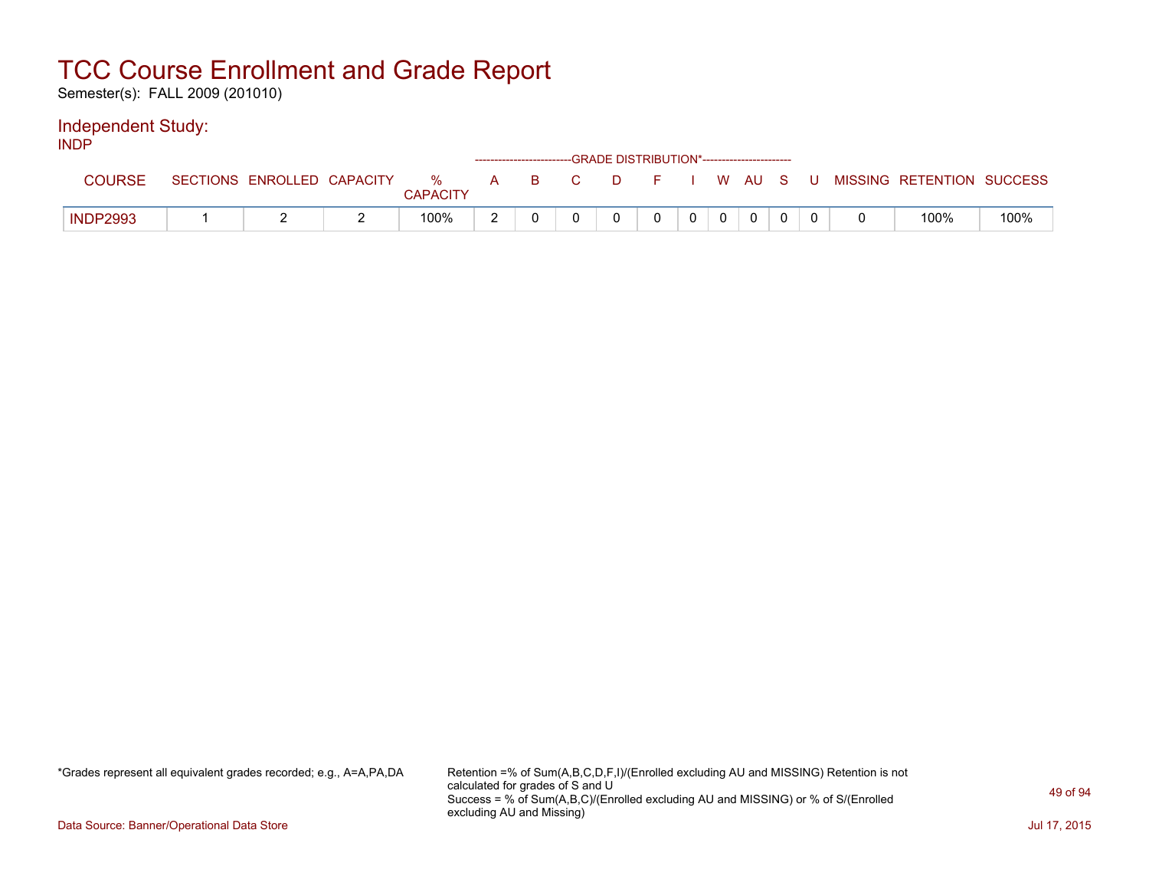Semester(s): FALL 2009 (201010)

### Independent Study:

INDP

|                 |                            |          |               |   |     | ------------------------GRADE DISTRIBUTION*----------------------- |          |  |  |  |                           |      |
|-----------------|----------------------------|----------|---------------|---|-----|--------------------------------------------------------------------|----------|--|--|--|---------------------------|------|
| COURSE          | SECTIONS ENROLLED CAPACITY |          | %<br>CAPACITY | A | B C |                                                                    | DFIWAUSU |  |  |  | MISSING RETENTION SUCCESS |      |
| <b>INDP2993</b> | <u>_</u>                   | <u>_</u> | 100%          | ▃ |     |                                                                    |          |  |  |  | 100%                      | 100% |

\*Grades represent all equivalent grades recorded; e.g., A=A,PA,DA Retention =% of Sum(A,B,C,D,F,I)/(Enrolled excluding AU and MISSING) Retention is not calculated for grades of S and U Success = % of Sum(A,B,C)/(Enrolled excluding AU and MISSING) or % of S/(Enrolled excluding AU and Missing)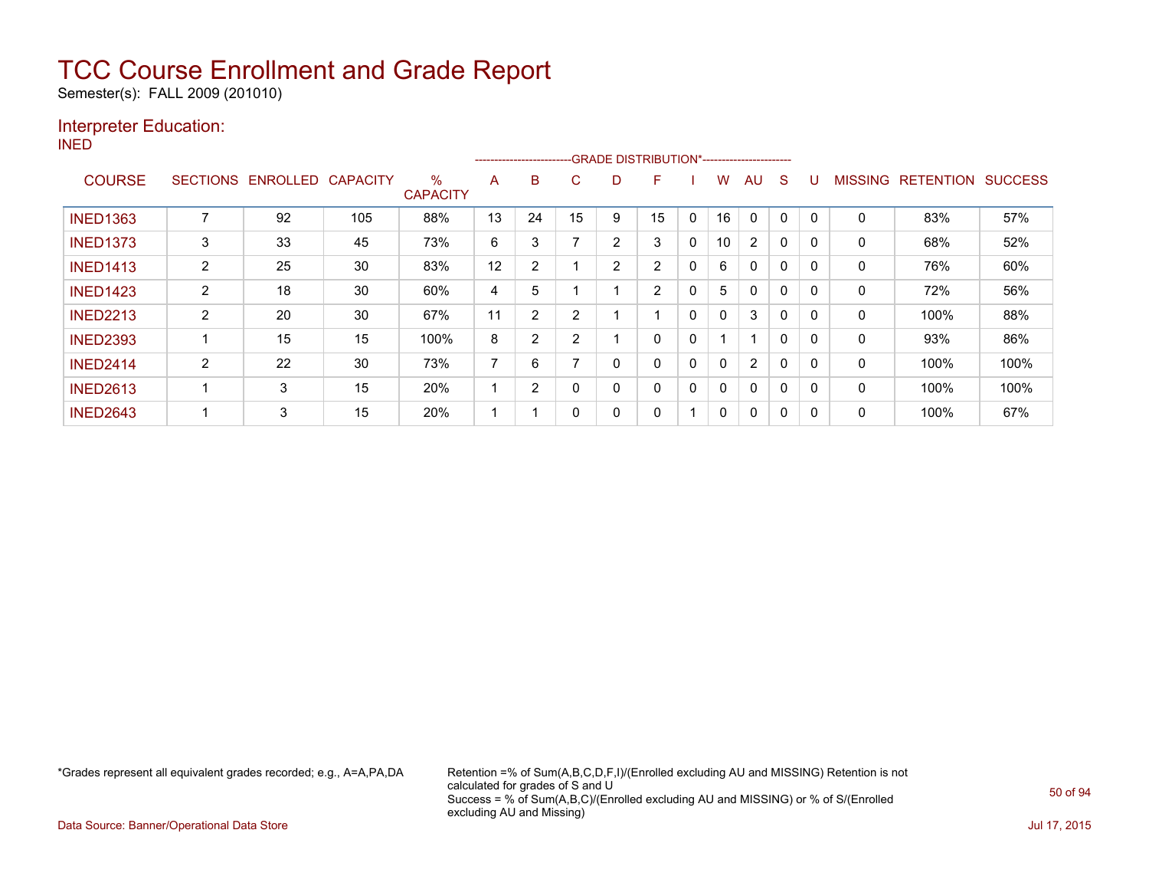Semester(s): FALL 2009 (201010)

### Interpreter Education:

INED

| .               |                 |                 |                 |                         |    | ---------------------- |    |                | -GRADE DISTRIBUTION*----------------------- |   |    |                |              |             |              |                  |                |
|-----------------|-----------------|-----------------|-----------------|-------------------------|----|------------------------|----|----------------|---------------------------------------------|---|----|----------------|--------------|-------------|--------------|------------------|----------------|
| <b>COURSE</b>   | <b>SECTIONS</b> | <b>ENROLLED</b> | <b>CAPACITY</b> | $\%$<br><b>CAPACITY</b> | A  | B                      | С  | D              | F                                           |   | W  | AU             | S            |             | MISSING      | <b>RETENTION</b> | <b>SUCCESS</b> |
| <b>INED1363</b> | ⇁               | 92              | 105             | 88%                     | 13 | 24                     | 15 | 9              | 15                                          | 0 | 16 | $\mathbf{0}$   | 0            | $\mathbf 0$ | 0            | 83%              | 57%            |
| <b>INED1373</b> | 3               | 33              | 45              | 73%                     | 6  | 3                      |    | $\overline{2}$ | 3                                           | 0 | 10 | $\overline{2}$ | 0            |             | 0            | 68%              | 52%            |
| <b>INED1413</b> | 2               | 25              | 30              | 83%                     | 12 | 2                      |    | 2              | $\overline{2}$                              | 0 | 6  | 0              | 0            |             | 0            | 76%              | 60%            |
| <b>INED1423</b> | $\overline{2}$  | 18              | 30              | 60%                     | 4  | 5                      |    |                | $\overline{2}$                              | 0 | 5  | $\Omega$       | 0            | 0           | $\Omega$     | 72%              | 56%            |
| <b>INED2213</b> | $\overline{2}$  | 20              | 30              | 67%                     | 11 | 2                      | 2  |                |                                             | 0 | 0  | 3              | 0            | 0           | $\mathbf{0}$ | 100%             | 88%            |
| <b>INED2393</b> |                 | 15              | 15              | 100%                    | 8  | <sup>o</sup>           | 2  |                | 0                                           | 0 | и  |                | 0            |             | 0            | 93%              | 86%            |
| <b>INED2414</b> | $\overline{2}$  | 22              | 30              | 73%                     | 7  | 6                      |    | 0              | 0                                           | 0 | 0  | 2              | 0            |             | 0            | 100%             | 100%           |
| <b>INED2613</b> |                 | 3               | 15              | 20%                     | ٠  | 2                      | 0  | 0              | $\Omega$                                    | 0 | 0  | $\Omega$       | $\mathbf{0}$ | $\mathbf 0$ | $\mathbf{0}$ | 100%             | 100%           |
| <b>INED2643</b> |                 | 3               | 15              | 20%                     |    |                        | 0  | 0              | 0                                           |   | 0  | $\Omega$       | 0            |             | 0            | 100%             | 67%            |

\*Grades represent all equivalent grades recorded; e.g., A=A,PA,DA Retention =% of Sum(A,B,C,D,F,I)/(Enrolled excluding AU and MISSING) Retention is not calculated for grades of S and U Success = % of Sum(A,B,C)/(Enrolled excluding AU and MISSING) or % of S/(Enrolled excluding AU and Missing)

Data Source: Banner/Operational Data Store Jul 17, 2015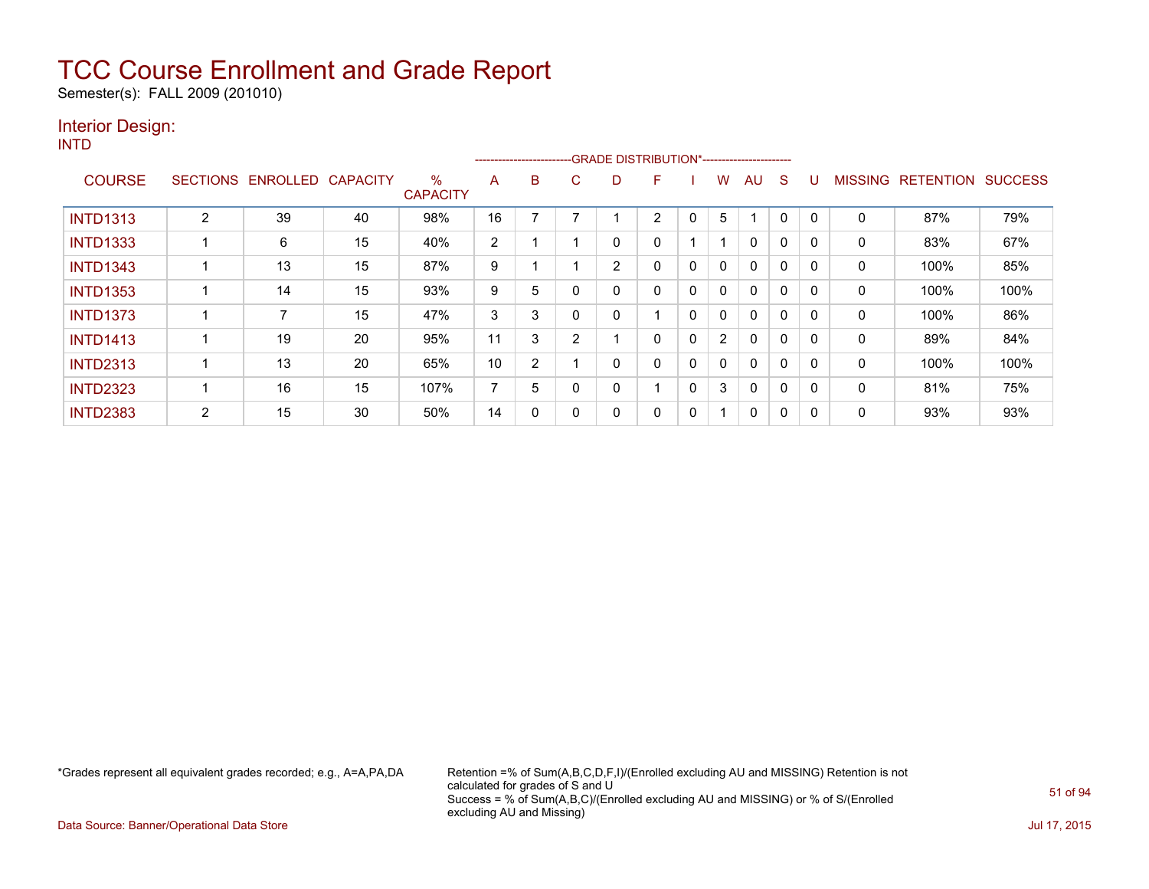Semester(s): FALL 2009 (201010)

### Interior Design:

INTD

|                 |                 |          |                 |                         |    |                |          | -------------------------GRADE                DISTRIBUTION*---------------------- |   |              |                |              |              |          |                |                  |                |
|-----------------|-----------------|----------|-----------------|-------------------------|----|----------------|----------|-----------------------------------------------------------------------------------|---|--------------|----------------|--------------|--------------|----------|----------------|------------------|----------------|
| <b>COURSE</b>   | <b>SECTIONS</b> | ENROLLED | <b>CAPACITY</b> | $\%$<br><b>CAPACITY</b> | A  | B.             | C        | D                                                                                 | F |              | w              | AU           | S            |          | <b>MISSING</b> | <b>RETENTION</b> | <b>SUCCESS</b> |
| <b>INTD1313</b> | 2               | 39       | 40              | 98%                     | 16 |                |          |                                                                                   | 2 | 0            | 5              | ٠            | $\mathbf 0$  | $\Omega$ | 0              | 87%              | 79%            |
| <b>INTD1333</b> |                 | 6        | 15              | 40%                     | 2  |                |          | 0                                                                                 | 0 |              |                | $\mathbf{0}$ | 0            |          | 0              | 83%              | 67%            |
| <b>INTD1343</b> |                 | 13       | 15              | 87%                     | 9  |                |          | $\overline{2}$                                                                    | 0 | 0            | 0              | 0            | 0            | $\Omega$ | 0              | 100%             | 85%            |
| <b>INTD1353</b> |                 | 14       | 15              | 93%                     | 9  | 5              |          | 0                                                                                 | 0 | 0            | 0              | $\mathbf{0}$ | $\mathbf 0$  |          | 0              | 100%             | 100%           |
| <b>INTD1373</b> |                 | 7        | 15              | 47%                     | 3  | 3              | $\Omega$ | 0                                                                                 |   | $\Omega$     | 0              | $\mathbf{0}$ | $\mathbf{0}$ |          | 0              | 100%             | 86%            |
| <b>INTD1413</b> |                 | 19       | 20              | 95%                     | 11 | 3              | C        |                                                                                   | 0 | 0            | $\overline{2}$ | 0            | 0            |          | 0              | 89%              | 84%            |
| <b>INTD2313</b> |                 | 13       | 20              | 65%                     | 10 | $\overline{2}$ |          | 0                                                                                 | 0 | 0            | 0              | $\mathbf{0}$ | 0            | - 0      | 0              | 100%             | 100%           |
| <b>INTD2323</b> |                 | 16       | 15              | 107%                    | 7  | 5              | 0        | 0                                                                                 |   | $\mathbf{0}$ | 3              | $\mathbf{0}$ | $\mathbf 0$  | $\Omega$ | 0              | 81%              | 75%            |
| <b>INTD2383</b> | 2               | 15       | 30              | 50%                     | 14 | 0              |          | 0                                                                                 | 0 | 0            |                | 0            | 0            |          | 0              | 93%              | 93%            |

\*Grades represent all equivalent grades recorded; e.g., A=A,PA,DA Retention =% of Sum(A,B,C,D,F,I)/(Enrolled excluding AU and MISSING) Retention is not calculated for grades of S and U Success = % of Sum(A,B,C)/(Enrolled excluding AU and MISSING) or % of S/(Enrolled excluding AU and Missing)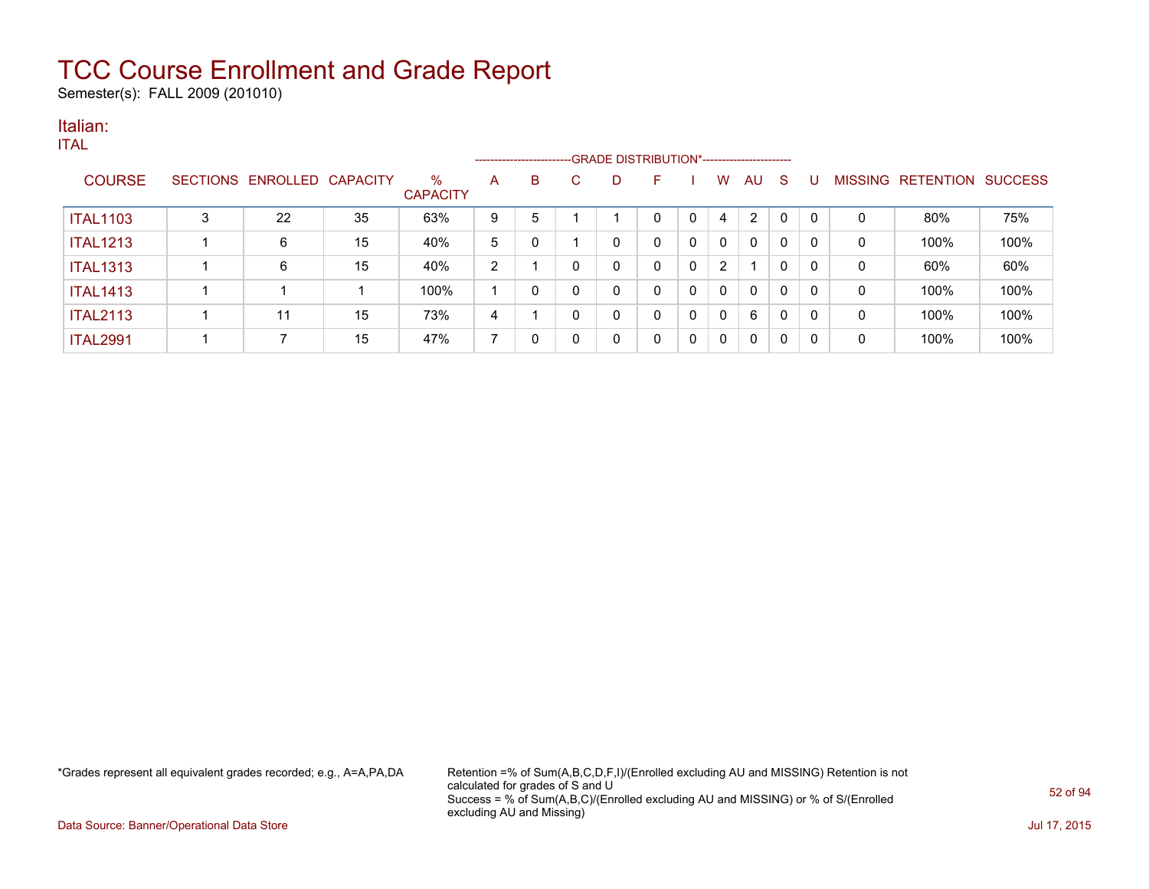Semester(s): FALL 2009 (201010)

### Italian:

|                 |                            |    |                         |                |    |          |    | ------------------------GRADE DISTRIBUTION*----------------------- |              |                |              |              |          |   |                           |      |
|-----------------|----------------------------|----|-------------------------|----------------|----|----------|----|--------------------------------------------------------------------|--------------|----------------|--------------|--------------|----------|---|---------------------------|------|
| <b>COURSE</b>   | SECTIONS ENROLLED CAPACITY |    | $\%$<br><b>CAPACITY</b> | A              | B. |          | D. | F                                                                  |              | W              | AU           | -S           |          |   | MISSING RETENTION SUCCESS |      |
| <b>ITAL1103</b> | 22                         | 35 | 63%                     | 9              | 5  |          |    | $\Omega$                                                           | $\mathbf{0}$ | 4              | 2            | $\mathbf{0}$ | $\Omega$ | 0 | 80%                       | 75%  |
| <b>ITAL1213</b> | 6                          | 15 | 40%                     | 5              | 0  |          | 0  | 0                                                                  | 0            | 0              | $\mathbf{0}$ | $\mathbf{0}$ | 0        | 0 | 100%                      | 100% |
| <b>ITAL1313</b> | 6                          | 15 | 40%                     | $\overline{2}$ |    | $\Omega$ | 0  | 0                                                                  | 0            | $\overline{2}$ |              | $\mathbf{0}$ | 0        | 0 | 60%                       | 60%  |
| <b>ITAL1413</b> |                            |    | 100%                    |                | 0  |          | 0  | 0                                                                  | 0            | 0              | $\mathbf{0}$ | $\mathbf{0}$ | 0        | 0 | 100%                      | 100% |
| <b>ITAL2113</b> | 11                         | 15 | 73%                     | 4              |    | $\Omega$ | 0  | 0                                                                  | 0            | 0              | 6            | $\mathbf{0}$ | 0        | 0 | 100%                      | 100% |
| <b>ITAL2991</b> |                            | 15 | 47%                     |                | 0  |          | 0  | 0                                                                  | $\mathbf{0}$ | 0              | 0            | 0            | 0        | 0 | 100%                      | 100% |

\*Grades represent all equivalent grades recorded; e.g., A=A,PA,DA Retention =% of Sum(A,B,C,D,F,I)/(Enrolled excluding AU and MISSING) Retention is not calculated for grades of S and U Success = % of Sum(A,B,C)/(Enrolled excluding AU and MISSING) or % of S/(Enrolled excluding AU and Missing)

Data Source: Banner/Operational Data Store Jul 17, 2015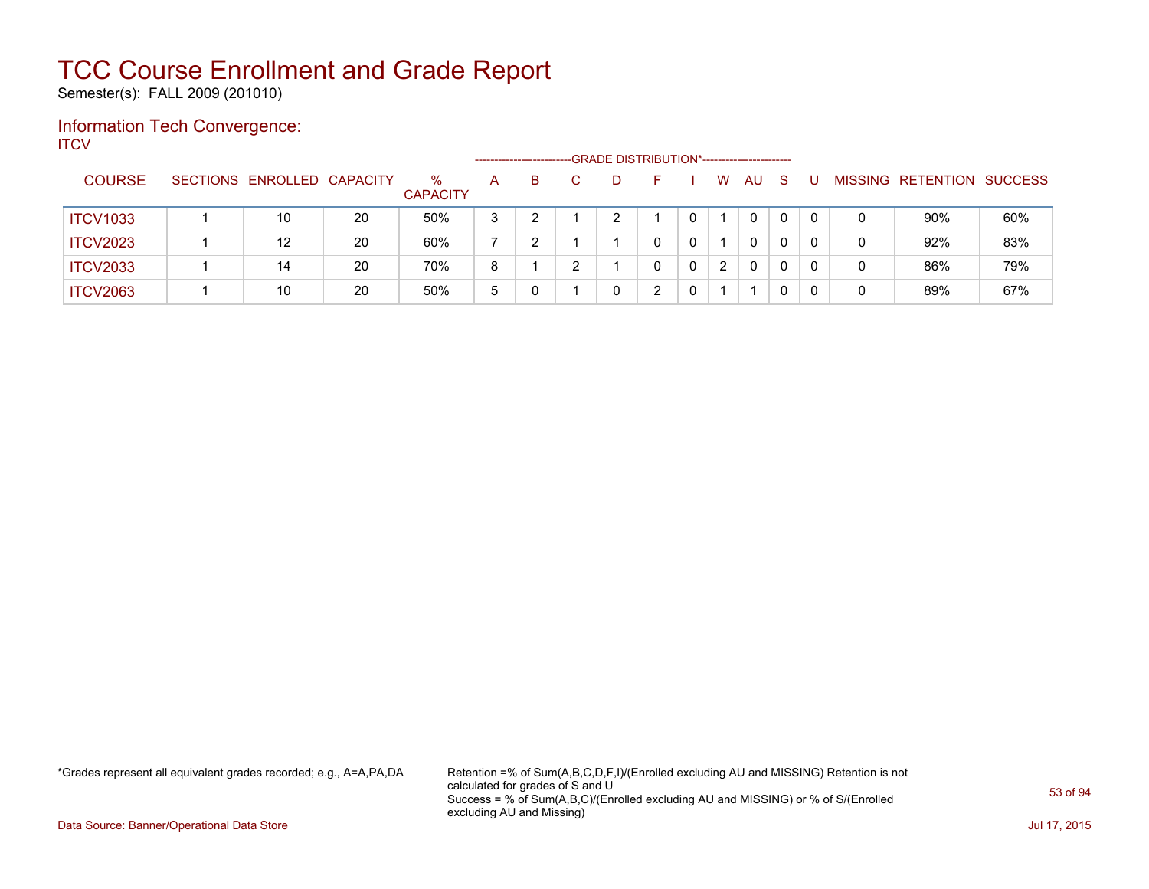Semester(s): FALL 2009 (201010)

### Information Tech Convergence: **ITCV**

|                 |                            |    |                         |   | ----------------------- |    | -GRADE DISTRIBUTION*----------------------- |   |                |              |              |   |                |           |                |
|-----------------|----------------------------|----|-------------------------|---|-------------------------|----|---------------------------------------------|---|----------------|--------------|--------------|---|----------------|-----------|----------------|
| <b>COURSE</b>   | SECTIONS ENROLLED CAPACITY |    | $\%$<br><b>CAPACITY</b> | A | B                       | D. | н.                                          |   | W              | AU           | <sub>S</sub> |   | <b>MISSING</b> | RETENTION | <b>SUCCESS</b> |
| <b>ITCV1033</b> | 10                         | 20 | 50%                     | 3 |                         |    |                                             |   |                | $\mathbf{0}$ | 0            | 0 | 0              | 90%       | 60%            |
| <b>ITCV2023</b> | 12                         | 20 | 60%                     |   |                         |    |                                             |   |                | 0            | 0            |   | 0              | 92%       | 83%            |
| <b>ITCV2033</b> | 14                         | 20 | 70%                     | 8 |                         |    |                                             | 0 | $\overline{2}$ | 0            | 0            |   |                | 86%       | 79%            |
| <b>ITCV2063</b> | 10                         | 20 | 50%                     | 5 |                         |    | ົ                                           |   |                |              | 0            |   | 0              | 89%       | 67%            |

\*Grades represent all equivalent grades recorded; e.g., A=A,PA,DA Retention =% of Sum(A,B,C,D,F,I)/(Enrolled excluding AU and MISSING) Retention is not calculated for grades of S and U Success = % of Sum(A,B,C)/(Enrolled excluding AU and MISSING) or % of S/(Enrolled excluding AU and Missing)

Data Source: Banner/Operational Data Store Jul 17, 2015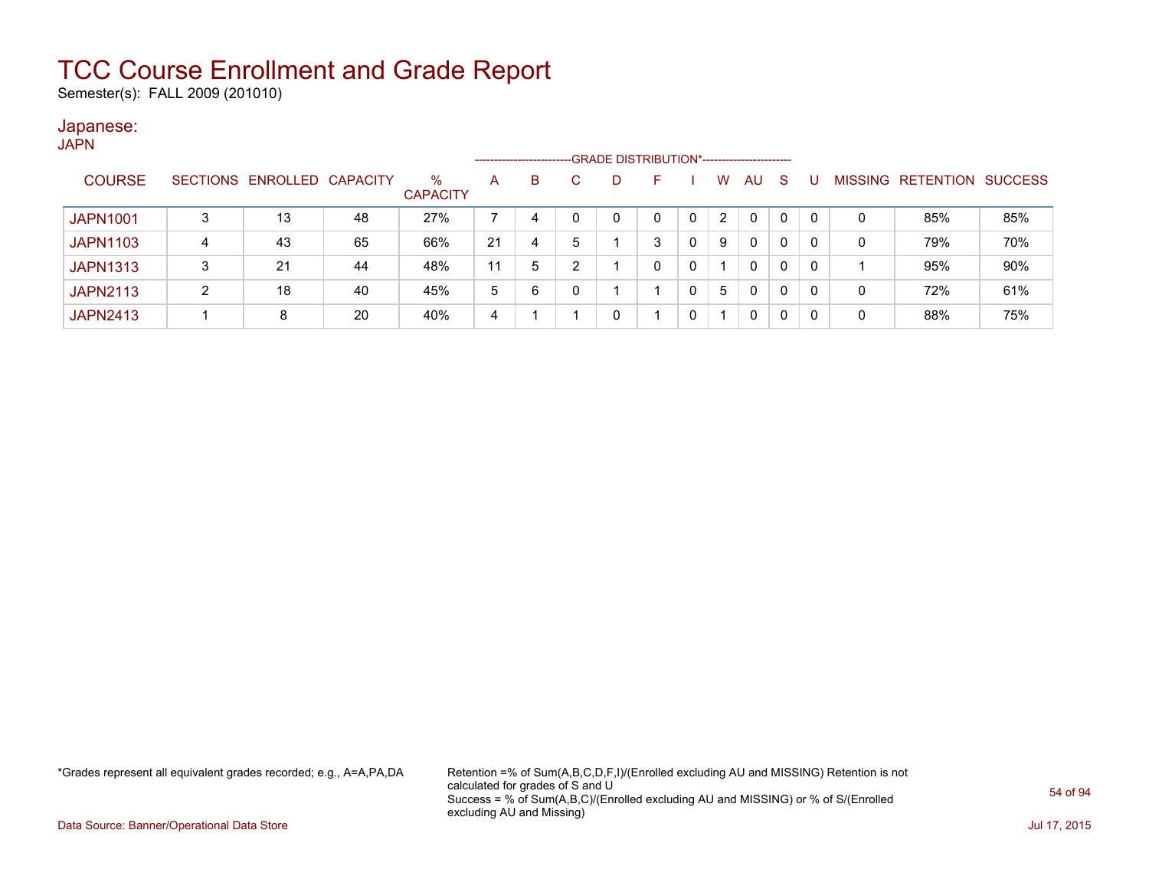Semester(s): FALL 2009 (201010)

### Japanese:

|                 |   |                            |    |                      | --------------------- |   |   | -GRADE DISTRIBUTION*----------------------- |   |   |              |    |              |   |                                  |     |
|-----------------|---|----------------------------|----|----------------------|-----------------------|---|---|---------------------------------------------|---|---|--------------|----|--------------|---|----------------------------------|-----|
| <b>COURSE</b>   |   | SECTIONS ENROLLED CAPACITY |    | %<br><b>CAPACITY</b> | A                     | B |   |                                             | F | w | AU           | -S |              |   | <b>MISSING RETENTION SUCCESS</b> |     |
| <b>JAPN1001</b> |   | 13                         | 48 | 27%                  |                       | 4 |   |                                             |   |   | 0            | 0  | $\mathbf{0}$ | 0 | 85%                              | 85% |
| <b>JAPN1103</b> | 4 | 43                         | 65 | 66%                  | 21                    | 4 | 5 |                                             | 3 | 9 | $\mathbf{0}$ | 0  | 0            | 0 | 79%                              | 70% |
| <b>JAPN1313</b> |   | 21                         | 44 | 48%                  |                       | 5 |   |                                             |   |   | 0            | 0  | $\mathbf{0}$ |   | 95%                              | 90% |
| <b>JAPN2113</b> | ົ | 18                         | 40 | 45%                  | 5                     | 6 | 0 |                                             |   | 5 | 0            | 0  | 0            | 0 | 72%                              | 61% |
| <b>JAPN2413</b> |   | 8                          | 20 | 40%                  | 4                     |   |   |                                             |   |   | 0            |    | 0            | 0 | 88%                              | 75% |

\*Grades represent all equivalent grades recorded; e.g., A=A,PA,DA Retention =% of Sum(A,B,C,D,F,I)/(Enrolled excluding AU and MISSING) Retention is not calculated for grades of S and U Success = % of Sum(A,B,C)/(Enrolled excluding AU and MISSING) or % of S/(Enrolled excluding AU and Missing)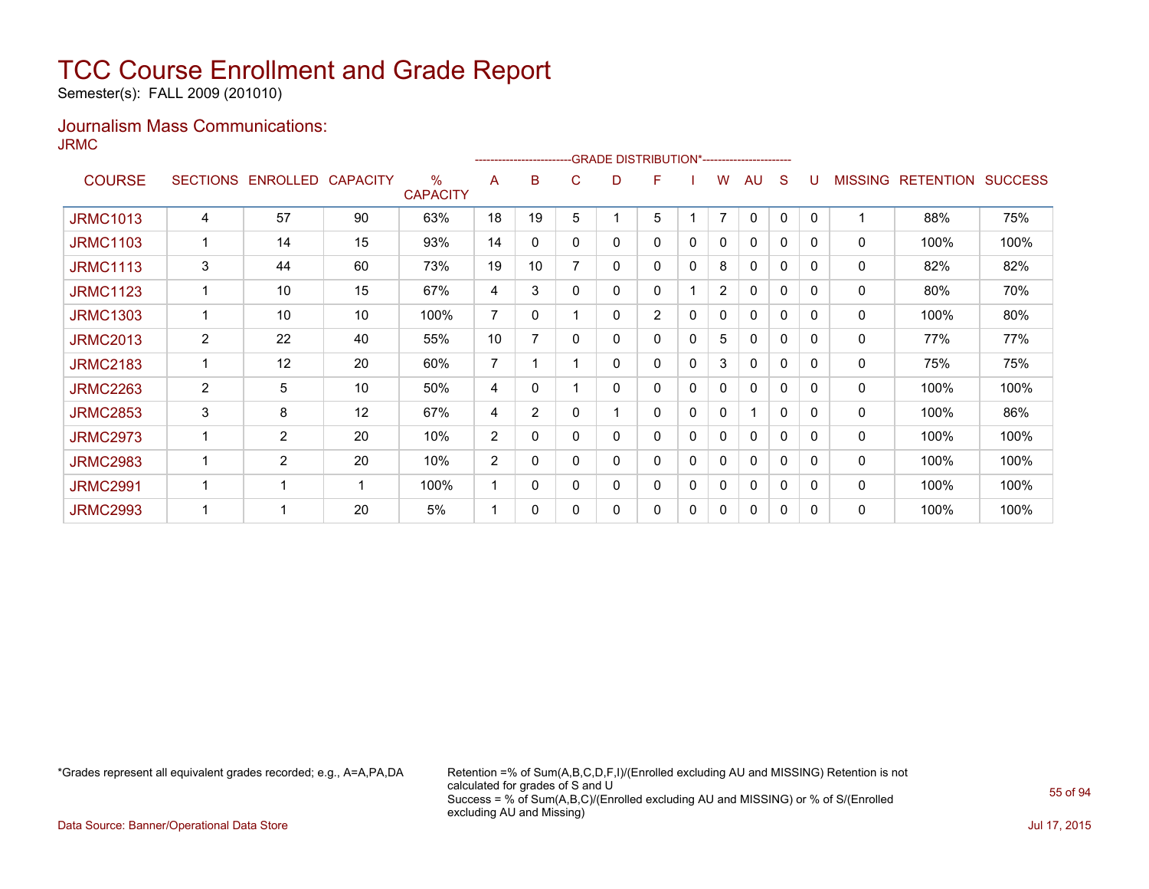Semester(s): FALL 2009 (201010)

### Journalism Mass Communications: JRMC

|                 |                       |                   |    |                                  |                |                |              |   | -GRADE DISTRIBUTION*---------------------- |             |                |              |   |          |                |                  |                |
|-----------------|-----------------------|-------------------|----|----------------------------------|----------------|----------------|--------------|---|--------------------------------------------|-------------|----------------|--------------|---|----------|----------------|------------------|----------------|
| <b>COURSE</b>   | <b>SECTIONS</b>       | ENROLLED CAPACITY |    | $\frac{0}{0}$<br><b>CAPACITY</b> | A              | в              | C            | D | F                                          |             | w              | AU           | S |          | <b>MISSING</b> | <b>RETENTION</b> | <b>SUCCESS</b> |
| <b>JRMC1013</b> | 4                     | 57                | 90 | 63%                              | 18             | 19             | 5            |   | 5                                          |             | $\overline{7}$ | $\mathbf{0}$ | 0 | $\Omega$ |                | 88%              | 75%            |
| <b>JRMC1103</b> |                       | 14                | 15 | 93%                              | 14             | 0              | $\mathbf{0}$ | 0 | 0                                          | 0           | 0              | $\mathbf{0}$ | 0 | 0        | 0              | 100%             | 100%           |
| <b>JRMC1113</b> | 3                     | 44                | 60 | 73%                              | 19             | 10             | 7            | 0 | 0                                          | 0           | 8              | 0            | 0 | $\Omega$ | 0              | 82%              | 82%            |
| <b>JRMC1123</b> |                       | 10                | 15 | 67%                              | 4              | 3              | 0            | 0 | 0                                          |             | $\overline{2}$ | $\mathbf{0}$ | 0 | 0        | 0              | 80%              | 70%            |
| <b>JRMC1303</b> |                       | 10                | 10 | 100%                             | $\overline{7}$ | 0              |              | 0 | $\overline{2}$                             | 0           | 0              | 0            | 0 | $\Omega$ | 0              | 100%             | 80%            |
| <b>JRMC2013</b> | 2                     | 22                | 40 | 55%                              | 10             | 7              | $\mathbf{0}$ | 0 | 0                                          | $\mathbf 0$ | 5              | 0            | 0 | 0        | 0              | 77%              | 77%            |
| <b>JRMC2183</b> |                       | 12                | 20 | 60%                              | $\overline{7}$ |                |              | 0 | 0                                          | 0           | 3              | 0            | 0 | $\Omega$ | 0              | 75%              | 75%            |
| <b>JRMC2263</b> | $\mathbf{2}^{\prime}$ | 5                 | 10 | 50%                              | 4              | $\mathbf{0}$   |              | 0 | 0                                          | 0           | 0              | $\mathbf{0}$ | 0 | $\Omega$ | 0              | 100%             | 100%           |
| <b>JRMC2853</b> | 3                     | 8                 | 12 | 67%                              | 4              | $\overline{2}$ | $\Omega$     |   | 0                                          | 0           | 0              | 1            | 0 | $\Omega$ | 0              | 100%             | 86%            |
| <b>JRMC2973</b> |                       | $\overline{2}$    | 20 | 10%                              | 2              | 0              | 0            | 0 | 0                                          | 0           | 0              | $\mathbf{0}$ | 0 | $\Omega$ | 0              | 100%             | 100%           |
| <b>JRMC2983</b> |                       | $\overline{2}$    | 20 | 10%                              | 2              | $\Omega$       | 0            | 0 | 0                                          | 0           | 0              | 0            | 0 | $\Omega$ | 0              | 100%             | 100%           |
| <b>JRMC2991</b> |                       | 1                 | 1  | 100%                             |                | 0              | $\mathbf{0}$ | 0 | 0                                          | 0           | 0              | 0            | 0 | 0        | 0              | 100%             | 100%           |
| <b>JRMC2993</b> |                       | 1                 | 20 | 5%                               |                | 0              | 0            | 0 | 0                                          | 0           | 0              | 0            | 0 | 0        | 0              | 100%             | 100%           |

\*Grades represent all equivalent grades recorded; e.g., A=A,PA,DA Retention =% of Sum(A,B,C,D,F,I)/(Enrolled excluding AU and MISSING) Retention is not calculated for grades of S and U Success = % of Sum(A,B,C)/(Enrolled excluding AU and MISSING) or % of S/(Enrolled excluding AU and Missing)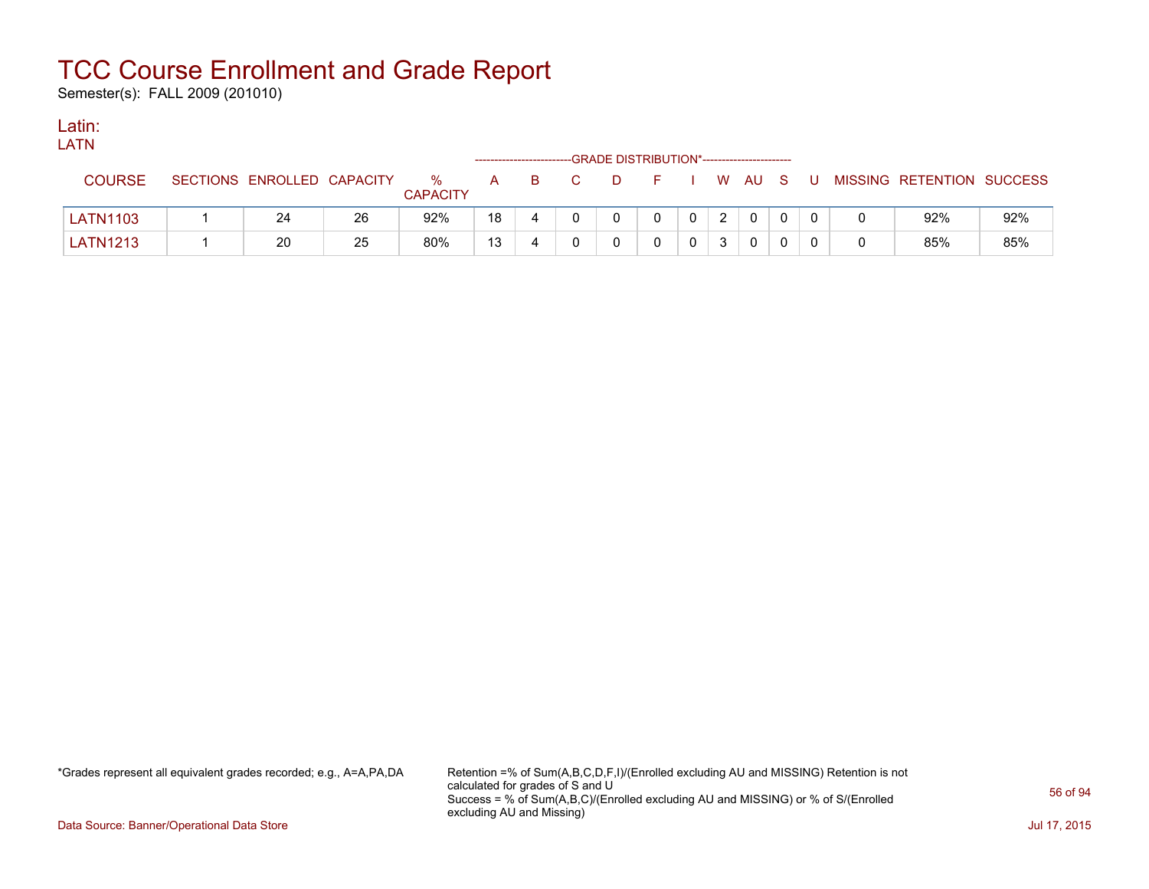Semester(s): FALL 2009 (201010)

### Latin:

| LATN            |                            |    |                      |              |                          |    |                                            |                |        |     |                           |     |
|-----------------|----------------------------|----|----------------------|--------------|--------------------------|----|--------------------------------------------|----------------|--------|-----|---------------------------|-----|
|                 |                            |    |                      |              | ------------------------ |    | -GRADE DISTRIBUTION*---------------------- |                |        |     |                           |     |
| <b>COURSE</b>   | SECTIONS ENROLLED CAPACITY |    | %<br><b>CAPACITY</b> | $\mathsf{A}$ | - B                      | D. |                                            |                | W AU S | - U | MISSING RETENTION SUCCESS |     |
| <b>LATN1103</b> | 24                         | 26 | 92%                  | 18           |                          |    |                                            | $\overline{2}$ |        |     | 92%                       | 92% |
| <b>LATN1213</b> | 20                         | 25 | 80%                  | 13           |                          |    |                                            | 2              |        |     | 85%                       | 85% |

\*Grades represent all equivalent grades recorded; e.g., A=A,PA,DA Retention =% of Sum(A,B,C,D,F,I)/(Enrolled excluding AU and MISSING) Retention is not calculated for grades of S and U Success = % of Sum(A,B,C)/(Enrolled excluding AU and MISSING) or % of S/(Enrolled excluding AU and Missing)

Data Source: Banner/Operational Data Store Jul 17, 2015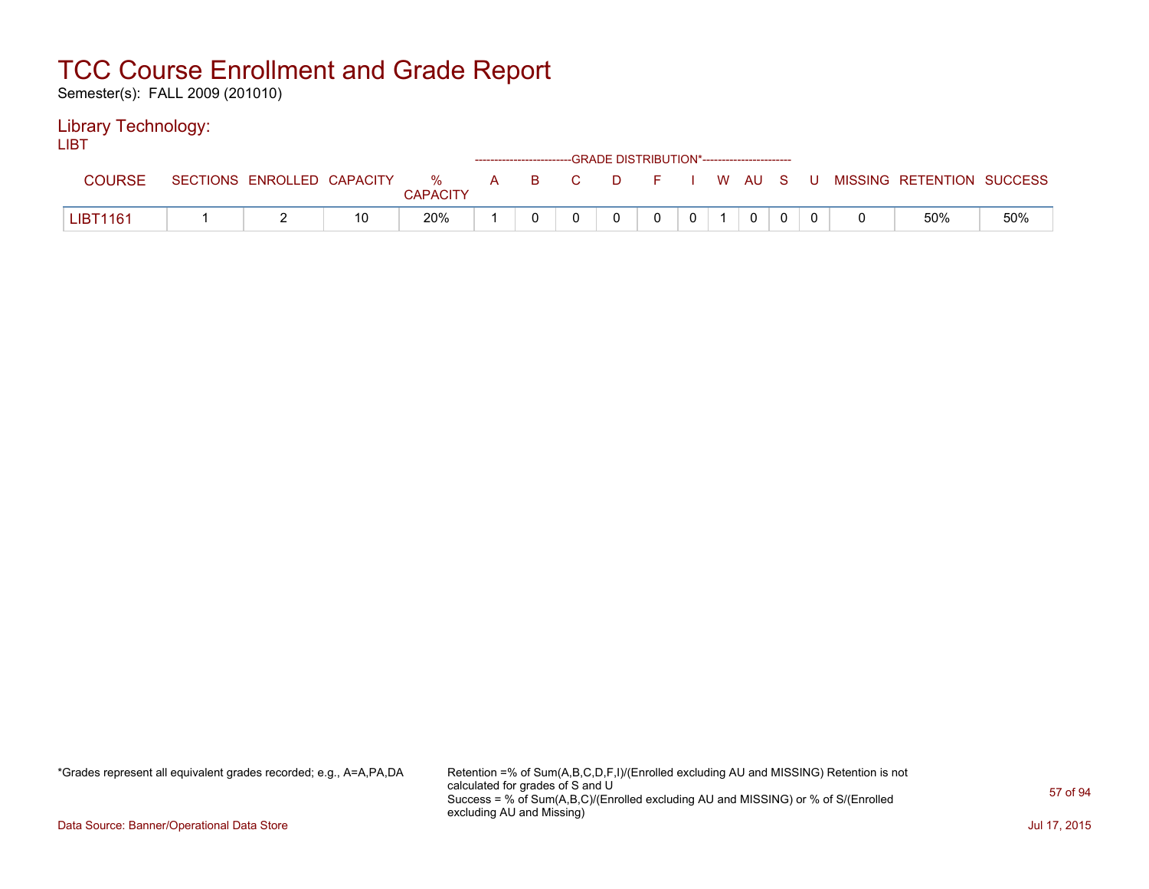Semester(s): FALL 2009 (201010)

### Library Technology:

LIBT

|               |                            |    |                      |              |     | ------------------------GRADE DISTRIBUTION*----------------------- |  |              |     |    |                           |     |
|---------------|----------------------------|----|----------------------|--------------|-----|--------------------------------------------------------------------|--|--------------|-----|----|---------------------------|-----|
| <b>COURSE</b> | SECTIONS ENROLLED CAPACITY |    | %<br><b>CAPACITY</b> | $\mathbf{A}$ | B C | $\Box$                                                             |  | W AU         | - S | -U | MISSING RETENTION SUCCESS |     |
| LIBT1161      |                            | 10 | 20%                  |              |     |                                                                    |  | $\mathbf{0}$ |     |    | 50%                       | 50% |

\*Grades represent all equivalent grades recorded; e.g., A=A,PA,DA Retention =% of Sum(A,B,C,D,F,I)/(Enrolled excluding AU and MISSING) Retention is not calculated for grades of S and U Success = % of Sum(A,B,C)/(Enrolled excluding AU and MISSING) or % of S/(Enrolled excluding AU and Missing)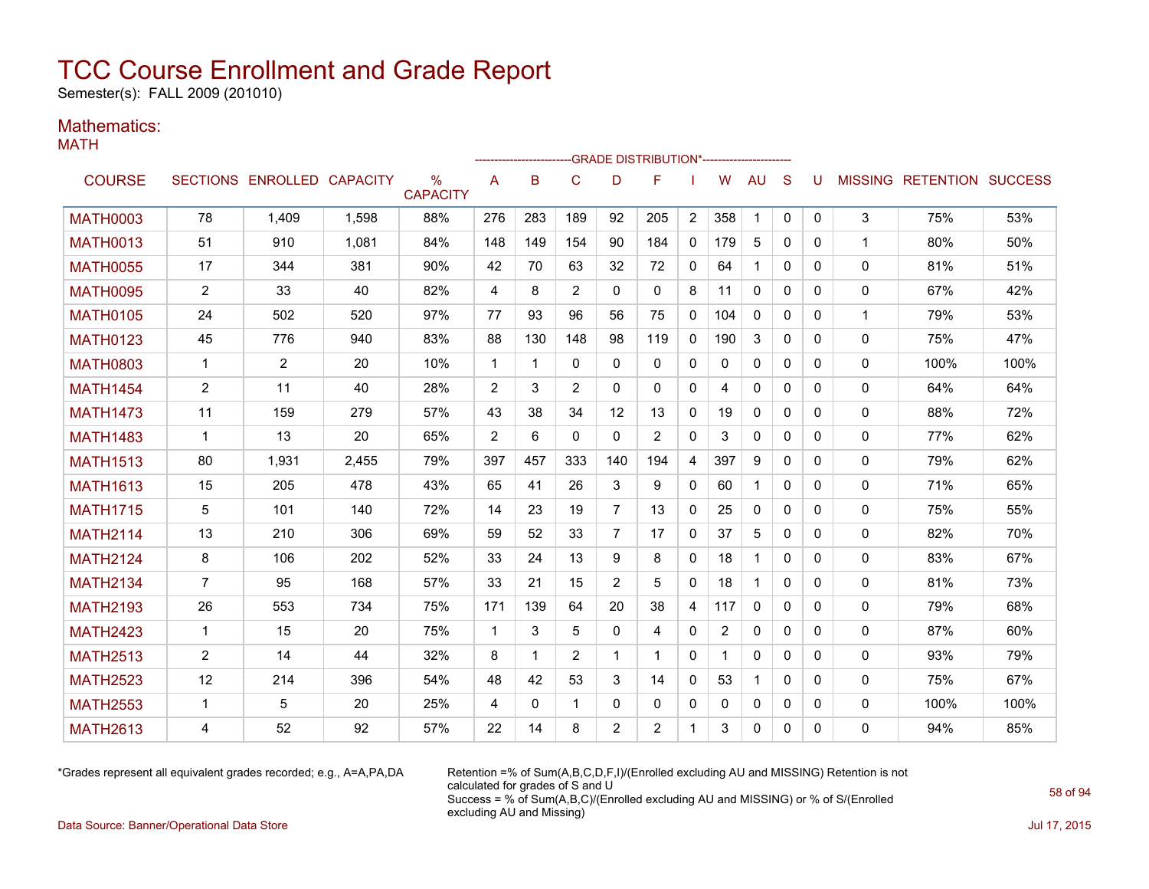Semester(s): FALL 2009 (201010)

### Mathematics:

|--|--|

|                 |                |                            |       |                                  |              |              |                |                | -GRADE DISTRIBUTION*---------------------- |              |                |              |              |              |              |                           |      |
|-----------------|----------------|----------------------------|-------|----------------------------------|--------------|--------------|----------------|----------------|--------------------------------------------|--------------|----------------|--------------|--------------|--------------|--------------|---------------------------|------|
| <b>COURSE</b>   |                | SECTIONS ENROLLED CAPACITY |       | $\frac{0}{0}$<br><b>CAPACITY</b> | A            | B            | C              | D              | F                                          |              | W              | AU           | S            | U            |              | MISSING RETENTION SUCCESS |      |
| <b>MATH0003</b> | 78             | 1.409                      | 1.598 | 88%                              | 276          | 283          | 189            | 92             | 205                                        | 2            | 358            | $\mathbf 1$  | $\mathbf{0}$ | $\mathbf{0}$ | 3            | 75%                       | 53%  |
| <b>MATH0013</b> | 51             | 910                        | 1.081 | 84%                              | 148          | 149          | 154            | 90             | 184                                        | 0            | 179            | 5            | $\mathbf{0}$ | $\mathbf{0}$ | $\mathbf{1}$ | 80%                       | 50%  |
| <b>MATH0055</b> | 17             | 344                        | 381   | 90%                              | 42           | 70           | 63             | 32             | 72                                         | $\mathbf{0}$ | 64             | $\mathbf{1}$ | $\mathbf{0}$ | $\Omega$     | $\mathbf{0}$ | 81%                       | 51%  |
| <b>MATH0095</b> | $\overline{2}$ | 33                         | 40    | 82%                              | 4            | 8            | $\overline{2}$ | $\Omega$       | $\Omega$                                   | 8            | 11             | $\Omega$     | $\mathbf{0}$ | $\Omega$     | 0            | 67%                       | 42%  |
| <b>MATH0105</b> | 24             | 502                        | 520   | 97%                              | 77           | 93           | 96             | 56             | 75                                         | $\mathbf{0}$ | 104            | $\Omega$     | $\mathbf{0}$ | $\Omega$     | $\mathbf 1$  | 79%                       | 53%  |
| <b>MATH0123</b> | 45             | 776                        | 940   | 83%                              | 88           | 130          | 148            | 98             | 119                                        | $\mathbf{0}$ | 190            | 3            | $\Omega$     | $\Omega$     | 0            | 75%                       | 47%  |
| <b>MATH0803</b> | $\mathbf 1$    | $\overline{2}$             | 20    | 10%                              | $\mathbf{1}$ | $\mathbf 1$  | $\Omega$       | 0              | 0                                          | 0            | 0              | 0            | 0            | $\Omega$     | 0            | 100%                      | 100% |
| <b>MATH1454</b> | $\overline{2}$ | 11                         | 40    | 28%                              | 2            | 3            | $\overline{2}$ | $\Omega$       | $\Omega$                                   | $\mathbf{0}$ | 4              | $\Omega$     | $\Omega$     | $\Omega$     | $\mathbf{0}$ | 64%                       | 64%  |
| <b>MATH1473</b> | 11             | 159                        | 279   | 57%                              | 43           | 38           | 34             | 12             | 13                                         | $\mathbf{0}$ | 19             | $\Omega$     | $\Omega$     | $\Omega$     | $\Omega$     | 88%                       | 72%  |
| <b>MATH1483</b> | $\mathbf{1}$   | 13                         | 20    | 65%                              | 2            | 6            | $\Omega$       | $\mathbf{0}$   | 2                                          | 0            | 3              | 0            | $\mathbf{0}$ | 0            | 0            | 77%                       | 62%  |
| <b>MATH1513</b> | 80             | 1,931                      | 2,455 | 79%                              | 397          | 457          | 333            | 140            | 194                                        | 4            | 397            | 9            | 0            | $\Omega$     | 0            | 79%                       | 62%  |
| <b>MATH1613</b> | 15             | 205                        | 478   | 43%                              | 65           | 41           | 26             | 3              | 9                                          | $\mathbf{0}$ | 60             | 1            | $\mathbf{0}$ | $\Omega$     | 0            | 71%                       | 65%  |
| <b>MATH1715</b> | 5              | 101                        | 140   | 72%                              | 14           | 23           | 19             | $\overline{7}$ | 13                                         | $\mathbf{0}$ | 25             | $\Omega$     | $\Omega$     | $\Omega$     | $\mathbf{0}$ | 75%                       | 55%  |
| <b>MATH2114</b> | 13             | 210                        | 306   | 69%                              | 59           | 52           | 33             | 7              | 17                                         | $\mathbf{0}$ | 37             | 5            | 0            | 0            | 0            | 82%                       | 70%  |
| <b>MATH2124</b> | 8              | 106                        | 202   | 52%                              | 33           | 24           | 13             | 9              | 8                                          | $\mathbf{0}$ | 18             | $\mathbf{1}$ | $\Omega$     | $\Omega$     | $\mathbf 0$  | 83%                       | 67%  |
| <b>MATH2134</b> | $\overline{7}$ | 95                         | 168   | 57%                              | 33           | 21           | 15             | 2              | 5                                          | $\mathbf{0}$ | 18             | $\mathbf{1}$ | $\mathbf{0}$ | $\Omega$     | 0            | 81%                       | 73%  |
| <b>MATH2193</b> | 26             | 553                        | 734   | 75%                              | 171          | 139          | 64             | 20             | 38                                         | 4            | 117            | $\Omega$     | $\mathbf{0}$ | $\Omega$     | 0            | 79%                       | 68%  |
| <b>MATH2423</b> | $\mathbf{1}$   | 15                         | 20    | 75%                              | $\mathbf{1}$ | 3            | 5              | 0              | 4                                          | 0            | $\overline{2}$ | $\mathbf{0}$ | 0            | $\Omega$     | 0            | 87%                       | 60%  |
| <b>MATH2513</b> | $\overline{2}$ | 14                         | 44    | 32%                              | 8            | $\mathbf 1$  | $\overline{2}$ | 1              | 1                                          | $\mathbf{0}$ |                | $\Omega$     | $\Omega$     | $\Omega$     | 0            | 93%                       | 79%  |
| <b>MATH2523</b> | 12             | 214                        | 396   | 54%                              | 48           | 42           | 53             | 3              | 14                                         | $\mathbf{0}$ | 53             | $\mathbf{1}$ | $\Omega$     | $\Omega$     | 0            | 75%                       | 67%  |
| <b>MATH2553</b> | $\mathbf{1}$   | 5                          | 20    | 25%                              | 4            | $\mathbf{0}$ | 1              | 0              | 0                                          | 0            | 0              | 0            | 0            | $\mathbf{0}$ | 0            | 100%                      | 100% |
| <b>MATH2613</b> | 4              | 52                         | 92    | 57%                              | 22           | 14           | 8              | 2              | 2                                          | 1            | 3              | 0            | $\mathbf{0}$ | 0            | 0            | 94%                       | 85%  |

\*Grades represent all equivalent grades recorded; e.g., A=A,PA,DA Retention =% of Sum(A,B,C,D,F,I)/(Enrolled excluding AU and MISSING) Retention is not calculated for grades of S and U Success = % of Sum(A,B,C)/(Enrolled excluding AU and MISSING) or % of S/(Enrolled excluding AU and Missing)

Data Source: Banner/Operational Data Store Jul 17, 2015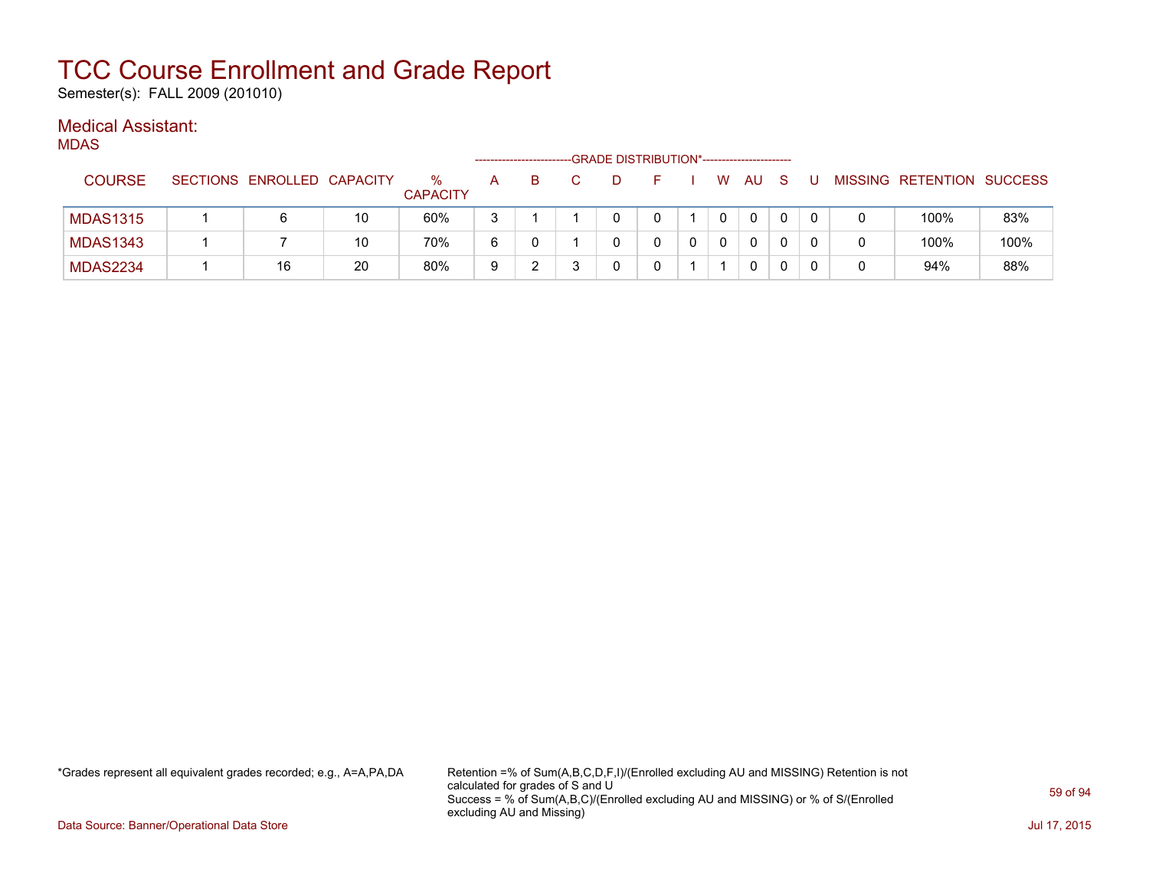Semester(s): FALL 2009 (201010)

### Medical Assistant:

MDAS

|                 |                            |    |                         | ------------------ |   |  | -GRADE DISTRIBUTION*----------------------- |   |              |   |   |                           |      |
|-----------------|----------------------------|----|-------------------------|--------------------|---|--|---------------------------------------------|---|--------------|---|---|---------------------------|------|
| <b>COURSE</b>   | SECTIONS ENROLLED CAPACITY |    | $\%$<br><b>CAPACITY</b> | A                  | в |  |                                             | W | AU           | S |   | MISSING RETENTION SUCCESS |      |
| <b>MDAS1315</b> |                            | 10 | 60%                     | ີ                  |   |  |                                             |   | $\mathbf{0}$ |   | 0 | 100%                      | 83%  |
| <b>MDAS1343</b> |                            | 10 | 70%                     | 6                  |   |  |                                             |   | $\mathbf{0}$ |   | 0 | 100%                      | 100% |
| <b>MDAS2234</b> | 16                         | 20 | 80%                     | 9                  |   |  |                                             |   | $\mathbf{0}$ |   |   | 94%                       | 88%  |

\*Grades represent all equivalent grades recorded; e.g., A=A,PA,DA Retention =% of Sum(A,B,C,D,F,I)/(Enrolled excluding AU and MISSING) Retention is not calculated for grades of S and U Success = % of Sum(A,B,C)/(Enrolled excluding AU and MISSING) or % of S/(Enrolled excluding AU and Missing)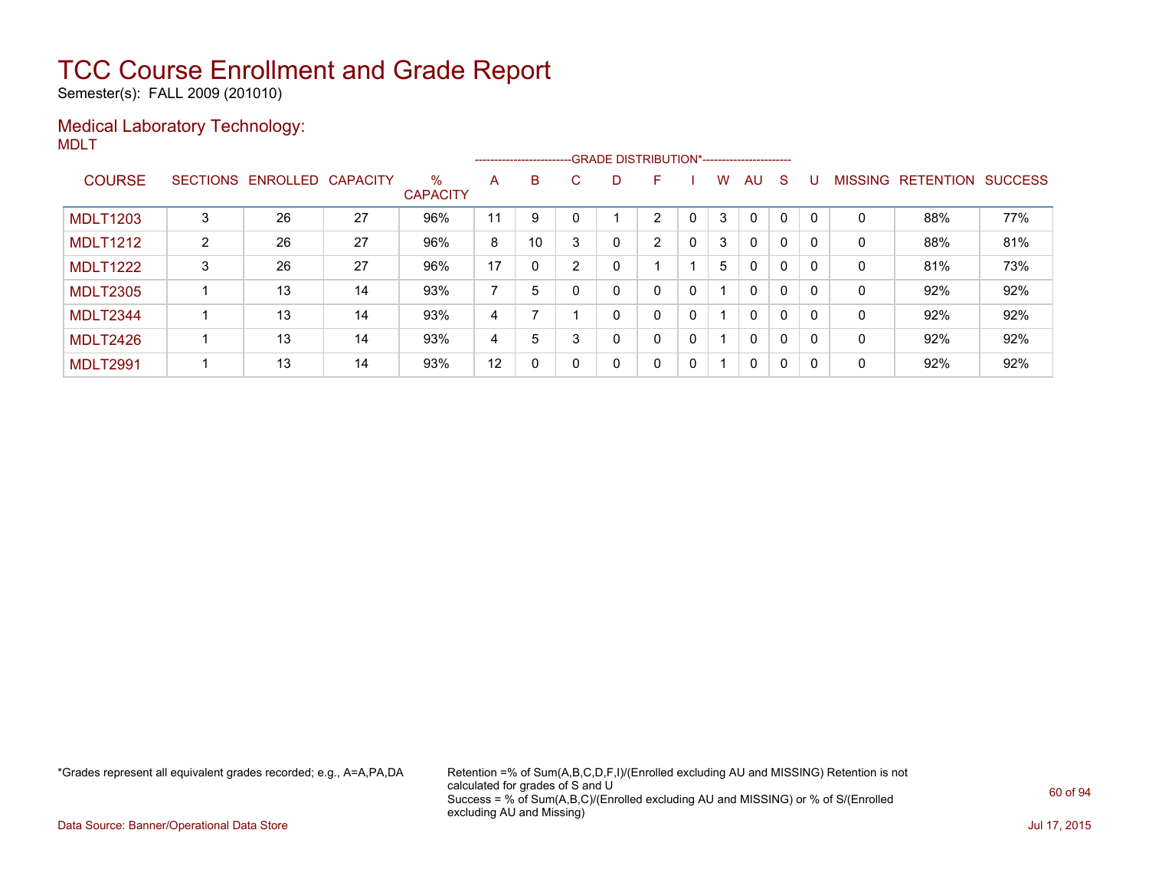Semester(s): FALL 2009 (201010)

### Medical Laboratory Technology: MDLT

|                 |   |                            |    |                         |                |              |    | --------------------------GRADE DISTRIBUTION*----------------------- |   |   |   |              |          |          |                |                  |                |
|-----------------|---|----------------------------|----|-------------------------|----------------|--------------|----|----------------------------------------------------------------------|---|---|---|--------------|----------|----------|----------------|------------------|----------------|
| <b>COURSE</b>   |   | SECTIONS ENROLLED CAPACITY |    | $\%$<br><b>CAPACITY</b> | A              | B            | C. | D                                                                    | F |   | W | AU           | S        |          | <b>MISSING</b> | <b>RETENTION</b> | <b>SUCCESS</b> |
| <b>MDLT1203</b> |   | 26                         | 27 | 96%                     | 11             | 9            |    |                                                                      | າ |   | 3 | $\Omega$     | 0        | $\Omega$ | 0              | 88%              | 77%            |
| <b>MDLT1212</b> | 2 | 26                         | 27 | 96%                     | 8              | 10           |    | 0                                                                    | 2 | 0 | 3 | $\mathbf{0}$ | 0        | 0        | 0              | 88%              | 81%            |
| <b>MDLT1222</b> | 3 | 26                         | 27 | 96%                     | 17             | 0            |    | 0                                                                    |   |   | 5 | 0            | 0        | 0        | 0              | 81%              | 73%            |
| <b>MDLT2305</b> |   | 13                         | 14 | 93%                     | $\overline{ }$ | 5            |    | 0                                                                    | 0 | 0 |   | $\mathbf{0}$ | 0        | 0        | 0              | 92%              | 92%            |
| <b>MDLT2344</b> |   | 13                         | 14 | 93%                     | 4              |              |    | 0                                                                    | 0 | 0 |   | $\mathbf{0}$ | $\Omega$ | $\Omega$ | 0              | 92%              | 92%            |
| <b>MDLT2426</b> |   | 13                         | 14 | 93%                     | 4              | 5            | 3  | 0                                                                    | 0 | 0 |   | $\mathbf{0}$ | 0        | $\Omega$ | 0              | 92%              | 92%            |
| <b>MDLT2991</b> |   | 13                         | 14 | 93%                     | 12             | $\mathbf{0}$ |    | 0                                                                    | 0 | 0 | 1 | $\mathbf{0}$ | 0        | $\Omega$ | 0              | 92%              | 92%            |

\*Grades represent all equivalent grades recorded; e.g., A=A,PA,DA Retention =% of Sum(A,B,C,D,F,I)/(Enrolled excluding AU and MISSING) Retention is not calculated for grades of S and U Success = % of Sum(A,B,C)/(Enrolled excluding AU and MISSING) or % of S/(Enrolled excluding AU and Missing)

Data Source: Banner/Operational Data Store Jul 17, 2015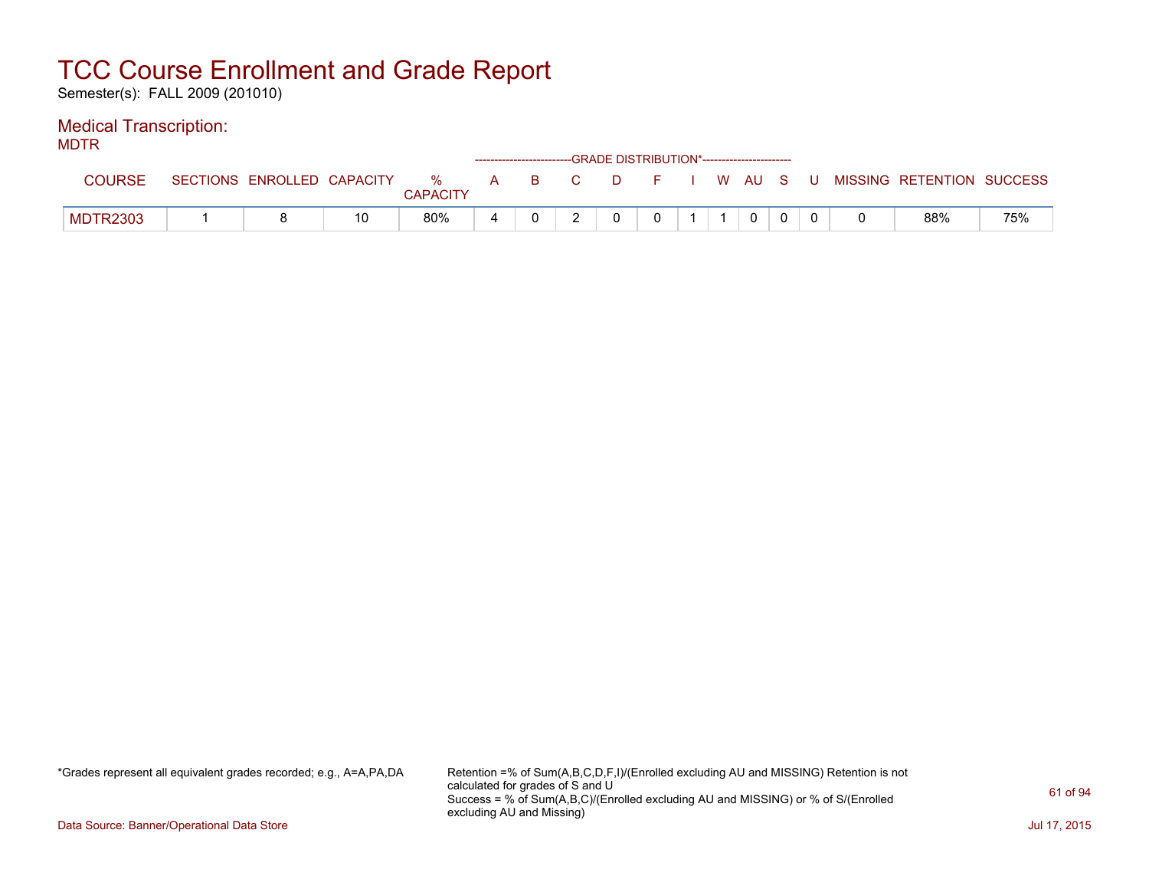Semester(s): FALL 2009 (201010)

### Medical Transcription:

MDTR

|                 |                 |                   |    |               |              |    | ------------------------GRADE DISTRIBUTION*----------------------- |    |       |  |      |     |  |                           |     |
|-----------------|-----------------|-------------------|----|---------------|--------------|----|--------------------------------------------------------------------|----|-------|--|------|-----|--|---------------------------|-----|
| <b>COURSE</b>   | <b>SECTIONS</b> | ENROLLED CAPACITY |    | %<br>CAPACITY | $\mathbf{A}$ | B. | C.                                                                 | D. | - E - |  | W AU | - S |  | MISSING RETENTION SUCCESS |     |
| <b>MDTR2303</b> |                 |                   | 10 | 80%           |              |    |                                                                    |    |       |  |      |     |  | 88%                       | 75% |

\*Grades represent all equivalent grades recorded; e.g., A=A,PA,DA Retention =% of Sum(A,B,C,D,F,I)/(Enrolled excluding AU and MISSING) Retention is not calculated for grades of S and U Success = % of Sum(A,B,C)/(Enrolled excluding AU and MISSING) or % of S/(Enrolled excluding AU and Missing)

Data Source: Banner/Operational Data Store Jul 17, 2015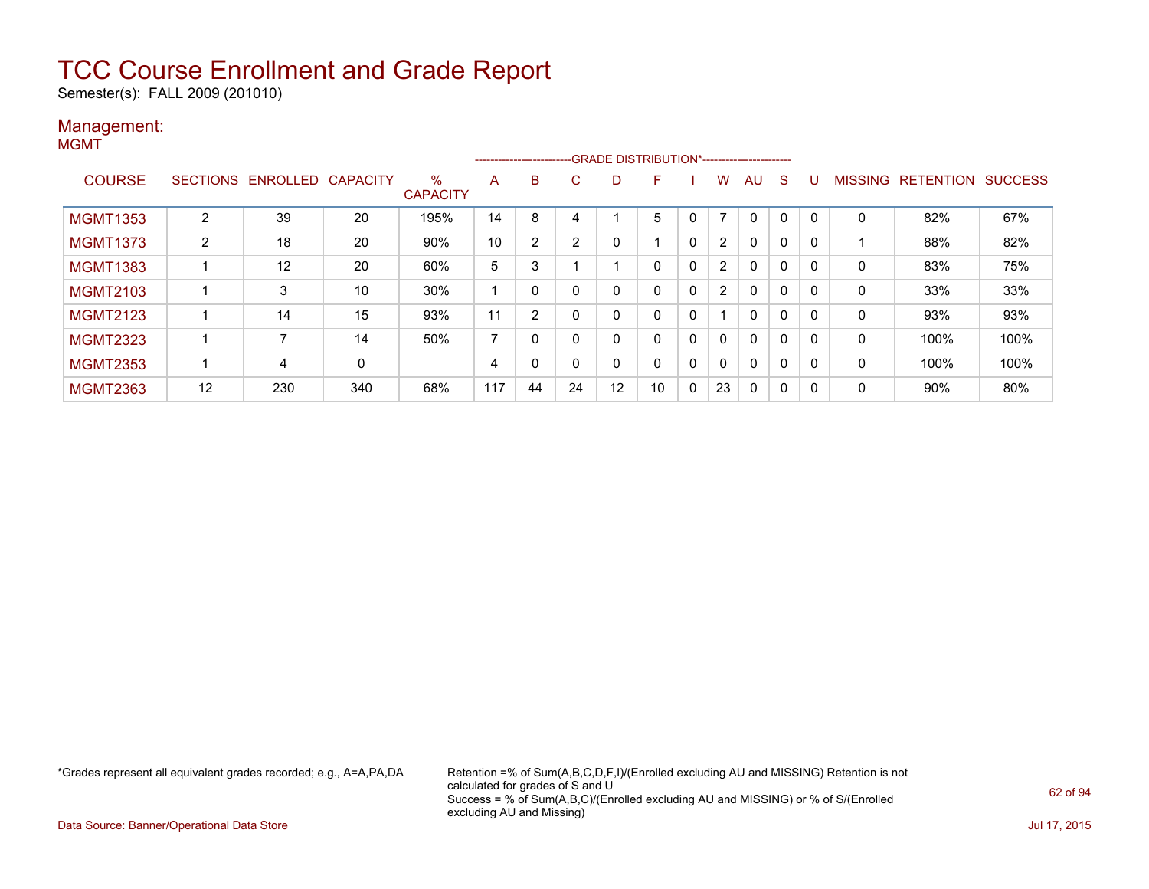Semester(s): FALL 2009 (201010)

#### Management: MGMT

|                 |                |                   |                 |                         |                | ---------------------- |              | --GRADE DISTRIBUTION*----------------------- |    |   |                |    |   |          |                |                  |                |
|-----------------|----------------|-------------------|-----------------|-------------------------|----------------|------------------------|--------------|----------------------------------------------|----|---|----------------|----|---|----------|----------------|------------------|----------------|
| <b>COURSE</b>   |                | SECTIONS ENROLLED | <b>CAPACITY</b> | $\%$<br><b>CAPACITY</b> | A              | B                      | C            | D                                            | F. |   | w              | AU | S |          | <b>MISSING</b> | <b>RETENTION</b> | <b>SUCCESS</b> |
| <b>MGMT1353</b> | 2              | 39                | 20              | 195%                    | 14             | 8                      | 4            |                                              | 5  | 0 |                | 0  | 0 | $\Omega$ | 0              | 82%              | 67%            |
| <b>MGMT1373</b> | $\overline{2}$ | 18                | 20              | 90%                     | 10             | 2                      | 2            |                                              |    | 0 | $\overline{2}$ | 0  | 0 | 0        |                | 88%              | 82%            |
| <b>MGMT1383</b> |                | 12                | 20              | 60%                     | 5              | 3                      |              |                                              |    | 0 | $\overline{2}$ | 0  | 0 | 0        | 0              | 83%              | 75%            |
| <b>MGMT2103</b> |                | 3                 | 10              | 30%                     |                | 0                      | 0            |                                              |    | 0 | 2              | 0  | 0 | 0        | 0              | 33%              | 33%            |
| <b>MGMT2123</b> |                | 14                | 15              | 93%                     | 11             | $\overline{2}$         | $\Omega$     | <sup>0</sup>                                 | 0  | 0 |                | 0  | 0 | 0        | $\Omega$       | 93%              | 93%            |
| <b>MGMT2323</b> |                |                   | 14              | 50%                     | $\overline{ }$ | 0                      | 0            |                                              |    | 0 | 0              | 0  | 0 | 0        | 0              | 100%             | 100%           |
| <b>MGMT2353</b> |                | 4                 | 0               |                         | 4              | 0                      | $\mathbf{0}$ | $\Omega$                                     | 0  | 0 | 0              | 0  | 0 | 0        | 0              | 100%             | 100%           |
| <b>MGMT2363</b> | 12             | 230               | 340             | 68%                     | 117            | 44                     | 24           | 12                                           | 10 | 0 | 23             | 0  | 0 | 0        | 0              | 90%              | 80%            |

\*Grades represent all equivalent grades recorded; e.g., A=A,PA,DA Retention =% of Sum(A,B,C,D,F,I)/(Enrolled excluding AU and MISSING) Retention is not calculated for grades of S and U Success = % of Sum(A,B,C)/(Enrolled excluding AU and MISSING) or % of S/(Enrolled excluding AU and Missing)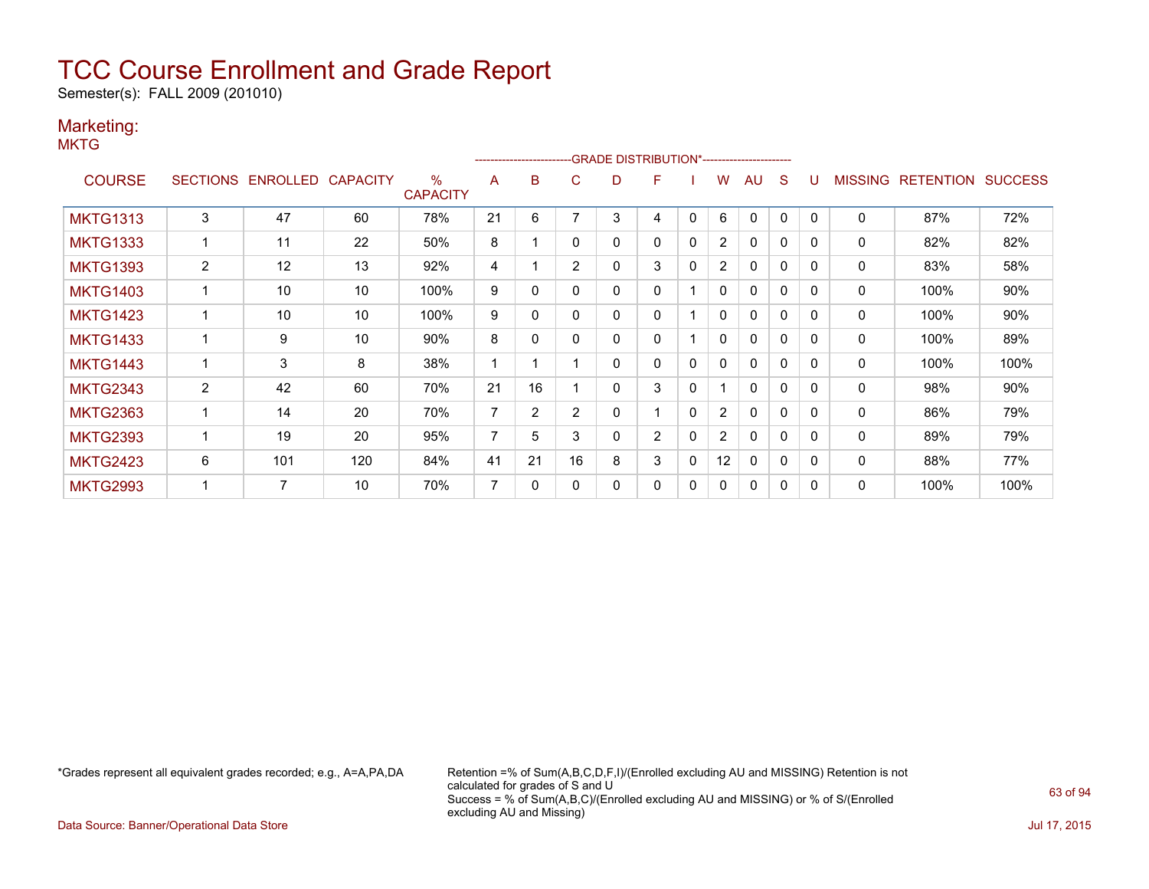Semester(s): FALL 2009 (201010)

### Marketing:

**MKTG** 

|                 |                |                   |                 |                         |                |                | -------------------------GRADE                DISTRIBUTION*--------------------- |   |                |              |                |              |              |              |                |                  |                |
|-----------------|----------------|-------------------|-----------------|-------------------------|----------------|----------------|----------------------------------------------------------------------------------|---|----------------|--------------|----------------|--------------|--------------|--------------|----------------|------------------|----------------|
| <b>COURSE</b>   |                | SECTIONS ENROLLED | <b>CAPACITY</b> | $\%$<br><b>CAPACITY</b> | A              | B              | C                                                                                | D | F              |              | w              | AU           | S            |              | <b>MISSING</b> | <b>RETENTION</b> | <b>SUCCESS</b> |
| <b>MKTG1313</b> | 3              | 47                | 60              | 78%                     | 21             | 6              |                                                                                  | 3 | 4              | 0            | 6              | $\mathbf{0}$ | 0            | $\mathbf{0}$ | $\mathbf 0$    | 87%              | 72%            |
| <b>MKTG1333</b> |                | 11                | 22              | 50%                     | 8              |                | 0                                                                                | 0 | 0              | 0            | $\overline{2}$ | 0            | 0            | $\Omega$     | 0              | 82%              | 82%            |
| <b>MKTG1393</b> | $\overline{2}$ | 12                | 13              | 92%                     | 4              |                | $\overline{2}$                                                                   | 0 | 3              | $\mathbf{0}$ | $\overline{2}$ | $\mathbf{0}$ | 0            | $\Omega$     | 0              | 83%              | 58%            |
| <b>MKTG1403</b> |                | 10                | 10              | 100%                    | 9              | $\Omega$       |                                                                                  | 0 | 0              |              | $\mathbf{0}$   | $\mathbf{0}$ | $\mathbf{0}$ | $\Omega$     | 0              | 100%             | 90%            |
| <b>MKTG1423</b> |                | 10                | 10              | 100%                    | 9              | 0              |                                                                                  | 0 | 0              |              | 0              | $\mathbf{0}$ | 0            | $\Omega$     | 0              | 100%             | 90%            |
| <b>MKTG1433</b> |                | 9                 | 10              | 90%                     | 8              | 0              | $\Omega$                                                                         | 0 | 0              |              | $\mathbf{0}$   | $\mathbf{0}$ | $\mathbf{0}$ | $\Omega$     | 0              | 100%             | 89%            |
| <b>MKTG1443</b> |                | 3                 | 8               | 38%                     |                |                |                                                                                  | 0 | 0              | $\mathbf{0}$ | 0              | $\mathbf{0}$ | $\mathbf{0}$ | $\Omega$     | 0              | 100%             | 100%           |
| <b>MKTG2343</b> | $\overline{2}$ | 42                | 60              | 70%                     | 21             | 16             |                                                                                  | 0 | 3              | 0            |                | $\mathbf{0}$ | 0            | $\Omega$     | 0              | 98%              | 90%            |
| <b>MKTG2363</b> |                | 14                | 20              | 70%                     | $\overline{7}$ | $\overline{2}$ | $\overline{2}$                                                                   | 0 |                | $\mathbf{0}$ | $\overline{2}$ | $\mathbf{0}$ | $\mathbf{0}$ | $\Omega$     | $\Omega$       | 86%              | 79%            |
| <b>MKTG2393</b> |                | 19                | 20              | 95%                     | 7              | 5              | 3                                                                                | 0 | $\overline{2}$ | 0            | $\overline{2}$ | 0            | $\mathbf{0}$ | $\Omega$     | 0              | 89%              | 79%            |
| <b>MKTG2423</b> | 6              | 101               | 120             | 84%                     | 41             | 21             | 16                                                                               | 8 | 3              | 0            | 12             | $\mathbf{0}$ | 0            | $\Omega$     | 0              | 88%              | 77%            |
| <b>MKTG2993</b> |                | $\overline{7}$    | 10              | 70%                     | $\overline{7}$ | $\mathbf{0}$   | $\Omega$                                                                         | 0 | 0              | $\mathbf{0}$ | $\mathbf{0}$   | $\mathbf{0}$ | $\mathbf{0}$ | $\Omega$     | 0              | 100%             | 100%           |

\*Grades represent all equivalent grades recorded; e.g., A=A,PA,DA Retention =% of Sum(A,B,C,D,F,I)/(Enrolled excluding AU and MISSING) Retention is not calculated for grades of S and U Success = % of Sum(A,B,C)/(Enrolled excluding AU and MISSING) or % of S/(Enrolled excluding AU and Missing)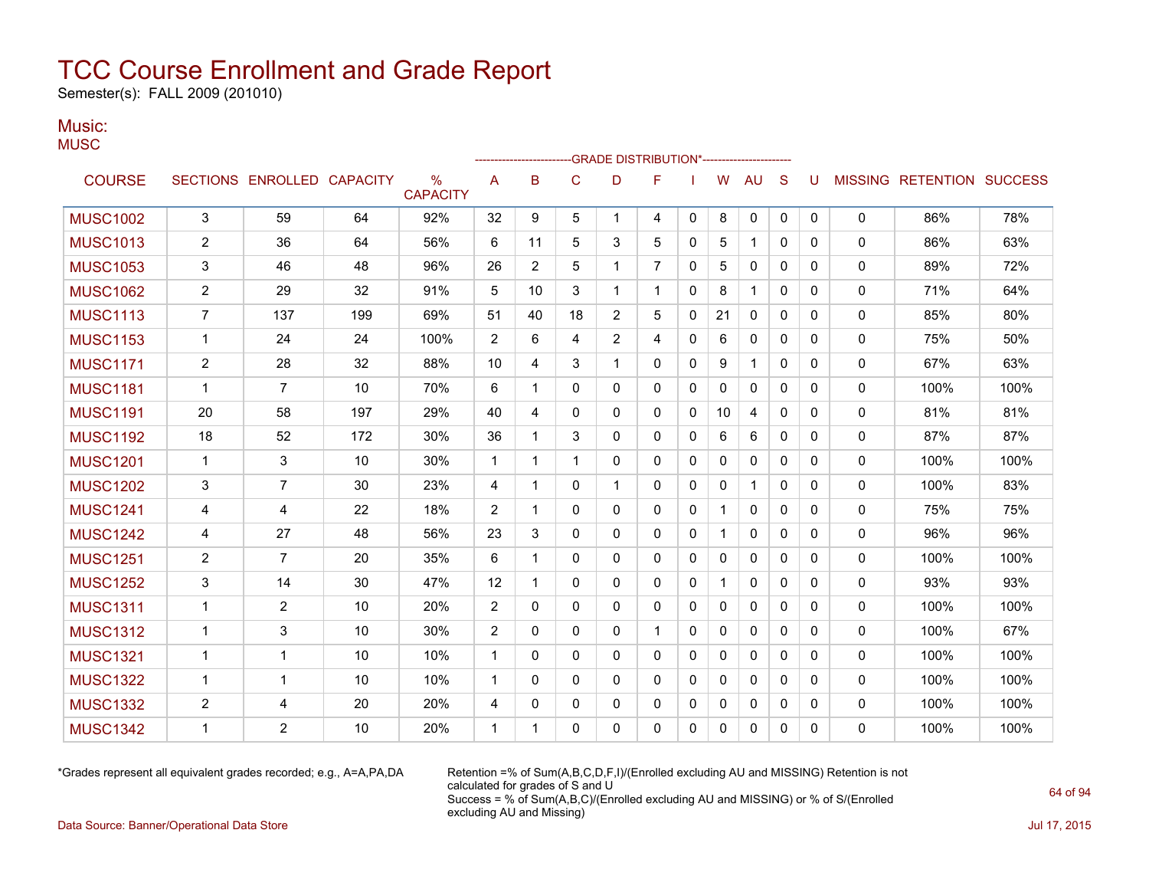Semester(s): FALL 2009 (201010)

#### Music: **MUSC**

|                 |                         |                            |     |                         |                |             |              | -GRADE DISTRIBUTION*---------------------- |              |   |              |              |              |              |              |                                  |      |
|-----------------|-------------------------|----------------------------|-----|-------------------------|----------------|-------------|--------------|--------------------------------------------|--------------|---|--------------|--------------|--------------|--------------|--------------|----------------------------------|------|
| <b>COURSE</b>   |                         | SECTIONS ENROLLED CAPACITY |     | $\%$<br><b>CAPACITY</b> | Α              | B           | C            | D                                          | F            |   | W            | <b>AU</b>    | S            | U            |              | <b>MISSING RETENTION SUCCESS</b> |      |
| <b>MUSC1002</b> | 3                       | 59                         | 64  | 92%                     | 32             | 9           | 5            | $\mathbf 1$                                | 4            | 0 | 8            | 0            | 0            | $\mathbf{0}$ | 0            | 86%                              | 78%  |
| <b>MUSC1013</b> | $\overline{\mathbf{c}}$ | 36                         | 64  | 56%                     | 6              | 11          | 5            | 3                                          | 5            | 0 | 5            | $\mathbf{1}$ | $\mathbf{0}$ | 0            | $\mathbf{0}$ | 86%                              | 63%  |
| <b>MUSC1053</b> | 3                       | 46                         | 48  | 96%                     | 26             | 2           | 5            | 1                                          | 7            | 0 | 5            | 0            | 0            | 0            | 0            | 89%                              | 72%  |
| <b>MUSC1062</b> | $\overline{c}$          | 29                         | 32  | 91%                     | 5              | 10          | 3            | 1                                          | 1            | 0 | 8            | 1            | $\mathbf{0}$ | 0            | 0            | 71%                              | 64%  |
| <b>MUSC1113</b> | $\overline{7}$          | 137                        | 199 | 69%                     | 51             | 40          | 18           | 2                                          | 5            | 0 | 21           | 0            | 0            | 0            | 0            | 85%                              | 80%  |
| <b>MUSC1153</b> | $\mathbf{1}$            | 24                         | 24  | 100%                    | 2              | 6           | 4            | 2                                          | 4            | 0 | 6            | $\mathbf{0}$ | $\mathbf{0}$ | $\mathbf{0}$ | $\mathbf{0}$ | 75%                              | 50%  |
| <b>MUSC1171</b> | $\overline{2}$          | 28                         | 32  | 88%                     | 10             | 4           | 3            | 1                                          | 0            | 0 | 9            | $\mathbf{1}$ | $\mathbf{0}$ | 0            | 0            | 67%                              | 63%  |
| <b>MUSC1181</b> | 1                       | $\overline{7}$             | 10  | 70%                     | 6              | 1           | $\mathbf{0}$ | $\mathbf{0}$                               | $\mathbf 0$  | 0 | $\mathbf{0}$ | $\Omega$     | $\mathbf{0}$ | 0            | 0            | 100%                             | 100% |
| <b>MUSC1191</b> | 20                      | 58                         | 197 | 29%                     | 40             | 4           | $\mathbf{0}$ | $\mathbf{0}$                               | $\mathbf{0}$ | 0 | 10           | 4            | $\mathbf{0}$ | $\Omega$     | 0            | 81%                              | 81%  |
| <b>MUSC1192</b> | 18                      | 52                         | 172 | 30%                     | 36             | 1           | 3            | $\mathbf{0}$                               | $\mathbf{0}$ | 0 | 6            | 6            | $\mathbf{0}$ | $\Omega$     | 0            | 87%                              | 87%  |
| <b>MUSC1201</b> | $\mathbf 1$             | 3                          | 10  | 30%                     | 1              | 1           | 1            | 0                                          | 0            | 0 | 0            | 0            | 0            | 0            | 0            | 100%                             | 100% |
| <b>MUSC1202</b> | 3                       | $\overline{7}$             | 30  | 23%                     | 4              | 1           | $\mathbf{0}$ | 1                                          | $\mathbf{0}$ | 0 | 0            | 1            | $\mathbf{0}$ | 0            | 0            | 100%                             | 83%  |
| <b>MUSC1241</b> | 4                       | 4                          | 22  | 18%                     | 2              | 1           | $\mathbf{0}$ | 0                                          | 0            | 0 | 1            | 0            | 0            | 0            | 0            | 75%                              | 75%  |
| <b>MUSC1242</b> | 4                       | 27                         | 48  | 56%                     | 23             | 3           | $\mathbf{0}$ | 0                                          | 0            | 0 | 1            | $\mathbf{0}$ | $\mathbf{0}$ | 0            | 0            | 96%                              | 96%  |
| <b>MUSC1251</b> | $\overline{c}$          | $\overline{7}$             | 20  | 35%                     | 6              | 1           | $\Omega$     | $\Omega$                                   | $\mathbf{0}$ | 0 | $\mathbf{0}$ | $\Omega$     | $\mathbf{0}$ | $\Omega$     | 0            | 100%                             | 100% |
| <b>MUSC1252</b> | 3                       | 14                         | 30  | 47%                     | 12             | 1           | 0            | 0                                          | 0            | 0 | 1            | 0            | 0            | 0            | 0            | 93%                              | 93%  |
| <b>MUSC1311</b> | $\mathbf{1}$            | 2                          | 10  | 20%                     | $\overline{2}$ | 0           | $\Omega$     | $\Omega$                                   | $\mathbf{0}$ | 0 | $\Omega$     | $\Omega$     | $\mathbf{0}$ | $\Omega$     | 0            | 100%                             | 100% |
| <b>MUSC1312</b> | $\mathbf 1$             | 3                          | 10  | 30%                     | $\overline{2}$ | 0           | $\mathbf{0}$ | $\mathbf{0}$                               | 1            | 0 | 0            | $\mathbf{0}$ | $\mathbf{0}$ | $\Omega$     | 0            | 100%                             | 67%  |
| <b>MUSC1321</b> | $\mathbf 1$             | 1                          | 10  | 10%                     | $\mathbf 1$    | 0           | $\mathbf{0}$ | 0                                          | 0            | 0 | 0            | 0            | 0            | 0            | $\mathbf{0}$ | 100%                             | 100% |
| <b>MUSC1322</b> | $\mathbf 1$             | 1                          | 10  | 10%                     | $\mathbf 1$    | $\Omega$    | $\mathbf{0}$ | $\mathbf{0}$                               | $\mathbf{0}$ | 0 | 0            | 0            | $\mathbf{0}$ | 0            | $\mathbf{0}$ | 100%                             | 100% |
| <b>MUSC1332</b> | 2                       | 4                          | 20  | 20%                     | 4              | 0           | 0            | 0                                          | 0            | 0 | 0            | 0            | 0            | 0            | 0            | 100%                             | 100% |
| <b>MUSC1342</b> | 1                       | $\overline{2}$             | 10  | 20%                     | 1              | $\mathbf 1$ | $\Omega$     | $\Omega$                                   | $\Omega$     | 0 | $\mathbf{0}$ | $\Omega$     | 0            | 0            | $\Omega$     | 100%                             | 100% |

\*Grades represent all equivalent grades recorded; e.g., A=A,PA,DA Retention =% of Sum(A,B,C,D,F,I)/(Enrolled excluding AU and MISSING) Retention is not calculated for grades of S and U Success = % of Sum(A,B,C)/(Enrolled excluding AU and MISSING) or % of S/(Enrolled excluding AU and Missing)

Data Source: Banner/Operational Data Store Jul 17, 2015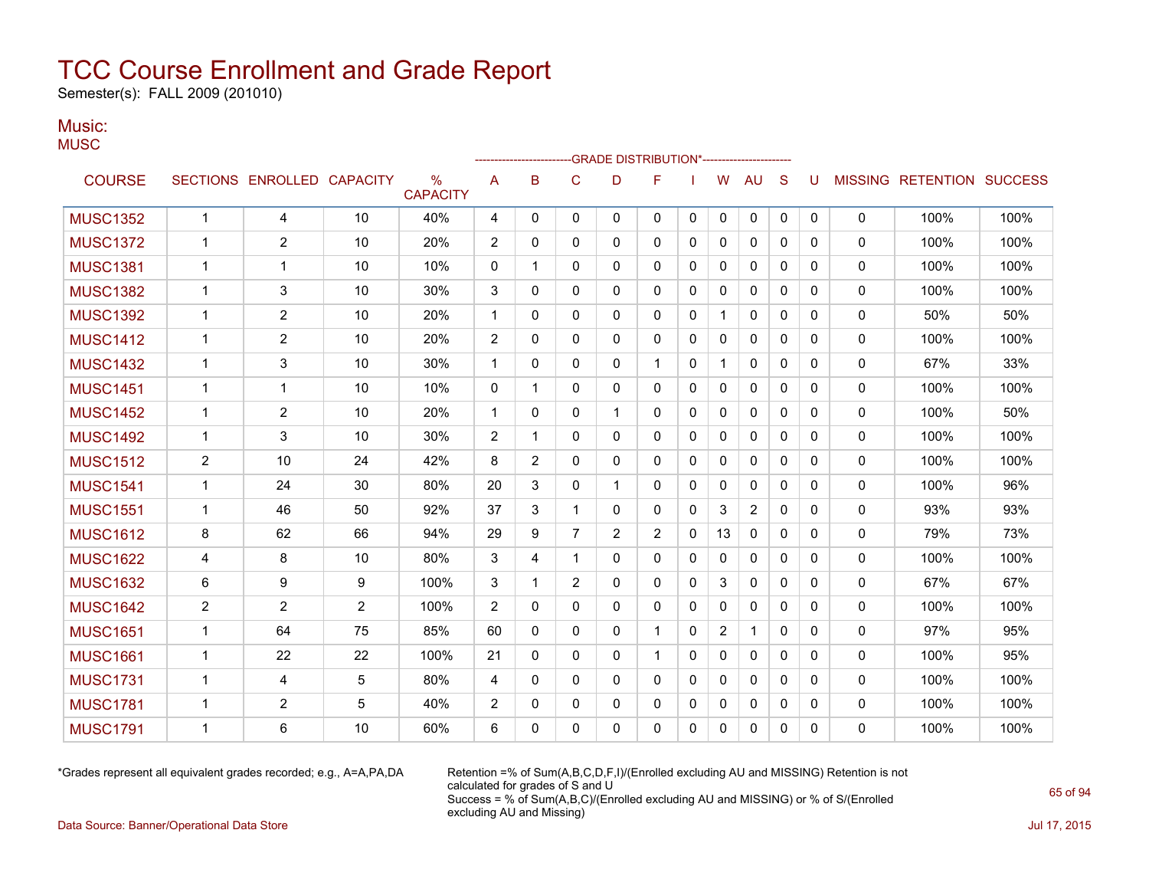Semester(s): FALL 2009 (201010)

#### Music: **MUSC**

| $\sim$ $\sim$ $\sim$ |                |                            |                         |                                  |              |              |                | -GRADE DISTRIBUTION*----------------------- |                |              |                |                |              |             |              |                           |      |
|----------------------|----------------|----------------------------|-------------------------|----------------------------------|--------------|--------------|----------------|---------------------------------------------|----------------|--------------|----------------|----------------|--------------|-------------|--------------|---------------------------|------|
| <b>COURSE</b>        |                | SECTIONS ENROLLED CAPACITY |                         | $\frac{0}{0}$<br><b>CAPACITY</b> | A            | B            | $\mathsf{C}$   | D                                           | F              |              | W              | <b>AU</b>      | S            | U           |              | MISSING RETENTION SUCCESS |      |
| <b>MUSC1352</b>      | $\mathbf{1}$   | 4                          | 10                      | 40%                              | 4            | 0            | 0              | $\mathbf{0}$                                | 0              | 0            | 0              | 0              | 0            | $\mathbf 0$ | $\mathbf{0}$ | 100%                      | 100% |
| <b>MUSC1372</b>      | 1              | 2                          | 10                      | 20%                              | 2            | 0            | $\Omega$       | 0                                           | $\Omega$       | $\Omega$     | 0              | $\mathbf{0}$   | $\Omega$     | $\Omega$    | $\mathbf{0}$ | 100%                      | 100% |
| <b>MUSC1381</b>      | $\mathbf{1}$   | $\mathbf{1}$               | 10                      | 10%                              | $\mathbf 0$  | 1            | 0              | 0                                           | 0              | 0            | 0              | 0              | $\Omega$     | 0           | 0            | 100%                      | 100% |
| <b>MUSC1382</b>      | 1              | 3                          | 10                      | 30%                              | 3            | $\Omega$     | $\Omega$       | 0                                           | $\mathbf{0}$   | 0            | $\mathbf{0}$   | $\mathbf{0}$   | $\Omega$     | $\Omega$    | $\Omega$     | 100%                      | 100% |
| <b>MUSC1392</b>      | $\mathbf{1}$   | $\overline{2}$             | 10                      | 20%                              | $\mathbf 1$  | 0            | $\Omega$       | $\mathbf{0}$                                | 0              | 0            | $\mathbf 1$    | $\mathbf{0}$   | $\Omega$     | 0           | $\mathbf 0$  | 50%                       | 50%  |
| <b>MUSC1412</b>      | $\mathbf{1}$   | 2                          | 10                      | 20%                              | 2            | 0            | $\Omega$       | $\Omega$                                    | $\mathbf{0}$   | $\Omega$     | 0              | $\mathbf{0}$   | $\Omega$     | $\Omega$    | $\mathbf{0}$ | 100%                      | 100% |
| <b>MUSC1432</b>      | $\mathbf{1}$   | 3                          | 10                      | 30%                              | $\mathbf{1}$ | $\Omega$     | $\Omega$       | $\Omega$                                    |                | 0            | 1              | 0              | $\Omega$     | $\Omega$    | 0            | 67%                       | 33%  |
| <b>MUSC1451</b>      | 1              | 1                          | 10                      | 10%                              | 0            | 1            | $\mathbf{0}$   | 0                                           | 0              | 0            | 0              | 0              | 0            | 0           | 0            | 100%                      | 100% |
| <b>MUSC1452</b>      | $\mathbf 1$    | $\overline{2}$             | 10                      | 20%                              | $\mathbf{1}$ | 0            | 0              | 1                                           | 0              | 0            | 0              | 0              | $\Omega$     | 0           | $\mathbf{0}$ | 100%                      | 50%  |
| <b>MUSC1492</b>      | 1              | 3                          | 10                      | 30%                              | 2            | 1            | 0              | 0                                           | 0              | $\mathbf{0}$ | $\Omega$       | 0              | $\mathbf{0}$ | 0           | $\Omega$     | 100%                      | 100% |
| <b>MUSC1512</b>      | $\overline{2}$ | 10                         | 24                      | 42%                              | 8            | 2            | 0              | 0                                           | 0              | 0            | 0              | 0              | 0            | 0           | 0            | 100%                      | 100% |
| <b>MUSC1541</b>      | $\mathbf{1}$   | 24                         | 30                      | 80%                              | 20           | 3            | 0              | 1                                           | 0              | 0            | 0              | 0              | 0            | 0           | $\mathbf{0}$ | 100%                      | 96%  |
| <b>MUSC1551</b>      | $\mathbf 1$    | 46                         | 50                      | 92%                              | 37           | 3            | $\mathbf{1}$   | 0                                           | $\Omega$       | $\mathbf{0}$ | 3              | $\overline{2}$ | $\Omega$     | $\Omega$    | $\mathbf{0}$ | 93%                       | 93%  |
| <b>MUSC1612</b>      | 8              | 62                         | 66                      | 94%                              | 29           | 9            | $\overline{7}$ | $\overline{2}$                              | $\overline{2}$ | 0            | 13             | 0              | $\Omega$     | 0           | 0            | 79%                       | 73%  |
| <b>MUSC1622</b>      | 4              | 8                          | 10                      | 80%                              | 3            | 4            | $\mathbf 1$    | 0                                           | 0              | 0            | 0              | 0              | $\mathbf{0}$ | 0           | 0            | 100%                      | 100% |
| <b>MUSC1632</b>      | 6              | 9                          | 9                       | 100%                             | 3            | 1            | 2              | $\mathbf{0}$                                | 0              | 0            | 3              | $\mathbf{0}$   | 0            | 0           | 0            | 67%                       | 67%  |
| <b>MUSC1642</b>      | 2              | 2                          | $\overline{\mathbf{c}}$ | 100%                             | 2            | 0            | $\Omega$       | 0                                           | 0              | $\Omega$     | 0              | $\mathbf{0}$   | $\Omega$     | $\Omega$    | $\mathbf{0}$ | 100%                      | 100% |
| <b>MUSC1651</b>      | $\mathbf 1$    | 64                         | 75                      | 85%                              | 60           | 0            | $\Omega$       | 0                                           | $\mathbf{1}$   | $\Omega$     | $\overline{c}$ | 1              | $\Omega$     | 0           | $\mathbf 0$  | 97%                       | 95%  |
| <b>MUSC1661</b>      | 1              | 22                         | 22                      | 100%                             | 21           | 0            | 0              | 0                                           |                | 0            | 0              | 0              | 0            | 0           | 0            | 100%                      | 95%  |
| <b>MUSC1731</b>      | $\mathbf 1$    | 4                          | 5                       | 80%                              | 4            | $\Omega$     | $\mathbf{0}$   | 0                                           | $\mathbf{0}$   | 0            | 0              | 0              | $\Omega$     | 0           | $\mathbf{0}$ | 100%                      | 100% |
| <b>MUSC1781</b>      | 1              | 2                          | 5                       | 40%                              | 2            | 0            | $\mathbf{0}$   | 0                                           | 0              | 0            | 0              | 0              | $\mathbf{0}$ | 0           | $\mathbf{0}$ | 100%                      | 100% |
| <b>MUSC1791</b>      | 1              | 6                          | 10                      | 60%                              | 6            | $\mathbf{0}$ | $\Omega$       | 0                                           | 0              | 0            | 0              | 0              | $\mathbf{0}$ | $\Omega$    | 0            | 100%                      | 100% |
|                      |                |                            |                         |                                  |              |              |                |                                             |                |              |                |                |              |             |              |                           |      |

\*Grades represent all equivalent grades recorded; e.g., A=A,PA,DA Retention =% of Sum(A,B,C,D,F,I)/(Enrolled excluding AU and MISSING) Retention is not calculated for grades of S and U Success = % of Sum(A,B,C)/(Enrolled excluding AU and MISSING) or % of S/(Enrolled excluding AU and Missing)

Data Source: Banner/Operational Data Store Jul 17, 2015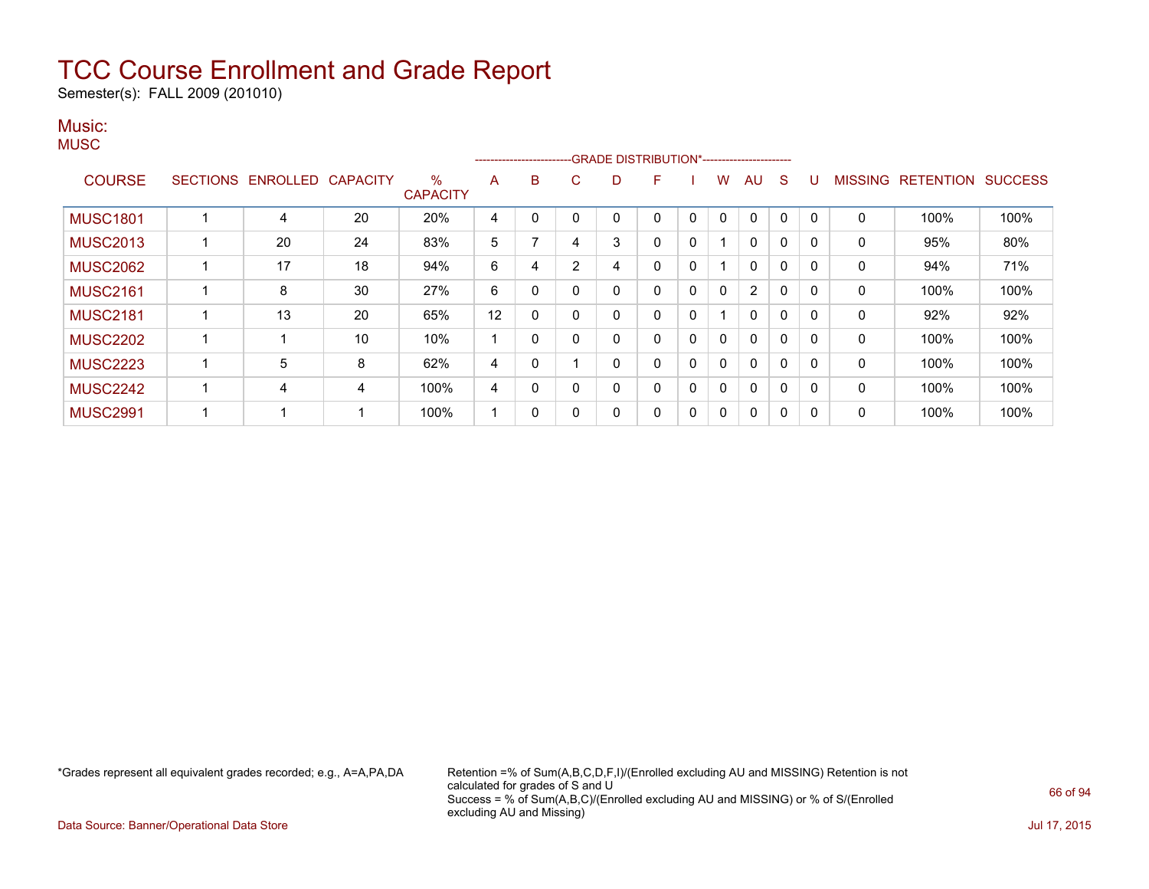Semester(s): FALL 2009 (201010)

#### Music: **MUSC**

|                 |                 |          |                 |                         |    | ---------------------- |                |          | -GRADE DISTRIBUTION*----------------------- |              |   |    |              |              |                |                  |                |
|-----------------|-----------------|----------|-----------------|-------------------------|----|------------------------|----------------|----------|---------------------------------------------|--------------|---|----|--------------|--------------|----------------|------------------|----------------|
| <b>COURSE</b>   | <b>SECTIONS</b> | ENROLLED | <b>CAPACITY</b> | $\%$<br><b>CAPACITY</b> | A  | B                      | C              | D        | F                                           |              | w | AU | S            |              | <b>MISSING</b> | <b>RETENTION</b> | <b>SUCCESS</b> |
| <b>MUSC1801</b> |                 | 4        | 20              | 20%                     | 4  | 0                      | 0              | 0        |                                             | 0            | 0 | 0  | 0            | $\mathbf{0}$ | 0              | 100%             | 100%           |
| <b>MUSC2013</b> |                 | 20       | 24              | 83%                     | 5  |                        | 4              | 3        |                                             | 0            |   | 0  | 0            | 0            | 0              | 95%              | 80%            |
| <b>MUSC2062</b> |                 | 17       | 18              | 94%                     | 6  | 4                      | $\overline{2}$ | 4        | 0                                           | $\mathbf{0}$ |   | 0  | 0            | $\Omega$     | $\mathbf{0}$   | 94%              | 71%            |
| <b>MUSC2161</b> |                 | 8        | 30              | 27%                     | 6  | 0                      | 0              | 0        |                                             | 0            | 0 | 2  | 0            | 0            | 0              | 100%             | 100%           |
| <b>MUSC2181</b> |                 | 13       | 20              | 65%                     | 12 | $\Omega$               | $\mathbf{0}$   | $\Omega$ |                                             | $\mathbf{0}$ |   | 0  | 0            | $\Omega$     | $\mathbf{0}$   | 92%              | 92%            |
| <b>MUSC2202</b> |                 |          | 10              | 10%                     | ٠  | 0                      | 0              | 0        | 0                                           | 0            | 0 | 0  | $\mathbf{0}$ | $\Omega$     | $\mathbf{0}$   | 100%             | 100%           |
| <b>MUSC2223</b> |                 | 5        | 8               | 62%                     | 4  | 0                      |                | 0        |                                             | 0            | 0 | 0  | 0            | 0            | 0              | 100%             | 100%           |
| <b>MUSC2242</b> |                 | 4        | 4               | 100%                    | 4  | 0                      | $\mathbf{0}$   | 0        | 0                                           | $\mathbf{0}$ | 0 | 0  | $\mathbf{0}$ | $\Omega$     | $\mathbf{0}$   | 100%             | 100%           |
| <b>MUSC2991</b> |                 |          |                 | 100%                    | ٠  | 0                      | 0              | 0        | 0                                           | 0            | 0 | 0  | 0            | $\Omega$     | 0              | 100%             | 100%           |

\*Grades represent all equivalent grades recorded; e.g., A=A,PA,DA Retention =% of Sum(A,B,C,D,F,I)/(Enrolled excluding AU and MISSING) Retention is not calculated for grades of S and U Success = % of Sum(A,B,C)/(Enrolled excluding AU and MISSING) or % of S/(Enrolled excluding AU and Missing)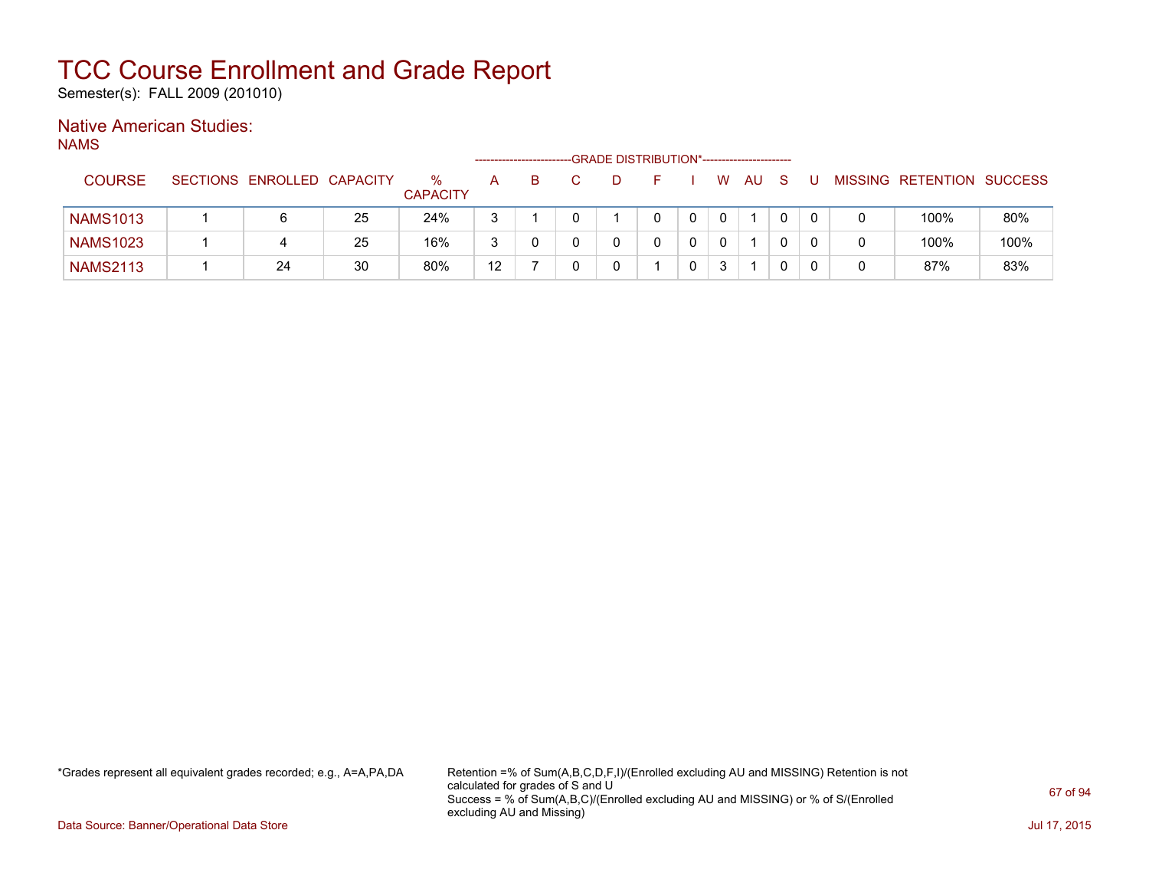Semester(s): FALL 2009 (201010)

### Native American Studies:

NAMS

|                 |                            |    |                      |    |   | -GRADE DISTRIBUTION*----------------------- |  |   |    |  |                           |      |
|-----------------|----------------------------|----|----------------------|----|---|---------------------------------------------|--|---|----|--|---------------------------|------|
| <b>COURSE</b>   | SECTIONS ENROLLED CAPACITY |    | %<br><b>CAPACITY</b> | А  | B |                                             |  | W | AU |  | MISSING RETENTION SUCCESS |      |
| <b>NAMS1013</b> | 6                          | 25 | 24%                  |    |   |                                             |  |   |    |  | 100%                      | 80%  |
| <b>NAMS1023</b> |                            | 25 | 16%                  |    |   |                                             |  |   |    |  | 100%                      | 100% |
| <b>NAMS2113</b> | 24                         | 30 | 80%                  | 12 |   |                                             |  | ર |    |  | 87%                       | 83%  |

\*Grades represent all equivalent grades recorded; e.g., A=A,PA,DA Retention =% of Sum(A,B,C,D,F,I)/(Enrolled excluding AU and MISSING) Retention is not calculated for grades of S and U Success = % of Sum(A,B,C)/(Enrolled excluding AU and MISSING) or % of S/(Enrolled excluding AU and Missing)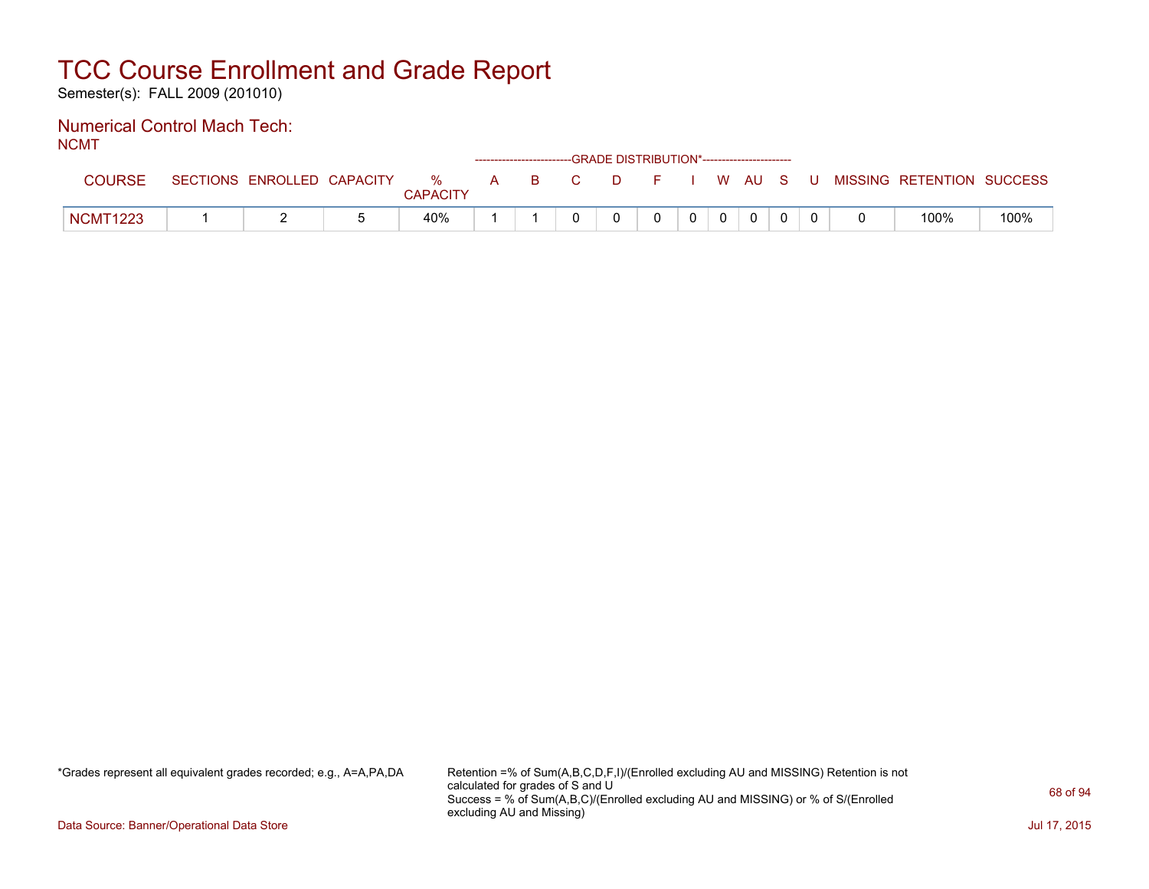Semester(s): FALL 2009 (201010)

#### Numerical Control Mach Tech: NCMT

| .               | ------------------------GRADE DISTRIBUTION*----------------------- |                            |  |                      |  |       |  |   |  |          |              |  |  |  |  |                                          |      |
|-----------------|--------------------------------------------------------------------|----------------------------|--|----------------------|--|-------|--|---|--|----------|--------------|--|--|--|--|------------------------------------------|------|
|                 |                                                                    | SECTIONS ENROLLED CAPACITY |  | %<br><b>CAPACITY</b> |  | A B C |  |   |  |          |              |  |  |  |  | D F I W AU S U MISSING RETENTION SUCCESS |      |
| <b>NCMT1223</b> |                                                                    |                            |  | 40%                  |  |       |  | 0 |  | $\Omega$ | $\mathbf{0}$ |  |  |  |  | 100%                                     | 100% |

\*Grades represent all equivalent grades recorded; e.g., A=A,PA,DA Retention =% of Sum(A,B,C,D,F,I)/(Enrolled excluding AU and MISSING) Retention is not calculated for grades of S and U Success = % of Sum(A,B,C)/(Enrolled excluding AU and MISSING) or % of S/(Enrolled excluding AU and Missing)

Data Source: Banner/Operational Data Store Jul 17, 2015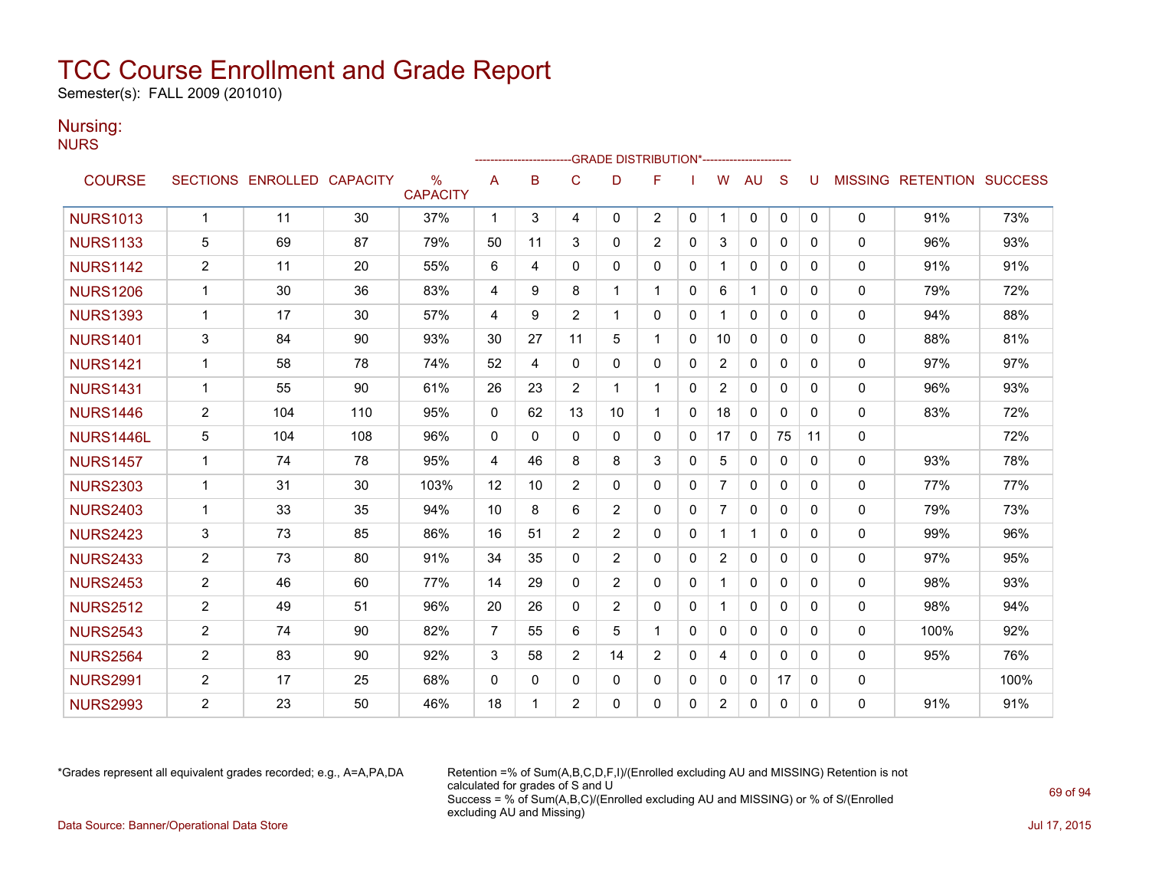Semester(s): FALL 2009 (201010)

### Nursing:

NURS

|                 | -GRADE DISTRIBUTION*----------------------- |                            |     |                                  |                |          |                |                |                |              |                |              |              |          |              |                           |      |
|-----------------|---------------------------------------------|----------------------------|-----|----------------------------------|----------------|----------|----------------|----------------|----------------|--------------|----------------|--------------|--------------|----------|--------------|---------------------------|------|
| <b>COURSE</b>   |                                             | SECTIONS ENROLLED CAPACITY |     | $\frac{0}{0}$<br><b>CAPACITY</b> | A              | B        | C              | D              | F              |              | W              | AU           | S            | U        |              | MISSING RETENTION SUCCESS |      |
| <b>NURS1013</b> | $\mathbf{1}$                                | 11                         | 30  | 37%                              | $\mathbf 1$    | 3        | 4              | 0              | $\overline{2}$ | $\mathbf{0}$ | $\mathbf{1}$   | 0            | $\mathbf{0}$ | 0        | 0            | 91%                       | 73%  |
| <b>NURS1133</b> | 5                                           | 69                         | 87  | 79%                              | 50             | 11       | 3              | 0              | 2              | $\Omega$     | 3              | $\mathbf{0}$ | $\Omega$     | 0        | $\mathbf{0}$ | 96%                       | 93%  |
| <b>NURS1142</b> | $\overline{2}$                              | 11                         | 20  | 55%                              | 6              | 4        | $\Omega$       | $\Omega$       | $\mathbf{0}$   | 0            |                | 0            | $\Omega$     | 0        | $\mathbf{0}$ | 91%                       | 91%  |
| <b>NURS1206</b> | $\mathbf{1}$                                | 30                         | 36  | 83%                              | 4              | 9        | 8              | 1              | 1              | 0            | 6              | $\mathbf{1}$ | $\Omega$     | 0        | $\mathbf{0}$ | 79%                       | 72%  |
| <b>NURS1393</b> | $\mathbf{1}$                                | 17                         | 30  | 57%                              | 4              | 9        | $\overline{2}$ | $\mathbf{1}$   | $\Omega$       | $\Omega$     |                | $\mathbf{0}$ | $\Omega$     | 0        | $\Omega$     | 94%                       | 88%  |
| <b>NURS1401</b> | 3                                           | 84                         | 90  | 93%                              | 30             | 27       | 11             | 5              |                | $\mathbf{0}$ | 10             | $\mathbf{0}$ | $\mathbf{0}$ | 0        | $\mathbf{0}$ | 88%                       | 81%  |
| <b>NURS1421</b> | $\mathbf{1}$                                | 58                         | 78  | 74%                              | 52             | 4        | 0              | 0              | $\mathbf{0}$   | $\Omega$     | $\overline{2}$ | 0            | $\mathbf{0}$ | $\Omega$ | 0            | 97%                       | 97%  |
| <b>NURS1431</b> | $\mathbf{1}$                                | 55                         | 90  | 61%                              | 26             | 23       | $\overline{2}$ | 1              |                | 0            | $\overline{2}$ | $\mathbf{0}$ | $\Omega$     | 0        | 0            | 96%                       | 93%  |
| <b>NURS1446</b> | $\overline{2}$                              | 104                        | 110 | 95%                              | $\Omega$       | 62       | 13             | 10             |                | $\Omega$     | 18             | $\mathbf{0}$ | $\Omega$     | 0        | 0            | 83%                       | 72%  |
| NURS1446L       | 5                                           | 104                        | 108 | 96%                              | $\mathbf{0}$   | $\Omega$ | $\Omega$       | $\Omega$       | $\mathbf{0}$   | $\Omega$     | 17             | 0            | 75           | 11       | 0            |                           | 72%  |
| <b>NURS1457</b> | $\mathbf 1$                                 | 74                         | 78  | 95%                              | 4              | 46       | 8              | 8              | 3              | 0            | 5              | $\mathbf{0}$ | $\Omega$     | 0        | $\mathbf{0}$ | 93%                       | 78%  |
| <b>NURS2303</b> | $\mathbf 1$                                 | 31                         | 30  | 103%                             | 12             | 10       | $\overline{2}$ | $\Omega$       | $\Omega$       | 0            | 7              | $\Omega$     | $\Omega$     | 0        | $\mathbf{0}$ | 77%                       | 77%  |
| <b>NURS2403</b> | $\mathbf{1}$                                | 33                         | 35  | 94%                              | 10             | 8        | 6              | $\overline{2}$ | $\Omega$       | $\Omega$     | $\overline{7}$ | $\mathbf{0}$ | $\Omega$     | 0        | $\mathbf{0}$ | 79%                       | 73%  |
| <b>NURS2423</b> | 3                                           | 73                         | 85  | 86%                              | 16             | 51       | $\overline{2}$ | $\overline{2}$ | $\Omega$       | 0            | $\mathbf{1}$   | $\mathbf{1}$ | $\Omega$     | 0        | 0            | 99%                       | 96%  |
| <b>NURS2433</b> | $\overline{2}$                              | 73                         | 80  | 91%                              | 34             | 35       | $\Omega$       | $\overline{2}$ | $\Omega$       | 0            | $\overline{2}$ | $\mathbf{0}$ | $\Omega$     | 0        | 0            | 97%                       | 95%  |
| <b>NURS2453</b> | $\overline{2}$                              | 46                         | 60  | 77%                              | 14             | 29       | $\mathbf{0}$   | $\overline{2}$ | $\Omega$       | $\Omega$     |                | $\mathbf{0}$ | $\Omega$     | $\Omega$ | 0            | 98%                       | 93%  |
| <b>NURS2512</b> | $\overline{2}$                              | 49                         | 51  | 96%                              | 20             | 26       | 0              | $\overline{2}$ | 0              | 0            |                | 0            | $\Omega$     | 0        | 0            | 98%                       | 94%  |
| <b>NURS2543</b> | $\overline{2}$                              | 74                         | 90  | 82%                              | $\overline{7}$ | 55       | 6              | 5              | $\overline{1}$ | $\Omega$     | $\mathbf{0}$   | $\mathbf{0}$ | $\Omega$     | 0        | $\mathbf{0}$ | 100%                      | 92%  |
| <b>NURS2564</b> | $\overline{2}$                              | 83                         | 90  | 92%                              | 3              | 58       | $\overline{2}$ | 14             | 2              | 0            | 4              | $\Omega$     | $\Omega$     | 0        | $\mathbf{0}$ | 95%                       | 76%  |
| <b>NURS2991</b> | $\overline{2}$                              | 17                         | 25  | 68%                              | $\Omega$       | 0        | $\Omega$       | $\Omega$       | $\Omega$       | 0            | 0              | $\mathbf{0}$ | 17           | 0        | 0            |                           | 100% |
| <b>NURS2993</b> | $\overline{2}$                              | 23                         | 50  | 46%                              | 18             | 1        | $\overline{2}$ | 0              | $\mathbf{0}$   | $\mathbf{0}$ | $\overline{2}$ | $\mathbf{0}$ | $\mathbf{0}$ | 0        | 0            | 91%                       | 91%  |

\*Grades represent all equivalent grades recorded; e.g., A=A,PA,DA Retention =% of Sum(A,B,C,D,F,I)/(Enrolled excluding AU and MISSING) Retention is not calculated for grades of S and U Success = % of Sum(A,B,C)/(Enrolled excluding AU and MISSING) or % of S/(Enrolled excluding AU and Missing) Data Source: Banner/Operational Data Store Jul 17, 2015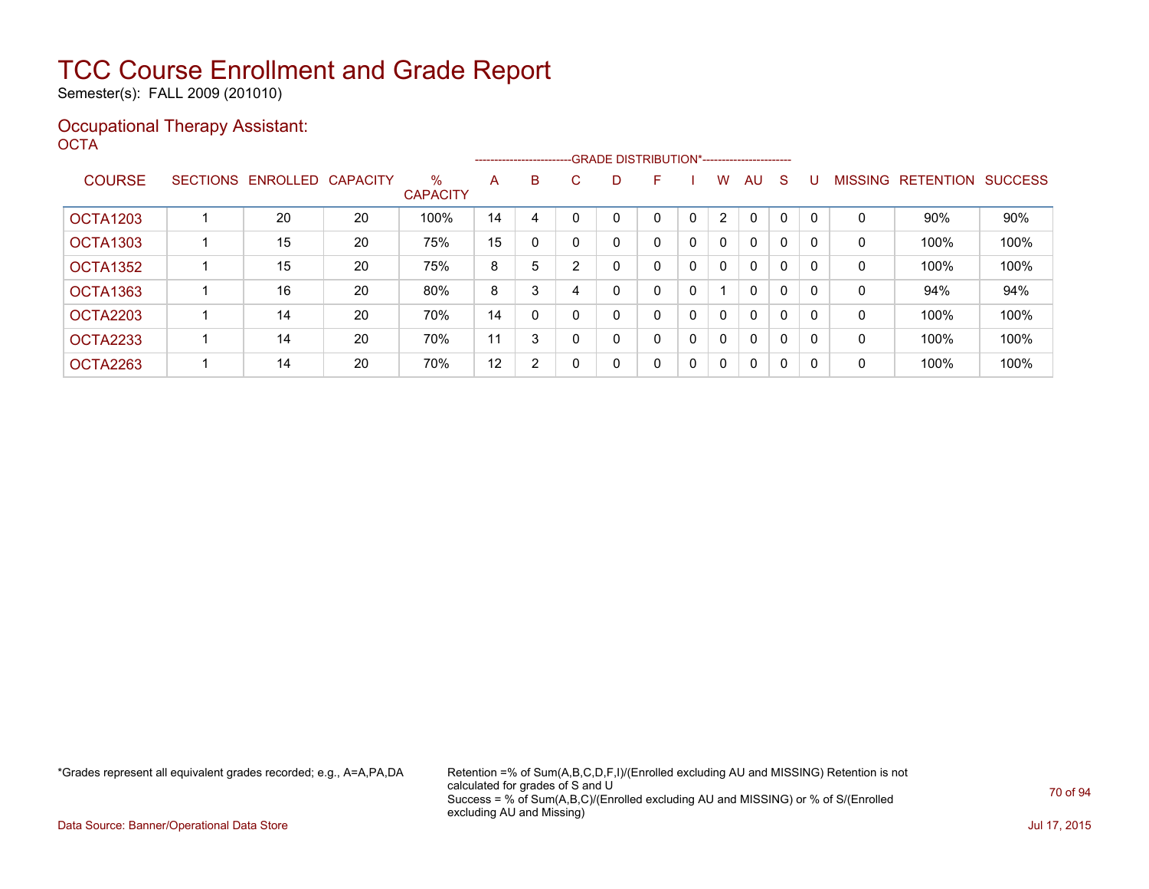Semester(s): FALL 2009 (201010)

### Occupational Therapy Assistant: OCTA<sup>'</sup>

|                 |                   |                 | ------------------------GRADE DISTRIBUTION*----------------------- |    |                |    |              |   |   |                |              |              |              |                |                  |                |
|-----------------|-------------------|-----------------|--------------------------------------------------------------------|----|----------------|----|--------------|---|---|----------------|--------------|--------------|--------------|----------------|------------------|----------------|
| <b>COURSE</b>   | SECTIONS ENROLLED | <b>CAPACITY</b> | $\%$<br><b>CAPACITY</b>                                            | A  | B              | C. | D            | F |   | W              | AU.          | S            |              | <b>MISSING</b> | <b>RETENTION</b> | <b>SUCCESS</b> |
| <b>OCTA1203</b> | 20                | 20              | 100%                                                               | 14 | 4              |    | 0            | 0 | 0 | $\overline{2}$ | $\Omega$     |              | $\Omega$     | 0              | $90\%$           | 90%            |
| <b>OCTA1303</b> | 15                | 20              | 75%                                                                | 15 | 0              | 0  | 0            | 0 | 0 | 0              | $\Omega$     | 0            | 0            | 0              | 100%             | 100%           |
| OCTA1352        | 15                | 20              | 75%                                                                | 8  | 5              | ົ  | 0            | 0 | 0 | 0              | $\Omega$     | $\Omega$     | $\mathbf{0}$ | 0              | 100%             | 100%           |
| OCTA1363        | 16                | 20              | 80%                                                                | 8  | 3              |    | 0            | 0 | 0 |                | $\Omega$     | 0            | $\mathbf{0}$ | 0              | 94%              | 94%            |
| OCTA2203        | 14                | 20              | 70%                                                                | 14 | 0              | 0  | 0            | 0 | 0 | 0              | $\Omega$     | $\mathbf 0$  | $\Omega$     | 0              | 100%             | 100%           |
| OCTA2233        | 14                | 20              | 70%                                                                | 11 | 3              | 0  | $\mathbf{0}$ | 0 | 0 | $\mathbf{0}$   | $\mathbf{0}$ | $\mathbf 0$  | $\Omega$     | 0              | 100%             | 100%           |
| OCTA2263        | 14                | 20              | 70%                                                                | 12 | $\overline{2}$ | 0  | 0            | 0 | 0 | $\Omega$       | $\mathbf{0}$ | $\mathbf{0}$ | $\mathbf{0}$ | 0              | 100%             | 100%           |

\*Grades represent all equivalent grades recorded; e.g., A=A,PA,DA Retention =% of Sum(A,B,C,D,F,I)/(Enrolled excluding AU and MISSING) Retention is not calculated for grades of S and U Success = % of Sum(A,B,C)/(Enrolled excluding AU and MISSING) or % of S/(Enrolled excluding AU and Missing)

Data Source: Banner/Operational Data Store Jul 17, 2015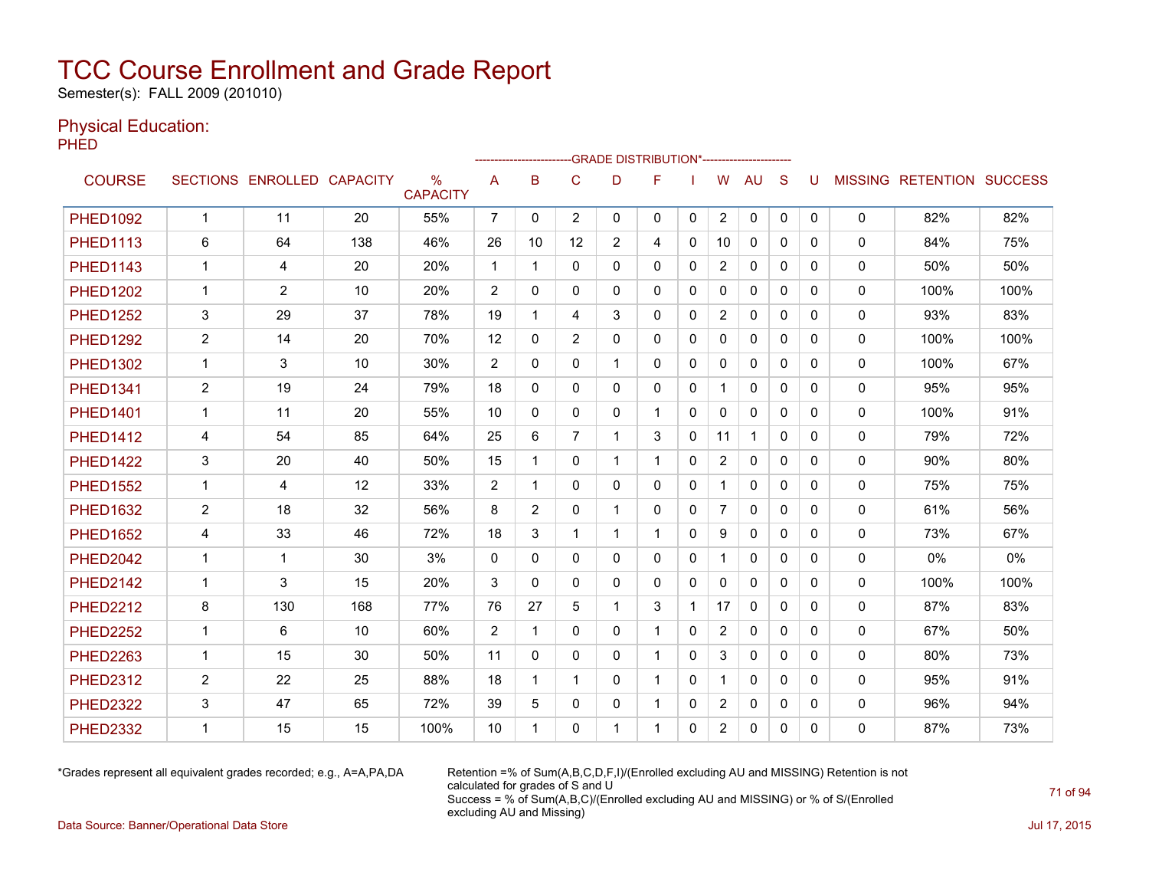Semester(s): FALL 2009 (201010)

### Physical Education:

PHED

|                 |                |                            |         |                                  |                |              | ------------------------GRADE                DISTRIBUTION*---------------------- |                |              |              |                |              |              |          |              |                                  |      |
|-----------------|----------------|----------------------------|---------|----------------------------------|----------------|--------------|----------------------------------------------------------------------------------|----------------|--------------|--------------|----------------|--------------|--------------|----------|--------------|----------------------------------|------|
| <b>COURSE</b>   |                | SECTIONS ENROLLED CAPACITY |         | $\frac{0}{0}$<br><b>CAPACITY</b> | A              | B            | C                                                                                | D              | F            |              | W              | <b>AU</b>    | S            | U        |              | <b>MISSING RETENTION SUCCESS</b> |      |
| <b>PHED1092</b> | $\mathbf{1}$   | 11                         | 20      | 55%                              | $\overline{7}$ | $\mathbf{0}$ | $\overline{2}$                                                                   | 0              | 0            | $\mathbf{0}$ | $\overline{2}$ | 0            | 0            | 0        | 0            | 82%                              | 82%  |
| <b>PHED1113</b> | 6              | 64                         | 138     | 46%                              | 26             | 10           | 12                                                                               | $\overline{2}$ | 4            | $\Omega$     | 10             | $\Omega$     | $\Omega$     | 0        | $\mathbf{0}$ | 84%                              | 75%  |
| <b>PHED1143</b> | $\mathbf{1}$   | 4                          | 20      | 20%                              | $\mathbf{1}$   | -1           | $\mathbf{0}$                                                                     | 0              | $\mathbf{0}$ | 0            | $\overline{2}$ | $\mathbf{0}$ | $\mathbf{0}$ | 0        | 0            | 50%                              | 50%  |
| <b>PHED1202</b> | 1              | 2                          | 10      | 20%                              | 2              | 0            | 0                                                                                | 0              | $\mathbf{0}$ | 0            | 0              | 0            | $\mathbf{0}$ | 0        | 0            | 100%                             | 100% |
| <b>PHED1252</b> | 3              | 29                         | 37      | 78%                              | 19             | 1            | 4                                                                                | 3              | 0            | 0            | $\overline{2}$ | 0            | 0            | 0        | 0            | 93%                              | 83%  |
| <b>PHED1292</b> | $\overline{2}$ | 14                         | 20      | 70%                              | 12             | $\Omega$     | $\overline{2}$                                                                   | $\Omega$       | $\mathbf{0}$ | 0            | $\mathbf{0}$   | $\mathbf{0}$ | $\Omega$     | 0        | $\mathbf{0}$ | 100%                             | 100% |
| <b>PHED1302</b> | $\mathbf{1}$   | 3                          | 10      | 30%                              | $\overline{2}$ | $\Omega$     | $\mathbf 0$                                                                      | 1              | $\mathbf{0}$ | 0            | 0              | 0            | $\mathbf{0}$ | 0        | 0            | 100%                             | 67%  |
| <b>PHED1341</b> | $\overline{2}$ | 19                         | 24      | 79%                              | 18             | $\Omega$     | $\mathbf{0}$                                                                     | 0              | $\mathbf{0}$ | $\mathbf{0}$ | $\mathbf 1$    | $\mathbf{0}$ | $\Omega$     | 0        | 0            | 95%                              | 95%  |
| <b>PHED1401</b> | $\mathbf{1}$   | 11                         | 20      | 55%                              | 10             | $\Omega$     | $\mathbf{0}$                                                                     | 0              | 1            | $\Omega$     | $\mathbf{0}$   | $\mathbf{0}$ | $\Omega$     | 0        | $\Omega$     | 100%                             | 91%  |
| <b>PHED1412</b> | 4              | 54                         | 85      | 64%                              | 25             | 6            | $\overline{7}$                                                                   | 1              | 3            | $\Omega$     | 11             | $\mathbf{1}$ | $\Omega$     | $\Omega$ | 0            | 79%                              | 72%  |
| <b>PHED1422</b> | 3              | 20                         | 40      | 50%                              | 15             | 1            | $\mathbf{0}$                                                                     | 1              |              | $\mathbf{0}$ | $\overline{2}$ | $\mathbf{0}$ | $\Omega$     | 0        | 0            | 90%                              | 80%  |
| <b>PHED1552</b> | $\mathbf{1}$   | 4                          | $12 \,$ | 33%                              | $\overline{2}$ | 1            | 0                                                                                | 0              | $\mathbf{0}$ | 0            |                | $\mathbf{0}$ | $\mathbf{0}$ | 0        | $\mathbf{0}$ | 75%                              | 75%  |
| <b>PHED1632</b> | $\overline{2}$ | 18                         | 32      | 56%                              | 8              | 2            | $\mathbf{0}$                                                                     | 1              | $\mathbf{0}$ | $\mathbf{0}$ | $\overline{7}$ | $\mathbf{0}$ | $\Omega$     | 0        | 0            | 61%                              | 56%  |
| <b>PHED1652</b> | 4              | 33                         | 46      | 72%                              | 18             | 3            | 1                                                                                | 1              | -1           | 0            | 9              | 0            | $\mathbf{0}$ | 0        | 0            | 73%                              | 67%  |
| <b>PHED2042</b> | $\mathbf{1}$   | 1                          | 30      | 3%                               | $\Omega$       | $\Omega$     | $\mathbf{0}$                                                                     | 0              | $\mathbf{0}$ | $\mathbf{0}$ | $\mathbf{1}$   | $\mathbf{0}$ | $\Omega$     | 0        | 0            | 0%                               | 0%   |
| <b>PHED2142</b> | $\mathbf{1}$   | 3                          | 15      | 20%                              | 3              | $\Omega$     | $\mathbf{0}$                                                                     | 0              | $\mathbf{0}$ | $\Omega$     | $\mathbf{0}$   | $\mathbf{0}$ | $\Omega$     | $\Omega$ | $\mathbf{0}$ | 100%                             | 100% |
| <b>PHED2212</b> | 8              | 130                        | 168     | 77%                              | 76             | 27           | 5                                                                                | 1              | 3            | 1            | 17             | $\mathbf{0}$ | $\Omega$     | 0        | $\mathbf{0}$ | 87%                              | 83%  |
| <b>PHED2252</b> | $\mathbf 1$    | 6                          | 10      | 60%                              | 2              | 1            | $\mathbf{0}$                                                                     | 0              | -1           | 0            | $\overline{2}$ | $\mathbf{0}$ | $\Omega$     | 0        | 0            | 67%                              | 50%  |
| <b>PHED2263</b> | $\mathbf{1}$   | 15                         | 30      | 50%                              | 11             | $\mathbf{0}$ | $\mathbf{0}$                                                                     | 0              |              | $\mathbf{0}$ | 3              | $\mathbf{0}$ | $\mathbf{0}$ | 0        | $\mathbf{0}$ | 80%                              | 73%  |
| <b>PHED2312</b> | $\overline{2}$ | 22                         | 25      | 88%                              | 18             | 1            | 1                                                                                | $\Omega$       |              | $\mathbf{0}$ |                | $\mathbf{0}$ | $\Omega$     | 0        | 0            | 95%                              | 91%  |
| <b>PHED2322</b> | 3              | 47                         | 65      | 72%                              | 39             | 5            | $\mathbf{0}$                                                                     | 0              |              | 0            | $\overline{2}$ | 0            | $\mathbf{0}$ | 0        | 0            | 96%                              | 94%  |
| <b>PHED2332</b> | $\mathbf 1$    | 15                         | 15      | 100%                             | 10             | 1            | 0                                                                                | 1              | 1            | $\mathbf{0}$ | $\overline{2}$ | $\mathbf{0}$ | 0            | 0        | 0            | 87%                              | 73%  |

\*Grades represent all equivalent grades recorded; e.g., A=A,PA,DA Retention =% of Sum(A,B,C,D,F,I)/(Enrolled excluding AU and MISSING) Retention is not calculated for grades of S and U Success = % of Sum(A,B,C)/(Enrolled excluding AU and MISSING) or % of S/(Enrolled excluding AU and Missing)

Data Source: Banner/Operational Data Store Jul 17, 2015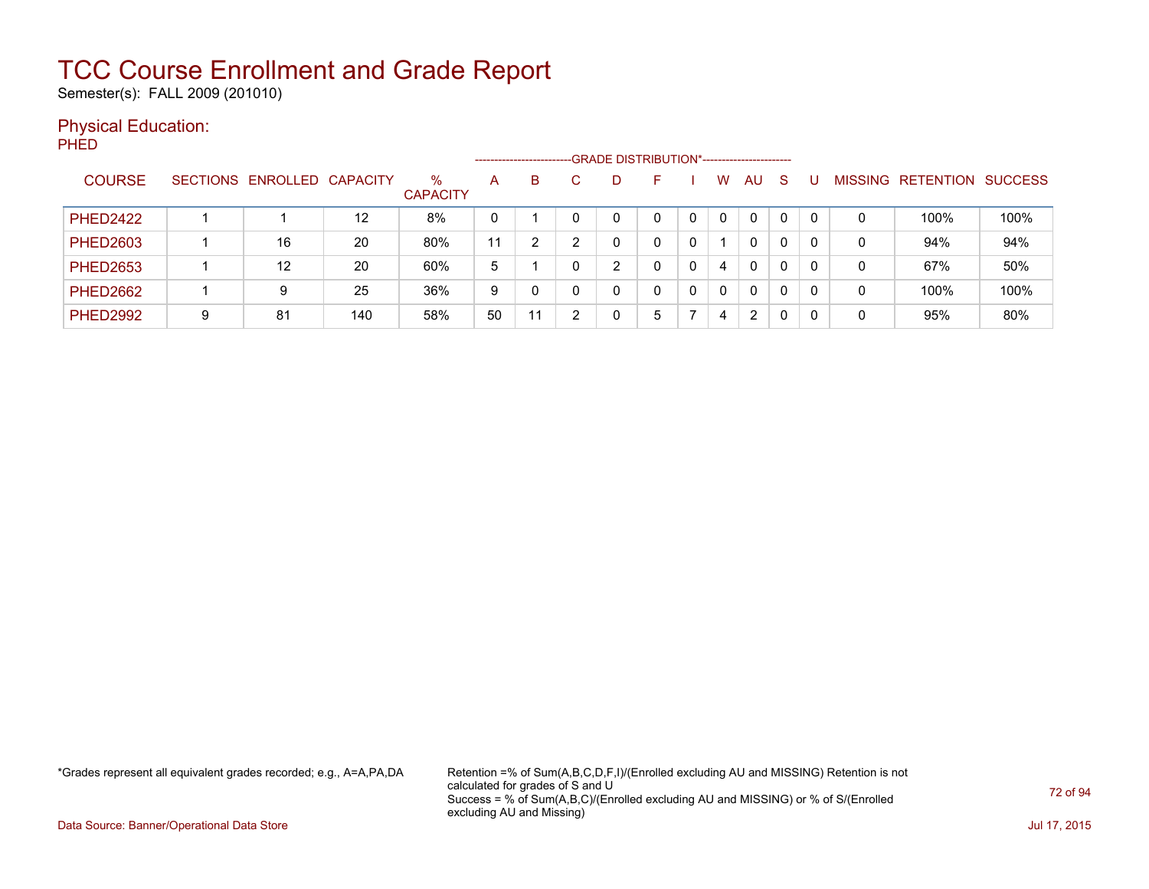Semester(s): FALL 2009 (201010)

### Physical Education:

PHED

|                 | -GRADE DISTRIBUTION*-----------------------<br>--------------------------- |                            |     |                         |              |    |  |   |   |   |          |              |              |          |                |                  |                |
|-----------------|----------------------------------------------------------------------------|----------------------------|-----|-------------------------|--------------|----|--|---|---|---|----------|--------------|--------------|----------|----------------|------------------|----------------|
| <b>COURSE</b>   |                                                                            | SECTIONS ENROLLED CAPACITY |     | $\%$<br><b>CAPACITY</b> | $\mathsf{A}$ | B  |  | D |   |   | w        | AU           | <sub>S</sub> |          | <b>MISSING</b> | <b>RETENTION</b> | <b>SUCCESS</b> |
| <b>PHED2422</b> |                                                                            |                            | 12  | 8%                      | 0            |    |  |   |   |   |          | 0            | $\Omega$     | $\Omega$ | 0              | 100%             | 100%           |
| <b>PHED2603</b> |                                                                            | 16                         | 20  | 80%                     | 11           |    |  |   |   |   |          | 0            | $\Omega$     |          | 0              | 94%              | 94%            |
| <b>PHED2653</b> |                                                                            | 12                         | 20  | 60%                     | 5            |    |  | ົ |   |   | 4        | $\mathbf{0}$ | 0            |          | 0              | 67%              | 50%            |
| <b>PHED2662</b> |                                                                            | 9                          | 25  | 36%                     | 9            |    |  | 0 |   | 0 | $\Omega$ | $\mathbf{0}$ | $\Omega$     | $\Omega$ | 0              | 100%             | 100%           |
| <b>PHED2992</b> | 9                                                                          | 81                         | 140 | 58%                     | 50           | 11 |  | ∩ | 5 |   | 4        | 2            |              | 0        | 0              | 95%              | 80%            |

\*Grades represent all equivalent grades recorded; e.g., A=A,PA,DA Retention =% of Sum(A,B,C,D,F,I)/(Enrolled excluding AU and MISSING) Retention is not calculated for grades of S and U Success = % of Sum(A,B,C)/(Enrolled excluding AU and MISSING) or % of S/(Enrolled excluding AU and Missing)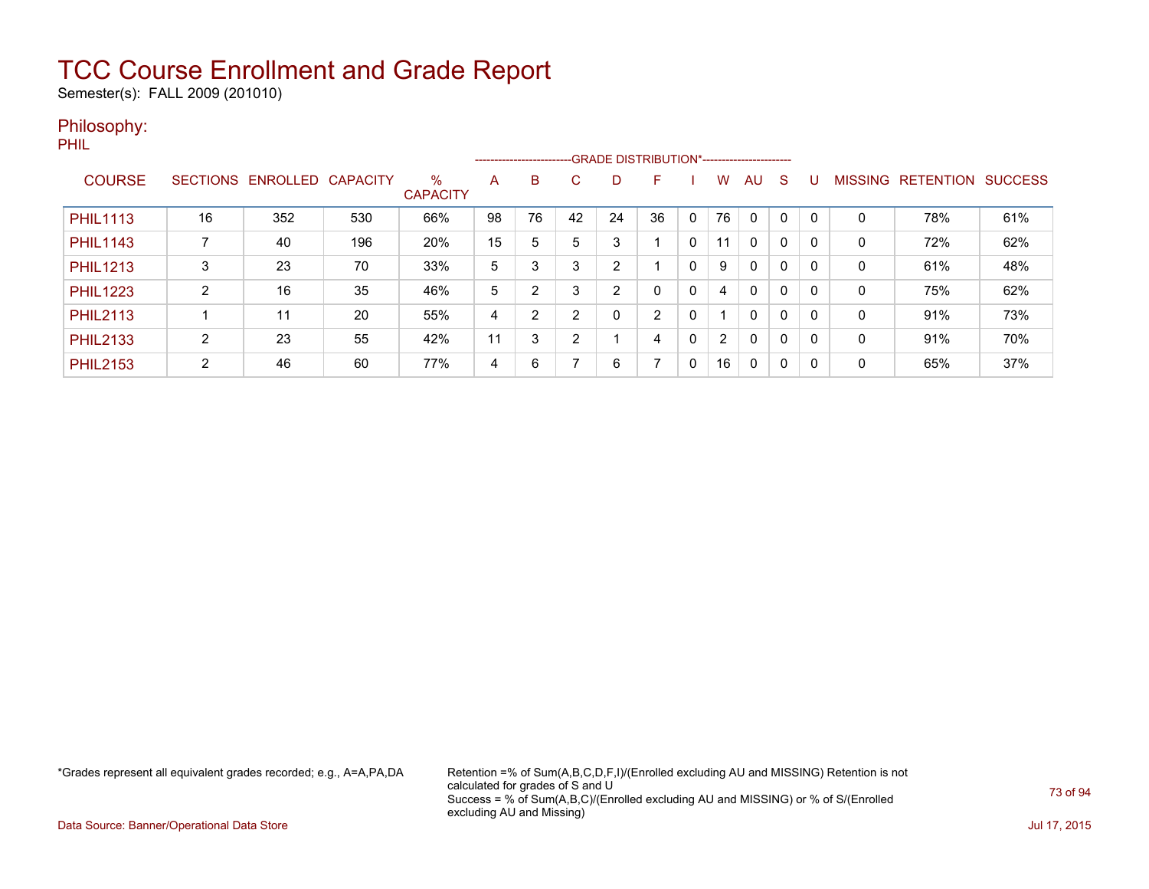Semester(s): FALL 2009 (201010)

#### Philosophy:

PHIL

|                 |                 |          |                 |                         |    | --------------------------GRADE DISTRIBUTION*----------------------- |    |    |    |              |                      |              |             |          |                |                  |                |
|-----------------|-----------------|----------|-----------------|-------------------------|----|----------------------------------------------------------------------|----|----|----|--------------|----------------------|--------------|-------------|----------|----------------|------------------|----------------|
| <b>COURSE</b>   | <b>SECTIONS</b> | ENROLLED | <b>CAPACITY</b> | $\%$<br><b>CAPACITY</b> | A  | B                                                                    | C. | D  | F  |              | w                    | AU           | S           |          | <b>MISSING</b> | <b>RETENTION</b> | <b>SUCCESS</b> |
| <b>PHIL1113</b> | 16              | 352      | 530             | 66%                     | 98 | 76                                                                   | 42 | 24 | 36 | $\mathbf{0}$ | 76                   | $\Omega$     |             | $\Omega$ | 0              | 78%              | 61%            |
| <b>PHIL1143</b> |                 | 40       | 196             | 20%                     | 15 | 5                                                                    | 5  | 3  |    | 0            | 11                   | $\mathbf{0}$ | 0           | 0        | 0              | 72%              | 62%            |
| <b>PHIL1213</b> | 3               | 23       | 70              | 33%                     | 5  | 3                                                                    | 3  | 2  |    | 0            | 9                    | $\mathbf{0}$ | $\Omega$    | 0        | 0              | 61%              | 48%            |
| <b>PHIL1223</b> | C               | 16       | 35              | 46%                     | 5  | $\overline{2}$                                                       | 3  | 2  | 0  | 0            | 4                    | $\mathbf{0}$ | 0           | 0        | 0              | 75%              | 62%            |
| <b>PHIL2113</b> |                 | 11       | 20              | 55%                     | 4  | $\overline{2}$                                                       | ົ  | 0  | 2  | 0            |                      | $\mathbf{0}$ | 0           | 0        | 0              | 91%              | 73%            |
| <b>PHIL2133</b> | 2               | 23       | 55              | 42%                     | 11 | 3                                                                    | ົ  |    | 4  | 0            | $\mathbf{2}^{\circ}$ | $\mathbf{0}$ | $\mathbf 0$ | $\Omega$ | 0              | 91%              | 70%            |
| <b>PHIL2153</b> | 2               | 46       | 60              | 77%                     | 4  | 6                                                                    |    | 6  | 7  | 0            | 16                   | 0            | $\Omega$    | $\Omega$ | 0              | 65%              | 37%            |

\*Grades represent all equivalent grades recorded; e.g., A=A,PA,DA Retention =% of Sum(A,B,C,D,F,I)/(Enrolled excluding AU and MISSING) Retention is not calculated for grades of S and U Success = % of Sum(A,B,C)/(Enrolled excluding AU and MISSING) or % of S/(Enrolled excluding AU and Missing)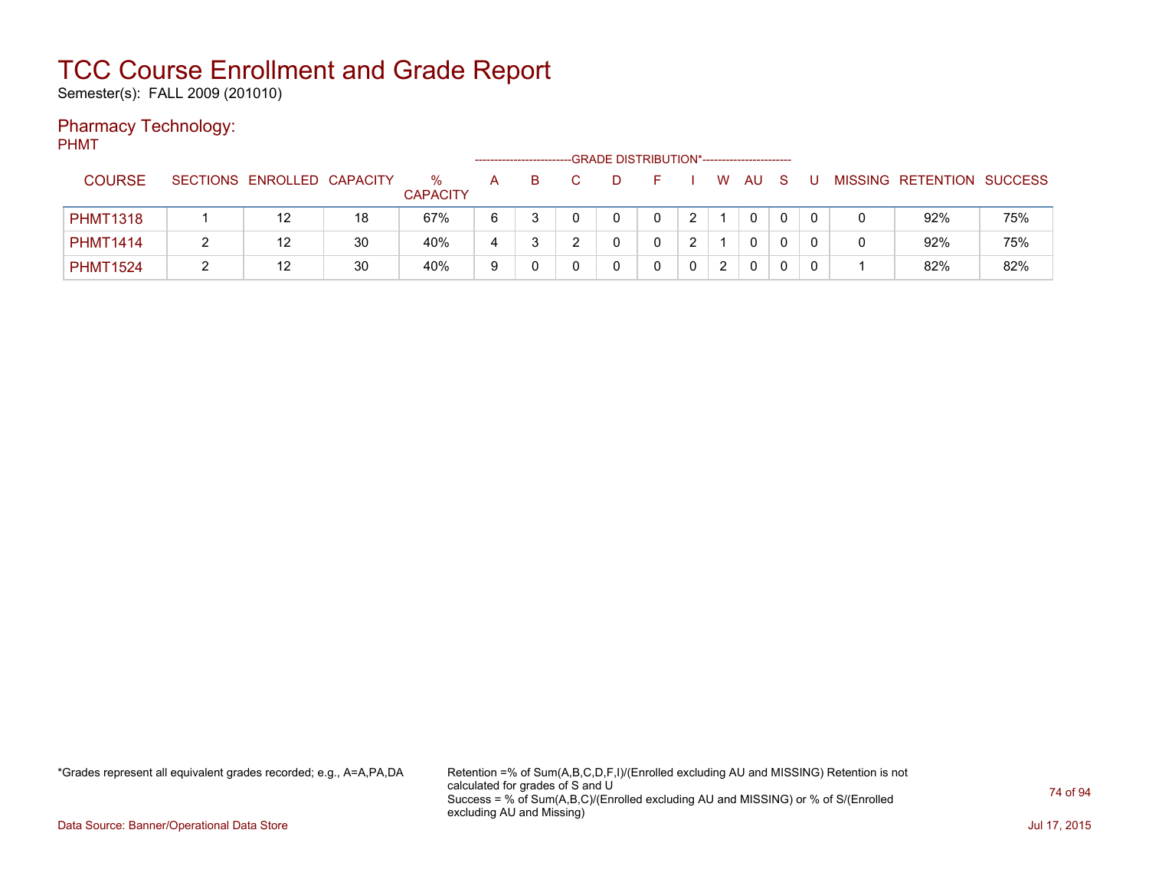Semester(s): FALL 2009 (201010)

#### Pharmacy Technology:

PHMT

|                 |                            |    |                      |   |   | -GRADE DISTRIBUTION*----------------------- |   |   |    |              |  |                           |     |
|-----------------|----------------------------|----|----------------------|---|---|---------------------------------------------|---|---|----|--------------|--|---------------------------|-----|
| <b>COURSE</b>   | SECTIONS ENROLLED CAPACITY |    | ℅<br><b>CAPACITY</b> | A | B | D                                           |   | W | AU | S            |  | MISSING RETENTION SUCCESS |     |
| <b>PHMT1318</b> | 12                         | 18 | 67%                  | 6 |   |                                             | ົ |   | 0  | $\mathbf{0}$ |  | 92%                       | 75% |
| <b>PHMT1414</b> | 12                         | 30 | 40%                  | 4 | w |                                             | ົ |   | 0  | 0            |  | 92%                       | 75% |
| <b>PHMT1524</b> | 12                         | 30 | 40%                  | 9 |   |                                             |   | 2 | 0  | 0            |  | 82%                       | 82% |

\*Grades represent all equivalent grades recorded; e.g., A=A,PA,DA Retention =% of Sum(A,B,C,D,F,I)/(Enrolled excluding AU and MISSING) Retention is not calculated for grades of S and U Success = % of Sum(A,B,C)/(Enrolled excluding AU and MISSING) or % of S/(Enrolled excluding AU and Missing)

Data Source: Banner/Operational Data Store Jul 17, 2015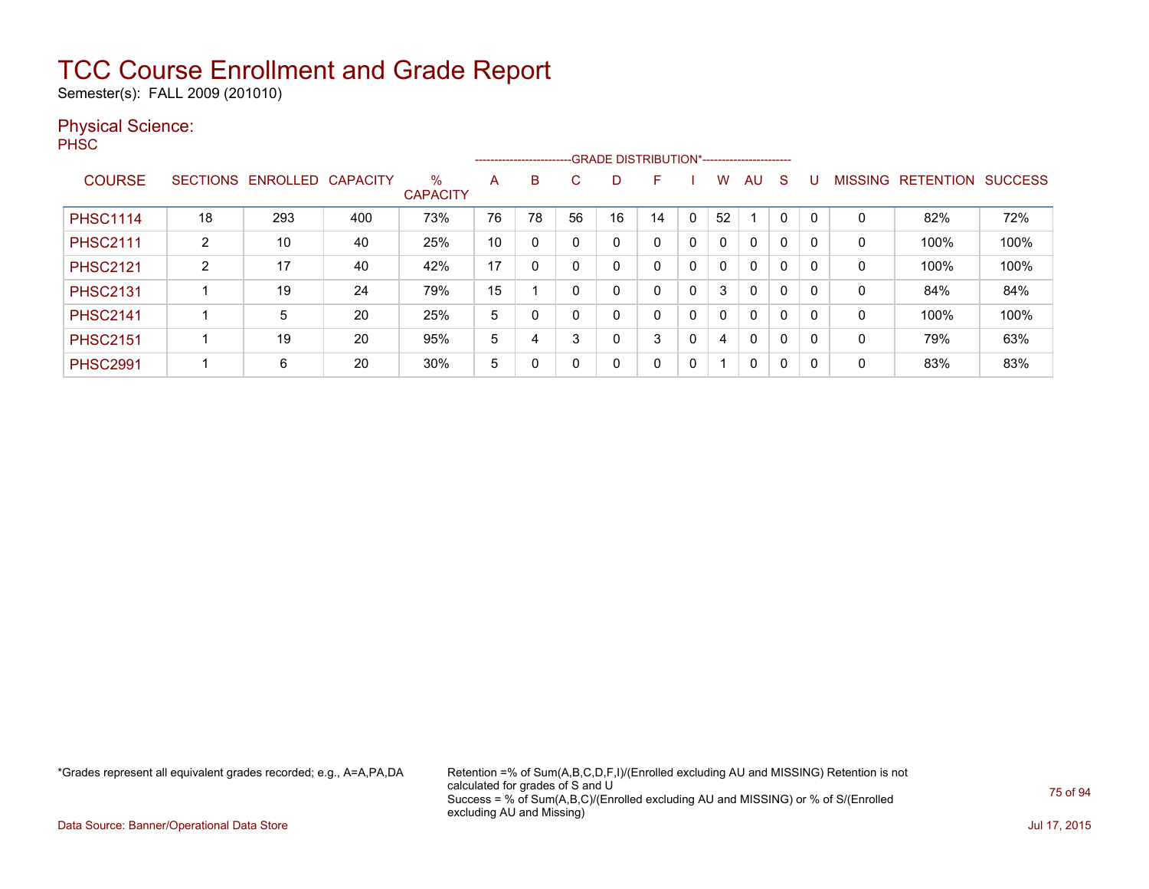Semester(s): FALL 2009 (201010)

#### Physical Science:

PH<sub>SC</sub>

|                 |    |                   |                 |                         |    |              |    |    | --------------------------GRADE DISTRIBUTION*----------------------- |   |              |              |              |   |                |                  |                |
|-----------------|----|-------------------|-----------------|-------------------------|----|--------------|----|----|----------------------------------------------------------------------|---|--------------|--------------|--------------|---|----------------|------------------|----------------|
| <b>COURSE</b>   |    | SECTIONS ENROLLED | <b>CAPACITY</b> | $\%$<br><b>CAPACITY</b> | A  | B            | C. | D. | F                                                                    |   | w            | AU           | <sub>S</sub> |   | <b>MISSING</b> | <b>RETENTION</b> | <b>SUCCESS</b> |
| <b>PHSC1114</b> | 18 | 293               | 400             | 73%                     | 76 | 78           | 56 | 16 | 14                                                                   | 0 | 52           |              | 0            |   | 0              | 82%              | 72%            |
| <b>PHSC2111</b> | 2  | 10                | 40              | 25%                     | 10 | $\mathbf{0}$ |    |    | 0                                                                    | 0 | $\mathbf{0}$ | $\mathbf{0}$ | $\mathbf{0}$ |   | 0              | 100%             | 100%           |
| <b>PHSC2121</b> | 2  | 17                | 40              | 42%                     | 17 | 0            |    |    | 0                                                                    | 0 | $\mathbf{0}$ | $\mathbf{0}$ | 0            |   | 0              | 100%             | 100%           |
| <b>PHSC2131</b> |    | 19                | 24              | 79%                     | 15 |              |    |    | 0                                                                    |   | 3            | $\mathbf{0}$ | $\mathbf{0}$ |   | 0              | 84%              | 84%            |
| <b>PHSC2141</b> |    | 5                 | 20              | 25%                     | 5  |              |    |    | 0                                                                    | 0 | 0            | $\mathbf{0}$ | 0            |   | 0              | 100%             | 100%           |
| <b>PHSC2151</b> |    | 19                | 20              | 95%                     | 5  | 4            |    |    | 3                                                                    | 0 | 4            | $\mathbf{0}$ | 0            |   | 0              | 79%              | 63%            |
| <b>PHSC2991</b> |    | 6                 | 20              | 30%                     | 5  | 0            |    |    | 0                                                                    | 0 |              | 0            | 0            | 0 | 0              | 83%              | 83%            |

\*Grades represent all equivalent grades recorded; e.g., A=A,PA,DA Retention =% of Sum(A,B,C,D,F,I)/(Enrolled excluding AU and MISSING) Retention is not calculated for grades of S and U Success = % of Sum(A,B,C)/(Enrolled excluding AU and MISSING) or % of S/(Enrolled excluding AU and Missing)

Data Source: Banner/Operational Data Store Jul 17, 2015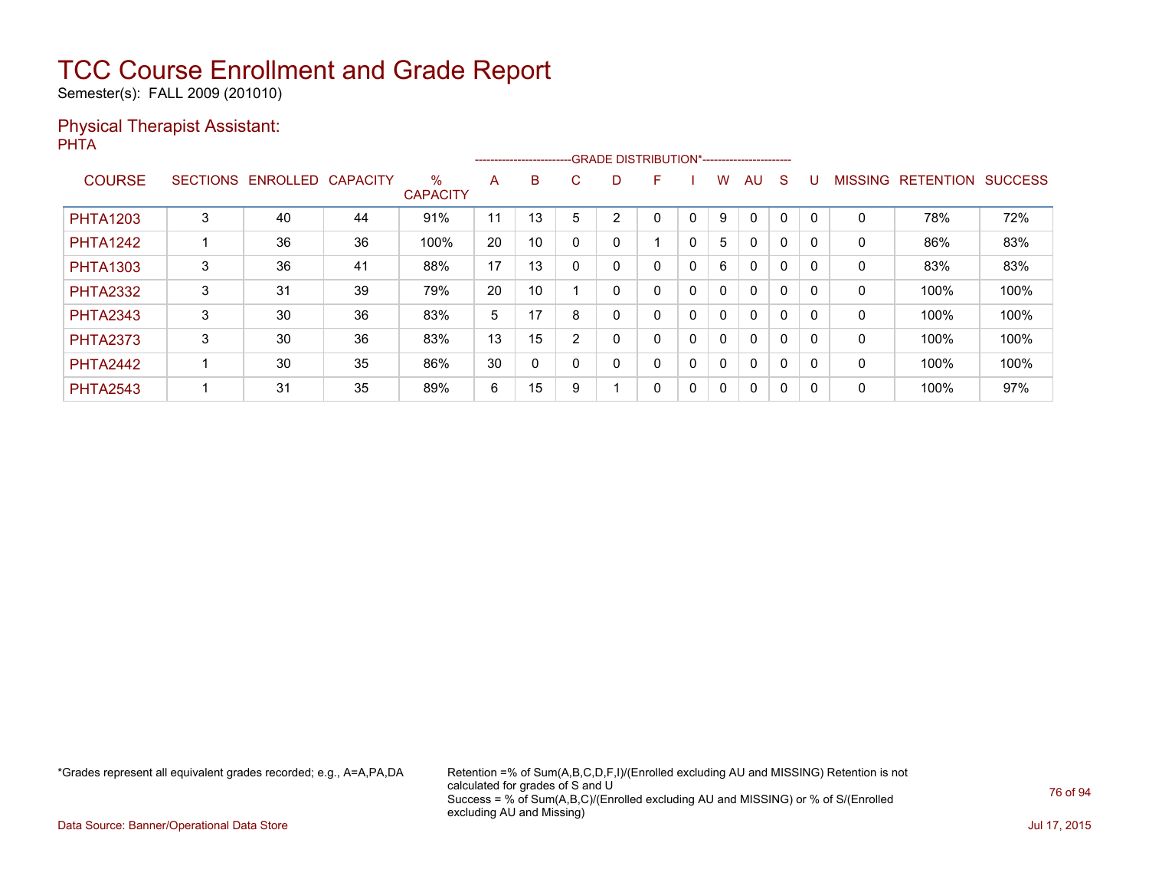Semester(s): FALL 2009 (201010)

#### Physical Therapist Assistant: PHTA

|                 |                 |          |                 |                         |    |         |    |   | --------------------------GRADE DISTRIBUTION*----------------------- |   |              |              |              |          |                |                  |                |
|-----------------|-----------------|----------|-----------------|-------------------------|----|---------|----|---|----------------------------------------------------------------------|---|--------------|--------------|--------------|----------|----------------|------------------|----------------|
| <b>COURSE</b>   | <b>SECTIONS</b> | ENROLLED | <b>CAPACITY</b> | $\%$<br><b>CAPACITY</b> | A  | B       | C. | D | F                                                                    |   | w            | AU           | <sub>S</sub> |          | <b>MISSING</b> | <b>RETENTION</b> | <b>SUCCESS</b> |
| <b>PHTA1203</b> | 3               | 40       | 44              | 91%                     | 11 | 13<br>и | 5  | n | 0                                                                    |   | 9            | $\Omega$     | 0            |          | 0              | 78%              | 72%            |
| <b>PHTA1242</b> |                 | 36       | 36              | 100%                    | 20 | 10      |    |   |                                                                      | 0 | 5            | $\mathbf{0}$ | 0            | $\Omega$ | 0              | 86%              | 83%            |
| <b>PHTA1303</b> | 3               | 36       | 41              | 88%                     | 17 | 13      |    |   | 0                                                                    | 0 | 6            | $\mathbf{0}$ | $\mathbf{0}$ |          | 0              | 83%              | 83%            |
| <b>PHTA2332</b> | 3               | 31       | 39              | 79%                     | 20 | 10      |    |   | 0                                                                    | 0 | 0            | $\mathbf{0}$ | 0            | $\Omega$ | 0              | 100%             | 100%           |
| <b>PHTA2343</b> | 3               | 30       | 36              | 83%                     | 5  | 17      | 8  |   | 0                                                                    | 0 | 0            | $\mathbf{0}$ | 0            | $\Omega$ | 0              | 100%             | 100%           |
| <b>PHTA2373</b> | 3               | 30       | 36              | 83%                     | 13 | 15      | 2  |   | 0                                                                    | 0 | $\mathbf{0}$ | $\mathbf{0}$ | 0            | $\Omega$ | 0              | 100%             | 100%           |
| <b>PHTA2442</b> |                 | 30       | 35              | 86%                     | 30 | 0       |    |   | 0                                                                    | 0 | $\mathbf{0}$ | $\mathbf{0}$ | 0            |          | 0              | 100%             | 100%           |
| <b>PHTA2543</b> |                 | 31       | 35              | 89%                     | 6  | 15      | 9  |   | 0                                                                    | 0 | 0            | $\mathbf{0}$ | 0            | $\Omega$ | 0              | 100%             | 97%            |

\*Grades represent all equivalent grades recorded; e.g., A=A,PA,DA Retention =% of Sum(A,B,C,D,F,I)/(Enrolled excluding AU and MISSING) Retention is not calculated for grades of S and U Success = % of Sum(A,B,C)/(Enrolled excluding AU and MISSING) or % of S/(Enrolled excluding AU and Missing)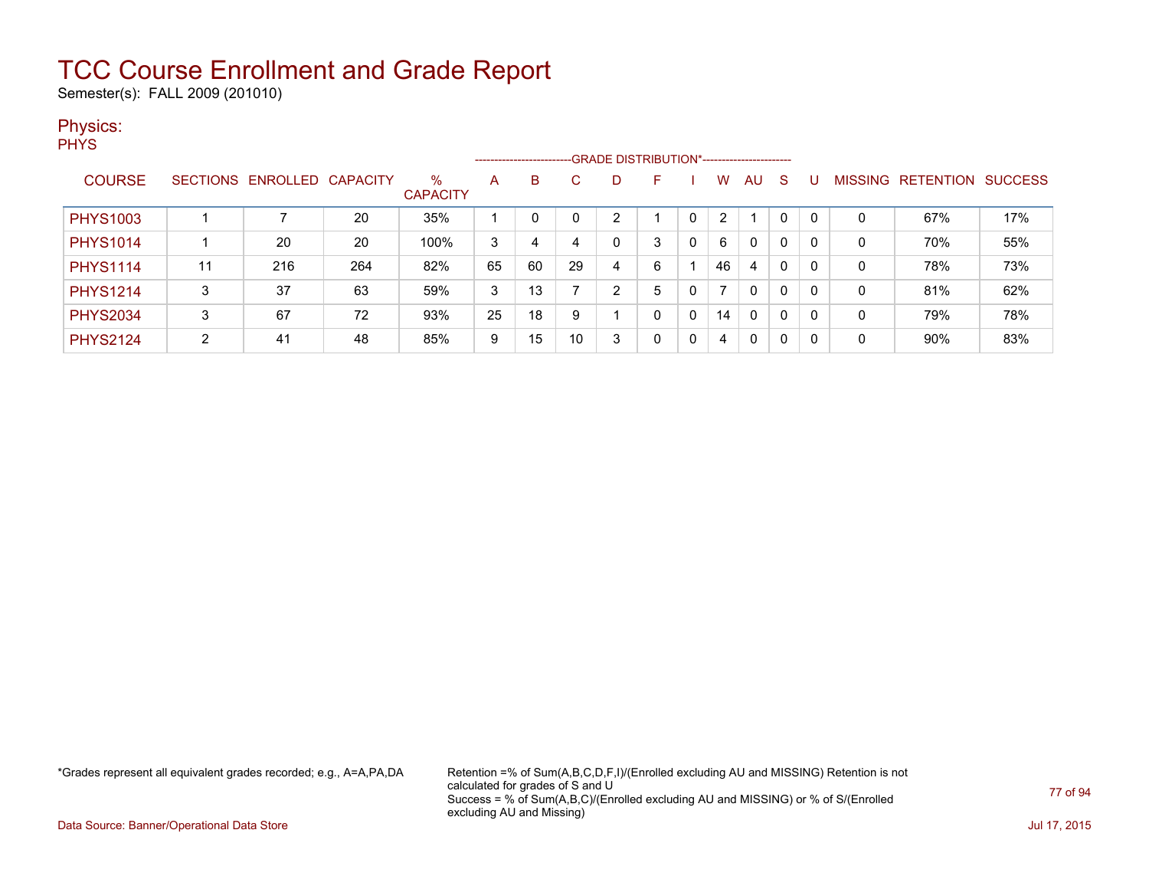Semester(s): FALL 2009 (201010)

#### Physics:

**PHYS** 

|                 |    |                            |     |                         |    |    |    |   | ------------------------GRADE DISTRIBUTION*----------------------- |   |    |                |   |          |              |                   |                |
|-----------------|----|----------------------------|-----|-------------------------|----|----|----|---|--------------------------------------------------------------------|---|----|----------------|---|----------|--------------|-------------------|----------------|
| <b>COURSE</b>   |    | SECTIONS ENROLLED CAPACITY |     | $\%$<br><b>CAPACITY</b> | A  | B  |    |   | F                                                                  |   | w  | AU             | S |          |              | MISSING RETENTION | <b>SUCCESS</b> |
| <b>PHYS1003</b> |    |                            | 20  | 35%                     |    |    |    | ◠ |                                                                    |   | 2  |                | 0 | 0        | 0            | 67%               | 17%            |
| <b>PHYS1014</b> |    | 20                         | 20  | 100%                    | 3  | 4  | 4  |   | 3                                                                  | 0 | 6  | 0              | 0 | 0        | 0            | 70%               | 55%            |
| <b>PHYS1114</b> | 11 | 216                        | 264 | 82%                     | 65 | 60 | 29 | 4 | 6                                                                  |   | 46 | $\overline{4}$ | 0 | 0        | 0            | 78%               | 73%            |
| <b>PHYS1214</b> | 3  | 37                         | 63  | 59%                     | 3  | 13 |    | n | 5                                                                  |   |    | $\mathbf{0}$   | 0 | 0        | $\mathbf{0}$ | 81%               | 62%            |
| <b>PHYS2034</b> | 3  | 67                         | 72  | 93%                     | 25 | 18 | 9  |   | 0                                                                  | 0 | 14 | 0              | 0 | $\Omega$ | 0            | 79%               | 78%            |
| <b>PHYS2124</b> | C. | 41                         | 48  | 85%                     | 9  | 15 | 10 | 3 | 0                                                                  | 0 | 4  | 0              | 0 |          | 0            | 90%               | 83%            |

\*Grades represent all equivalent grades recorded; e.g., A=A,PA,DA Retention =% of Sum(A,B,C,D,F,I)/(Enrolled excluding AU and MISSING) Retention is not calculated for grades of S and U Success = % of Sum(A,B,C)/(Enrolled excluding AU and MISSING) or % of S/(Enrolled excluding AU and Missing)

Data Source: Banner/Operational Data Store Jul 17, 2015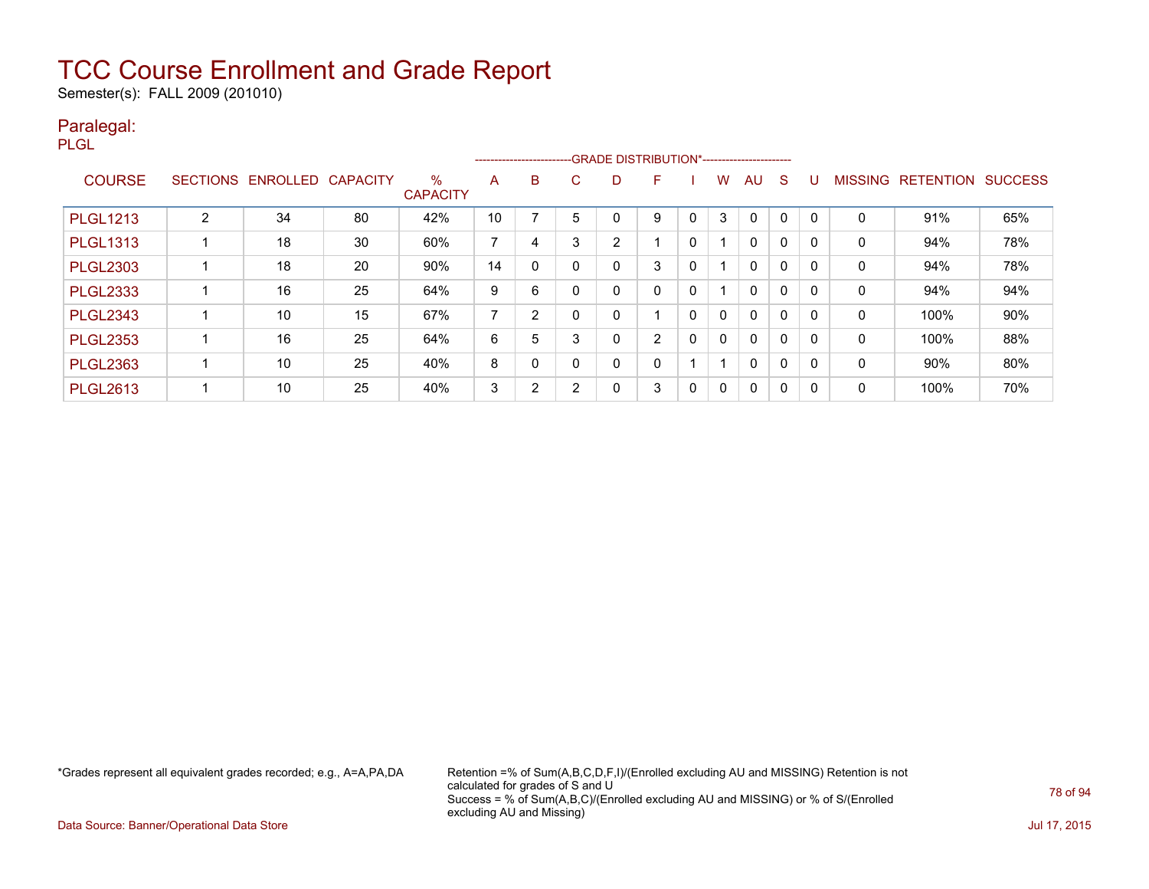Semester(s): FALL 2009 (201010)

#### Paralegal:

PLGL

|                 |   |                   |                 |                         |    | -------------------------- |    | -GRADE DISTRIBUTION*---------------------- |                |   |              |              |              |          |                |                  |                |
|-----------------|---|-------------------|-----------------|-------------------------|----|----------------------------|----|--------------------------------------------|----------------|---|--------------|--------------|--------------|----------|----------------|------------------|----------------|
| <b>COURSE</b>   |   | SECTIONS ENROLLED | <b>CAPACITY</b> | $\%$<br><b>CAPACITY</b> | A  | B                          | C. | D                                          | F              |   | w            | AU.          | <sub>S</sub> |          | <b>MISSING</b> | <b>RETENTION</b> | <b>SUCCESS</b> |
| <b>PLGL1213</b> | C | 34                | 80              | 42%                     | 10 |                            | 5  |                                            | 9              |   | 3            | $\Omega$     | 0            |          | 0              | 91%              | 65%            |
| <b>PLGL1313</b> |   | 18                | 30              | 60%                     | 7  | 4                          | 3  | 2                                          |                | 0 |              | $\mathbf{0}$ | $\Omega$     | $\Omega$ | 0              | 94%              | 78%            |
| <b>PLGL2303</b> |   | 18                | 20              | 90%                     | 14 | $\mathbf{0}$               |    | 0                                          | 3              | 0 |              | $\mathbf{0}$ | $\mathbf{0}$ | $\Omega$ | 0              | 94%              | 78%            |
| <b>PLGL2333</b> |   | 16                | 25              | 64%                     | 9  | 6                          |    | 0                                          | 0              | 0 |              | $\mathbf{0}$ | 0            | $\Omega$ | 0              | 94%              | 94%            |
| <b>PLGL2343</b> |   | 10                | 15              | 67%                     | 7  | 2                          |    | 0                                          |                | 0 | 0            | $\mathbf{0}$ | 0            |          | 0              | 100%             | 90%            |
| <b>PLGL2353</b> |   | 16                | 25              | 64%                     | 6  | 5                          | 3  | 0                                          | $\overline{2}$ | 0 | $\mathbf{0}$ | $\mathbf{0}$ | $\mathbf{0}$ | $\Omega$ | 0              | 100%             | 88%            |
| <b>PLGL2363</b> |   | 10                | 25              | 40%                     | 8  | 0                          |    | 0                                          | 0              |   |              | $\mathbf{0}$ | 0            | $\Omega$ | 0              | $90\%$           | 80%            |
| <b>PLGL2613</b> |   | 10                | 25              | 40%                     | 3  | 2                          | C  | 0                                          | 3              | 0 | $\Omega$     | $\mathbf{0}$ | 0            | 0        | 0              | 100%             | 70%            |

\*Grades represent all equivalent grades recorded; e.g., A=A,PA,DA Retention =% of Sum(A,B,C,D,F,I)/(Enrolled excluding AU and MISSING) Retention is not calculated for grades of S and U Success = % of Sum(A,B,C)/(Enrolled excluding AU and MISSING) or % of S/(Enrolled excluding AU and Missing)

Data Source: Banner/Operational Data Store Jul 17, 2015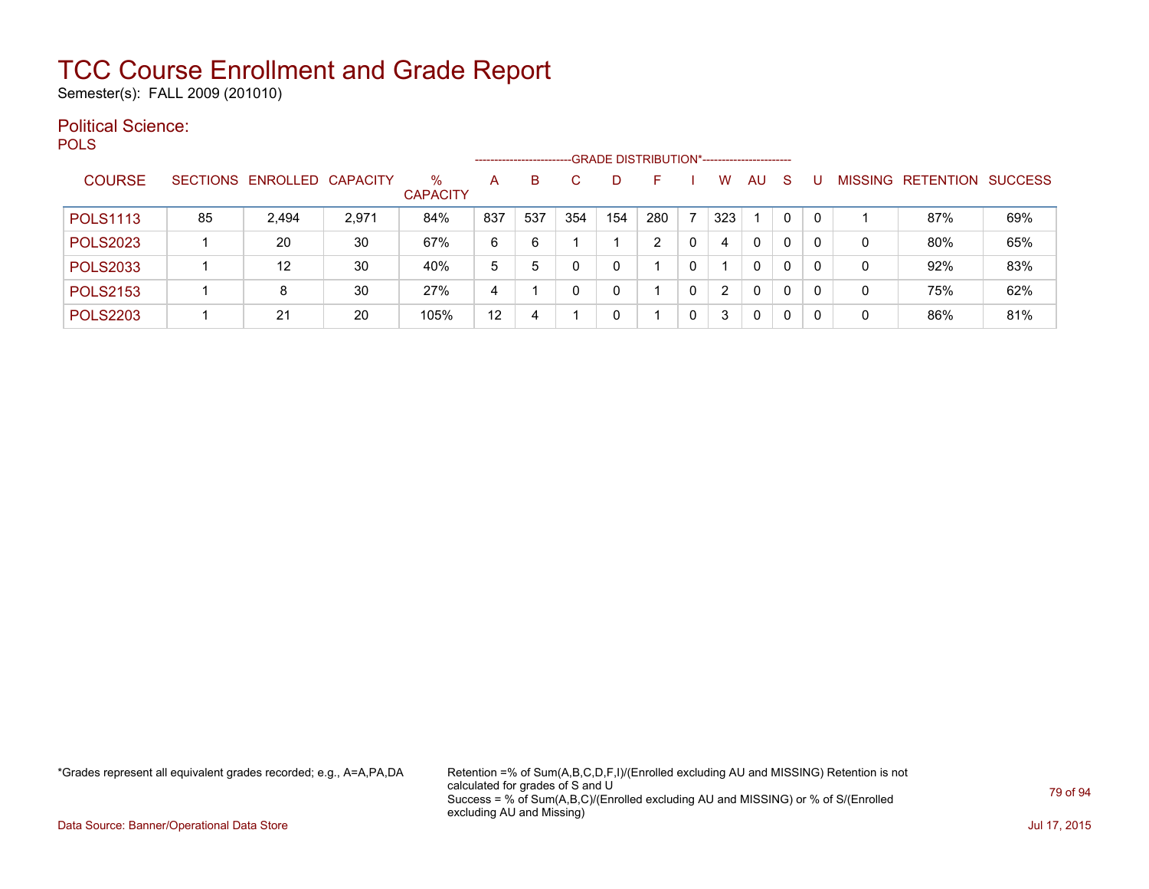Semester(s): FALL 2009 (201010)

#### Political Science: **POLS**

|                 |    |                   |                 |                      |     | --------------------- |             |     | -GRADE DISTRIBUTION*----------------------- |   |     |              |          |     |         |                  |                |
|-----------------|----|-------------------|-----------------|----------------------|-----|-----------------------|-------------|-----|---------------------------------------------|---|-----|--------------|----------|-----|---------|------------------|----------------|
| <b>COURSE</b>   |    | SECTIONS ENROLLED | <b>CAPACITY</b> | %<br><b>CAPACITY</b> | А   | B                     |             |     |                                             |   | w   | AU           | S        |     | MISSING | <b>RETENTION</b> | <b>SUCCESS</b> |
| <b>POLS1113</b> | 85 | 2.494             | 2,971           | 84%                  | 837 | 537                   | 354         | 154 | 280                                         |   | 323 |              | $\Omega$ | - 0 |         | 87%              | 69%            |
| <b>POLS2023</b> |    | 20                | 30              | 67%                  | 6   | 6                     |             |     |                                             | 0 | 4   | $\mathbf{0}$ | 0        |     | 0       | 80%              | 65%            |
| <b>POLS2033</b> |    | 12                | 30              | 40%                  | 5   | 5                     | $\mathbf 0$ |     |                                             | 0 |     | $\Omega$     | 0        |     | 0       | 92%              | 83%            |
| <b>POLS2153</b> |    | 8                 | 30              | 27%                  | 4   |                       | 0           |     |                                             | 0 | 2   | $\mathbf{0}$ | 0        | 0   | 0       | 75%              | 62%            |
| <b>POLS2203</b> |    | 21                | 20              | 105%                 | 12  | 4                     |             |     |                                             | 0 | 3   | $\mathbf{0}$ | 0        |     | 0       | 86%              | 81%            |

\*Grades represent all equivalent grades recorded; e.g., A=A,PA,DA Retention =% of Sum(A,B,C,D,F,I)/(Enrolled excluding AU and MISSING) Retention is not calculated for grades of S and U Success = % of Sum(A,B,C)/(Enrolled excluding AU and MISSING) or % of S/(Enrolled excluding AU and Missing)

Data Source: Banner/Operational Data Store Jul 17, 2015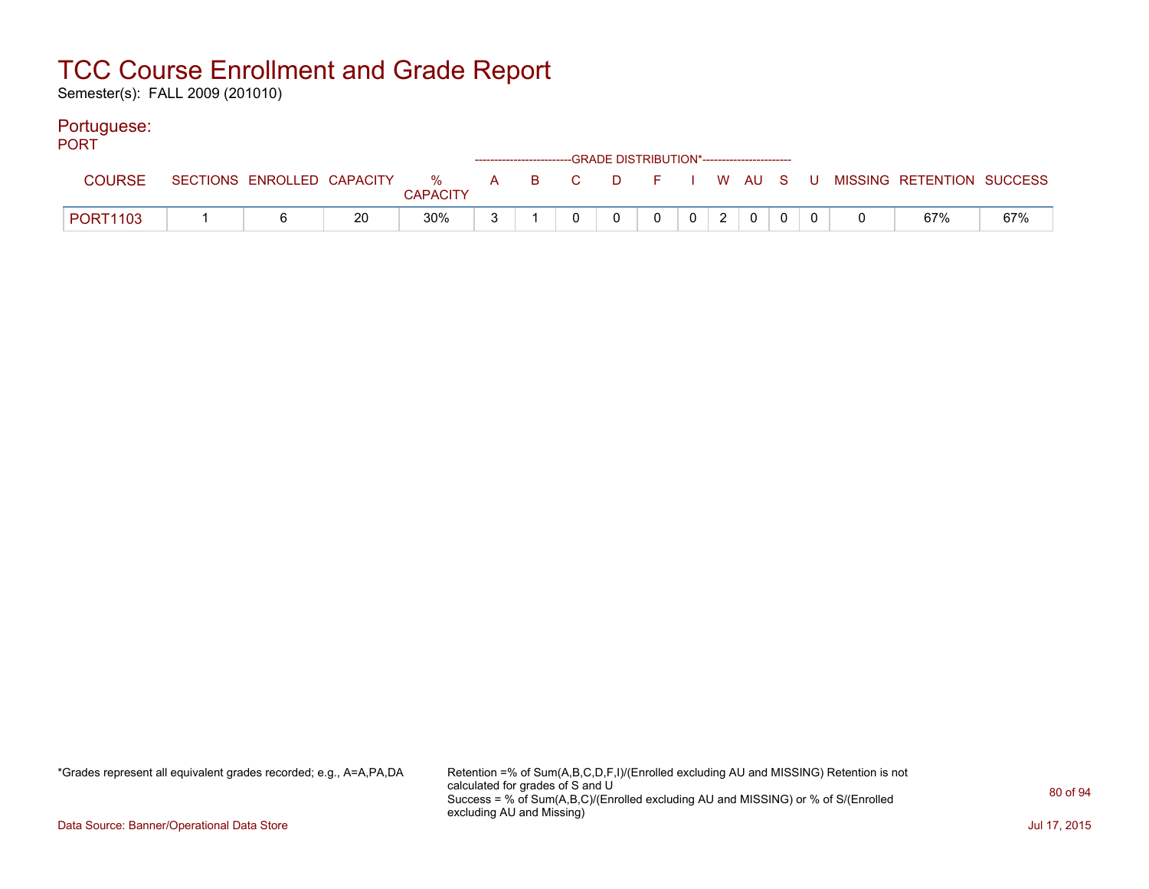Semester(s): FALL 2009 (201010)

#### Portuguese:

| <b>PORT</b>     |  |    |                 |  | ------------------------GRADE DISTRIBUTION*----------------------- |              |                 |                |  |                                                                               |     |
|-----------------|--|----|-----------------|--|--------------------------------------------------------------------|--------------|-----------------|----------------|--|-------------------------------------------------------------------------------|-----|
|                 |  |    | <b>CAPACITY</b> |  |                                                                    |              |                 |                |  | SECTIONS ENROLLED CAPACITY 3 % A B C D F I W AU S U MISSING RETENTION SUCCESS |     |
| <b>PORT1103</b> |  | 20 | 30%             |  | $\mathbf{0}$                                                       | $\mathbf{0}$ | $0 \mid 2 \mid$ | $\overline{0}$ |  | 67%                                                                           | 67% |

\*Grades represent all equivalent grades recorded; e.g., A=A,PA,DA Retention =% of Sum(A,B,C,D,F,I)/(Enrolled excluding AU and MISSING) Retention is not calculated for grades of S and U Success = % of Sum(A,B,C)/(Enrolled excluding AU and MISSING) or % of S/(Enrolled excluding AU and Missing)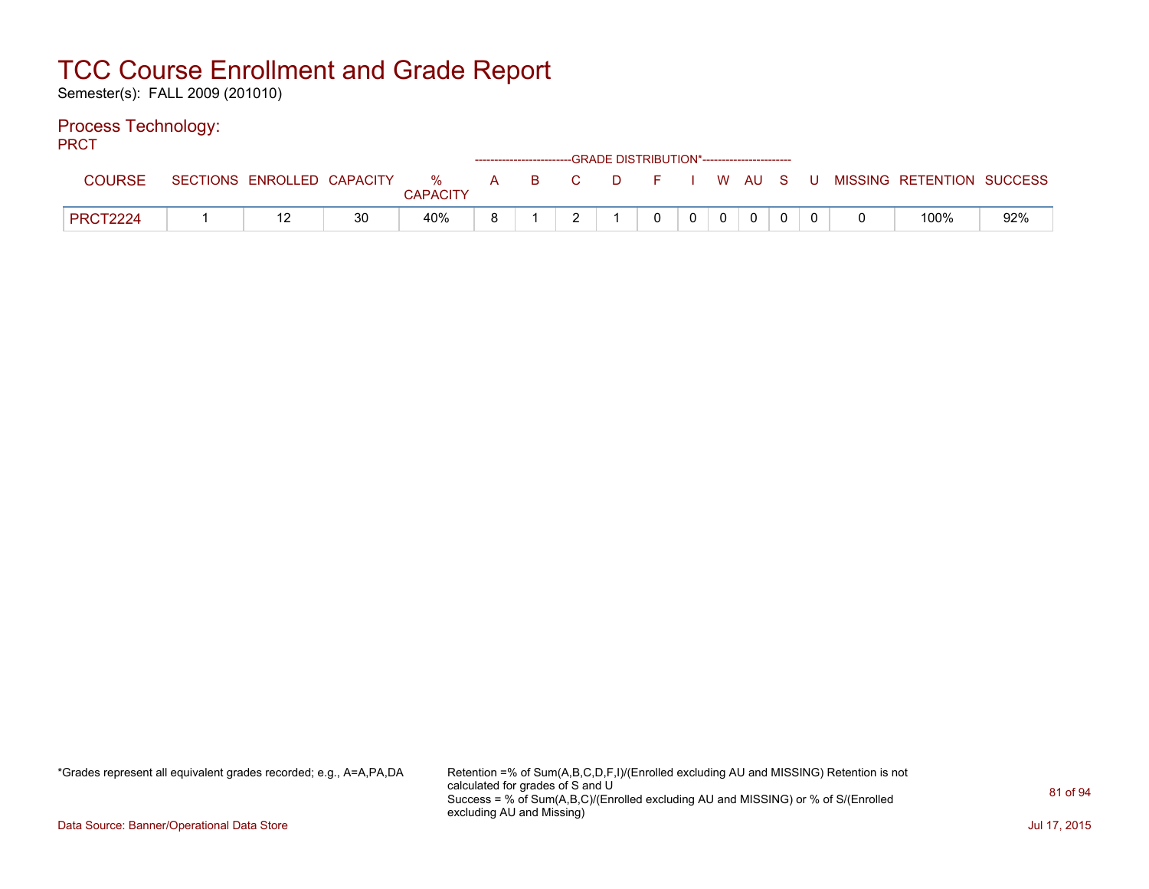Semester(s): FALL 2009 (201010)

#### Process Technology:

PRCT

| .               |                            |    |               |              |     | ------------------------GRADE DISTRIBUTION*----------------------- |     |  |        |          |                           |     |
|-----------------|----------------------------|----|---------------|--------------|-----|--------------------------------------------------------------------|-----|--|--------|----------|---------------------------|-----|
| <b>COURSE</b>   | SECTIONS ENROLLED CAPACITY |    | %<br>CAPACITY | $\mathsf{A}$ | B C |                                                                    | D F |  | I WAUS | <b>U</b> | MISSING RETENTION SUCCESS |     |
| <b>PRCT2224</b> |                            | 30 | 40%           | ο            |     |                                                                    |     |  |        |          | 100%                      | 92% |

\*Grades represent all equivalent grades recorded; e.g., A=A,PA,DA Retention =% of Sum(A,B,C,D,F,I)/(Enrolled excluding AU and MISSING) Retention is not calculated for grades of S and U Success = % of Sum(A,B,C)/(Enrolled excluding AU and MISSING) or % of S/(Enrolled excluding AU and Missing)

Data Source: Banner/Operational Data Store Jul 17, 2015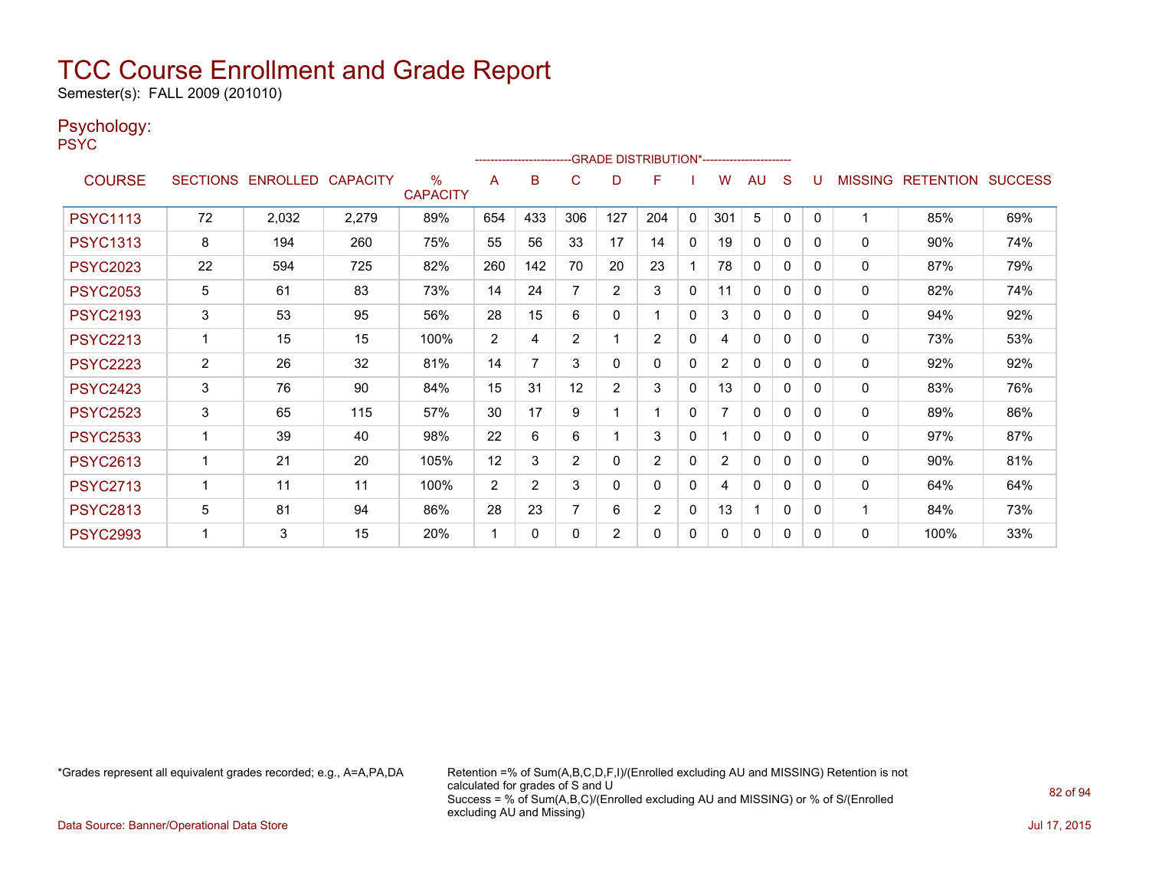Semester(s): FALL 2009 (201010)

#### Psychology:

PSYC

|                 |                |                            |       |                         |                | ------------------------ |                |                | -GRADE DISTRIBUTION*---------------------- |              |                |              |          |          |                |                          |     |
|-----------------|----------------|----------------------------|-------|-------------------------|----------------|--------------------------|----------------|----------------|--------------------------------------------|--------------|----------------|--------------|----------|----------|----------------|--------------------------|-----|
| <b>COURSE</b>   |                | SECTIONS ENROLLED CAPACITY |       | $\%$<br><b>CAPACITY</b> | A              | B                        | C              | D              | F                                          |              | W              | AU           | S        |          | <b>MISSING</b> | <b>RETENTION SUCCESS</b> |     |
| <b>PSYC1113</b> | 72             | 2,032                      | 2,279 | 89%                     | 654            | 433                      | 306            | 127            | 204                                        | $\mathbf{0}$ | 301            | 5            | 0        | $\Omega$ | 1              | 85%                      | 69% |
| <b>PSYC1313</b> | 8              | 194                        | 260   | 75%                     | 55             | 56                       | 33             | 17             | 14                                         | $\mathbf{0}$ | 19             | $\mathbf{0}$ | 0        | $\Omega$ | $\Omega$       | 90%                      | 74% |
| <b>PSYC2023</b> | 22             | 594                        | 725   | 82%                     | 260            | 142                      | 70             | 20             | 23                                         |              | 78             | $\mathbf{0}$ | $\Omega$ | $\Omega$ | $\mathbf 0$    | 87%                      | 79% |
| <b>PSYC2053</b> | 5              | 61                         | 83    | 73%                     | 14             | 24                       |                | 2              | 3                                          | 0            | 11             | $\mathbf{0}$ | $\Omega$ | $\Omega$ | 0              | 82%                      | 74% |
| <b>PSYC2193</b> | 3              | 53                         | 95    | 56%                     | 28             | 15                       | 6              | 0              |                                            | $\mathbf{0}$ | 3              | $\mathbf{0}$ | 0        | $\Omega$ | 0              | 94%                      | 92% |
| <b>PSYC2213</b> | 1              | 15                         | 15    | 100%                    | 2              | 4                        | 2              |                | $\overline{2}$                             | $\mathbf{0}$ | 4              | $\mathbf{0}$ | $\Omega$ | $\Omega$ | $\mathbf{0}$   | 73%                      | 53% |
| <b>PSYC2223</b> | $\overline{2}$ | 26                         | 32    | 81%                     | 14             | 7                        | 3              | $\Omega$       | $\Omega$                                   | $\mathbf{0}$ | $\overline{2}$ | $\mathbf{0}$ | 0        | $\Omega$ | 0              | 92%                      | 92% |
| <b>PSYC2423</b> | 3              | 76                         | 90    | 84%                     | 15             | 31                       | 12             | $\overline{2}$ | 3                                          | $\mathbf{0}$ | 13             | $\Omega$     | 0        | $\Omega$ | 0              | 83%                      | 76% |
| <b>PSYC2523</b> | 3              | 65                         | 115   | 57%                     | 30             | 17                       | 9              |                |                                            | 0            |                | 0            | 0        | $\Omega$ | 0              | 89%                      | 86% |
| <b>PSYC2533</b> |                | 39                         | 40    | 98%                     | 22             | 6                        | 6              |                | 3                                          | $\mathbf{0}$ |                | $\mathbf{0}$ | $\Omega$ | $\Omega$ | $\mathbf{0}$   | 97%                      | 87% |
| <b>PSYC2613</b> | 1              | 21                         | 20    | 105%                    | 12             | 3                        | 2              | 0              | $\overline{2}$                             | 0            | $\overline{2}$ | $\mathbf{0}$ | $\Omega$ | $\Omega$ | $\mathbf{0}$   | 90%                      | 81% |
| <b>PSYC2713</b> |                | 11                         | 11    | 100%                    | $\overline{2}$ | $\overline{2}$           | 3              | $\Omega$       | $\Omega$                                   | 0            | 4              | $\Omega$     | $\Omega$ | $\Omega$ | $\mathbf 0$    | 64%                      | 64% |
| <b>PSYC2813</b> | 5              | 81                         | 94    | 86%                     | 28             | 23                       | $\overline{7}$ | 6              | $\overline{2}$                             | $\mathbf{0}$ | 13             | 1            | $\Omega$ | $\Omega$ | $\mathbf{1}$   | 84%                      | 73% |
| <b>PSYC2993</b> |                | 3                          | 15    | 20%                     | 1              | 0                        | 0              | 2              | 0                                          | 0            | 0              | 0            | 0        | $\Omega$ | 0              | 100%                     | 33% |

\*Grades represent all equivalent grades recorded; e.g., A=A,PA,DA Retention =% of Sum(A,B,C,D,F,I)/(Enrolled excluding AU and MISSING) Retention is not calculated for grades of S and U Success = % of Sum(A,B,C)/(Enrolled excluding AU and MISSING) or % of S/(Enrolled excluding AU and Missing)

Data Source: Banner/Operational Data Store Jul 17, 2015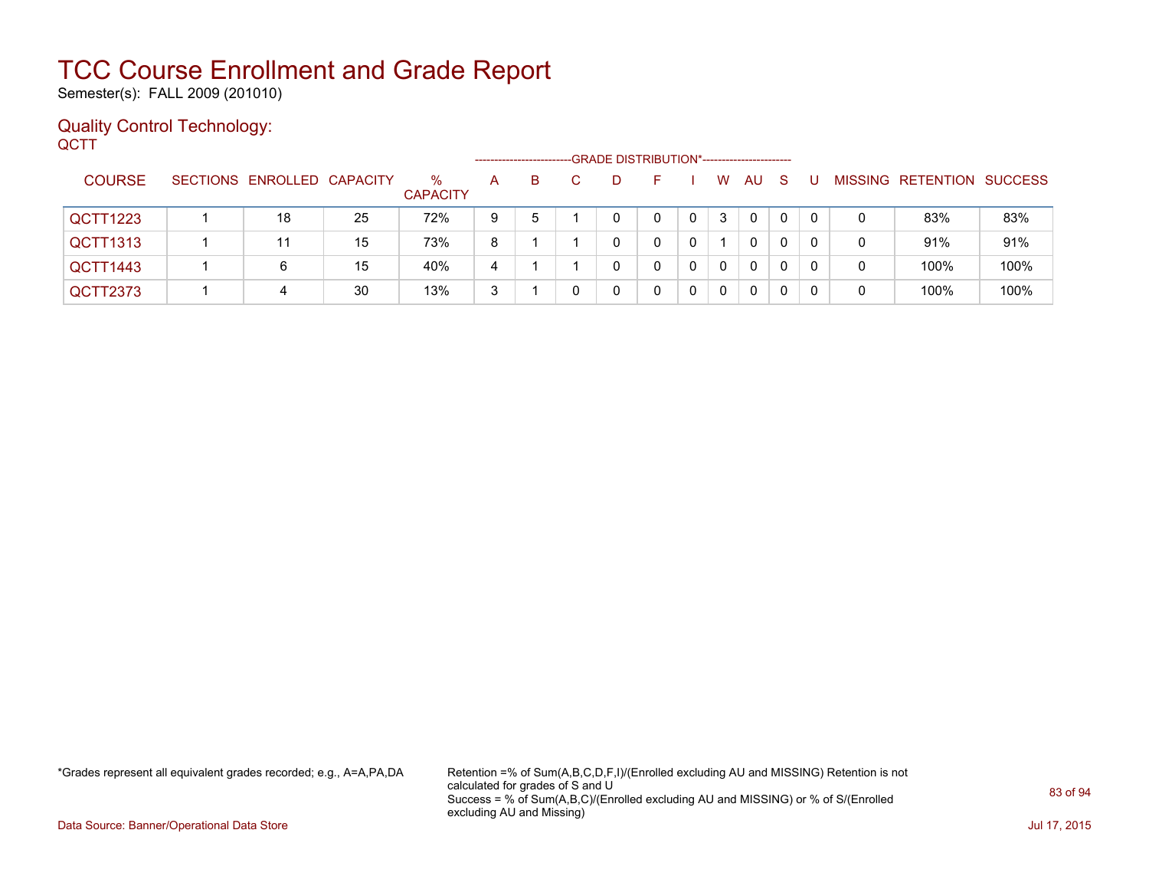Semester(s): FALL 2009 (201010)

#### Quality Control Technology: **QCTT**

|               |                            |    |                         |   | --------------------- | -GRADE DISTRIBUTION*----------------------- |    |   |              |              |    |          |   |                           |      |
|---------------|----------------------------|----|-------------------------|---|-----------------------|---------------------------------------------|----|---|--------------|--------------|----|----------|---|---------------------------|------|
| <b>COURSE</b> | SECTIONS ENROLLED CAPACITY |    | $\%$<br><b>CAPACITY</b> | A | B.                    | D                                           | н. |   | W            | AU.          | -S |          |   | MISSING RETENTION SUCCESS |      |
| QCTT1223      | 18                         | 25 | 72%                     | 9 | 5                     |                                             | 0  | 0 | 3            | $\mathbf{0}$ | 0  | $\Omega$ | 0 | 83%                       | 83%  |
| QCTT1313      |                            | 15 | 73%                     | 8 |                       |                                             |    |   |              | 0            | 0  | 0        | 0 | 91%                       | 91%  |
| QCTT1443      | 6                          | 15 | 40%                     | 4 |                       |                                             |    | 0 | $\mathbf{0}$ | 0            | 0  | 0        | 0 | 100%                      | 100% |
| QCTT2373      | 4                          | 30 | 13%                     | 3 |                       |                                             |    | 0 | $\mathbf{0}$ | 0            | 0  | -0       |   | 100%                      | 100% |

\*Grades represent all equivalent grades recorded; e.g., A=A,PA,DA Retention =% of Sum(A,B,C,D,F,I)/(Enrolled excluding AU and MISSING) Retention is not calculated for grades of S and U Success = % of Sum(A,B,C)/(Enrolled excluding AU and MISSING) or % of S/(Enrolled excluding AU and Missing)

Data Source: Banner/Operational Data Store Jul 17, 2015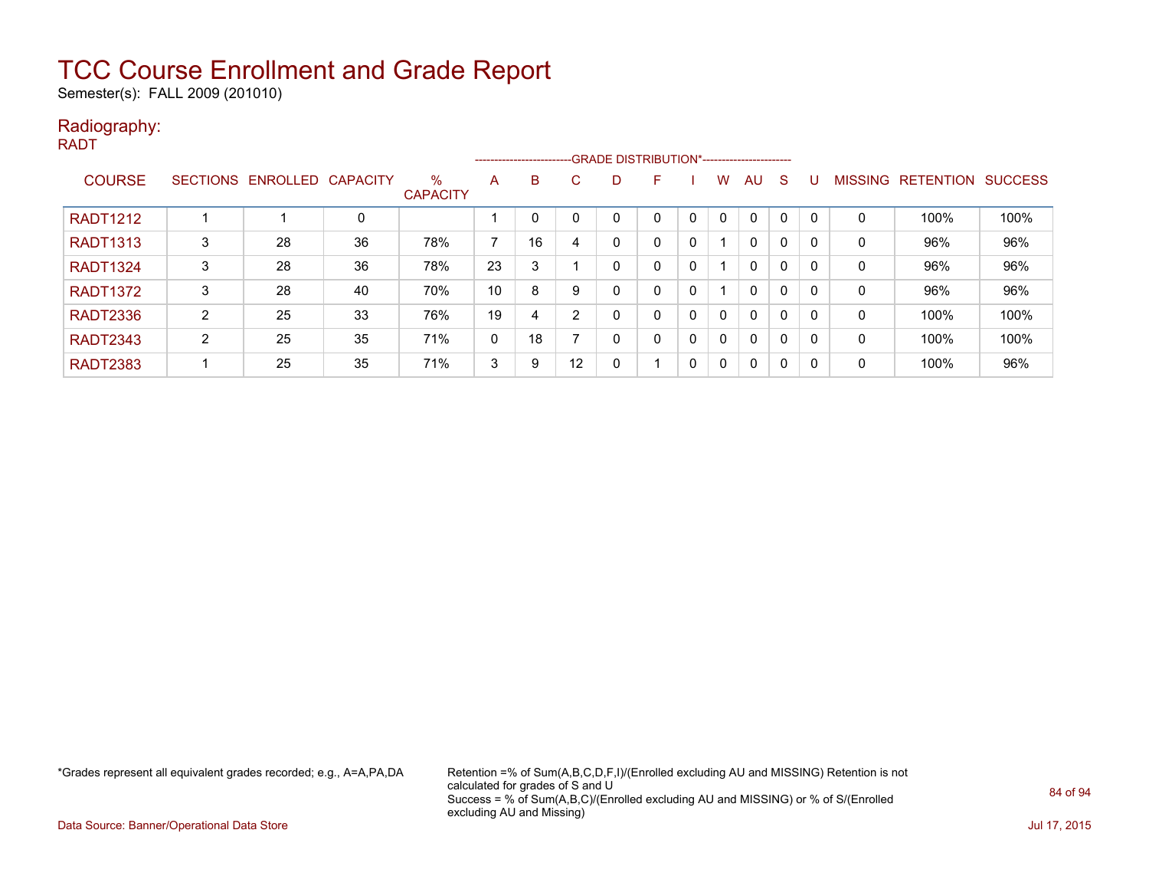Semester(s): FALL 2009 (201010)

#### Radiography:

RADT

|                 |        |                            |    |                         |                          |    |         |    | ------------------------GRADE DISTRIBUTION*----------------------- |   |              |              |              |          |                |                  |                |
|-----------------|--------|----------------------------|----|-------------------------|--------------------------|----|---------|----|--------------------------------------------------------------------|---|--------------|--------------|--------------|----------|----------------|------------------|----------------|
| <b>COURSE</b>   |        | SECTIONS ENROLLED CAPACITY |    | $\%$<br><b>CAPACITY</b> | A                        | B  | C.      | D. | F                                                                  |   | W            | AU           | <sub>S</sub> |          | <b>MISSING</b> | <b>RETENTION</b> | <b>SUCCESS</b> |
| <b>RADT1212</b> |        |                            | 0  |                         |                          |    |         |    |                                                                    |   | $\mathbf{0}$ | $\mathbf{0}$ | $\Omega$     |          | 0              | 100%             | 100%           |
| <b>RADT1313</b> | 3      | 28                         | 36 | 78%                     | $\overline{\phantom{a}}$ | 16 |         |    | 0                                                                  | 0 |              | $\mathbf{0}$ | 0            |          | 0              | 96%              | 96%            |
| <b>RADT1324</b> | 3      | 28                         | 36 | 78%                     | 23                       | 3  |         |    | 0                                                                  | 0 |              | $\mathbf{0}$ | 0            |          | 0              | 96%              | 96%            |
| <b>RADT1372</b> | 3      | 28                         | 40 | 70%                     | 10                       | 8  |         | 0  | 0                                                                  | 0 |              | $\mathbf{0}$ | $\mathbf{0}$ |          | 0              | 96%              | 96%            |
| <b>RADT2336</b> | C<br>∠ | 25                         | 33 | 76%                     | 19                       | 4  |         |    | 0                                                                  | 0 | 0            | $\mathbf{0}$ | 0            |          | 0              | 100%             | 100%           |
| <b>RADT2343</b> | ົ      | 25                         | 35 | 71%                     | 0                        | 18 |         |    | 0                                                                  | 0 | $\mathbf{0}$ | $\mathbf{0}$ | 0            | $\Omega$ | 0              | 100%             | 100%           |
| <b>RADT2383</b> |        | 25                         | 35 | 71%                     | 3                        | 9  | $12 \,$ | 0  |                                                                    | 0 | $\mathbf 0$  | 0            | 0            | $\Omega$ | 0              | 100%             | 96%            |

\*Grades represent all equivalent grades recorded; e.g., A=A,PA,DA Retention =% of Sum(A,B,C,D,F,I)/(Enrolled excluding AU and MISSING) Retention is not calculated for grades of S and U Success = % of Sum(A,B,C)/(Enrolled excluding AU and MISSING) or % of S/(Enrolled excluding AU and Missing)

Data Source: Banner/Operational Data Store Jul 17, 2015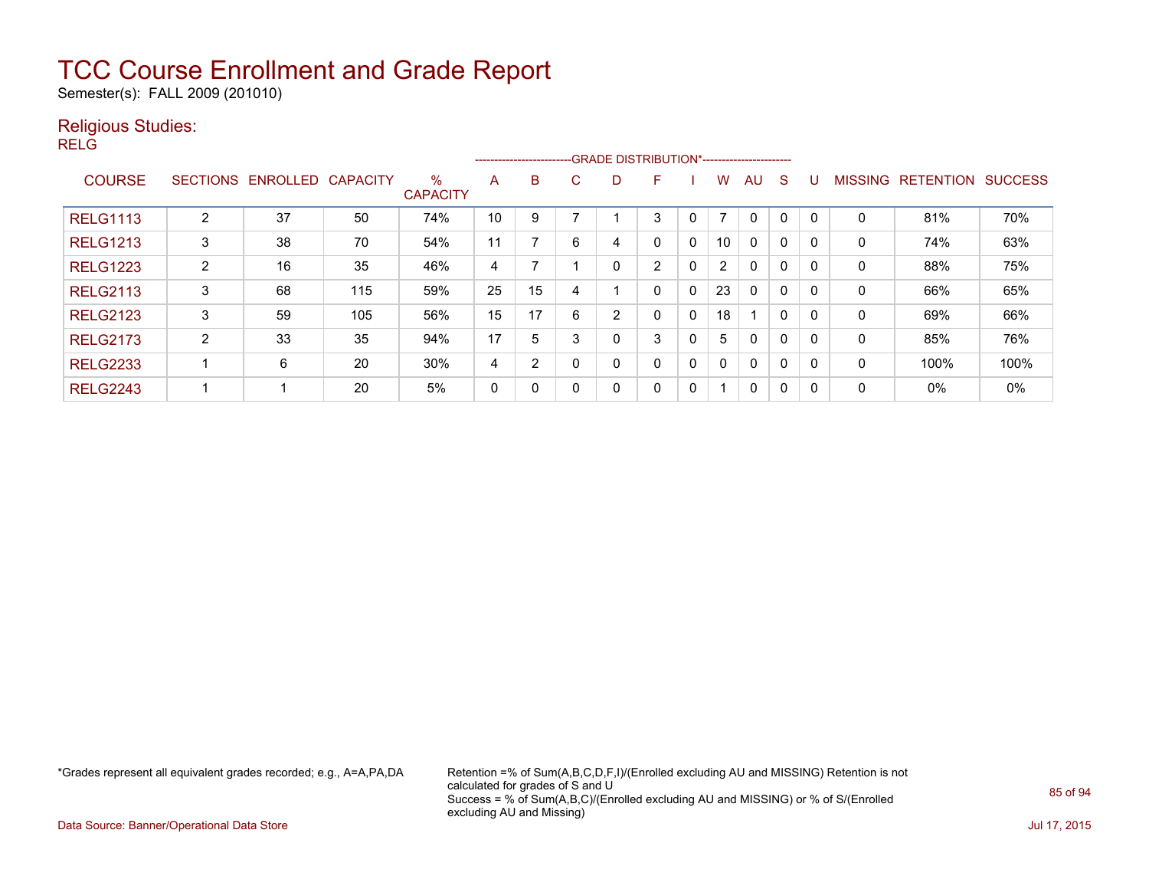Semester(s): FALL 2009 (201010)

#### Religious Studies:

RELG

|                 |                 |          |                 |                         |    |              |    | --------------------------GRADE DISTRIBUTION*----------------------- |               |                |                |              |             |              |                |                  |                |
|-----------------|-----------------|----------|-----------------|-------------------------|----|--------------|----|----------------------------------------------------------------------|---------------|----------------|----------------|--------------|-------------|--------------|----------------|------------------|----------------|
| <b>COURSE</b>   | <b>SECTIONS</b> | ENROLLED | <b>CAPACITY</b> | $\%$<br><b>CAPACITY</b> | A  | B            | C. | D                                                                    | F             |                | w              | AU           | S           |              | <b>MISSING</b> | <b>RETENTION</b> | <b>SUCCESS</b> |
| <b>RELG1113</b> | C               | 37       | 50              | 74%                     | 10 | 9            |    |                                                                      | 3             |                | $\overline{ }$ | 0            | 0           |              | 0              | 81%              | 70%            |
| <b>RELG1213</b> | 3               | 38       | 70              | 54%                     | 11 |              | 6  | 4                                                                    | 0             | 0              | 10             | 0            | $\mathbf 0$ | <sup>0</sup> | 0              | 74%              | 63%            |
| <b>RELG1223</b> | $\overline{2}$  | 16       | 35              | 46%                     | 4  |              |    | 0                                                                    | $\mathcal{D}$ | $\mathbf{0}$   | $\overline{2}$ | $\mathbf{0}$ | $\mathbf 0$ | $\mathsf{C}$ | 0              | 88%              | 75%            |
| <b>RELG2113</b> | 3               | 68       | 115             | 59%                     | 25 | 15           | 4  |                                                                      | 0             | $\overline{0}$ | 23             | 0            | $\mathbf 0$ |              | 0              | 66%              | 65%            |
| <b>RELG2123</b> | 3               | 59       | 105             | 56%                     | 15 | 17           | 6  | 2                                                                    | 0             | 0              | 18             |              | $\mathbf 0$ | <sup>0</sup> | 0              | 69%              | 66%            |
| <b>RELG2173</b> | ົ<br>∠          | 33       | 35              | 94%                     | 17 | 5            | 3  | 0                                                                    | 3             | $\mathbf{0}$   | 5              | $\mathbf{0}$ | 0           | $\Omega$     | $\mathbf{0}$   | 85%              | 76%            |
| <b>RELG2233</b> |                 | 6        | 20              | 30%                     | 4  | 2            |    | 0                                                                    | 0             | 0              | $\mathbf{0}$   | 0            | 0           |              | 0              | 100%             | 100%           |
| <b>RELG2243</b> |                 |          | 20              | 5%                      | 0  | $\mathbf{0}$ |    | 0                                                                    | 0             | 0              | -1             | 0            | 0           | -0           | 0              | $0\%$            | 0%             |

\*Grades represent all equivalent grades recorded; e.g., A=A,PA,DA Retention =% of Sum(A,B,C,D,F,I)/(Enrolled excluding AU and MISSING) Retention is not calculated for grades of S and U Success = % of Sum(A,B,C)/(Enrolled excluding AU and MISSING) or % of S/(Enrolled excluding AU and Missing)

Data Source: Banner/Operational Data Store Jul 17, 2015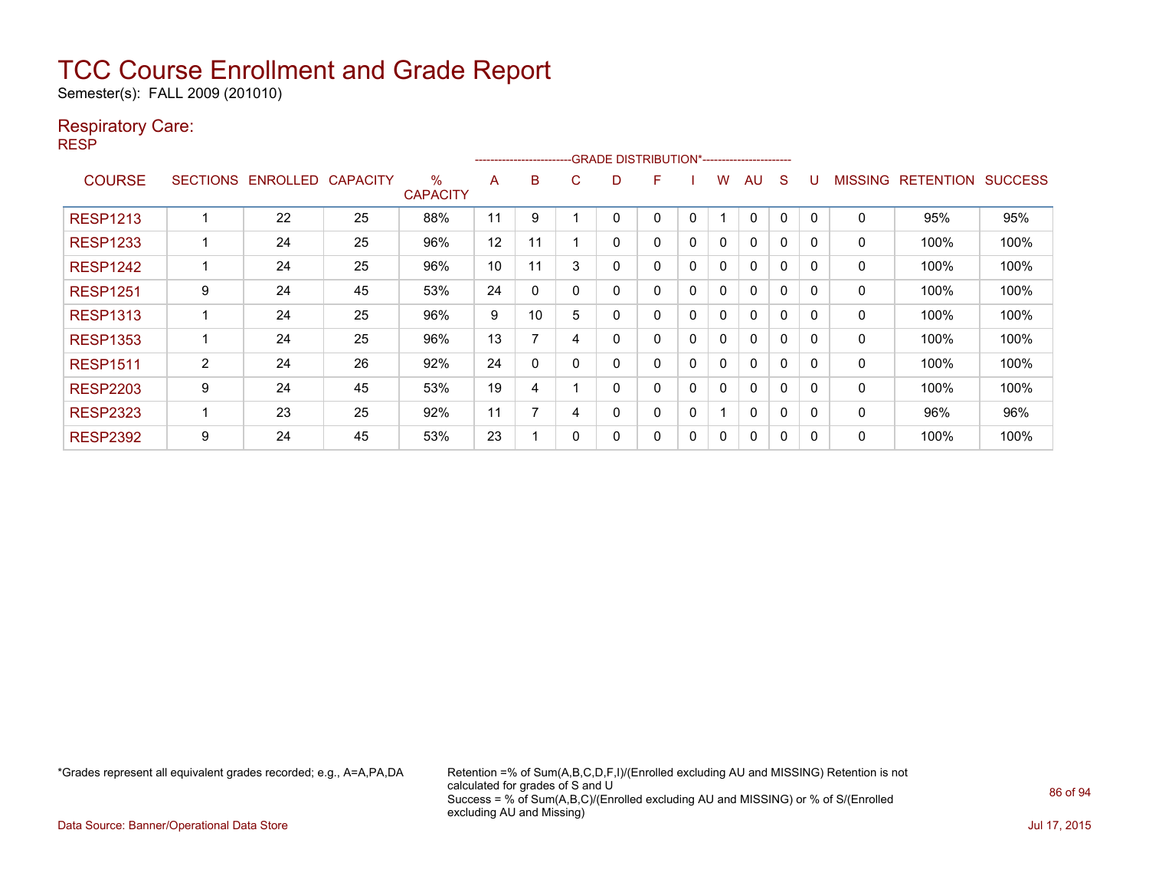Semester(s): FALL 2009 (201010)

#### Respiratory Care:

RESP

|                 |                 |                 |                 |                      |    | ------------------------- |   | -GRADE DISTRIBUTION*----------------------- |   |              |              |    |              |              |                |                  |                |
|-----------------|-----------------|-----------------|-----------------|----------------------|----|---------------------------|---|---------------------------------------------|---|--------------|--------------|----|--------------|--------------|----------------|------------------|----------------|
| <b>COURSE</b>   | <b>SECTIONS</b> | <b>ENROLLED</b> | <b>CAPACITY</b> | %<br><b>CAPACITY</b> | A  | B                         | C | D                                           | F |              | w            | AU | <sub>S</sub> |              | <b>MISSING</b> | <b>RETENTION</b> | <b>SUCCESS</b> |
| <b>RESP1213</b> |                 | 22              | 25              | 88%                  | 11 | 9                         |   |                                             | 0 | 0            |              | 0  | $\Omega$     |              | $\Omega$       | 95%              | 95%            |
| <b>RESP1233</b> |                 | 24              | 25              | 96%                  | 12 | 11                        |   | 0                                           | 0 | 0            | $\mathbf{0}$ | 0  | $\mathbf 0$  | $\Omega$     | 0              | 100%             | 100%           |
| <b>RESP1242</b> |                 | 24              | 25              | 96%                  | 10 | 11                        | 3 | 0                                           | 0 | $\mathbf{0}$ | 0            | 0  | $\Omega$     | <sup>n</sup> | 0              | 100%             | 100%           |
| <b>RESP1251</b> | 9               | 24              | 45              | 53%                  | 24 | 0                         |   | 0                                           | 0 | 0            | 0            | 0  | $\Omega$     | <sup>0</sup> | 0              | 100%             | 100%           |
| <b>RESP1313</b> |                 | 24              | 25              | 96%                  | 9  | 10                        | 5 | 0                                           | 0 | $\Omega$     | 0            | 0  | 0            | <sup>0</sup> | 0              | 100%             | 100%           |
| <b>RESP1353</b> |                 | 24              | 25              | 96%                  | 13 |                           | 4 | 0                                           | 0 | $\Omega$     | 0            | 0  | $\Omega$     | <sup>0</sup> | 0              | 100%             | 100%           |
| <b>RESP1511</b> | $\overline{2}$  | 24              | 26              | 92%                  | 24 | 0                         |   | 0                                           | 0 | 0            | 0            | 0  | $\mathbf 0$  | O            | 0              | 100%             | 100%           |
| <b>RESP2203</b> | 9               | 24              | 45              | 53%                  | 19 | 4                         |   | 0                                           | 0 | 0            | 0            | 0  | $\Omega$     | 0            | 0              | 100%             | 100%           |
| <b>RESP2323</b> |                 | 23              | 25              | 92%                  | 11 |                           | 4 | 0                                           | 0 | 0            |              | 0  | 0            | O            | 0              | 96%              | 96%            |
| <b>RESP2392</b> | 9               | 24              | 45              | 53%                  | 23 |                           |   | 0                                           | 0 | 0            | 0            | 0  | 0            |              | 0              | 100%             | 100%           |

\*Grades represent all equivalent grades recorded; e.g., A=A,PA,DA Retention =% of Sum(A,B,C,D,F,I)/(Enrolled excluding AU and MISSING) Retention is not calculated for grades of S and U Success = % of Sum(A,B,C)/(Enrolled excluding AU and MISSING) or % of S/(Enrolled excluding AU and Missing)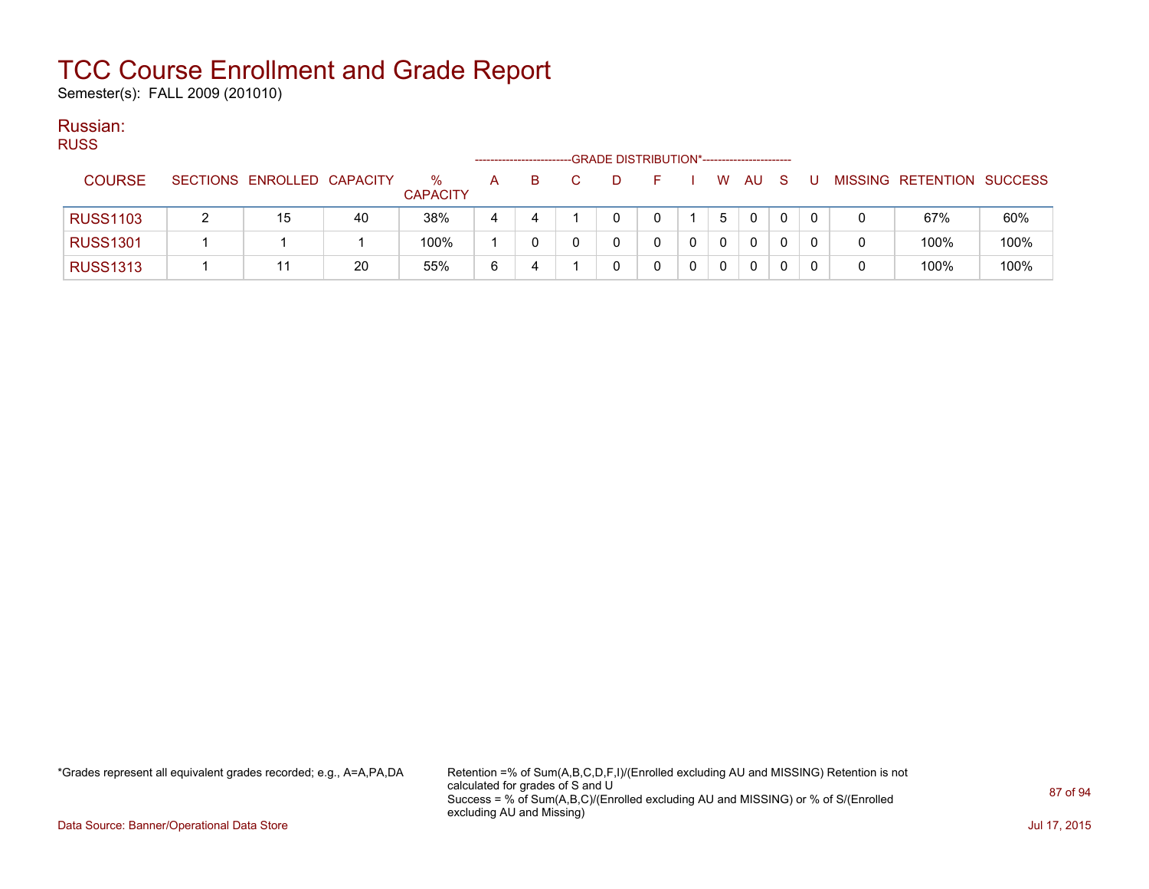Semester(s): FALL 2009 (201010)

#### Russian: RUSS

| RUSS.           |                            |    |                         |              | ----------------------- | -GRADE DISTRIBUTION*----------------------- |  |              |              |     |   |                           |      |
|-----------------|----------------------------|----|-------------------------|--------------|-------------------------|---------------------------------------------|--|--------------|--------------|-----|---|---------------------------|------|
| <b>COURSE</b>   | SECTIONS ENROLLED CAPACITY |    | $\%$<br><b>CAPACITY</b> | $\mathsf{A}$ | в.                      |                                             |  | <b>W</b>     | AU           | - S | U | MISSING RETENTION SUCCESS |      |
| <b>RUSS1103</b> | 15                         | 40 | 38%                     | 4            | 4                       |                                             |  | 5            | $\mathbf{0}$ | 0   |   | 67%                       | 60%  |
| <b>RUSS1301</b> |                            |    | 100%                    |              |                         |                                             |  | $\Omega$     | $\Omega$     |     |   | 100%                      | 100% |
| <b>RUSS1313</b> |                            | 20 | 55%                     | 6            | 4                       |                                             |  | $\mathbf{0}$ | 0            |     |   | 100%                      | 100% |

\*Grades represent all equivalent grades recorded; e.g., A=A,PA,DA Retention =% of Sum(A,B,C,D,F,I)/(Enrolled excluding AU and MISSING) Retention is not calculated for grades of S and U Success = % of Sum(A,B,C)/(Enrolled excluding AU and MISSING) or % of S/(Enrolled excluding AU and Missing)

Data Source: Banner/Operational Data Store Jul 17, 2015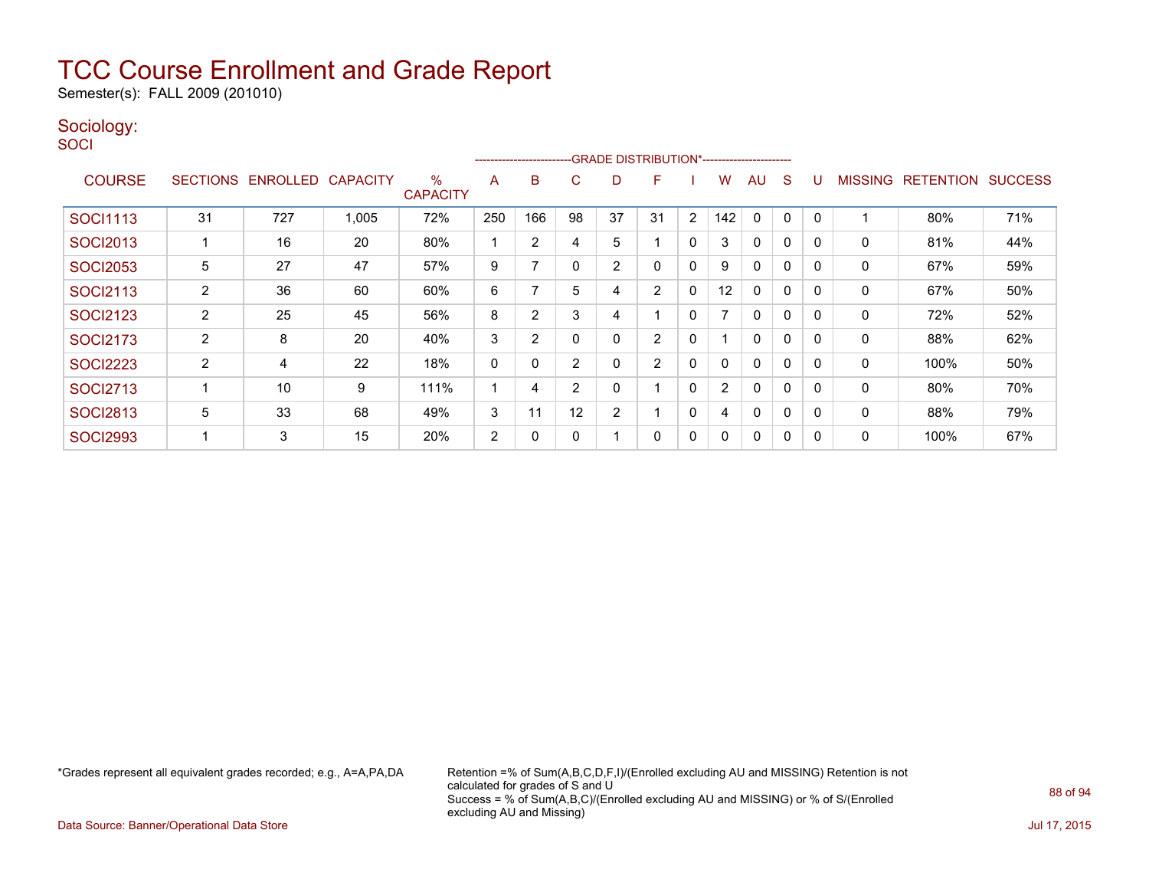Semester(s): FALL 2009 (201010)

#### Sociology:

**SOCI** 

|                 |                |                   |                 |                         |     | ---------------------- |                |          | -GRADE DISTRIBUTION*----------------------- |              |     |              |              |             |                |                  |                |
|-----------------|----------------|-------------------|-----------------|-------------------------|-----|------------------------|----------------|----------|---------------------------------------------|--------------|-----|--------------|--------------|-------------|----------------|------------------|----------------|
| <b>COURSE</b>   |                | SECTIONS ENROLLED | <b>CAPACITY</b> | $\%$<br><b>CAPACITY</b> | A   | B                      | C              | D        | F                                           |              | w   | AU           | S            |             | <b>MISSING</b> | <b>RETENTION</b> | <b>SUCCESS</b> |
| <b>SOCI1113</b> | 31             | 727               | 1,005           | 72%                     | 250 | 166                    | 98             | 37       | 31                                          | 2            | 142 | $\mathbf{0}$ | $\mathbf{0}$ | 0           |                | 80%              | 71%            |
| <b>SOCI2013</b> |                | 16                | 20              | 80%                     | 1   | $\overline{2}$         | 4              | 5        |                                             | $\Omega$     | 3   | $\mathbf{0}$ | 0            | 0           | $\mathbf{0}$   | 81%              | 44%            |
| <b>SOCI2053</b> | 5              | 27                | 47              | 57%                     | 9   | 7                      | $\Omega$       | 2        | 0                                           | 0            | 9   | 0            | $\mathbf{0}$ | $\mathbf 0$ | 0              | 67%              | 59%            |
| <b>SOCI2113</b> | $\overline{2}$ | 36                | 60              | 60%                     | 6   | 7                      | 5              | 4        | 2                                           | 0            | 12  | 0            | $\mathbf{0}$ | 0           | 0              | 67%              | 50%            |
| <b>SOCI2123</b> | $\overline{2}$ | 25                | 45              | 56%                     | 8   | 2                      | 3              | 4        |                                             | 0            |     | 0            | $\mathbf{0}$ | $\Omega$    | 0              | 72%              | 52%            |
| <b>SOCI2173</b> | $\overline{2}$ | 8                 | 20              | 40%                     | 3   | 2                      | $\Omega$       | 0        | $\overline{2}$                              | 0            |     | 0            | $\mathbf{0}$ | $\Omega$    | 0              | 88%              | 62%            |
| <b>SOCI2223</b> | 2              | 4                 | 22              | 18%                     | 0   | 0                      | $\overline{2}$ | 0        | $\overline{2}$                              | $\mathbf{0}$ | 0   | $\mathbf{0}$ | 0            | 0           | $\mathbf{0}$   | 100%             | 50%            |
| <b>SOCI2713</b> |                | 10                | 9               | 111%                    | 4   | 4                      | $\overline{2}$ | $\Omega$ |                                             | $\mathbf{0}$ | 2   | $\mathbf{0}$ | 0            | 0           | $\mathbf{0}$   | 80%              | 70%            |
| <b>SOCI2813</b> | 5              | 33                | 68              | 49%                     | 3   | 11                     | 12             | 2        |                                             | 0            | 4   | 0            | 0            |             | 0              | 88%              | 79%            |
| <b>SOCI2993</b> |                | 3                 | 15              | 20%                     | 2   | 0                      | 0              |          | 0                                           | 0            | 0   | 0            | 0            |             | 0              | 100%             | 67%            |

\*Grades represent all equivalent grades recorded; e.g., A=A,PA,DA Retention =% of Sum(A,B,C,D,F,I)/(Enrolled excluding AU and MISSING) Retention is not calculated for grades of S and U Success = % of Sum(A,B,C)/(Enrolled excluding AU and MISSING) or % of S/(Enrolled excluding AU and Missing)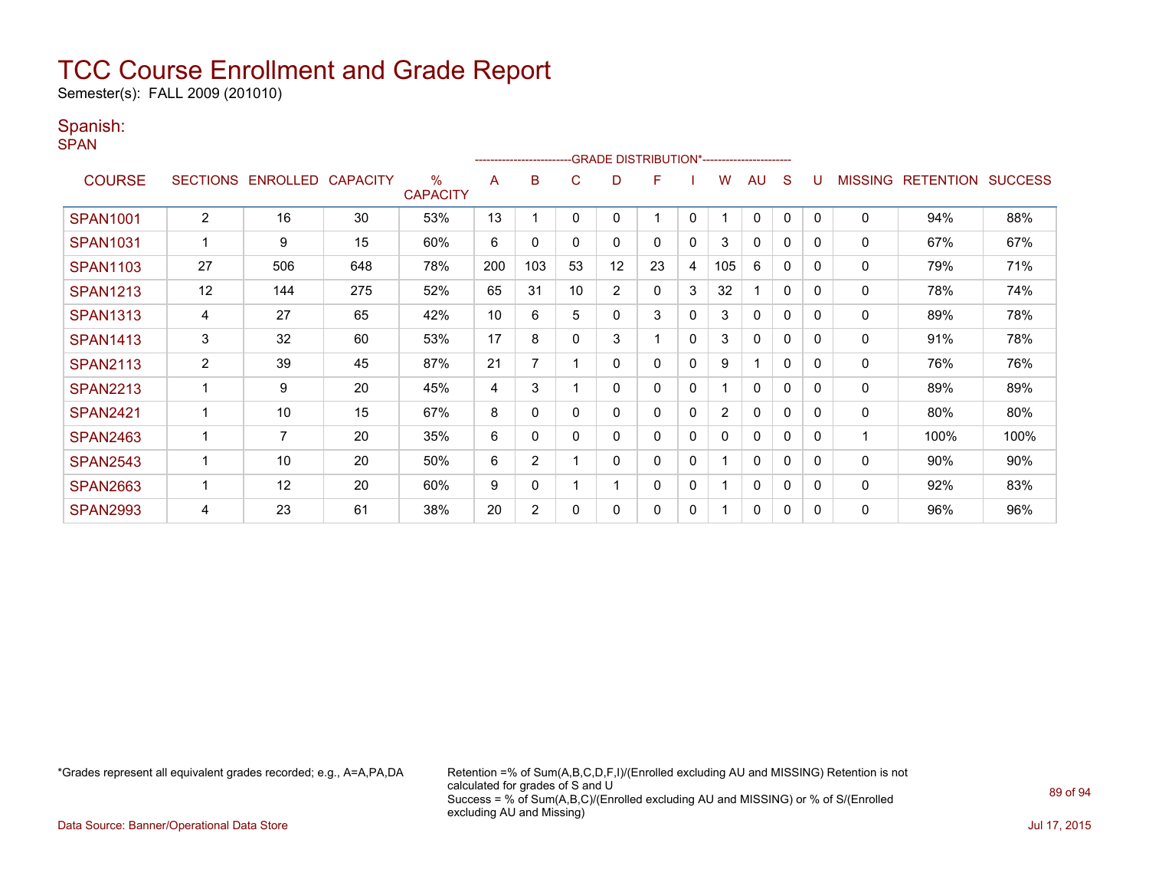Semester(s): FALL 2009 (201010)

#### Spanish:

SPAN

|                 |                          |                            |     |                         |     | ----------------------- |          |          | -GRADE DISTRIBUTION*----------------------- |              |                |              |              |              |                |                          |      |
|-----------------|--------------------------|----------------------------|-----|-------------------------|-----|-------------------------|----------|----------|---------------------------------------------|--------------|----------------|--------------|--------------|--------------|----------------|--------------------------|------|
| <b>COURSE</b>   |                          | SECTIONS ENROLLED CAPACITY |     | $\%$<br><b>CAPACITY</b> | A   | B                       | C        | D        | F                                           |              | W              | <b>AU</b>    | S            | U            | <b>MISSING</b> | <b>RETENTION SUCCESS</b> |      |
| <b>SPAN1001</b> | 2                        | 16                         | 30  | 53%                     | 13  |                         | $\Omega$ | 0        |                                             | 0            |                | 0            | $\mathbf{0}$ | $\mathbf{0}$ | 0              | 94%                      | 88%  |
| <b>SPAN1031</b> |                          | 9                          | 15  | 60%                     | 6   | 0                       | $\Omega$ | 0        | $\Omega$                                    | $\mathbf{0}$ | 3              | $\Omega$     | 0            | 0            | 0              | 67%                      | 67%  |
| <b>SPAN1103</b> | 27                       | 506                        | 648 | 78%                     | 200 | 103                     | 53       | 12       | 23                                          | 4            | 105            | 6            | 0            | 0            | 0              | 79%                      | 71%  |
| <b>SPAN1213</b> | 12                       | 144                        | 275 | 52%                     | 65  | 31                      | 10       | 2        | 0                                           | 3            | 32             |              | $\mathbf{0}$ | 0            | 0              | 78%                      | 74%  |
| <b>SPAN1313</b> | 4                        | 27                         | 65  | 42%                     | 10  | 6                       | 5        | 0        | 3                                           | 0            | 3              | 0            | 0            | 0            | 0              | 89%                      | 78%  |
| <b>SPAN1413</b> | 3                        | 32                         | 60  | 53%                     | 17  | 8                       | $\Omega$ | 3        |                                             | $\mathbf{0}$ | 3              | 0            | $\Omega$     | 0            | 0              | 91%                      | 78%  |
| <b>SPAN2113</b> | $\overline{2}$           | 39                         | 45  | 87%                     | 21  | 7                       |          | $\Omega$ | $\Omega$                                    | $\mathbf{0}$ | 9              |              | $\Omega$     | 0            | 0              | 76%                      | 76%  |
| <b>SPAN2213</b> | $\overline{\phantom{a}}$ | 9                          | 20  | 45%                     | 4   | 3                       |          | $\Omega$ | $\Omega$                                    | $\mathbf{0}$ |                | $\mathbf{0}$ | 0            | 0            | 0              | 89%                      | 89%  |
| <b>SPAN2421</b> | ٠                        | 10                         | 15  | 67%                     | 8   | 0                       | $\Omega$ | 0        | $\Omega$                                    | $\mathbf{0}$ | $\overline{2}$ | 0            | 0            | 0            | 0              | 80%                      | 80%  |
| <b>SPAN2463</b> | 1                        | $\overline{7}$             | 20  | 35%                     | 6   | 0                       | $\Omega$ | 0        | 0                                           | $\mathbf{0}$ | 0              | $\mathbf{0}$ | 0            | 0            |                | 100%                     | 100% |
| <b>SPAN2543</b> |                          | 10                         | 20  | 50%                     | 6   | 2                       |          | $\Omega$ | 0                                           | 0            |                | 0            | $\Omega$     | 0            | 0              | 90%                      | 90%  |
| <b>SPAN2663</b> | 1                        | 12                         | 20  | 60%                     | 9   | 0                       |          |          | $\mathbf{0}$                                | 0            |                | $\mathbf 0$  | 0            | 0            | 0              | 92%                      | 83%  |
| <b>SPAN2993</b> | 4                        | 23                         | 61  | 38%                     | 20  | 2                       | $\Omega$ | $\Omega$ | 0                                           | 0            |                | 0            | 0            | 0            | 0              | 96%                      | 96%  |

\*Grades represent all equivalent grades recorded; e.g., A=A,PA,DA Retention =% of Sum(A,B,C,D,F,I)/(Enrolled excluding AU and MISSING) Retention is not calculated for grades of S and U Success = % of Sum(A,B,C)/(Enrolled excluding AU and MISSING) or % of S/(Enrolled excluding AU and Missing)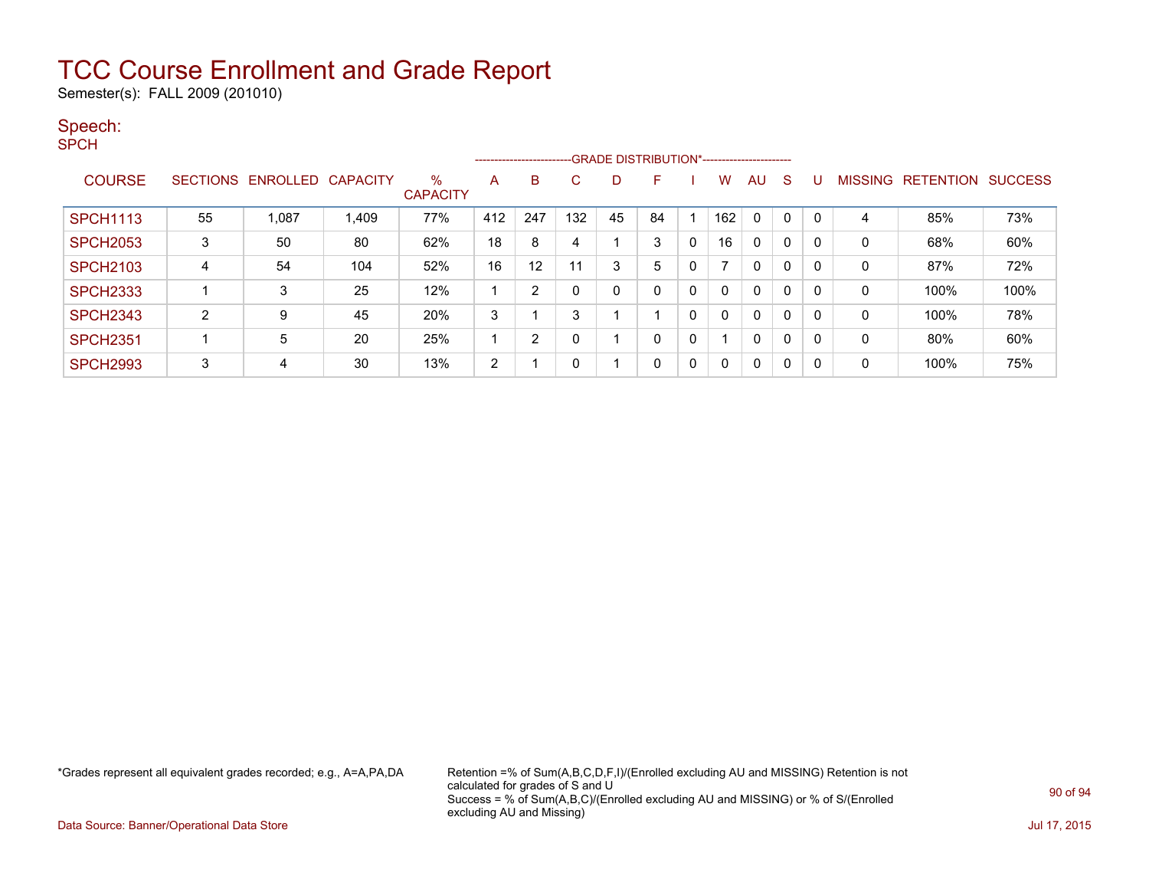Semester(s): FALL 2009 (201010)

#### Speech:

SPCH

|                 |    |                            |       |                         |     |                |     |              | --------------------------GRADE DISTRIBUTION*----------------------- |   |          |              |   |   |                |                  |                |
|-----------------|----|----------------------------|-------|-------------------------|-----|----------------|-----|--------------|----------------------------------------------------------------------|---|----------|--------------|---|---|----------------|------------------|----------------|
| <b>COURSE</b>   |    | SECTIONS ENROLLED CAPACITY |       | $\%$<br><b>CAPACITY</b> | A   | B              | С   | D            | F                                                                    |   | w        | AU           | S |   | <b>MISSING</b> | <b>RETENTION</b> | <b>SUCCESS</b> |
| <b>SPCH1113</b> | 55 | 1.087                      | 1,409 | 77%                     | 412 | 247            | 132 | 45           | 84                                                                   |   | 162      | $\mathbf{0}$ | 0 |   | 4              | 85%              | 73%            |
| <b>SPCH2053</b> | 3  | 50                         | 80    | 62%                     | 18  | 8              | 4   |              | 3                                                                    | 0 | 16       | $\mathbf{0}$ | 0 |   | $\mathbf 0$    | 68%              | 60%            |
| <b>SPCH2103</b> | 4  | 54                         | 104   | 52%                     | 16  | 12             | 11  | 3            | 5                                                                    | 0 |          | $\mathbf{0}$ | 0 |   | $\mathbf 0$    | 87%              | 72%            |
| <b>SPCH2333</b> |    | 3                          | 25    | 12%                     |     | 2              | 0   | $\mathbf{0}$ | 0                                                                    | 0 |          | $\mathbf{0}$ | 0 |   | 0              | 100%             | 100%           |
| <b>SPCH2343</b> | 2  | 9                          | 45    | 20%                     | 3   |                | 3   |              |                                                                      | 0 |          | $\mathbf{0}$ | 0 |   | 0              | 100%             | 78%            |
| <b>SPCH2351</b> |    | 5                          | 20    | 25%                     |     | $\overline{2}$ | 0   |              | 0                                                                    | 0 |          | $\mathbf{0}$ | 0 |   | $\mathbf 0$    | 80%              | 60%            |
| <b>SPCH2993</b> | 3  | 4                          | 30    | 13%                     | 2   |                | 0   |              | $\mathbf{0}$                                                         | 0 | $\Omega$ | 0            | 0 | 0 | 0              | 100%             | 75%            |

\*Grades represent all equivalent grades recorded; e.g., A=A,PA,DA Retention =% of Sum(A,B,C,D,F,I)/(Enrolled excluding AU and MISSING) Retention is not calculated for grades of S and U Success = % of Sum(A,B,C)/(Enrolled excluding AU and MISSING) or % of S/(Enrolled excluding AU and Missing)

Data Source: Banner/Operational Data Store Jul 17, 2015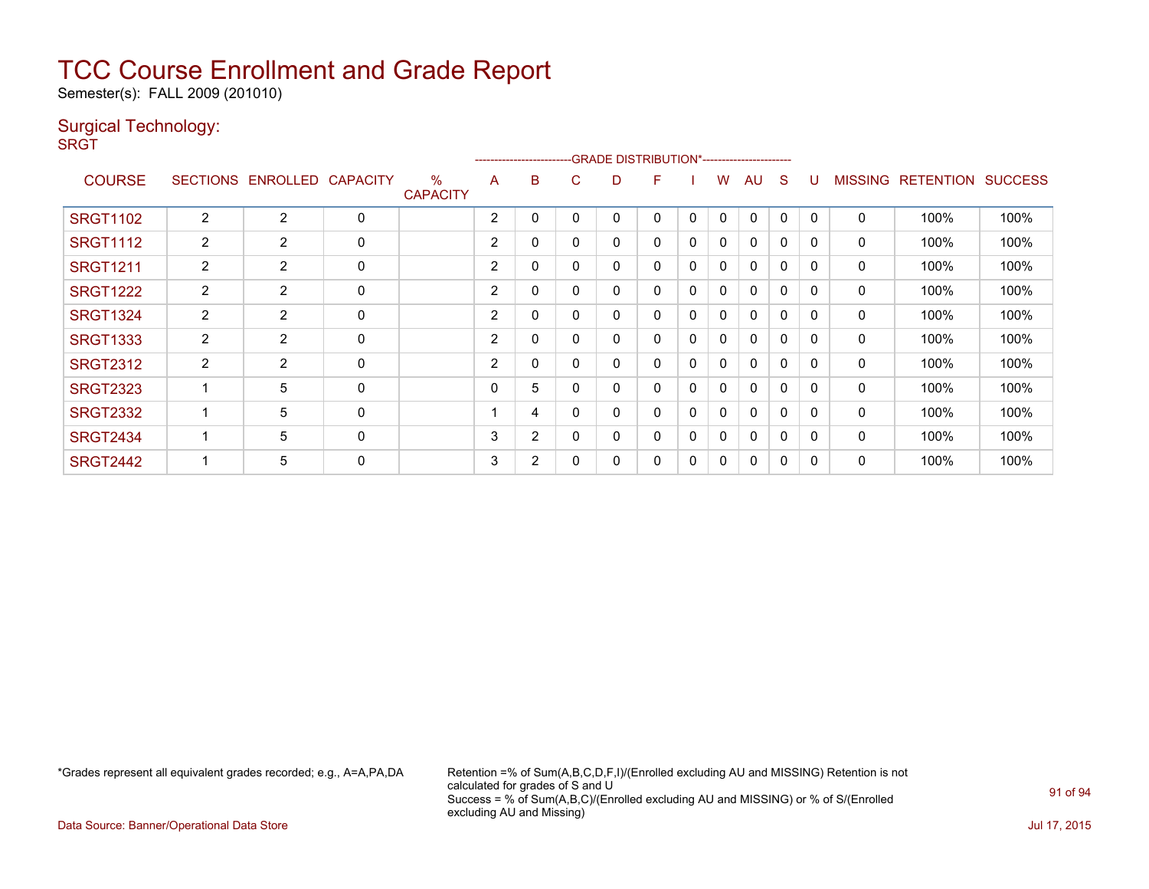Semester(s): FALL 2009 (201010)

#### Surgical Technology:

**SRGT** 

|                 |                       |                   |              |                                  |                | ---------------------- |          |   |   |              |              |              |   |              |                |                  |                |
|-----------------|-----------------------|-------------------|--------------|----------------------------------|----------------|------------------------|----------|---|---|--------------|--------------|--------------|---|--------------|----------------|------------------|----------------|
| <b>COURSE</b>   | <b>SECTIONS</b>       | ENROLLED CAPACITY |              | $\frac{0}{0}$<br><b>CAPACITY</b> | A              | B                      | C        | D | F |              | w            | AU           | S |              | <b>MISSING</b> | <b>RETENTION</b> | <b>SUCCESS</b> |
| <b>SRGT1102</b> | 2                     | $\overline{2}$    | $\mathbf 0$  |                                  | $\overline{2}$ | 0                      | -0       |   | 0 | $\mathbf{0}$ | $\mathbf{0}$ | $\mathbf{0}$ | 0 | $\Omega$     | $\mathbf 0$    | 100%             | 100%           |
| <b>SRGT1112</b> | $\mathbf{2}^{\prime}$ | $\overline{2}$    | $\mathbf 0$  |                                  | $\overline{2}$ | 0                      | $\Omega$ | 0 | 0 | 0            | 0            | $\mathbf{0}$ | 0 | 0            | 0              | 100%             | 100%           |
| <b>SRGT1211</b> | $\overline{2}$        | $\overline{2}$    | 0            |                                  | $\overline{2}$ | 0                      | $\Omega$ | ი | 0 | 0            | 0            | $\mathbf{0}$ | 0 | $\Omega$     | 0              | 100%             | 100%           |
| <b>SRGT1222</b> | $\overline{2}$        | 2                 | $\mathbf 0$  |                                  | $\overline{2}$ | 0                      | $\Omega$ | 0 | 0 | 0            | 0            | 0            | 0 | $\mathbf{0}$ | 0              | 100%             | 100%           |
| <b>SRGT1324</b> | $\overline{2}$        | $\overline{2}$    | 0            |                                  | 2              | 0                      | $\Omega$ | 0 | 0 | 0            | $\mathbf{0}$ | $\mathbf{0}$ | 0 | $\Omega$     | 0              | 100%             | 100%           |
| <b>SRGT1333</b> | $\overline{2}$        | $\overline{2}$    | $\mathbf 0$  |                                  | $\overline{2}$ | 0                      | $\Omega$ | 0 | 0 | $\mathbf{0}$ | 0            | $\mathbf{0}$ | 0 | 0            | 0              | 100%             | 100%           |
| <b>SRGT2312</b> | $\overline{2}$        | $\overline{2}$    | 0            |                                  | $\overline{2}$ | 0                      | $\Omega$ | 0 | 0 | 0            | 0            | $\mathbf{0}$ | 0 | $\Omega$     | 0              | 100%             | 100%           |
| <b>SRGT2323</b> |                       | 5                 | 0            |                                  | 0              | 5                      |          | ი | 0 | 0            | 0            | $\mathbf{0}$ | 0 | $\Omega$     | 0              | 100%             | 100%           |
| <b>SRGT2332</b> |                       | 5                 | 0            |                                  |                | 4                      | 0        | 0 | 0 | 0            | 0            | 0            | 0 | $\mathbf{0}$ | 0              | 100%             | 100%           |
| <b>SRGT2434</b> |                       | 5                 | $\mathbf{0}$ |                                  | 3              | 2                      | $\Omega$ | በ | 0 | $\mathbf 0$  | $\mathbf{0}$ | $\Omega$     | 0 | $\Omega$     | $\mathbf{0}$   | 100%             | 100%           |
| <b>SRGT2442</b> |                       | 5                 | 0            |                                  | 3              | 2                      | 0        |   | 0 | 0            | 0            | 0            | 0 | 0            | 0              | 100%             | 100%           |

\*Grades represent all equivalent grades recorded; e.g., A=A,PA,DA Retention =% of Sum(A,B,C,D,F,I)/(Enrolled excluding AU and MISSING) Retention is not calculated for grades of S and U Success = % of Sum(A,B,C)/(Enrolled excluding AU and MISSING) or % of S/(Enrolled excluding AU and Missing)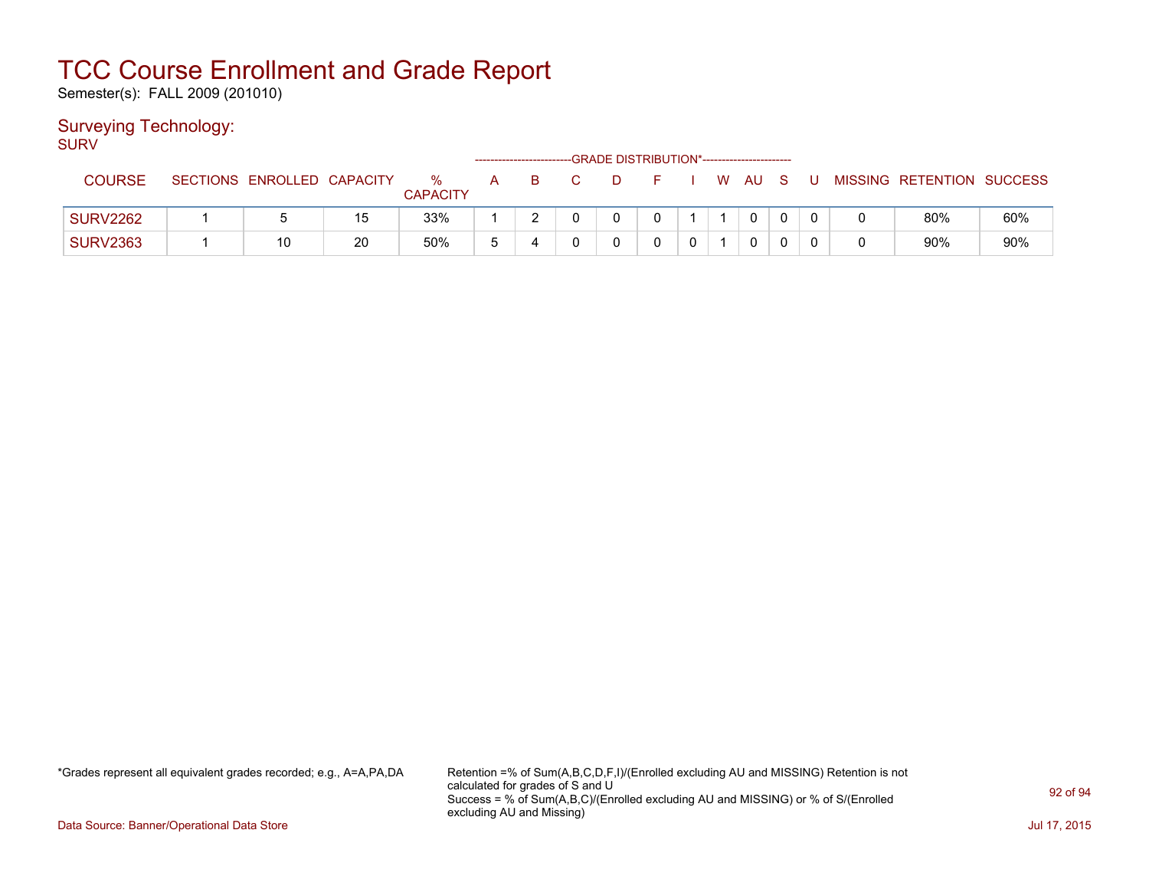Semester(s): FALL 2009 (201010)

#### Surveying Technology:

SURV

|                 |                 |                   |    |                      |   | ------------------------- |  | -GRADE DISTRIBUTION*----------------------- |   |      |  |                           |     |
|-----------------|-----------------|-------------------|----|----------------------|---|---------------------------|--|---------------------------------------------|---|------|--|---------------------------|-----|
| COURSE          | <b>SECTIONS</b> | ENROLLED CAPACITY |    | %<br><b>CAPACITY</b> | А | В                         |  |                                             | W | - AU |  | MISSING RETENTION SUCCESS |     |
| <b>SURV2262</b> |                 |                   | 15 | 33%                  |   |                           |  |                                             |   |      |  | 80%                       | 60% |
| <b>SURV2363</b> |                 | 10                | 20 | 50%                  | 5 |                           |  |                                             |   |      |  | 90%                       | 90% |

\*Grades represent all equivalent grades recorded; e.g., A=A,PA,DA Retention =% of Sum(A,B,C,D,F,I)/(Enrolled excluding AU and MISSING) Retention is not calculated for grades of S and U Success = % of Sum(A,B,C)/(Enrolled excluding AU and MISSING) or % of S/(Enrolled excluding AU and Missing)

Data Source: Banner/Operational Data Store Jul 17, 2015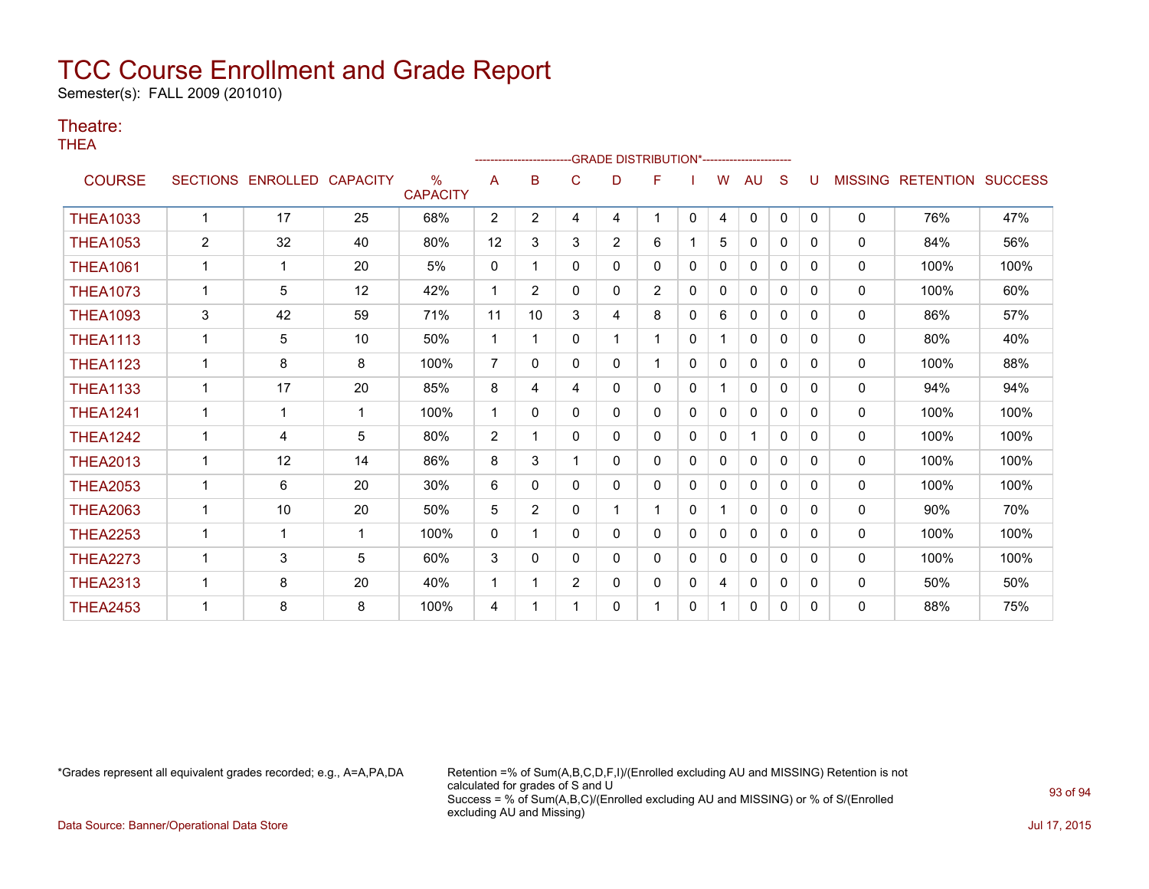Semester(s): FALL 2009 (201010)

#### Theatre:

THEA

|                 |                 |                 |                 |                                  |                | ----------------------- |                | <b>GRADE DISTRIBUTION*-----------------------</b> |                |              |              |              |              |              |                |                  |                |
|-----------------|-----------------|-----------------|-----------------|----------------------------------|----------------|-------------------------|----------------|---------------------------------------------------|----------------|--------------|--------------|--------------|--------------|--------------|----------------|------------------|----------------|
| <b>COURSE</b>   | <b>SECTIONS</b> | <b>ENROLLED</b> | <b>CAPACITY</b> | $\frac{0}{0}$<br><b>CAPACITY</b> | A              | в                       | С              | D                                                 | F              |              | w            | AU           | S            |              | <b>MISSING</b> | <b>RETENTION</b> | <b>SUCCESS</b> |
| <b>THEA1033</b> | $\mathbf{1}$    | 17              | 25              | 68%                              | $\overline{2}$ | $\overline{2}$          | 4              | 4                                                 | 1              | 0            | 4            | 0            | 0            | 0            | $\mathbf 0$    | 76%              | 47%            |
| <b>THEA1053</b> | $\overline{2}$  | 32              | 40              | 80%                              | 12             | 3                       | 3              | $\overline{2}$                                    | 6              |              | 5            | 0            | 0            | 0            | $\mathbf 0$    | 84%              | 56%            |
| <b>THEA1061</b> | $\mathbf 1$     | 1               | 20              | 5%                               | $\mathbf{0}$   | 1                       | 0              | 0                                                 | 0              | $\mathbf{0}$ | 0            | 0            | 0            | 0            | 0              | 100%             | 100%           |
| <b>THEA1073</b> | 1               | 5               | 12              | 42%                              | -1             | $\overline{2}$          | 0              | 0                                                 | $\overline{2}$ | $\Omega$     | 0            | $\mathbf{0}$ | 0            | $\Omega$     | 0              | 100%             | 60%            |
| <b>THEA1093</b> | 3               | 42              | 59              | 71%                              | 11             | 10                      | 3              | 4                                                 | 8              | $\Omega$     | 6            | $\mathbf{0}$ | $\Omega$     | $\Omega$     | 0              | 86%              | 57%            |
| <b>THEA1113</b> | $\mathbf{1}$    | 5               | 10              | 50%                              | 1              |                         | 0              |                                                   | 1              | $\mathbf{0}$ |              | $\mathbf{0}$ | $\mathbf{0}$ | 0            | 0              | 80%              | 40%            |
| <b>THEA1123</b> | $\mathbf 1$     | 8               | 8               | 100%                             | $\overline{7}$ | $\Omega$                | 0              | 0                                                 | 1              | $\Omega$     | $\mathbf{0}$ | $\mathbf{0}$ | $\Omega$     | $\Omega$     | $\mathbf{0}$   | 100%             | 88%            |
| <b>THEA1133</b> | 1               | 17              | 20              | 85%                              | 8              | 4                       | 4              | 0                                                 | 0              | $\mathbf{0}$ |              | $\Omega$     | $\mathbf{0}$ | $\Omega$     | $\Omega$       | 94%              | 94%            |
| <b>THEA1241</b> | $\mathbf{1}$    | 1               | $\mathbf 1$     | 100%                             | -1             | 0                       | 0              | 0                                                 | 0              | $\mathbf{0}$ | $\mathbf{0}$ | 0            | $\mathbf{0}$ | $\Omega$     | 0              | 100%             | 100%           |
| <b>THEA1242</b> | $\mathbf{1}$    | 4               | 5               | 80%                              | $\overline{2}$ |                         | 0              | 0                                                 | 0              | $\mathbf{0}$ | 0            | 1            | $\Omega$     | $\Omega$     | 0              | 100%             | 100%           |
| <b>THEA2013</b> | 1               | 12              | 14              | 86%                              | 8              | 3                       |                | 0                                                 | 0              | $\mathbf{0}$ | 0            | $\mathbf{0}$ | $\mathbf{0}$ | $\Omega$     | 0              | 100%             | 100%           |
| <b>THEA2053</b> | 1               | 6               | 20              | 30%                              | 6              | $\Omega$                | 0              | 0                                                 | 0              | $\mathbf{0}$ | $\Omega$     | 0            | $\Omega$     | $\Omega$     | 0              | 100%             | 100%           |
| <b>THEA2063</b> | 1               | 10              | 20              | 50%                              | 5              | $\overline{2}$          | 0              |                                                   | 1.             | $\mathbf{0}$ |              | $\mathbf{0}$ | $\mathbf{0}$ | $\Omega$     | $\mathbf{0}$   | 90%              | 70%            |
| <b>THEA2253</b> |                 | 1               | -1              | 100%                             | $\mathbf{0}$   |                         | 0              | 0                                                 | 0              | $\mathbf{0}$ | $\mathbf{0}$ | $\mathbf{0}$ | 0            | $\Omega$     | 0              | 100%             | 100%           |
| <b>THEA2273</b> | $\mathbf 1$     | 3               | 5               | 60%                              | 3              | 0                       | 0              | 0                                                 | 0              | $\Omega$     | 0            | $\mathbf{0}$ | $\Omega$     | $\Omega$     | $\mathbf{0}$   | 100%             | 100%           |
| <b>THEA2313</b> | 1               | 8               | 20              | 40%                              | -1             |                         | $\overline{2}$ | 0                                                 | 0              | 0            | 4            | 0            | $\Omega$     | $\Omega$     | 0              | 50%              | 50%            |
| <b>THEA2453</b> |                 | 8               | 8               | 100%                             | 4              |                         |                | 0                                                 | 1              | $\mathbf{0}$ |              | $\mathbf{0}$ | 0            | <sup>0</sup> | 0              | 88%              | 75%            |

\*Grades represent all equivalent grades recorded; e.g., A=A,PA,DA Retention =% of Sum(A,B,C,D,F,I)/(Enrolled excluding AU and MISSING) Retention is not calculated for grades of S and U Success = % of Sum(A,B,C)/(Enrolled excluding AU and MISSING) or % of S/(Enrolled excluding AU and Missing)